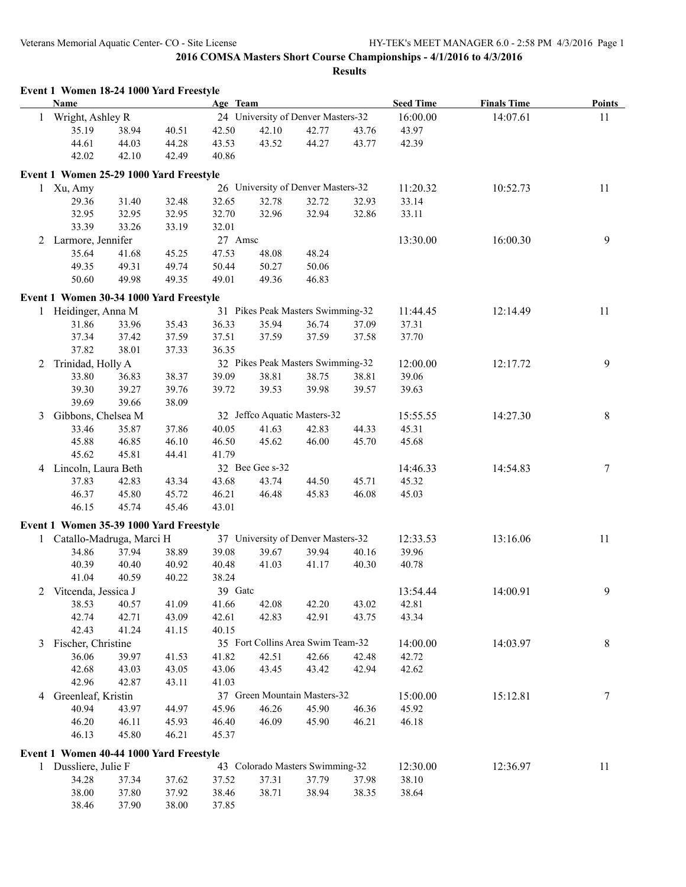|                | Event 1 Women 18-24 1000 Yard Freestyle<br><b>Name</b> |                |                | Age Team       |                 |                                             |                | <b>Seed Time</b>  | <b>Finals Time</b> | <b>Points</b> |
|----------------|--------------------------------------------------------|----------------|----------------|----------------|-----------------|---------------------------------------------|----------------|-------------------|--------------------|---------------|
|                | Wright, Ashley R                                       |                |                |                |                 | 24 University of Denver Masters-32          |                | 16:00.00          | 14:07.61           | 11            |
|                | 35.19                                                  | 38.94          | 40.51          | 42.50          | 42.10           | 42.77                                       | 43.76          | 43.97             |                    |               |
|                | 44.61                                                  | 44.03          | 44.28          | 43.53          | 43.52           | 44.27                                       | 43.77          | 42.39             |                    |               |
|                | 42.02                                                  | 42.10          | 42.49          | 40.86          |                 |                                             |                |                   |                    |               |
|                |                                                        |                |                |                |                 |                                             |                |                   |                    |               |
|                | Event 1 Women 25-29 1000 Yard Freestyle                |                |                |                |                 |                                             |                |                   |                    | 11            |
|                | 1 Xu, Amy                                              |                |                |                |                 | 26 University of Denver Masters-32<br>32.72 |                | 11:20.32<br>33.14 | 10:52.73           |               |
|                | 29.36<br>32.95                                         | 31.40<br>32.95 | 32.48<br>32.95 | 32.65<br>32.70 | 32.78<br>32.96  | 32.94                                       | 32.93<br>32.86 | 33.11             |                    |               |
|                | 33.39                                                  | 33.26          | 33.19          | 32.01          |                 |                                             |                |                   |                    |               |
|                | 2 Larmore, Jennifer                                    |                |                | 27 Amsc        |                 |                                             |                | 13:30.00          | 16:00.30           | 9             |
|                | 35.64                                                  | 41.68          | 45.25          | 47.53          | 48.08           | 48.24                                       |                |                   |                    |               |
|                | 49.35                                                  | 49.31          | 49.74          | 50.44          | 50.27           | 50.06                                       |                |                   |                    |               |
|                | 50.60                                                  | 49.98          | 49.35          | 49.01          | 49.36           | 46.83                                       |                |                   |                    |               |
|                |                                                        |                |                |                |                 |                                             |                |                   |                    |               |
|                | Event 1 Women 30-34 1000 Yard Freestyle                |                |                |                |                 |                                             |                |                   |                    |               |
|                | 1 Heidinger, Anna M                                    |                |                |                |                 | 31 Pikes Peak Masters Swimming-32           |                | 11:44.45          | 12:14.49           | 11            |
|                | 31.86                                                  | 33.96          | 35.43          | 36.33          | 35.94           | 36.74                                       | 37.09          | 37.31             |                    |               |
|                | 37.34                                                  | 37.42          | 37.59          | 37.51          | 37.59           | 37.59                                       | 37.58          | 37.70             |                    |               |
|                | 37.82                                                  | 38.01          | 37.33          | 36.35          |                 | 32 Pikes Peak Masters Swimming-32           |                |                   |                    |               |
| 2              | Trinidad, Holly A<br>33.80                             |                | 38.37          | 39.09          | 38.81           | 38.75                                       | 38.81          | 12:00.00<br>39.06 | 12:17.72           | 9             |
|                | 39.30                                                  | 36.83<br>39.27 | 39.76          | 39.72          | 39.53           | 39.98                                       | 39.57          | 39.63             |                    |               |
|                | 39.69                                                  | 39.66          | 38.09          |                |                 |                                             |                |                   |                    |               |
| 3              | Gibbons, Chelsea M                                     |                |                |                |                 | 32 Jeffco Aquatic Masters-32                |                | 15:55.55          | 14:27.30           | 8             |
|                | 33.46                                                  | 35.87          | 37.86          | 40.05          | 41.63           | 42.83                                       | 44.33          | 45.31             |                    |               |
|                | 45.88                                                  | 46.85          | 46.10          | 46.50          | 45.62           | 46.00                                       | 45.70          | 45.68             |                    |               |
|                | 45.62                                                  | 45.81          | 44.41          | 41.79          |                 |                                             |                |                   |                    |               |
|                | 4 Lincoln, Laura Beth                                  |                |                |                | 32 Bee Gee s-32 |                                             |                | 14:46.33          | 14:54.83           | $\tau$        |
|                | 37.83                                                  | 42.83          | 43.34          | 43.68          | 43.74           | 44.50                                       | 45.71          | 45.32             |                    |               |
|                | 46.37                                                  | 45.80          | 45.72          | 46.21          | 46.48           | 45.83                                       | 46.08          | 45.03             |                    |               |
|                | 46.15                                                  | 45.74          | 45.46          | 43.01          |                 |                                             |                |                   |                    |               |
|                | Event 1 Women 35-39 1000 Yard Freestyle                |                |                |                |                 |                                             |                |                   |                    |               |
| $\mathbf{1}$   | Catallo-Madruga, Marci H                               |                |                |                |                 | 37 University of Denver Masters-32          |                | 12:33.53          | 13:16.06           | 11            |
|                | 34.86                                                  | 37.94          | 38.89          | 39.08          | 39.67           | 39.94                                       | 40.16          | 39.96             |                    |               |
|                | 40.39                                                  | 40.40          | 40.92          | 40.48          | 41.03           | 41.17                                       | 40.30          | 40.78             |                    |               |
|                | 41.04                                                  | 40.59          | 40.22          | 38.24          |                 |                                             |                |                   |                    |               |
|                | 2 Vitcenda, Jessica J                                  |                |                | 39 Gate        |                 |                                             |                | 13:54.44          | 14:00.91           | 9             |
|                | 38.53                                                  | 40.57          | 41.09          | 41.66          | 42.08           | 42.20                                       | 43.02          | 42.81             |                    |               |
|                | 42.74                                                  | 42.71          | 43.09          | 42.61          | 42.83           | 42.91                                       | 43.75          | 43.34             |                    |               |
|                | 42.43                                                  | 41.24          | 41.15          | 40.15          |                 |                                             |                |                   |                    |               |
| $\mathfrak{Z}$ | Fischer, Christine                                     |                |                |                |                 | 35 Fort Collins Area Swim Team-32           |                | 14:00.00          | 14:03.97           | $\,8\,$       |
|                | 36.06                                                  | 39.97          | 41.53          | 41.82          | 42.51           | 42.66                                       | 42.48          | 42.72             |                    |               |
|                | 42.68                                                  | 43.03          | 43.05          | 43.06          | 43.45           | 43.42                                       | 42.94          | 42.62             |                    |               |
|                | 42.96                                                  | 42.87          | 43.11          | 41.03          |                 |                                             |                |                   |                    |               |
| 4              | Greenleaf, Kristin                                     |                |                |                |                 | 37 Green Mountain Masters-32                |                | 15:00.00          | 15:12.81           | $\tau$        |
|                | 40.94                                                  | 43.97          | 44.97          | 45.96          | 46.26           | 45.90                                       | 46.36          | 45.92             |                    |               |
|                | 46.20                                                  | 46.11          | 45.93          | 46.40          | 46.09           | 45.90                                       | 46.21          | 46.18             |                    |               |
|                | 46.13                                                  | 45.80          | 46.21          | 45.37          |                 |                                             |                |                   |                    |               |
|                | Event 1 Women 40-44 1000 Yard Freestyle                |                |                |                |                 |                                             |                |                   |                    |               |
|                | 1 Dussliere, Julie F                                   |                |                |                |                 | 43 Colorado Masters Swimming-32             |                | 12:30.00          | 12:36.97           | 11            |
|                | 34.28                                                  | 37.34          | 37.62          | 37.52          | 37.31           | 37.79                                       | 37.98          | 38.10             |                    |               |
|                | 38.00                                                  | 37.80          | 37.92          | 38.46          | 38.71           | 38.94                                       | 38.35          | 38.64             |                    |               |
|                | 38.46                                                  | 37.90          | 38.00          | 37.85          |                 |                                             |                |                   |                    |               |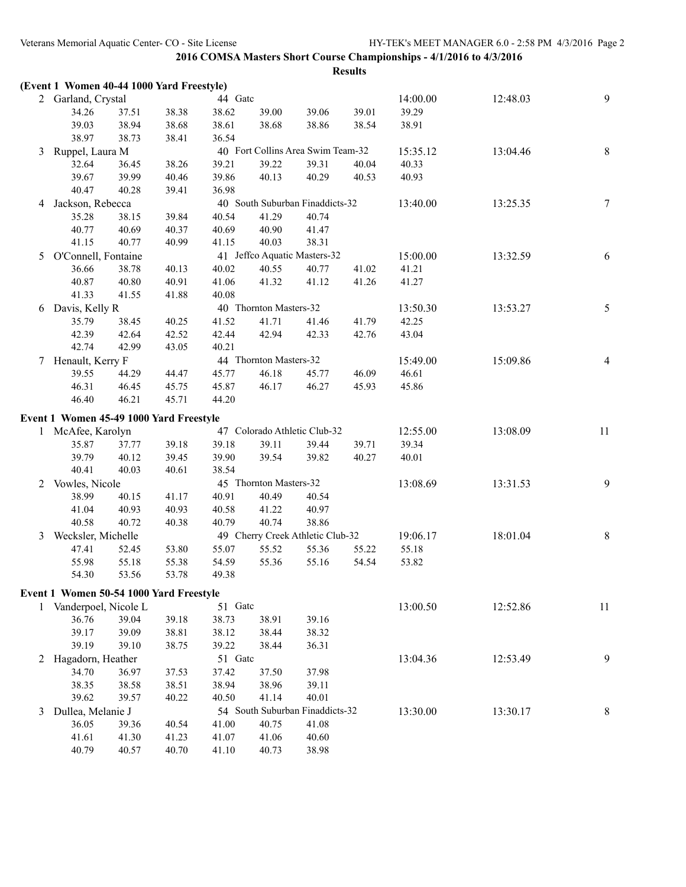|   | (Event 1 Women 40-44 1000 Yard Freestyle) |                |                |                |                        |                                   |       |          |          |                |
|---|-------------------------------------------|----------------|----------------|----------------|------------------------|-----------------------------------|-------|----------|----------|----------------|
|   | 2 Garland, Crystal                        |                |                | 44 Gatc        |                        |                                   |       | 14:00.00 | 12:48.03 | 9              |
|   | 34.26                                     | 37.51          | 38.38          | 38.62          | 39.00                  | 39.06                             | 39.01 | 39.29    |          |                |
|   | 39.03                                     | 38.94          | 38.68          | 38.61          | 38.68                  | 38.86                             | 38.54 | 38.91    |          |                |
|   | 38.97                                     | 38.73          | 38.41          | 36.54          |                        |                                   |       |          |          |                |
| 3 | Ruppel, Laura M                           |                |                |                |                        | 40 Fort Collins Area Swim Team-32 |       | 15:35.12 | 13:04.46 | $8\,$          |
|   | 32.64                                     | 36.45          | 38.26          | 39.21          | 39.22                  | 39.31                             | 40.04 | 40.33    |          |                |
|   | 39.67                                     | 39.99          | 40.46          | 39.86          | 40.13                  | 40.29                             | 40.53 | 40.93    |          |                |
|   | 40.47                                     | 40.28          | 39.41          | 36.98          |                        |                                   |       |          |          |                |
| 4 | Jackson, Rebecca                          |                |                |                |                        | 40 South Suburban Finaddicts-32   |       | 13:40.00 | 13:25.35 | $\tau$         |
|   | 35.28                                     | 38.15          | 39.84          | 40.54          | 41.29                  | 40.74                             |       |          |          |                |
|   | 40.77                                     | 40.69          | 40.37          | 40.69          | 40.90                  | 41.47                             |       |          |          |                |
|   | 41.15                                     | 40.77          | 40.99          | 41.15          | 40.03                  | 38.31                             |       |          |          |                |
|   | 5 O'Connell, Fontaine                     |                |                |                |                        | 41 Jeffco Aquatic Masters-32      |       | 15:00.00 | 13:32.59 | 6              |
|   | 36.66                                     | 38.78          | 40.13          | 40.02          | 40.55                  | 40.77                             | 41.02 | 41.21    |          |                |
|   | 40.87                                     | 40.80          | 40.91          | 41.06          | 41.32                  | 41.12                             | 41.26 | 41.27    |          |                |
|   | 41.33                                     | 41.55          | 41.88          | 40.08          |                        |                                   |       |          |          |                |
| 6 | Davis, Kelly R                            |                |                |                | 40 Thornton Masters-32 |                                   |       | 13:50.30 | 13:53.27 | 5              |
|   | 35.79                                     | 38.45          | 40.25          | 41.52          | 41.71                  | 41.46                             | 41.79 | 42.25    |          |                |
|   | 42.39                                     | 42.64          | 42.52          | 42.44          | 42.94                  | 42.33                             | 42.76 | 43.04    |          |                |
|   | 42.74                                     | 42.99          | 43.05          | 40.21          |                        |                                   |       |          |          |                |
|   | 7 Henault, Kerry F                        |                |                |                | 44 Thornton Masters-32 |                                   |       | 15:49.00 | 15:09.86 | $\overline{4}$ |
|   | 39.55                                     | 44.29          | 44.47          | 45.77          | 46.18                  | 45.77                             | 46.09 | 46.61    |          |                |
|   | 46.31                                     | 46.45          | 45.75          | 45.87          | 46.17                  | 46.27                             | 45.93 | 45.86    |          |                |
|   | 46.40                                     | 46.21          | 45.71          | 44.20          |                        |                                   |       |          |          |                |
|   |                                           |                |                |                |                        |                                   |       |          |          |                |
|   | Event 1 Women 45-49 1000 Yard Freestyle   |                |                |                |                        | 47 Colorado Athletic Club-32      |       | 12:55.00 | 13:08.09 | 11             |
|   | 1 McAfee, Karolyn<br>35.87                | 37.77          | 39.18          | 39.18          | 39.11                  | 39.44                             | 39.71 | 39.34    |          |                |
|   | 39.79                                     |                |                | 39.90          | 39.54                  | 39.82                             | 40.27 | 40.01    |          |                |
|   | 40.41                                     | 40.12<br>40.03 | 39.45<br>40.61 | 38.54          |                        |                                   |       |          |          |                |
|   |                                           |                |                |                | 45 Thornton Masters-32 |                                   |       |          |          | 9              |
| 2 | Vowles, Nicole                            |                |                |                |                        |                                   |       | 13:08.69 | 13:31.53 |                |
|   | 38.99                                     | 40.15          | 41.17          | 40.91          | 40.49                  | 40.54                             |       |          |          |                |
|   | 41.04<br>40.58                            | 40.93          | 40.93          | 40.58<br>40.79 | 41.22<br>40.74         | 40.97<br>38.86                    |       |          |          |                |
|   |                                           | 40.72          | 40.38          |                |                        |                                   |       |          |          |                |
| 3 | Wecksler, Michelle                        |                |                |                | 55.52                  | 49 Cherry Creek Athletic Club-32  |       | 19:06.17 | 18:01.04 | 8              |
|   | 47.41<br>55.98                            | 52.45<br>55.18 | 53.80          | 55.07<br>54.59 |                        | 55.36<br>55.16                    | 55.22 | 55.18    |          |                |
|   |                                           |                | 55.38          |                | 55.36                  |                                   | 54.54 | 53.82    |          |                |
|   | 54.30                                     | 53.56          | 53.78          | 49.38          |                        |                                   |       |          |          |                |
|   | Event 1 Women 50-54 1000 Yard Freestyle   |                |                |                |                        |                                   |       |          |          |                |
|   | 1 Vanderpoel, Nicole L                    |                |                | 51 Gatc        |                        |                                   |       | 13:00.50 | 12:52.86 | 11             |
|   | 36.76                                     | 39.04          | 39.18          | 38.73          | 38.91                  | 39.16                             |       |          |          |                |
|   | 39.17                                     | 39.09          | 38.81          | 38.12          | 38.44                  | 38.32                             |       |          |          |                |
|   | 39.19                                     | 39.10          | 38.75          | 39.22          | 38.44                  | 36.31                             |       |          |          |                |
| 2 | Hagadorn, Heather                         |                |                | 51 Gate        |                        |                                   |       | 13:04.36 | 12:53.49 | 9              |
|   | 34.70                                     | 36.97          | 37.53          | 37.42          | 37.50                  | 37.98                             |       |          |          |                |
|   | 38.35                                     | 38.58          | 38.51          | 38.94          | 38.96                  | 39.11                             |       |          |          |                |
|   | 39.62                                     | 39.57          | 40.22          | 40.50          | 41.14                  | 40.01                             |       |          |          |                |
| 3 | Dullea, Melanie J                         |                |                |                |                        | 54 South Suburban Finaddicts-32   |       | 13:30.00 | 13:30.17 | 8              |
|   | 36.05                                     | 39.36          | 40.54          | 41.00          | 40.75                  | 41.08                             |       |          |          |                |
|   | 41.61                                     | 41.30          | 41.23          | 41.07          | 41.06                  | 40.60                             |       |          |          |                |
|   | 40.79                                     | 40.57          | 40.70          | 41.10          | 40.73                  | 38.98                             |       |          |          |                |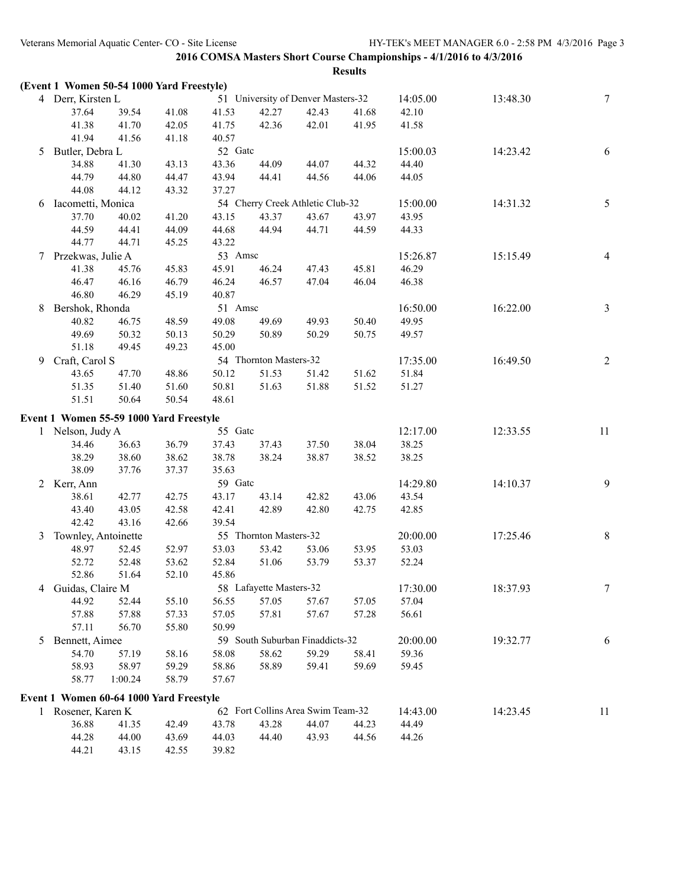| 4 Derr, Kirsten L<br>51 University of Denver Masters-32<br>14:05.00<br>13:48.30<br>37.64<br>42.27<br>42.43<br>42.10<br>39.54<br>41.08<br>41.53<br>41.68<br>41.38<br>41.70<br>42.36<br>42.01<br>42.05<br>41.75<br>41.95<br>41.58<br>41.94<br>40.57<br>41.56<br>41.18<br>Butler, Debra L<br>52 Gatc<br>14:23.42<br>15:00.03<br>5<br>43.36<br>44.32<br>44.40<br>34.88<br>41.30<br>43.13<br>44.09<br>44.07<br>44.79<br>44.80<br>44.56<br>44.06<br>44.05<br>44.47<br>43.94<br>44.41<br>44.08<br>44.12<br>43.32<br>37.27<br>54 Cherry Creek Athletic Club-32<br>6 Iacometti, Monica<br>15:00.00<br>14:31.32<br>37.70<br>43.15<br>43.37<br>43.67<br>43.97<br>43.95<br>40.02<br>41.20<br>44.59<br>44.41<br>44.09<br>44.68<br>44.94<br>44.71<br>44.59<br>44.33<br>44.77<br>43.22<br>44.71<br>45.25<br>53 Amsc<br>15:15.49<br>7 Przekwas, Julie A<br>15:26.87<br>45.91<br>45.81<br>46.29<br>41.38<br>45.76<br>45.83<br>46.24<br>47.43<br>46.47<br>46.16<br>47.04<br>46.38<br>46.79<br>46.24<br>46.57<br>46.04<br>46.80<br>46.29<br>40.87<br>45.19<br>Bershok, Rhonda<br>51 Amsc<br>16:50.00<br>16:22.00<br>8<br>40.82<br>49.08<br>49.69<br>50.40<br>49.95<br>46.75<br>48.59<br>49.93<br>49.69<br>50.32<br>50.29<br>50.89<br>50.29<br>50.75<br>50.13<br>49.57<br>51.18<br>49.23<br>45.00<br>49.45<br>54 Thornton Masters-32<br>Craft, Carol S<br>17:35.00<br>16:49.50<br>9<br>43.65<br>48.86<br>50.12<br>51.53<br>51.84<br>47.70<br>51.42<br>51.62<br>51.35<br>51.40<br>51.60<br>50.81<br>51.88<br>51.52<br>51.63<br>51.27<br>51.51<br>50.64<br>50.54<br>48.61<br>Event 1 Women 55-59 1000 Yard Freestyle<br>55 Gate<br>1 Nelson, Judy A<br>12:17.00<br>12:33.55<br>34.46<br>36.63<br>37.43<br>38.04<br>38.25<br>36.79<br>37.43<br>37.50<br>38.29<br>38.60<br>38.78<br>38.24<br>38.25<br>38.62<br>38.87<br>38.52<br>38.09<br>37.76<br>37.37<br>35.63<br>59 Gatc<br>14:29.80<br>14:10.37<br>2 Kerr, Ann<br>43.17<br>43.14<br>42.82<br>43.06<br>43.54<br>38.61<br>42.77<br>42.75<br>43.40<br>43.05<br>42.58<br>42.41<br>42.89<br>42.80<br>42.75<br>42.85<br>42.42<br>43.16<br>42.66<br>39.54<br>55 Thornton Masters-32<br>Townley, Antoinette<br>20:00.00<br>17:25.46<br>3<br>53.03<br>53.42<br>53.03<br>48.97<br>52.45<br>52.97<br>53.06<br>53.95<br>52.72<br>52.48<br>53.62<br>52.84<br>51.06<br>53.79<br>53.37<br>52.24<br>52.10<br>52.86<br>51.64<br>45.86<br>58 Lafayette Masters-32<br>Guidas, Claire M<br>17:30.00<br>18:37.93<br>4<br>44.92<br>57.05<br>57.04<br>52.44<br>55.10<br>56.55<br>57.67<br>57.05<br>57.88<br>57.88<br>57.05<br>57.81<br>56.61<br>57.33<br>57.67<br>57.28<br>57.11<br>56.70<br>55.80<br>50.99<br>59 South Suburban Finaddicts-32<br>Bennett, Aimee<br>20:00.00<br>19:32.77<br>5<br>58.08<br>58.62<br>59.36<br>54.70<br>57.19<br>58.16<br>59.29<br>58.41 | (Event 1 Women 50-54 1000 Yard Freestyle) |  |  |  |  |                 |
|-----------------------------------------------------------------------------------------------------------------------------------------------------------------------------------------------------------------------------------------------------------------------------------------------------------------------------------------------------------------------------------------------------------------------------------------------------------------------------------------------------------------------------------------------------------------------------------------------------------------------------------------------------------------------------------------------------------------------------------------------------------------------------------------------------------------------------------------------------------------------------------------------------------------------------------------------------------------------------------------------------------------------------------------------------------------------------------------------------------------------------------------------------------------------------------------------------------------------------------------------------------------------------------------------------------------------------------------------------------------------------------------------------------------------------------------------------------------------------------------------------------------------------------------------------------------------------------------------------------------------------------------------------------------------------------------------------------------------------------------------------------------------------------------------------------------------------------------------------------------------------------------------------------------------------------------------------------------------------------------------------------------------------------------------------------------------------------------------------------------------------------------------------------------------------------------------------------------------------------------------------------------------------------------------------------------------------------------------------------------------------------------------------------------------------------------------------------------------------------------------------------------------------------------------------------------------------------------------------------------------------------------------------------------------------------------------------------------------------------------------------------------------------|-------------------------------------------|--|--|--|--|-----------------|
|                                                                                                                                                                                                                                                                                                                                                                                                                                                                                                                                                                                                                                                                                                                                                                                                                                                                                                                                                                                                                                                                                                                                                                                                                                                                                                                                                                                                                                                                                                                                                                                                                                                                                                                                                                                                                                                                                                                                                                                                                                                                                                                                                                                                                                                                                                                                                                                                                                                                                                                                                                                                                                                                                                                                                                             |                                           |  |  |  |  | $7\overline{ }$ |
|                                                                                                                                                                                                                                                                                                                                                                                                                                                                                                                                                                                                                                                                                                                                                                                                                                                                                                                                                                                                                                                                                                                                                                                                                                                                                                                                                                                                                                                                                                                                                                                                                                                                                                                                                                                                                                                                                                                                                                                                                                                                                                                                                                                                                                                                                                                                                                                                                                                                                                                                                                                                                                                                                                                                                                             |                                           |  |  |  |  |                 |
|                                                                                                                                                                                                                                                                                                                                                                                                                                                                                                                                                                                                                                                                                                                                                                                                                                                                                                                                                                                                                                                                                                                                                                                                                                                                                                                                                                                                                                                                                                                                                                                                                                                                                                                                                                                                                                                                                                                                                                                                                                                                                                                                                                                                                                                                                                                                                                                                                                                                                                                                                                                                                                                                                                                                                                             |                                           |  |  |  |  |                 |
|                                                                                                                                                                                                                                                                                                                                                                                                                                                                                                                                                                                                                                                                                                                                                                                                                                                                                                                                                                                                                                                                                                                                                                                                                                                                                                                                                                                                                                                                                                                                                                                                                                                                                                                                                                                                                                                                                                                                                                                                                                                                                                                                                                                                                                                                                                                                                                                                                                                                                                                                                                                                                                                                                                                                                                             |                                           |  |  |  |  |                 |
|                                                                                                                                                                                                                                                                                                                                                                                                                                                                                                                                                                                                                                                                                                                                                                                                                                                                                                                                                                                                                                                                                                                                                                                                                                                                                                                                                                                                                                                                                                                                                                                                                                                                                                                                                                                                                                                                                                                                                                                                                                                                                                                                                                                                                                                                                                                                                                                                                                                                                                                                                                                                                                                                                                                                                                             |                                           |  |  |  |  | 6               |
|                                                                                                                                                                                                                                                                                                                                                                                                                                                                                                                                                                                                                                                                                                                                                                                                                                                                                                                                                                                                                                                                                                                                                                                                                                                                                                                                                                                                                                                                                                                                                                                                                                                                                                                                                                                                                                                                                                                                                                                                                                                                                                                                                                                                                                                                                                                                                                                                                                                                                                                                                                                                                                                                                                                                                                             |                                           |  |  |  |  |                 |
|                                                                                                                                                                                                                                                                                                                                                                                                                                                                                                                                                                                                                                                                                                                                                                                                                                                                                                                                                                                                                                                                                                                                                                                                                                                                                                                                                                                                                                                                                                                                                                                                                                                                                                                                                                                                                                                                                                                                                                                                                                                                                                                                                                                                                                                                                                                                                                                                                                                                                                                                                                                                                                                                                                                                                                             |                                           |  |  |  |  |                 |
|                                                                                                                                                                                                                                                                                                                                                                                                                                                                                                                                                                                                                                                                                                                                                                                                                                                                                                                                                                                                                                                                                                                                                                                                                                                                                                                                                                                                                                                                                                                                                                                                                                                                                                                                                                                                                                                                                                                                                                                                                                                                                                                                                                                                                                                                                                                                                                                                                                                                                                                                                                                                                                                                                                                                                                             |                                           |  |  |  |  |                 |
|                                                                                                                                                                                                                                                                                                                                                                                                                                                                                                                                                                                                                                                                                                                                                                                                                                                                                                                                                                                                                                                                                                                                                                                                                                                                                                                                                                                                                                                                                                                                                                                                                                                                                                                                                                                                                                                                                                                                                                                                                                                                                                                                                                                                                                                                                                                                                                                                                                                                                                                                                                                                                                                                                                                                                                             |                                           |  |  |  |  | 5               |
|                                                                                                                                                                                                                                                                                                                                                                                                                                                                                                                                                                                                                                                                                                                                                                                                                                                                                                                                                                                                                                                                                                                                                                                                                                                                                                                                                                                                                                                                                                                                                                                                                                                                                                                                                                                                                                                                                                                                                                                                                                                                                                                                                                                                                                                                                                                                                                                                                                                                                                                                                                                                                                                                                                                                                                             |                                           |  |  |  |  |                 |
|                                                                                                                                                                                                                                                                                                                                                                                                                                                                                                                                                                                                                                                                                                                                                                                                                                                                                                                                                                                                                                                                                                                                                                                                                                                                                                                                                                                                                                                                                                                                                                                                                                                                                                                                                                                                                                                                                                                                                                                                                                                                                                                                                                                                                                                                                                                                                                                                                                                                                                                                                                                                                                                                                                                                                                             |                                           |  |  |  |  |                 |
|                                                                                                                                                                                                                                                                                                                                                                                                                                                                                                                                                                                                                                                                                                                                                                                                                                                                                                                                                                                                                                                                                                                                                                                                                                                                                                                                                                                                                                                                                                                                                                                                                                                                                                                                                                                                                                                                                                                                                                                                                                                                                                                                                                                                                                                                                                                                                                                                                                                                                                                                                                                                                                                                                                                                                                             |                                           |  |  |  |  |                 |
|                                                                                                                                                                                                                                                                                                                                                                                                                                                                                                                                                                                                                                                                                                                                                                                                                                                                                                                                                                                                                                                                                                                                                                                                                                                                                                                                                                                                                                                                                                                                                                                                                                                                                                                                                                                                                                                                                                                                                                                                                                                                                                                                                                                                                                                                                                                                                                                                                                                                                                                                                                                                                                                                                                                                                                             |                                           |  |  |  |  | $\overline{4}$  |
|                                                                                                                                                                                                                                                                                                                                                                                                                                                                                                                                                                                                                                                                                                                                                                                                                                                                                                                                                                                                                                                                                                                                                                                                                                                                                                                                                                                                                                                                                                                                                                                                                                                                                                                                                                                                                                                                                                                                                                                                                                                                                                                                                                                                                                                                                                                                                                                                                                                                                                                                                                                                                                                                                                                                                                             |                                           |  |  |  |  |                 |
|                                                                                                                                                                                                                                                                                                                                                                                                                                                                                                                                                                                                                                                                                                                                                                                                                                                                                                                                                                                                                                                                                                                                                                                                                                                                                                                                                                                                                                                                                                                                                                                                                                                                                                                                                                                                                                                                                                                                                                                                                                                                                                                                                                                                                                                                                                                                                                                                                                                                                                                                                                                                                                                                                                                                                                             |                                           |  |  |  |  |                 |
|                                                                                                                                                                                                                                                                                                                                                                                                                                                                                                                                                                                                                                                                                                                                                                                                                                                                                                                                                                                                                                                                                                                                                                                                                                                                                                                                                                                                                                                                                                                                                                                                                                                                                                                                                                                                                                                                                                                                                                                                                                                                                                                                                                                                                                                                                                                                                                                                                                                                                                                                                                                                                                                                                                                                                                             |                                           |  |  |  |  |                 |
|                                                                                                                                                                                                                                                                                                                                                                                                                                                                                                                                                                                                                                                                                                                                                                                                                                                                                                                                                                                                                                                                                                                                                                                                                                                                                                                                                                                                                                                                                                                                                                                                                                                                                                                                                                                                                                                                                                                                                                                                                                                                                                                                                                                                                                                                                                                                                                                                                                                                                                                                                                                                                                                                                                                                                                             |                                           |  |  |  |  | 3               |
|                                                                                                                                                                                                                                                                                                                                                                                                                                                                                                                                                                                                                                                                                                                                                                                                                                                                                                                                                                                                                                                                                                                                                                                                                                                                                                                                                                                                                                                                                                                                                                                                                                                                                                                                                                                                                                                                                                                                                                                                                                                                                                                                                                                                                                                                                                                                                                                                                                                                                                                                                                                                                                                                                                                                                                             |                                           |  |  |  |  |                 |
|                                                                                                                                                                                                                                                                                                                                                                                                                                                                                                                                                                                                                                                                                                                                                                                                                                                                                                                                                                                                                                                                                                                                                                                                                                                                                                                                                                                                                                                                                                                                                                                                                                                                                                                                                                                                                                                                                                                                                                                                                                                                                                                                                                                                                                                                                                                                                                                                                                                                                                                                                                                                                                                                                                                                                                             |                                           |  |  |  |  |                 |
|                                                                                                                                                                                                                                                                                                                                                                                                                                                                                                                                                                                                                                                                                                                                                                                                                                                                                                                                                                                                                                                                                                                                                                                                                                                                                                                                                                                                                                                                                                                                                                                                                                                                                                                                                                                                                                                                                                                                                                                                                                                                                                                                                                                                                                                                                                                                                                                                                                                                                                                                                                                                                                                                                                                                                                             |                                           |  |  |  |  |                 |
|                                                                                                                                                                                                                                                                                                                                                                                                                                                                                                                                                                                                                                                                                                                                                                                                                                                                                                                                                                                                                                                                                                                                                                                                                                                                                                                                                                                                                                                                                                                                                                                                                                                                                                                                                                                                                                                                                                                                                                                                                                                                                                                                                                                                                                                                                                                                                                                                                                                                                                                                                                                                                                                                                                                                                                             |                                           |  |  |  |  |                 |
|                                                                                                                                                                                                                                                                                                                                                                                                                                                                                                                                                                                                                                                                                                                                                                                                                                                                                                                                                                                                                                                                                                                                                                                                                                                                                                                                                                                                                                                                                                                                                                                                                                                                                                                                                                                                                                                                                                                                                                                                                                                                                                                                                                                                                                                                                                                                                                                                                                                                                                                                                                                                                                                                                                                                                                             |                                           |  |  |  |  | 2               |
|                                                                                                                                                                                                                                                                                                                                                                                                                                                                                                                                                                                                                                                                                                                                                                                                                                                                                                                                                                                                                                                                                                                                                                                                                                                                                                                                                                                                                                                                                                                                                                                                                                                                                                                                                                                                                                                                                                                                                                                                                                                                                                                                                                                                                                                                                                                                                                                                                                                                                                                                                                                                                                                                                                                                                                             |                                           |  |  |  |  |                 |
|                                                                                                                                                                                                                                                                                                                                                                                                                                                                                                                                                                                                                                                                                                                                                                                                                                                                                                                                                                                                                                                                                                                                                                                                                                                                                                                                                                                                                                                                                                                                                                                                                                                                                                                                                                                                                                                                                                                                                                                                                                                                                                                                                                                                                                                                                                                                                                                                                                                                                                                                                                                                                                                                                                                                                                             |                                           |  |  |  |  |                 |
|                                                                                                                                                                                                                                                                                                                                                                                                                                                                                                                                                                                                                                                                                                                                                                                                                                                                                                                                                                                                                                                                                                                                                                                                                                                                                                                                                                                                                                                                                                                                                                                                                                                                                                                                                                                                                                                                                                                                                                                                                                                                                                                                                                                                                                                                                                                                                                                                                                                                                                                                                                                                                                                                                                                                                                             |                                           |  |  |  |  |                 |
|                                                                                                                                                                                                                                                                                                                                                                                                                                                                                                                                                                                                                                                                                                                                                                                                                                                                                                                                                                                                                                                                                                                                                                                                                                                                                                                                                                                                                                                                                                                                                                                                                                                                                                                                                                                                                                                                                                                                                                                                                                                                                                                                                                                                                                                                                                                                                                                                                                                                                                                                                                                                                                                                                                                                                                             |                                           |  |  |  |  |                 |
|                                                                                                                                                                                                                                                                                                                                                                                                                                                                                                                                                                                                                                                                                                                                                                                                                                                                                                                                                                                                                                                                                                                                                                                                                                                                                                                                                                                                                                                                                                                                                                                                                                                                                                                                                                                                                                                                                                                                                                                                                                                                                                                                                                                                                                                                                                                                                                                                                                                                                                                                                                                                                                                                                                                                                                             |                                           |  |  |  |  | 11              |
|                                                                                                                                                                                                                                                                                                                                                                                                                                                                                                                                                                                                                                                                                                                                                                                                                                                                                                                                                                                                                                                                                                                                                                                                                                                                                                                                                                                                                                                                                                                                                                                                                                                                                                                                                                                                                                                                                                                                                                                                                                                                                                                                                                                                                                                                                                                                                                                                                                                                                                                                                                                                                                                                                                                                                                             |                                           |  |  |  |  |                 |
|                                                                                                                                                                                                                                                                                                                                                                                                                                                                                                                                                                                                                                                                                                                                                                                                                                                                                                                                                                                                                                                                                                                                                                                                                                                                                                                                                                                                                                                                                                                                                                                                                                                                                                                                                                                                                                                                                                                                                                                                                                                                                                                                                                                                                                                                                                                                                                                                                                                                                                                                                                                                                                                                                                                                                                             |                                           |  |  |  |  |                 |
|                                                                                                                                                                                                                                                                                                                                                                                                                                                                                                                                                                                                                                                                                                                                                                                                                                                                                                                                                                                                                                                                                                                                                                                                                                                                                                                                                                                                                                                                                                                                                                                                                                                                                                                                                                                                                                                                                                                                                                                                                                                                                                                                                                                                                                                                                                                                                                                                                                                                                                                                                                                                                                                                                                                                                                             |                                           |  |  |  |  |                 |
|                                                                                                                                                                                                                                                                                                                                                                                                                                                                                                                                                                                                                                                                                                                                                                                                                                                                                                                                                                                                                                                                                                                                                                                                                                                                                                                                                                                                                                                                                                                                                                                                                                                                                                                                                                                                                                                                                                                                                                                                                                                                                                                                                                                                                                                                                                                                                                                                                                                                                                                                                                                                                                                                                                                                                                             |                                           |  |  |  |  | 9               |
|                                                                                                                                                                                                                                                                                                                                                                                                                                                                                                                                                                                                                                                                                                                                                                                                                                                                                                                                                                                                                                                                                                                                                                                                                                                                                                                                                                                                                                                                                                                                                                                                                                                                                                                                                                                                                                                                                                                                                                                                                                                                                                                                                                                                                                                                                                                                                                                                                                                                                                                                                                                                                                                                                                                                                                             |                                           |  |  |  |  |                 |
|                                                                                                                                                                                                                                                                                                                                                                                                                                                                                                                                                                                                                                                                                                                                                                                                                                                                                                                                                                                                                                                                                                                                                                                                                                                                                                                                                                                                                                                                                                                                                                                                                                                                                                                                                                                                                                                                                                                                                                                                                                                                                                                                                                                                                                                                                                                                                                                                                                                                                                                                                                                                                                                                                                                                                                             |                                           |  |  |  |  |                 |
|                                                                                                                                                                                                                                                                                                                                                                                                                                                                                                                                                                                                                                                                                                                                                                                                                                                                                                                                                                                                                                                                                                                                                                                                                                                                                                                                                                                                                                                                                                                                                                                                                                                                                                                                                                                                                                                                                                                                                                                                                                                                                                                                                                                                                                                                                                                                                                                                                                                                                                                                                                                                                                                                                                                                                                             |                                           |  |  |  |  |                 |
|                                                                                                                                                                                                                                                                                                                                                                                                                                                                                                                                                                                                                                                                                                                                                                                                                                                                                                                                                                                                                                                                                                                                                                                                                                                                                                                                                                                                                                                                                                                                                                                                                                                                                                                                                                                                                                                                                                                                                                                                                                                                                                                                                                                                                                                                                                                                                                                                                                                                                                                                                                                                                                                                                                                                                                             |                                           |  |  |  |  | $8\,$           |
|                                                                                                                                                                                                                                                                                                                                                                                                                                                                                                                                                                                                                                                                                                                                                                                                                                                                                                                                                                                                                                                                                                                                                                                                                                                                                                                                                                                                                                                                                                                                                                                                                                                                                                                                                                                                                                                                                                                                                                                                                                                                                                                                                                                                                                                                                                                                                                                                                                                                                                                                                                                                                                                                                                                                                                             |                                           |  |  |  |  |                 |
|                                                                                                                                                                                                                                                                                                                                                                                                                                                                                                                                                                                                                                                                                                                                                                                                                                                                                                                                                                                                                                                                                                                                                                                                                                                                                                                                                                                                                                                                                                                                                                                                                                                                                                                                                                                                                                                                                                                                                                                                                                                                                                                                                                                                                                                                                                                                                                                                                                                                                                                                                                                                                                                                                                                                                                             |                                           |  |  |  |  |                 |
|                                                                                                                                                                                                                                                                                                                                                                                                                                                                                                                                                                                                                                                                                                                                                                                                                                                                                                                                                                                                                                                                                                                                                                                                                                                                                                                                                                                                                                                                                                                                                                                                                                                                                                                                                                                                                                                                                                                                                                                                                                                                                                                                                                                                                                                                                                                                                                                                                                                                                                                                                                                                                                                                                                                                                                             |                                           |  |  |  |  |                 |
|                                                                                                                                                                                                                                                                                                                                                                                                                                                                                                                                                                                                                                                                                                                                                                                                                                                                                                                                                                                                                                                                                                                                                                                                                                                                                                                                                                                                                                                                                                                                                                                                                                                                                                                                                                                                                                                                                                                                                                                                                                                                                                                                                                                                                                                                                                                                                                                                                                                                                                                                                                                                                                                                                                                                                                             |                                           |  |  |  |  | 7               |
|                                                                                                                                                                                                                                                                                                                                                                                                                                                                                                                                                                                                                                                                                                                                                                                                                                                                                                                                                                                                                                                                                                                                                                                                                                                                                                                                                                                                                                                                                                                                                                                                                                                                                                                                                                                                                                                                                                                                                                                                                                                                                                                                                                                                                                                                                                                                                                                                                                                                                                                                                                                                                                                                                                                                                                             |                                           |  |  |  |  |                 |
|                                                                                                                                                                                                                                                                                                                                                                                                                                                                                                                                                                                                                                                                                                                                                                                                                                                                                                                                                                                                                                                                                                                                                                                                                                                                                                                                                                                                                                                                                                                                                                                                                                                                                                                                                                                                                                                                                                                                                                                                                                                                                                                                                                                                                                                                                                                                                                                                                                                                                                                                                                                                                                                                                                                                                                             |                                           |  |  |  |  |                 |
|                                                                                                                                                                                                                                                                                                                                                                                                                                                                                                                                                                                                                                                                                                                                                                                                                                                                                                                                                                                                                                                                                                                                                                                                                                                                                                                                                                                                                                                                                                                                                                                                                                                                                                                                                                                                                                                                                                                                                                                                                                                                                                                                                                                                                                                                                                                                                                                                                                                                                                                                                                                                                                                                                                                                                                             |                                           |  |  |  |  |                 |
|                                                                                                                                                                                                                                                                                                                                                                                                                                                                                                                                                                                                                                                                                                                                                                                                                                                                                                                                                                                                                                                                                                                                                                                                                                                                                                                                                                                                                                                                                                                                                                                                                                                                                                                                                                                                                                                                                                                                                                                                                                                                                                                                                                                                                                                                                                                                                                                                                                                                                                                                                                                                                                                                                                                                                                             |                                           |  |  |  |  | 6               |
|                                                                                                                                                                                                                                                                                                                                                                                                                                                                                                                                                                                                                                                                                                                                                                                                                                                                                                                                                                                                                                                                                                                                                                                                                                                                                                                                                                                                                                                                                                                                                                                                                                                                                                                                                                                                                                                                                                                                                                                                                                                                                                                                                                                                                                                                                                                                                                                                                                                                                                                                                                                                                                                                                                                                                                             |                                           |  |  |  |  |                 |
| 58.93<br>58.97<br>58.86<br>58.89<br>59.41<br>59.29<br>59.69<br>59.45                                                                                                                                                                                                                                                                                                                                                                                                                                                                                                                                                                                                                                                                                                                                                                                                                                                                                                                                                                                                                                                                                                                                                                                                                                                                                                                                                                                                                                                                                                                                                                                                                                                                                                                                                                                                                                                                                                                                                                                                                                                                                                                                                                                                                                                                                                                                                                                                                                                                                                                                                                                                                                                                                                        |                                           |  |  |  |  |                 |
| 58.77<br>1:00.24<br>58.79<br>57.67                                                                                                                                                                                                                                                                                                                                                                                                                                                                                                                                                                                                                                                                                                                                                                                                                                                                                                                                                                                                                                                                                                                                                                                                                                                                                                                                                                                                                                                                                                                                                                                                                                                                                                                                                                                                                                                                                                                                                                                                                                                                                                                                                                                                                                                                                                                                                                                                                                                                                                                                                                                                                                                                                                                                          |                                           |  |  |  |  |                 |
| Event 1 Women 60-64 1000 Yard Freestyle                                                                                                                                                                                                                                                                                                                                                                                                                                                                                                                                                                                                                                                                                                                                                                                                                                                                                                                                                                                                                                                                                                                                                                                                                                                                                                                                                                                                                                                                                                                                                                                                                                                                                                                                                                                                                                                                                                                                                                                                                                                                                                                                                                                                                                                                                                                                                                                                                                                                                                                                                                                                                                                                                                                                     |                                           |  |  |  |  |                 |
| 62 Fort Collins Area Swim Team-32<br>1 Rosener, Karen K<br>14:43.00<br>14:23.45                                                                                                                                                                                                                                                                                                                                                                                                                                                                                                                                                                                                                                                                                                                                                                                                                                                                                                                                                                                                                                                                                                                                                                                                                                                                                                                                                                                                                                                                                                                                                                                                                                                                                                                                                                                                                                                                                                                                                                                                                                                                                                                                                                                                                                                                                                                                                                                                                                                                                                                                                                                                                                                                                             |                                           |  |  |  |  | 11              |
| 36.88<br>41.35<br>43.28<br>44.07<br>44.23<br>44.49<br>42.49<br>43.78                                                                                                                                                                                                                                                                                                                                                                                                                                                                                                                                                                                                                                                                                                                                                                                                                                                                                                                                                                                                                                                                                                                                                                                                                                                                                                                                                                                                                                                                                                                                                                                                                                                                                                                                                                                                                                                                                                                                                                                                                                                                                                                                                                                                                                                                                                                                                                                                                                                                                                                                                                                                                                                                                                        |                                           |  |  |  |  |                 |
| 44.28<br>44.00<br>43.69<br>44.03<br>44.40<br>43.93<br>44.26<br>44.56                                                                                                                                                                                                                                                                                                                                                                                                                                                                                                                                                                                                                                                                                                                                                                                                                                                                                                                                                                                                                                                                                                                                                                                                                                                                                                                                                                                                                                                                                                                                                                                                                                                                                                                                                                                                                                                                                                                                                                                                                                                                                                                                                                                                                                                                                                                                                                                                                                                                                                                                                                                                                                                                                                        |                                           |  |  |  |  |                 |
| 44.21<br>43.15<br>42.55<br>39.82                                                                                                                                                                                                                                                                                                                                                                                                                                                                                                                                                                                                                                                                                                                                                                                                                                                                                                                                                                                                                                                                                                                                                                                                                                                                                                                                                                                                                                                                                                                                                                                                                                                                                                                                                                                                                                                                                                                                                                                                                                                                                                                                                                                                                                                                                                                                                                                                                                                                                                                                                                                                                                                                                                                                            |                                           |  |  |  |  |                 |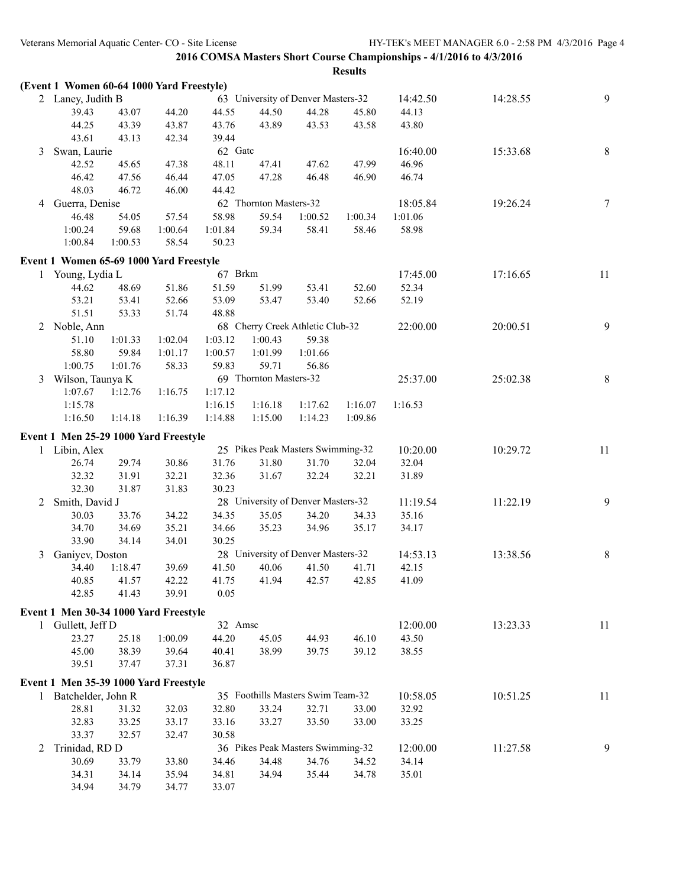|   | (Event 1 Women 60-64 1000 Yard Freestyle) |         |         |         |                        |                                    |         |          |          |        |
|---|-------------------------------------------|---------|---------|---------|------------------------|------------------------------------|---------|----------|----------|--------|
|   | 2 Laney, Judith B                         |         |         |         |                        | 63 University of Denver Masters-32 |         | 14:42.50 | 14:28.55 | 9      |
|   | 39.43                                     | 43.07   | 44.20   | 44.55   | 44.50                  | 44.28                              | 45.80   | 44.13    |          |        |
|   | 44.25                                     | 43.39   | 43.87   | 43.76   | 43.89                  | 43.53                              | 43.58   | 43.80    |          |        |
|   | 43.61                                     | 43.13   | 42.34   | 39.44   |                        |                                    |         |          |          |        |
| 3 | Swan, Laurie                              |         |         | 62 Gatc |                        |                                    |         | 16:40.00 | 15:33.68 | 8      |
|   | 42.52                                     | 45.65   | 47.38   | 48.11   | 47.41                  | 47.62                              | 47.99   | 46.96    |          |        |
|   | 46.42                                     | 47.56   | 46.44   | 47.05   | 47.28                  | 46.48                              | 46.90   | 46.74    |          |        |
|   | 48.03                                     | 46.72   | 46.00   | 44.42   |                        |                                    |         |          |          |        |
|   | 4 Guerra, Denise                          |         |         |         | 62 Thornton Masters-32 |                                    |         | 18:05.84 | 19:26.24 | $\tau$ |
|   | 46.48                                     | 54.05   | 57.54   | 58.98   | 59.54                  | 1:00.52                            | 1:00.34 | 1:01.06  |          |        |
|   | 1:00.24                                   | 59.68   | 1:00.64 | 1:01.84 | 59.34                  | 58.41                              | 58.46   | 58.98    |          |        |
|   | 1:00.84                                   | 1:00.53 | 58.54   | 50.23   |                        |                                    |         |          |          |        |
|   |                                           |         |         |         |                        |                                    |         |          |          |        |
|   | Event 1 Women 65-69 1000 Yard Freestyle   |         |         |         |                        |                                    |         |          |          |        |
|   | 1 Young, Lydia L                          |         |         | 67 Brkm |                        |                                    |         | 17:45.00 | 17:16.65 | 11     |
|   | 44.62                                     | 48.69   | 51.86   | 51.59   | 51.99                  | 53.41                              | 52.60   | 52.34    |          |        |
|   | 53.21                                     | 53.41   | 52.66   | 53.09   | 53.47                  | 53.40                              | 52.66   | 52.19    |          |        |
|   | 51.51                                     | 53.33   | 51.74   | 48.88   |                        |                                    |         |          |          |        |
|   | 2 Noble, Ann                              |         |         |         |                        | 68 Cherry Creek Athletic Club-32   |         | 22:00.00 | 20:00.51 | 9      |
|   | 51.10                                     | 1:01.33 | 1:02.04 | 1:03.12 | 1:00.43                | 59.38                              |         |          |          |        |
|   | 58.80                                     | 59.84   | 1:01.17 | 1:00.57 | 1:01.99                | 1:01.66                            |         |          |          |        |
|   | 1:00.75                                   | 1:01.76 | 58.33   | 59.83   | 59.71                  | 56.86                              |         |          |          |        |
|   | 3 Wilson, Taunya K                        |         |         |         | 69 Thornton Masters-32 |                                    |         | 25:37.00 | 25:02.38 | 8      |
|   | 1:07.67                                   | 1:12.76 | 1:16.75 | 1:17.12 |                        |                                    |         |          |          |        |
|   | 1:15.78                                   |         |         | 1:16.15 | 1:16.18                | 1:17.62                            | 1:16.07 | 1:16.53  |          |        |
|   | 1:16.50                                   | 1:14.18 | 1:16.39 | 1:14.88 | 1:15.00                | 1:14.23                            | 1:09.86 |          |          |        |
|   |                                           |         |         |         |                        |                                    |         |          |          |        |
|   | Event 1 Men 25-29 1000 Yard Freestyle     |         |         |         |                        |                                    |         |          |          |        |
|   | 1 Libin, Alex                             |         |         |         |                        | 25 Pikes Peak Masters Swimming-32  |         | 10:20.00 | 10:29.72 | 11     |
|   | 26.74                                     | 29.74   | 30.86   | 31.76   | 31.80                  | 31.70                              | 32.04   | 32.04    |          |        |
|   | 32.32                                     | 31.91   | 32.21   | 32.36   | 31.67                  | 32.24                              | 32.21   | 31.89    |          |        |
|   | 32.30                                     | 31.87   | 31.83   | 30.23   |                        |                                    |         |          |          |        |
| 2 | Smith, David J                            |         |         |         |                        | 28 University of Denver Masters-32 |         | 11:19.54 | 11:22.19 | 9      |
|   | 30.03                                     | 33.76   | 34.22   | 34.35   | 35.05                  | 34.20                              | 34.33   | 35.16    |          |        |
|   | 34.70                                     | 34.69   | 35.21   | 34.66   | 35.23                  | 34.96                              | 35.17   | 34.17    |          |        |
|   | 33.90                                     | 34.14   | 34.01   | 30.25   |                        |                                    |         |          |          |        |
|   | 3 Ganiyev, Doston                         |         |         |         |                        | 28 University of Denver Masters-32 |         | 14:53.13 | 13:38.56 | 8      |
|   | 34.40                                     | 1:18.47 | 39.69   | 41.50   | 40.06                  | 41.50                              | 41.71   | 42.15    |          |        |
|   | 40.85                                     | 41.57   | 42.22   | 41.75   |                        | 41.94 42.57                        | 42.85   | 41.09    |          |        |
|   | 42.85                                     | 41.43   | 39.91   | 0.05    |                        |                                    |         |          |          |        |
|   | Event 1 Men 30-34 1000 Yard Freestyle     |         |         |         |                        |                                    |         |          |          |        |
|   | 1 Gullett, Jeff D                         |         |         | 32 Amsc |                        |                                    |         | 12:00.00 | 13:23.33 | 11     |
|   | 23.27                                     | 25.18   | 1:00.09 | 44.20   | 45.05                  | 44.93                              | 46.10   | 43.50    |          |        |
|   | 45.00                                     | 38.39   | 39.64   | 40.41   | 38.99                  | 39.75                              | 39.12   | 38.55    |          |        |
|   | 39.51                                     | 37.47   | 37.31   | 36.87   |                        |                                    |         |          |          |        |
|   |                                           |         |         |         |                        |                                    |         |          |          |        |
|   | Event 1 Men 35-39 1000 Yard Freestyle     |         |         |         |                        |                                    |         |          |          |        |
|   | 1 Batchelder, John R                      |         |         |         |                        | 35 Foothills Masters Swim Team-32  |         | 10:58.05 | 10:51.25 | 11     |
|   | 28.81                                     | 31.32   | 32.03   | 32.80   | 33.24                  | 32.71                              | 33.00   | 32.92    |          |        |
|   | 32.83                                     | 33.25   | 33.17   | 33.16   | 33.27                  | 33.50                              | 33.00   | 33.25    |          |        |
|   | 33.37                                     | 32.57   | 32.47   | 30.58   |                        |                                    |         |          |          |        |
| 2 | Trinidad, RD D                            |         |         |         |                        | 36 Pikes Peak Masters Swimming-32  |         | 12:00.00 | 11:27.58 | 9      |
|   | 30.69                                     | 33.79   | 33.80   | 34.46   | 34.48                  | 34.76                              | 34.52   | 34.14    |          |        |
|   | 34.31                                     | 34.14   | 35.94   | 34.81   | 34.94                  | 35.44                              | 34.78   | 35.01    |          |        |
|   | 34.94                                     | 34.79   | 34.77   | 33.07   |                        |                                    |         |          |          |        |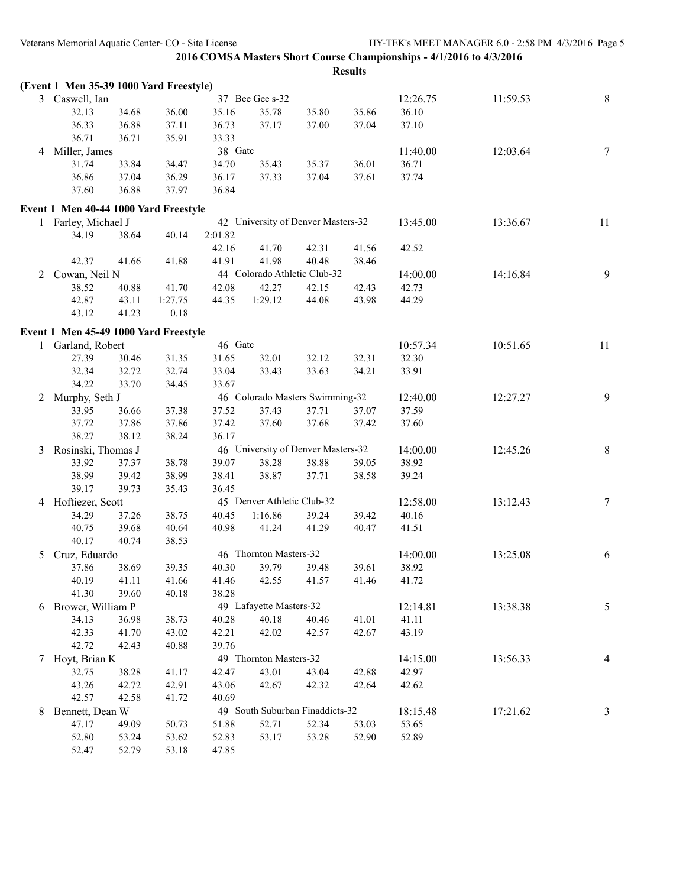|   | (Event 1 Men 35-39 1000 Yard Freestyle) |       |         |         |                                    |       |       |          |          |                |
|---|-----------------------------------------|-------|---------|---------|------------------------------------|-------|-------|----------|----------|----------------|
|   | 3 Caswell, Ian                          |       |         |         | 37 Bee Gee s-32                    |       |       | 12:26.75 | 11:59.53 | 8              |
|   | 32.13                                   | 34.68 | 36.00   | 35.16   | 35.78                              | 35.80 | 35.86 | 36.10    |          |                |
|   | 36.33                                   | 36.88 | 37.11   | 36.73   | 37.17                              | 37.00 | 37.04 | 37.10    |          |                |
|   | 36.71                                   | 36.71 | 35.91   | 33.33   |                                    |       |       |          |          |                |
|   | 4 Miller, James                         |       |         | 38 Gatc |                                    |       |       | 11:40.00 | 12:03.64 | $\tau$         |
|   | 31.74                                   | 33.84 | 34.47   | 34.70   | 35.43                              | 35.37 | 36.01 | 36.71    |          |                |
|   | 36.86                                   | 37.04 | 36.29   | 36.17   | 37.33                              | 37.04 | 37.61 | 37.74    |          |                |
|   | 37.60                                   | 36.88 | 37.97   | 36.84   |                                    |       |       |          |          |                |
|   | Event 1 Men 40-44 1000 Yard Freestyle   |       |         |         |                                    |       |       |          |          |                |
|   | 1 Farley, Michael J                     |       |         |         | 42 University of Denver Masters-32 |       |       | 13:45.00 | 13:36.67 | 11             |
|   | 34.19                                   | 38.64 | 40.14   | 2:01.82 |                                    |       |       |          |          |                |
|   |                                         |       |         | 42.16   | 41.70                              | 42.31 | 41.56 | 42.52    |          |                |
|   | 42.37                                   | 41.66 | 41.88   | 41.91   | 41.98                              | 40.48 | 38.46 |          |          |                |
|   | 2 Cowan, Neil N                         |       |         |         | 44 Colorado Athletic Club-32       |       |       | 14:00.00 | 14:16.84 | 9              |
|   | 38.52                                   | 40.88 | 41.70   | 42.08   | 42.27                              | 42.15 | 42.43 | 42.73    |          |                |
|   | 42.87                                   | 43.11 | 1:27.75 | 44.35   | 1:29.12                            | 44.08 | 43.98 | 44.29    |          |                |
|   | 43.12                                   | 41.23 | 0.18    |         |                                    |       |       |          |          |                |
|   | Event 1 Men 45-49 1000 Yard Freestyle   |       |         |         |                                    |       |       |          |          |                |
|   | 1 Garland, Robert                       |       |         | 46 Gatc |                                    |       |       | 10:57.34 | 10:51.65 | 11             |
|   | 27.39                                   | 30.46 | 31.35   | 31.65   | 32.01                              | 32.12 | 32.31 | 32.30    |          |                |
|   | 32.34                                   | 32.72 | 32.74   | 33.04   | 33.43                              | 33.63 | 34.21 | 33.91    |          |                |
|   | 34.22                                   | 33.70 | 34.45   | 33.67   |                                    |       |       |          |          |                |
|   | 2 Murphy, Seth J                        |       |         |         | 46 Colorado Masters Swimming-32    |       |       | 12:40.00 | 12:27.27 | 9              |
|   | 33.95                                   | 36.66 | 37.38   | 37.52   | 37.43                              | 37.71 | 37.07 | 37.59    |          |                |
|   | 37.72                                   | 37.86 | 37.86   | 37.42   | 37.60                              | 37.68 | 37.42 | 37.60    |          |                |
|   | 38.27                                   | 38.12 | 38.24   | 36.17   |                                    |       |       |          |          |                |
|   | 3 Rosinski, Thomas J                    |       |         |         | 46 University of Denver Masters-32 |       |       | 14:00.00 | 12:45.26 | $8\,$          |
|   | 33.92                                   | 37.37 | 38.78   | 39.07   | 38.28                              | 38.88 | 39.05 | 38.92    |          |                |
|   | 38.99                                   | 39.42 | 38.99   | 38.41   | 38.87                              | 37.71 | 38.58 | 39.24    |          |                |
|   | 39.17                                   | 39.73 | 35.43   | 36.45   |                                    |       |       |          |          |                |
|   | 4 Hoftiezer, Scott                      |       |         |         | 45 Denver Athletic Club-32         |       |       | 12:58.00 | 13:12.43 | $\tau$         |
|   | 34.29                                   | 37.26 | 38.75   | 40.45   | 1:16.86                            | 39.24 | 39.42 | 40.16    |          |                |
|   | 40.75                                   | 39.68 | 40.64   | 40.98   | 41.24                              | 41.29 | 40.47 | 41.51    |          |                |
|   | 40.17                                   | 40.74 | 38.53   |         |                                    |       |       |          |          |                |
| 5 | Cruz, Eduardo                           |       |         |         | 46 Thornton Masters-32             |       |       | 14:00.00 | 13:25.08 | 6              |
|   | 37.86                                   | 38.69 | 39.35   | 40.30   | 39.79                              | 39.48 | 39.61 | 38.92    |          |                |
|   | 40.19                                   | 41.11 | 41.66   | 41.46   | 42.55                              | 41.57 | 41.46 | 41.72    |          |                |
|   | 41.30                                   | 39.60 | 40.18   | 38.28   |                                    |       |       |          |          |                |
|   | 6 Brower, William P                     |       |         |         | 49 Lafayette Masters-32            |       |       | 12:14.81 | 13:38.38 | 5              |
|   | 34.13                                   | 36.98 | 38.73   | 40.28   | 40.18                              | 40.46 | 41.01 | 41.11    |          |                |
|   | 42.33                                   | 41.70 | 43.02   | 42.21   | 42.02                              | 42.57 | 42.67 | 43.19    |          |                |
|   | 42.72                                   | 42.43 | 40.88   | 39.76   |                                    |       |       |          |          |                |
| 7 | Hoyt, Brian K                           |       |         |         | 49 Thornton Masters-32             |       |       | 14:15.00 | 13:56.33 | $\overline{4}$ |
|   | 32.75                                   | 38.28 | 41.17   | 42.47   | 43.01                              | 43.04 | 42.88 | 42.97    |          |                |
|   | 43.26                                   | 42.72 | 42.91   | 43.06   | 42.67                              | 42.32 | 42.64 | 42.62    |          |                |
|   | 42.57                                   | 42.58 | 41.72   | 40.69   |                                    |       |       |          |          |                |
| 8 | Bennett, Dean W                         |       |         |         | 49 South Suburban Finaddicts-32    |       |       | 18:15.48 | 17:21.62 | 3              |
|   | 47.17                                   | 49.09 | 50.73   | 51.88   | 52.71                              | 52.34 | 53.03 | 53.65    |          |                |
|   | 52.80                                   | 53.24 | 53.62   | 52.83   | 53.17                              | 53.28 | 52.90 | 52.89    |          |                |
|   | 52.47                                   | 52.79 | 53.18   | 47.85   |                                    |       |       |          |          |                |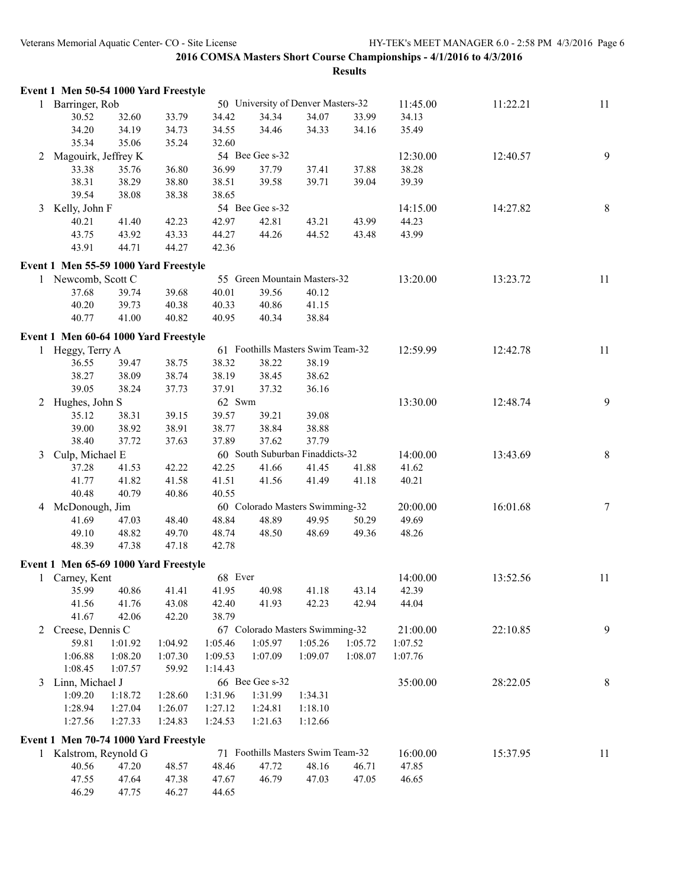|   | Event 1 Men 50-54 1000 Yard Freestyle |         |         |         |                                    |         |         |          |          |         |
|---|---------------------------------------|---------|---------|---------|------------------------------------|---------|---------|----------|----------|---------|
|   | 1 Barringer, Rob                      |         |         |         | 50 University of Denver Masters-32 |         |         | 11:45.00 | 11:22.21 | 11      |
|   | 30.52                                 | 32.60   | 33.79   | 34.42   | 34.34                              | 34.07   | 33.99   | 34.13    |          |         |
|   | 34.20                                 | 34.19   | 34.73   | 34.55   | 34.46                              | 34.33   | 34.16   | 35.49    |          |         |
|   | 35.34                                 | 35.06   | 35.24   | 32.60   |                                    |         |         |          |          |         |
| 2 | Magouirk, Jeffrey K                   |         |         |         | 54 Bee Gee s-32                    |         |         | 12:30.00 | 12:40.57 | 9       |
|   | 33.38                                 | 35.76   | 36.80   | 36.99   | 37.79                              | 37.41   | 37.88   | 38.28    |          |         |
|   | 38.31                                 | 38.29   | 38.80   | 38.51   | 39.58                              | 39.71   | 39.04   | 39.39    |          |         |
|   | 39.54                                 | 38.08   | 38.38   | 38.65   |                                    |         |         |          |          |         |
|   | 3 Kelly, John F                       |         |         |         | 54 Bee Gee s-32                    |         |         | 14:15.00 | 14:27.82 | 8       |
|   | 40.21                                 | 41.40   | 42.23   | 42.97   | 42.81                              | 43.21   | 43.99   | 44.23    |          |         |
|   | 43.75                                 | 43.92   | 43.33   | 44.27   | 44.26                              | 44.52   | 43.48   | 43.99    |          |         |
|   | 43.91                                 | 44.71   | 44.27   | 42.36   |                                    |         |         |          |          |         |
|   |                                       |         |         |         |                                    |         |         |          |          |         |
|   | Event 1 Men 55-59 1000 Yard Freestyle |         |         |         |                                    |         |         |          |          |         |
|   | 1 Newcomb, Scott C                    |         |         |         | 55 Green Mountain Masters-32       |         |         | 13:20.00 | 13:23.72 | 11      |
|   | 37.68                                 | 39.74   | 39.68   | 40.01   | 39.56                              | 40.12   |         |          |          |         |
|   | 40.20                                 | 39.73   | 40.38   | 40.33   | 40.86                              | 41.15   |         |          |          |         |
|   | 40.77                                 | 41.00   | 40.82   | 40.95   | 40.34                              | 38.84   |         |          |          |         |
|   | Event 1 Men 60-64 1000 Yard Freestyle |         |         |         |                                    |         |         |          |          |         |
|   | 1 Heggy, Terry A                      |         |         |         | 61 Foothills Masters Swim Team-32  |         |         | 12:59.99 | 12:42.78 | 11      |
|   | 36.55                                 | 39.47   | 38.75   | 38.32   | 38.22                              | 38.19   |         |          |          |         |
|   | 38.27                                 | 38.09   | 38.74   | 38.19   | 38.45                              | 38.62   |         |          |          |         |
|   | 39.05                                 | 38.24   | 37.73   | 37.91   | 37.32                              | 36.16   |         |          |          |         |
| 2 | Hughes, John S                        |         |         | 62 Swm  |                                    |         |         | 13:30.00 | 12:48.74 | 9       |
|   | 35.12                                 | 38.31   | 39.15   | 39.57   | 39.21                              | 39.08   |         |          |          |         |
|   | 39.00                                 | 38.92   | 38.91   | 38.77   | 38.84                              | 38.88   |         |          |          |         |
|   | 38.40                                 | 37.72   | 37.63   | 37.89   | 37.62                              | 37.79   |         |          |          |         |
| 3 | Culp, Michael E                       |         |         |         | 60 South Suburban Finaddicts-32    |         |         | 14:00.00 | 13:43.69 | $\,8\,$ |
|   | 37.28                                 | 41.53   | 42.22   | 42.25   | 41.66                              | 41.45   | 41.88   | 41.62    |          |         |
|   | 41.77                                 | 41.82   | 41.58   | 41.51   | 41.56                              | 41.49   | 41.18   | 40.21    |          |         |
|   | 40.48                                 | 40.79   | 40.86   | 40.55   |                                    |         |         |          |          |         |
|   | 4 McDonough, Jim                      |         |         |         | 60 Colorado Masters Swimming-32    |         |         | 20:00.00 | 16:01.68 | $\tau$  |
|   | 41.69                                 | 47.03   | 48.40   | 48.84   | 48.89                              | 49.95   | 50.29   | 49.69    |          |         |
|   | 49.10                                 | 48.82   | 49.70   | 48.74   | 48.50                              | 48.69   | 49.36   | 48.26    |          |         |
|   | 48.39                                 | 47.38   | 47.18   | 42.78   |                                    |         |         |          |          |         |
|   |                                       |         |         |         |                                    |         |         |          |          |         |
|   | Event 1 Men 65-69 1000 Yard Freestyle |         |         |         |                                    |         |         |          |          |         |
|   | 1 Carney, Kent                        |         |         | 68 Ever |                                    |         |         | 14:00.00 | 13:52.56 | 11      |
|   | 35.99                                 | 40.86   | 41.41   | 41.95   | 40.98                              | 41.18   | 43.14   | 42.39    |          |         |
|   | 41.56                                 | 41.76   | 43.08   | 42.40   | 41.93                              | 42.23   | 42.94   | 44.04    |          |         |
|   | 41.67                                 | 42.06   | 42.20   | 38.79   |                                    |         |         |          |          |         |
| 2 | Creese, Dennis C                      |         |         |         | 67 Colorado Masters Swimming-32    |         |         | 21:00.00 | 22:10.85 | 9       |
|   | 59.81                                 | 1:01.92 | 1:04.92 | 1:05.46 | 1:05.97                            | 1:05.26 | 1:05.72 | 1:07.52  |          |         |
|   | 1:06.88                               | 1:08.20 | 1:07.30 | 1:09.53 | 1:07.09                            | 1:09.07 | 1:08.07 | 1:07.76  |          |         |
|   | 1:08.45                               | 1:07.57 | 59.92   | 1:14.43 |                                    |         |         |          |          |         |
|   | 3 Linn, Michael J                     |         |         |         | 66 Bee Gee s-32                    |         |         | 35:00.00 | 28:22.05 | $8\,$   |
|   | 1:09.20                               | 1:18.72 | 1:28.60 | 1:31.96 | 1:31.99                            | 1:34.31 |         |          |          |         |
|   | 1:28.94                               | 1:27.04 | 1:26.07 | 1:27.12 | 1:24.81                            | 1:18.10 |         |          |          |         |
|   | 1:27.56                               | 1:27.33 | 1:24.83 | 1:24.53 | 1:21.63                            | 1:12.66 |         |          |          |         |
|   | Event 1 Men 70-74 1000 Yard Freestyle |         |         |         |                                    |         |         |          |          |         |
|   | 1 Kalstrom, Reynold G                 |         |         |         | 71 Foothills Masters Swim Team-32  |         |         | 16:00.00 | 15:37.95 | 11      |
|   | 40.56                                 | 47.20   | 48.57   | 48.46   | 47.72                              | 48.16   | 46.71   | 47.85    |          |         |
|   | 47.55                                 | 47.64   | 47.38   | 47.67   | 46.79                              | 47.03   | 47.05   | 46.65    |          |         |
|   | 46.29                                 | 47.75   | 46.27   | 44.65   |                                    |         |         |          |          |         |
|   |                                       |         |         |         |                                    |         |         |          |          |         |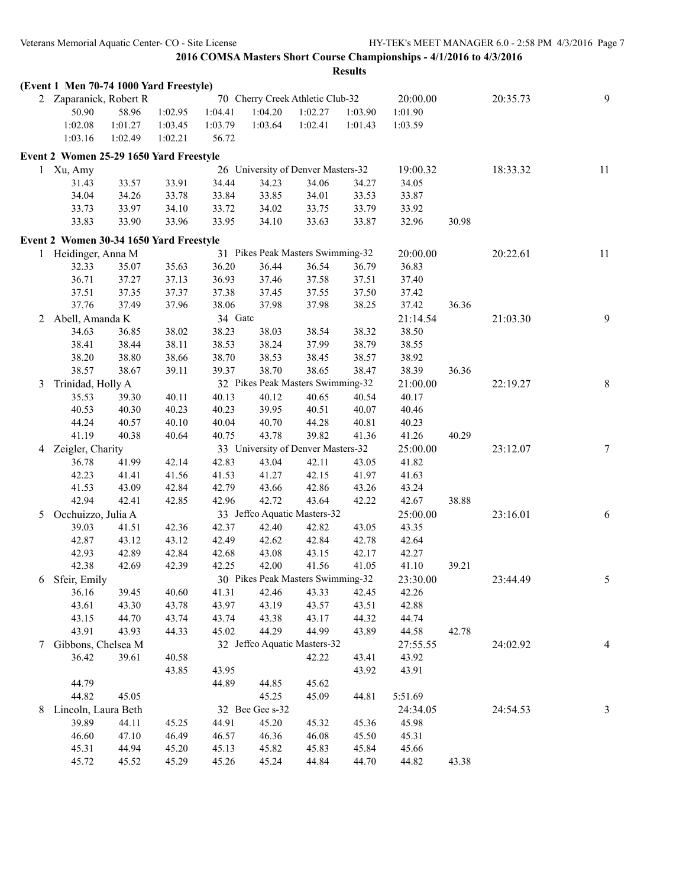|   |                                         |         |         |         |                                    |         | <b>Results</b> |          |       |          |    |
|---|-----------------------------------------|---------|---------|---------|------------------------------------|---------|----------------|----------|-------|----------|----|
|   | (Event 1 Men 70-74 1000 Yard Freestyle) |         |         |         |                                    |         |                |          |       |          |    |
|   | 2 Zaparanick, Robert R                  |         |         |         | 70 Cherry Creek Athletic Club-32   |         |                | 20:00.00 |       | 20:35.73 | 9  |
|   | 50.90                                   | 58.96   | 1:02.95 | 1:04.41 | 1:04.20                            | 1:02.27 | 1:03.90        | 1:01.90  |       |          |    |
|   | 1:02.08                                 | 1:01.27 | 1:03.45 | 1:03.79 | 1:03.64                            | 1:02.41 | 1:01.43        | 1:03.59  |       |          |    |
|   | 1:03.16                                 | 1:02.49 | 1:02.21 | 56.72   |                                    |         |                |          |       |          |    |
|   | Event 2 Women 25-29 1650 Yard Freestyle |         |         |         |                                    |         |                |          |       |          |    |
|   | 1 Xu, Amy                               |         |         |         | 26 University of Denver Masters-32 |         |                | 19:00.32 |       | 18:33.32 | 11 |
|   | 31.43                                   | 33.57   | 33.91   | 34.44   | 34.23                              | 34.06   | 34.27          | 34.05    |       |          |    |
|   | 34.04                                   | 34.26   | 33.78   | 33.84   | 33.85                              | 34.01   | 33.53          | 33.87    |       |          |    |
|   | 33.73                                   | 33.97   | 34.10   | 33.72   | 34.02                              | 33.75   | 33.79          | 33.92    |       |          |    |
|   | 33.83                                   | 33.90   | 33.96   | 33.95   | 34.10                              | 33.63   | 33.87          | 32.96    | 30.98 |          |    |
|   | Event 2 Women 30-34 1650 Yard Freestyle |         |         |         |                                    |         |                |          |       |          |    |
|   | 1 Heidinger, Anna M                     |         |         |         | 31 Pikes Peak Masters Swimming-32  |         |                | 20:00.00 |       | 20:22.61 | 11 |
|   | 32.33                                   | 35.07   | 35.63   | 36.20   | 36.44                              | 36.54   | 36.79          | 36.83    |       |          |    |
|   | 36.71                                   | 37.27   | 37.13   | 36.93   | 37.46                              | 37.58   | 37.51          | 37.40    |       |          |    |
|   | 37.51                                   | 37.35   | 37.37   | 37.38   | 37.45                              | 37.55   | 37.50          | 37.42    |       |          |    |
|   | 37.76                                   | 37.49   | 37.96   | 38.06   | 37.98                              | 37.98   | 38.25          | 37.42    | 36.36 |          |    |
| 2 | Abell, Amanda K                         |         |         | 34 Gate |                                    |         |                | 21:14.54 |       | 21:03.30 | 9  |
|   | 34.63                                   | 36.85   | 38.02   | 38.23   | 38.03                              | 38.54   | 38.32          | 38.50    |       |          |    |
|   | 38.41                                   | 38.44   | 38.11   | 38.53   | 38.24                              | 37.99   | 38.79          | 38.55    |       |          |    |
|   | 38.20                                   | 38.80   | 38.66   | 38.70   | 38.53                              | 38.45   | 38.57          | 38.92    |       |          |    |
|   | 38.57                                   | 38.67   | 39.11   | 39.37   | 38.70                              | 38.65   | 38.47          | 38.39    | 36.36 |          |    |
| 3 | Trinidad, Holly A                       |         |         |         | 32 Pikes Peak Masters Swimming-32  |         |                | 21:00.00 |       | 22:19.27 | 8  |
|   | 35.53                                   | 39.30   | 40.11   | 40.13   | 40.12                              | 40.65   | 40.54          | 40.17    |       |          |    |
|   | 40.53                                   | 40.30   | 40.23   | 40.23   | 39.95                              | 40.51   | 40.07          | 40.46    |       |          |    |
|   | 44.24                                   | 40.57   | 40.10   | 40.04   | 40.70                              | 44.28   | 40.81          | 40.23    |       |          |    |
|   | 41.19                                   | 40.38   | 40.64   | 40.75   | 43.78                              | 39.82   | 41.36          | 41.26    | 40.29 |          |    |
|   | 4 Zeigler, Charity                      |         |         |         | 33 University of Denver Masters-32 |         |                | 25:00.00 |       | 23:12.07 | 7  |
|   | 36.78                                   | 41.99   | 42.14   | 42.83   | 43.04                              | 42.11   | 43.05          | 41.82    |       |          |    |
|   | 42.23                                   | 41.41   | 41.56   | 41.53   | 41.27                              | 42.15   | 41.97          | 41.63    |       |          |    |
|   | 41.53                                   | 43.09   | 42.84   | 42.79   | 43.66                              | 42.86   | 43.26          | 43.24    |       |          |    |
|   | 42.94                                   | 42.41   | 42.85   | 42.96   | 42.72                              | 43.64   | 42.22          | 42.67    | 38.88 |          |    |
|   | 5 Occhuizzo, Julia A                    |         |         |         | 33 Jeffco Aquatic Masters-32       |         |                | 25:00.00 |       | 23:16.01 | 6  |
|   | 39.03                                   | 41.51   | 42.36   | 42.37   | 42.40                              | 42.82   | 43.05          | 43.35    |       |          |    |
|   | 42.87                                   | 43.12   | 43.12   | 42.49   | 42.62                              | 42.84   | 42.78          | 42.64    |       |          |    |
|   | 42.93                                   | 42.89   | 42.84   | 42.68   | 43.08                              | 43.15   | 42.17          | 42.27    |       |          |    |
|   | 42.38                                   | 42.69   | 42.39   | 42.25   | 42.00                              | 41.56   | 41.05          | 41.10    | 39.21 |          |    |
|   | 6 Sfeir, Emily                          |         |         |         | 30 Pikes Peak Masters Swimming-32  |         |                | 23:30.00 |       | 23:44.49 | 5  |
|   | 36.16                                   | 39.45   | 40.60   | 41.31   | 42.46                              | 43.33   | 42.45          | 42.26    |       |          |    |
|   | 43.61                                   | 43.30   | 43.78   | 43.97   | 43.19                              | 43.57   | 43.51          | 42.88    |       |          |    |
|   | 43.15                                   | 44.70   | 43.74   | 43.74   | 43.38                              | 43.17   | 44.32          | 44.74    |       |          |    |
|   | 43.91                                   | 43.93   | 44.33   | 45.02   | 44.29                              | 44.99   | 43.89          | 44.58    | 42.78 |          |    |
|   | 7 Gibbons, Chelsea M                    |         |         |         | 32 Jeffco Aquatic Masters-32       |         |                | 27:55.55 |       | 24:02.92 | 4  |
|   | 36.42                                   | 39.61   | 40.58   |         |                                    | 42.22   | 43.41          | 43.92    |       |          |    |
|   |                                         |         | 43.85   | 43.95   |                                    |         | 43.92          | 43.91    |       |          |    |
|   | 44.79                                   |         |         | 44.89   | 44.85                              | 45.62   |                |          |       |          |    |
|   | 44.82                                   | 45.05   |         |         | 45.25                              | 45.09   | 44.81          | 5:51.69  |       |          |    |
| 8 | Lincoln, Laura Beth                     |         |         |         | 32 Bee Gee s-32                    |         |                | 24:34.05 |       | 24:54.53 | 3  |
|   | 39.89                                   | 44.11   | 45.25   | 44.91   | 45.20                              | 45.32   | 45.36          | 45.98    |       |          |    |
|   | 46.60                                   | 47.10   | 46.49   | 46.57   | 46.36                              | 46.08   | 45.50          | 45.31    |       |          |    |
|   | 45.31                                   | 44.94   | 45.20   | 45.13   | 45.82                              | 45.83   | 45.84          | 45.66    |       |          |    |
|   | 45.72                                   | 45.52   | 45.29   | 45.26   | 45.24                              | 44.84   | 44.70          | 44.82    | 43.38 |          |    |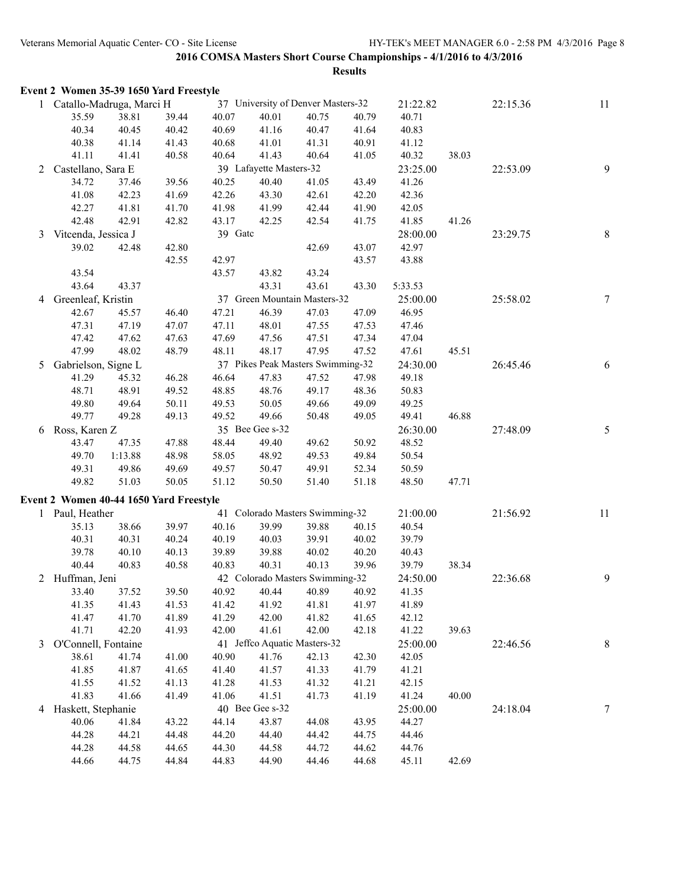|   | Event 2 Women 35-39 1650 Yard Freestyle |         |       |         |                                    |       |       |          |       |          |         |
|---|-----------------------------------------|---------|-------|---------|------------------------------------|-------|-------|----------|-------|----------|---------|
|   | 1 Catallo-Madruga, Marci H              |         |       |         | 37 University of Denver Masters-32 |       |       | 21:22.82 |       | 22:15.36 | 11      |
|   | 35.59                                   | 38.81   | 39.44 | 40.07   | 40.01                              | 40.75 | 40.79 | 40.71    |       |          |         |
|   | 40.34                                   | 40.45   | 40.42 | 40.69   | 41.16                              | 40.47 | 41.64 | 40.83    |       |          |         |
|   | 40.38                                   | 41.14   | 41.43 | 40.68   | 41.01                              | 41.31 | 40.91 | 41.12    |       |          |         |
|   | 41.11                                   | 41.41   | 40.58 | 40.64   | 41.43                              | 40.64 | 41.05 | 40.32    | 38.03 |          |         |
|   | 2 Castellano, Sara E                    |         |       |         | 39 Lafayette Masters-32            |       |       | 23:25.00 |       | 22:53.09 | 9       |
|   | 34.72                                   | 37.46   | 39.56 | 40.25   | 40.40                              | 41.05 | 43.49 | 41.26    |       |          |         |
|   | 41.08                                   | 42.23   | 41.69 | 42.26   | 43.30                              | 42.61 | 42.20 | 42.36    |       |          |         |
|   | 42.27                                   | 41.81   | 41.70 | 41.98   | 41.99                              | 42.44 | 41.90 | 42.05    |       |          |         |
|   | 42.48                                   | 42.91   | 42.82 | 43.17   | 42.25                              | 42.54 | 41.75 | 41.85    | 41.26 |          |         |
| 3 | Vitcenda, Jessica J                     |         |       | 39 Gate |                                    |       |       | 28:00.00 |       | 23:29.75 | $\,8\,$ |
|   | 39.02                                   | 42.48   | 42.80 |         |                                    | 42.69 | 43.07 | 42.97    |       |          |         |
|   |                                         |         | 42.55 | 42.97   |                                    |       | 43.57 | 43.88    |       |          |         |
|   | 43.54                                   |         |       | 43.57   | 43.82                              | 43.24 |       |          |       |          |         |
|   | 43.64                                   | 43.37   |       |         | 43.31                              | 43.61 | 43.30 | 5:33.53  |       |          |         |
|   |                                         |         |       |         | 37 Green Mountain Masters-32       |       |       |          |       |          |         |
| 4 | Greenleaf, Kristin                      |         |       |         |                                    |       |       | 25:00.00 |       | 25:58.02 | 7       |
|   | 42.67                                   | 45.57   | 46.40 | 47.21   | 46.39                              | 47.03 | 47.09 | 46.95    |       |          |         |
|   | 47.31                                   | 47.19   | 47.07 | 47.11   | 48.01                              | 47.55 | 47.53 | 47.46    |       |          |         |
|   | 47.42                                   | 47.62   | 47.63 | 47.69   | 47.56                              | 47.51 | 47.34 | 47.04    |       |          |         |
|   | 47.99                                   | 48.02   | 48.79 | 48.11   | 48.17                              | 47.95 | 47.52 | 47.61    | 45.51 |          |         |
| 5 | Gabrielson, Signe L                     |         |       |         | 37 Pikes Peak Masters Swimming-32  |       |       | 24:30.00 |       | 26:45.46 | 6       |
|   | 41.29                                   | 45.32   | 46.28 | 46.64   | 47.83                              | 47.52 | 47.98 | 49.18    |       |          |         |
|   | 48.71                                   | 48.91   | 49.52 | 48.85   | 48.76                              | 49.17 | 48.36 | 50.83    |       |          |         |
|   | 49.80                                   | 49.64   | 50.11 | 49.53   | 50.05                              | 49.66 | 49.09 | 49.25    |       |          |         |
|   | 49.77                                   | 49.28   | 49.13 | 49.52   | 49.66                              | 50.48 | 49.05 | 49.41    | 46.88 |          |         |
|   | 6 Ross, Karen Z                         |         |       |         | 35 Bee Gee s-32                    |       |       | 26:30.00 |       | 27:48.09 | 5       |
|   | 43.47                                   | 47.35   | 47.88 | 48.44   | 49.40                              | 49.62 | 50.92 | 48.52    |       |          |         |
|   | 49.70                                   | 1:13.88 | 48.98 | 58.05   | 48.92                              | 49.53 | 49.84 | 50.54    |       |          |         |
|   | 49.31                                   | 49.86   | 49.69 | 49.57   | 50.47                              | 49.91 | 52.34 | 50.59    |       |          |         |
|   | 49.82                                   | 51.03   | 50.05 | 51.12   | 50.50                              | 51.40 | 51.18 | 48.50    | 47.71 |          |         |
|   | Event 2 Women 40-44 1650 Yard Freestyle |         |       |         |                                    |       |       |          |       |          |         |
|   | 1 Paul, Heather                         |         |       |         | 41 Colorado Masters Swimming-32    |       |       | 21:00.00 |       | 21:56.92 | 11      |
|   | 35.13                                   | 38.66   | 39.97 | 40.16   | 39.99                              | 39.88 | 40.15 | 40.54    |       |          |         |
|   | 40.31                                   | 40.31   | 40.24 | 40.19   | 40.03                              | 39.91 | 40.02 | 39.79    |       |          |         |
|   | 39.78                                   | 40.10   | 40.13 | 39.89   | 39.88                              | 40.02 | 40.20 | 40.43    |       |          |         |
|   | 40.44                                   | 40.83   | 40.58 | 40.83   | 40.31                              | 40.13 | 39.96 | 39.79    | 38.34 |          |         |
|   | 2 Huffman, Jeni                         |         |       |         | 42 Colorado Masters Swimming-32    |       |       | 24:50.00 |       | 22:36.68 | 9       |
|   | 33.40                                   | 37.52   | 39.50 | 40.92   | 40.44                              | 40.89 | 40.92 | 41.35    |       |          |         |
|   | 41.35                                   | 41.43   | 41.53 | 41.42   | 41.92                              | 41.81 | 41.97 | 41.89    |       |          |         |
|   | 41.47                                   | 41.70   | 41.89 | 41.29   | 42.00                              | 41.82 | 41.65 | 42.12    |       |          |         |
|   | 41.71                                   | 42.20   | 41.93 | 42.00   | 41.61                              | 42.00 | 42.18 | 41.22    | 39.63 |          |         |
| 3 | O'Connell, Fontaine                     |         |       |         | 41 Jeffco Aquatic Masters-32       |       |       | 25:00.00 |       | 22:46.56 | 8       |
|   | 38.61                                   | 41.74   | 41.00 | 40.90   | 41.76                              | 42.13 | 42.30 | 42.05    |       |          |         |
|   | 41.85                                   | 41.87   | 41.65 | 41.40   |                                    |       | 41.79 | 41.21    |       |          |         |
|   | 41.55                                   |         |       |         | 41.57                              | 41.33 |       | 42.15    |       |          |         |
|   |                                         | 41.52   | 41.13 | 41.28   | 41.53                              | 41.32 | 41.21 |          |       |          |         |
|   | 41.83                                   | 41.66   | 41.49 | 41.06   | 41.51                              | 41.73 | 41.19 | 41.24    | 40.00 |          |         |
| 4 | Haskett, Stephanie                      |         |       |         | 40 Bee Gee s-32                    |       |       | 25:00.00 |       | 24:18.04 | 7       |
|   | 40.06                                   | 41.84   | 43.22 | 44.14   | 43.87                              | 44.08 | 43.95 | 44.27    |       |          |         |
|   | 44.28                                   | 44.21   | 44.48 | 44.20   | 44.40                              | 44.42 | 44.75 | 44.46    |       |          |         |
|   | 44.28                                   | 44.58   | 44.65 | 44.30   | 44.58                              | 44.72 | 44.62 | 44.76    |       |          |         |
|   | 44.66                                   | 44.75   | 44.84 | 44.83   | 44.90                              | 44.46 | 44.68 | 45.11    | 42.69 |          |         |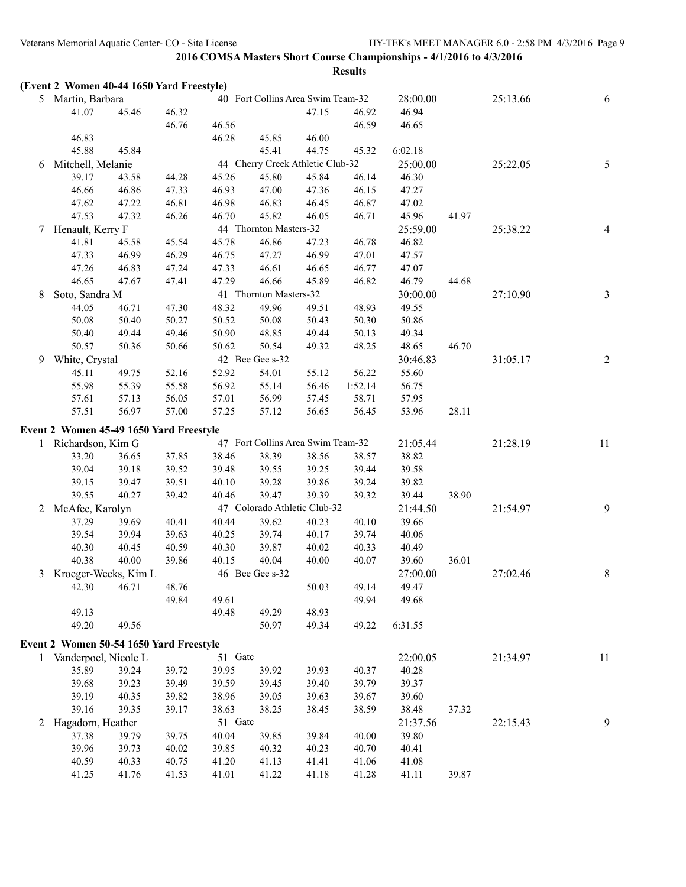|   | (Event 2 Women 40-44 1650 Yard Freestyle) |       |       |         |                                   |       |         |          |       |          |                |
|---|-------------------------------------------|-------|-------|---------|-----------------------------------|-------|---------|----------|-------|----------|----------------|
|   | 5 Martin, Barbara                         |       |       |         | 40 Fort Collins Area Swim Team-32 |       |         | 28:00.00 |       | 25:13.66 | 6              |
|   | 41.07                                     | 45.46 | 46.32 |         |                                   | 47.15 | 46.92   | 46.94    |       |          |                |
|   |                                           |       | 46.76 | 46.56   |                                   |       | 46.59   | 46.65    |       |          |                |
|   | 46.83                                     |       |       | 46.28   | 45.85                             | 46.00 |         |          |       |          |                |
|   | 45.88                                     | 45.84 |       |         | 45.41                             | 44.75 | 45.32   | 6:02.18  |       |          |                |
| 6 | Mitchell, Melanie                         |       |       |         | 44 Cherry Creek Athletic Club-32  |       |         | 25:00.00 |       | 25:22.05 | 5              |
|   | 39.17                                     | 43.58 | 44.28 | 45.26   | 45.80                             | 45.84 | 46.14   | 46.30    |       |          |                |
|   | 46.66                                     | 46.86 | 47.33 | 46.93   | 47.00                             | 47.36 | 46.15   | 47.27    |       |          |                |
|   | 47.62                                     | 47.22 | 46.81 | 46.98   | 46.83                             | 46.45 | 46.87   | 47.02    |       |          |                |
|   | 47.53                                     | 47.32 | 46.26 | 46.70   | 45.82                             | 46.05 | 46.71   | 45.96    | 41.97 |          |                |
|   | 7 Henault, Kerry F                        |       |       |         | 44 Thornton Masters-32            |       |         | 25:59.00 |       | 25:38.22 | $\overline{4}$ |
|   | 41.81                                     | 45.58 | 45.54 | 45.78   | 46.86                             | 47.23 | 46.78   | 46.82    |       |          |                |
|   | 47.33                                     | 46.99 | 46.29 | 46.75   | 47.27                             | 46.99 | 47.01   | 47.57    |       |          |                |
|   | 47.26                                     | 46.83 | 47.24 | 47.33   | 46.61                             | 46.65 | 46.77   | 47.07    |       |          |                |
|   | 46.65                                     | 47.67 | 47.41 | 47.29   | 46.66                             | 45.89 | 46.82   | 46.79    | 44.68 |          |                |
| 8 | Soto, Sandra M                            |       |       |         | 41 Thornton Masters-32            |       |         | 30:00.00 |       | 27:10.90 | $\overline{3}$ |
|   | 44.05                                     | 46.71 | 47.30 | 48.32   | 49.96                             | 49.51 | 48.93   | 49.55    |       |          |                |
|   | 50.08                                     | 50.40 | 50.27 | 50.52   | 50.08                             | 50.43 | 50.30   | 50.86    |       |          |                |
|   | 50.40                                     | 49.44 | 49.46 | 50.90   | 48.85                             | 49.44 | 50.13   | 49.34    |       |          |                |
|   | 50.57                                     | 50.36 | 50.66 | 50.62   | 50.54                             | 49.32 | 48.25   | 48.65    | 46.70 |          |                |
| 9 | White, Crystal                            |       |       |         | 42 Bee Gee s-32                   |       |         | 30:46.83 |       | 31:05.17 | $\overline{2}$ |
|   | 45.11                                     | 49.75 | 52.16 | 52.92   | 54.01                             | 55.12 | 56.22   | 55.60    |       |          |                |
|   | 55.98                                     | 55.39 | 55.58 | 56.92   | 55.14                             | 56.46 | 1:52.14 | 56.75    |       |          |                |
|   | 57.61                                     | 57.13 | 56.05 | 57.01   | 56.99                             | 57.45 | 58.71   | 57.95    |       |          |                |
|   | 57.51                                     | 56.97 | 57.00 | 57.25   | 57.12                             | 56.65 | 56.45   | 53.96    | 28.11 |          |                |
|   | Event 2 Women 45-49 1650 Yard Freestyle   |       |       |         |                                   |       |         |          |       |          |                |
|   | 1 Richardson, Kim G                       |       |       |         | 47 Fort Collins Area Swim Team-32 |       |         | 21:05.44 |       | 21:28.19 | 11             |
|   | 33.20                                     | 36.65 | 37.85 | 38.46   | 38.39                             | 38.56 | 38.57   | 38.82    |       |          |                |
|   | 39.04                                     | 39.18 | 39.52 | 39.48   | 39.55                             | 39.25 | 39.44   | 39.58    |       |          |                |
|   | 39.15                                     | 39.47 | 39.51 | 40.10   | 39.28                             | 39.86 | 39.24   | 39.82    |       |          |                |
|   | 39.55                                     | 40.27 | 39.42 | 40.46   | 39.47                             | 39.39 | 39.32   | 39.44    | 38.90 |          |                |
| 2 | McAfee, Karolyn                           |       |       |         | 47 Colorado Athletic Club-32      |       |         | 21:44.50 |       | 21:54.97 | 9              |
|   | 37.29                                     | 39.69 | 40.41 | 40.44   | 39.62                             | 40.23 | 40.10   | 39.66    |       |          |                |
|   | 39.54                                     | 39.94 | 39.63 | 40.25   | 39.74                             | 40.17 | 39.74   | 40.06    |       |          |                |
|   | 40.30                                     | 40.45 | 40.59 | 40.30   | 39.87                             | 40.02 | 40.33   | 40.49    |       |          |                |
|   | 40.38                                     | 40.00 | 39.86 | 40.15   | 40.04                             | 40.00 | 40.07   | 39.60    | 36.01 |          |                |
|   | 3 Kroeger-Weeks, Kim L                    |       |       |         | 46 Bee Gee s-32                   |       |         | 27:00.00 |       | 27:02.46 | 8              |
|   | 42.30                                     | 46.71 | 48.76 |         |                                   | 50.03 | 49.14   | 49.47    |       |          |                |
|   |                                           |       | 49.84 | 49.61   |                                   |       | 49.94   | 49.68    |       |          |                |
|   | 49.13                                     |       |       | 49.48   | 49.29                             | 48.93 |         |          |       |          |                |
|   | 49.20                                     | 49.56 |       |         | 50.97                             | 49.34 | 49.22   | 6:31.55  |       |          |                |
|   | Event 2 Women 50-54 1650 Yard Freestyle   |       |       |         |                                   |       |         |          |       |          |                |
|   | 1 Vanderpoel, Nicole L                    |       |       | 51 Gate |                                   |       |         | 22:00.05 |       | 21:34.97 | 11             |
|   | 35.89                                     | 39.24 | 39.72 | 39.95   | 39.92                             | 39.93 | 40.37   | 40.28    |       |          |                |
|   | 39.68                                     | 39.23 | 39.49 | 39.59   | 39.45                             | 39.40 | 39.79   | 39.37    |       |          |                |
|   | 39.19                                     | 40.35 | 39.82 | 38.96   | 39.05                             | 39.63 | 39.67   | 39.60    |       |          |                |
|   | 39.16                                     | 39.35 | 39.17 | 38.63   | 38.25                             | 38.45 | 38.59   | 38.48    | 37.32 |          |                |
| 2 | Hagadorn, Heather                         |       |       | 51 Gate |                                   |       |         | 21:37.56 |       | 22:15.43 | 9              |
|   | 37.38                                     | 39.79 | 39.75 | 40.04   | 39.85                             | 39.84 | 40.00   | 39.80    |       |          |                |
|   | 39.96                                     | 39.73 | 40.02 | 39.85   | 40.32                             | 40.23 | 40.70   | 40.41    |       |          |                |
|   | 40.59                                     | 40.33 | 40.75 | 41.20   | 41.13                             | 41.41 | 41.06   | 41.08    |       |          |                |
|   | 41.25                                     | 41.76 | 41.53 | 41.01   | 41.22                             | 41.18 | 41.28   | 41.11    | 39.87 |          |                |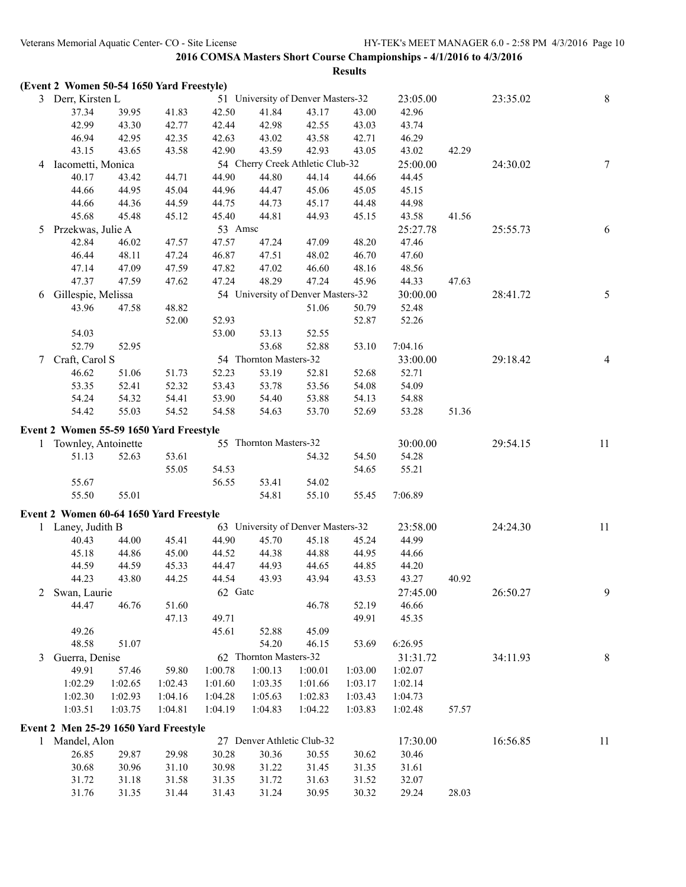|   |                                           |         |         |                |                            |                                    | <b>Results</b> |          |       |          |                |
|---|-------------------------------------------|---------|---------|----------------|----------------------------|------------------------------------|----------------|----------|-------|----------|----------------|
|   | (Event 2 Women 50-54 1650 Yard Freestyle) |         |         |                |                            |                                    |                |          |       |          |                |
|   | 3 Derr, Kirsten L                         |         |         |                |                            | 51 University of Denver Masters-32 |                | 23:05.00 |       | 23:35.02 | $\,8\,$        |
|   | 37.34                                     | 39.95   | 41.83   | 42.50          | 41.84                      | 43.17                              | 43.00          | 42.96    |       |          |                |
|   | 42.99                                     | 43.30   | 42.77   | 42.44          | 42.98                      | 42.55                              | 43.03          | 43.74    |       |          |                |
|   | 46.94                                     | 42.95   | 42.35   | 42.63          | 43.02                      | 43.58                              | 42.71          | 46.29    |       |          |                |
|   | 43.15                                     | 43.65   | 43.58   | 42.90          | 43.59                      | 42.93                              | 43.05          | 43.02    | 42.29 |          |                |
|   | 4 Iacometti, Monica                       |         |         |                |                            | 54 Cherry Creek Athletic Club-32   |                | 25:00.00 |       | 24:30.02 | $\tau$         |
|   | 40.17                                     | 43.42   | 44.71   | 44.90          | 44.80                      | 44.14                              | 44.66          | 44.45    |       |          |                |
|   | 44.66                                     | 44.95   | 45.04   | 44.96          | 44.47                      | 45.06                              | 45.05          | 45.15    |       |          |                |
|   | 44.66                                     | 44.36   | 44.59   | 44.75          | 44.73                      | 45.17                              | 44.48          | 44.98    |       |          |                |
|   | 45.68                                     | 45.48   | 45.12   | 45.40          | 44.81                      | 44.93                              | 45.15          | 43.58    | 41.56 |          |                |
| 5 | Przekwas, Julie A                         |         |         | 53 Amsc        |                            |                                    |                | 25:27.78 |       | 25:55.73 | 6              |
|   | 42.84                                     | 46.02   | 47.57   | 47.57          | 47.24                      | 47.09                              | 48.20          | 47.46    |       |          |                |
|   | 46.44                                     | 48.11   | 47.24   | 46.87          | 47.51                      | 48.02                              | 46.70          | 47.60    |       |          |                |
|   | 47.14                                     | 47.09   | 47.59   | 47.82          | 47.02                      | 46.60                              | 48.16          | 48.56    |       |          |                |
|   | 47.37                                     | 47.59   | 47.62   | 47.24          | 48.29                      | 47.24                              | 45.96          | 44.33    | 47.63 |          |                |
| 6 | Gillespie, Melissa                        |         |         |                |                            | 54 University of Denver Masters-32 |                | 30:00.00 |       | 28:41.72 | 5              |
|   | 43.96                                     | 47.58   | 48.82   |                |                            | 51.06                              | 50.79          | 52.48    |       |          |                |
|   |                                           |         | 52.00   | 52.93          |                            |                                    | 52.87          | 52.26    |       |          |                |
|   | 54.03                                     |         |         | 53.00          | 53.13                      | 52.55                              |                |          |       |          |                |
|   | 52.79                                     | 52.95   |         |                | 53.68                      | 52.88                              | 53.10          | 7:04.16  |       |          |                |
| 7 | Craft, Carol S                            |         |         |                | 54 Thornton Masters-32     |                                    |                | 33:00.00 |       | 29:18.42 | $\overline{4}$ |
|   | 46.62                                     | 51.06   | 51.73   | 52.23          | 53.19                      | 52.81                              | 52.68          | 52.71    |       |          |                |
|   | 53.35                                     | 52.41   | 52.32   | 53.43          | 53.78                      | 53.56                              | 54.08          | 54.09    |       |          |                |
|   | 54.24                                     | 54.32   | 54.41   | 53.90          | 54.40                      | 53.88                              | 54.13          | 54.88    |       |          |                |
|   | 54.42                                     | 55.03   | 54.52   | 54.58          | 54.63                      | 53.70                              | 52.69          | 53.28    | 51.36 |          |                |
|   | Event 2 Women 55-59 1650 Yard Freestyle   |         |         |                |                            |                                    |                |          |       |          |                |
|   |                                           |         |         |                | 55 Thornton Masters-32     |                                    |                | 30:00.00 |       |          | 11             |
|   | 1 Townley, Antoinette<br>51.13            | 52.63   | 53.61   |                |                            | 54.32                              | 54.50          | 54.28    |       | 29:54.15 |                |
|   |                                           |         |         |                |                            |                                    |                |          |       |          |                |
|   | 55.67                                     |         | 55.05   | 54.53<br>56.55 |                            |                                    | 54.65          | 55.21    |       |          |                |
|   | 55.50                                     | 55.01   |         |                | 53.41<br>54.81             | 54.02<br>55.10                     | 55.45          | 7:06.89  |       |          |                |
|   |                                           |         |         |                |                            |                                    |                |          |       |          |                |
|   | Event 2 Women 60-64 1650 Yard Freestyle   |         |         |                |                            |                                    |                |          |       |          |                |
|   | 1 Laney, Judith B                         |         |         |                |                            | 63 University of Denver Masters-32 |                | 23:58.00 |       | 24:24.30 | 11             |
|   | 40.43                                     | 44.00   | 45.41   | 44.90          | 45.70                      | 45.18                              | 45.24          | 44.99    |       |          |                |
|   | 45.18                                     | 44.86   | 45.00   | 44.52          | 44.38                      | 44.88                              | 44.95          | 44.66    |       |          |                |
|   | 44.59                                     | 44.59   | 45.33   | 44.47          | 44.93                      | 44.65                              | 44.85          | 44.20    |       |          |                |
|   | 44.23                                     | 43.80   | 44.25   | 44.54          | 43.93                      | 43.94                              | 43.53          | 43.27    | 40.92 |          |                |
|   | 2 Swan, Laurie                            |         |         | 62 Gatc        |                            |                                    |                | 27:45.00 |       | 26:50.27 | 9              |
|   | 44.47                                     | 46.76   | 51.60   |                |                            | 46.78                              | 52.19          | 46.66    |       |          |                |
|   |                                           |         | 47.13   | 49.71          |                            |                                    | 49.91          | 45.35    |       |          |                |
|   | 49.26                                     |         |         | 45.61          | 52.88                      | 45.09                              |                |          |       |          |                |
|   | 48.58                                     | 51.07   |         |                | 54.20                      | 46.15                              | 53.69          | 6:26.95  |       |          |                |
| 3 | Guerra, Denise                            |         |         |                | 62 Thornton Masters-32     |                                    |                | 31:31.72 |       | 34:11.93 | $\,8\,$        |
|   | 49.91                                     | 57.46   | 59.80   | 1:00.78        | 1:00.13                    | 1:00.01                            | 1:03.00        | 1:02.07  |       |          |                |
|   | 1:02.29                                   | 1:02.65 | 1:02.43 | 1:01.60        | 1:03.35                    | 1:01.66                            | 1:03.17        | 1:02.14  |       |          |                |
|   | 1:02.30                                   | 1:02.93 | 1:04.16 | 1:04.28        | 1:05.63                    | 1:02.83                            | 1:03.43        | 1:04.73  |       |          |                |
|   | 1:03.51                                   | 1:03.75 | 1:04.81 | 1:04.19        | 1:04.83                    | 1:04.22                            | 1:03.83        | 1:02.48  | 57.57 |          |                |
|   | Event 2 Men 25-29 1650 Yard Freestyle     |         |         |                |                            |                                    |                |          |       |          |                |
|   | 1 Mandel, Alon                            |         |         |                | 27 Denver Athletic Club-32 |                                    |                | 17:30.00 |       | 16:56.85 | 11             |
|   | 26.85                                     | 29.87   | 29.98   | 30.28          | 30.36                      | 30.55                              | 30.62          | 30.46    |       |          |                |
|   | 30.68                                     | 30.96   | 31.10   | 30.98          | 31.22                      | 31.45                              | 31.35          | 31.61    |       |          |                |
|   | 31.72                                     | 31.18   | 31.58   | 31.35          | 31.72                      | 31.63                              | 31.52          | 32.07    |       |          |                |
|   | 31.76                                     | 31.35   | 31.44   | 31.43          | 31.24                      | 30.95                              | 30.32          | 29.24    | 28.03 |          |                |
|   |                                           |         |         |                |                            |                                    |                |          |       |          |                |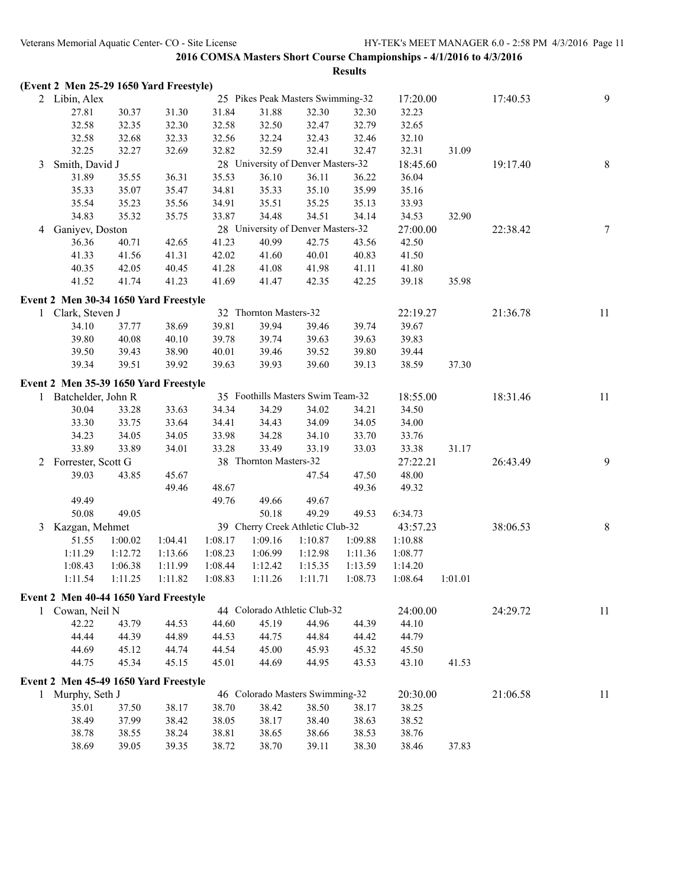|   | (Event 2 Men 25-29 1650 Yard Freestyle) |                |                |                |                                 |                                    |         |                   |         |          |        |
|---|-----------------------------------------|----------------|----------------|----------------|---------------------------------|------------------------------------|---------|-------------------|---------|----------|--------|
|   | 2 Libin, Alex                           |                |                |                |                                 | 25 Pikes Peak Masters Swimming-32  |         | 17:20.00          |         | 17:40.53 | 9      |
|   | 27.81                                   | 30.37          | 31.30          | 31.84          | 31.88                           | 32.30                              | 32.30   | 32.23             |         |          |        |
|   | 32.58                                   | 32.35          | 32.30          | 32.58          | 32.50                           | 32.47                              | 32.79   | 32.65             |         |          |        |
|   | 32.58                                   | 32.68          | 32.33          | 32.56          | 32.24                           | 32.43                              | 32.46   | 32.10             |         |          |        |
|   | 32.25                                   | 32.27          | 32.69          | 32.82          | 32.59                           | 32.41                              | 32.47   | 32.31             | 31.09   |          |        |
| 3 | Smith, David J                          |                |                |                |                                 | 28 University of Denver Masters-32 |         | 18:45.60          |         | 19:17.40 | $8\,$  |
|   | 31.89                                   | 35.55          | 36.31          | 35.53          | 36.10                           | 36.11                              | 36.22   | 36.04             |         |          |        |
|   | 35.33                                   | 35.07          | 35.47          | 34.81          | 35.33                           | 35.10                              | 35.99   | 35.16             |         |          |        |
|   | 35.54                                   | 35.23          | 35.56          | 34.91          | 35.51                           | 35.25                              | 35.13   | 33.93             |         |          |        |
|   | 34.83                                   | 35.32          | 35.75          | 33.87          | 34.48                           | 34.51                              | 34.14   | 34.53             | 32.90   |          |        |
| 4 | Ganiyev, Doston                         |                |                |                |                                 | 28 University of Denver Masters-32 |         | 27:00.00          |         | 22:38.42 | $\tau$ |
|   | 36.36                                   | 40.71          | 42.65          | 41.23          | 40.99                           | 42.75                              | 43.56   | 42.50             |         |          |        |
|   | 41.33                                   | 41.56          | 41.31          | 42.02          | 41.60                           | 40.01                              | 40.83   | 41.50             |         |          |        |
|   | 40.35                                   | 42.05          | 40.45          | 41.28          | 41.08                           | 41.98                              | 41.11   | 41.80             |         |          |        |
|   | 41.52                                   | 41.74          | 41.23          | 41.69          | 41.47                           | 42.35                              | 42.25   | 39.18             | 35.98   |          |        |
|   | Event 2 Men 30-34 1650 Yard Freestyle   |                |                |                |                                 |                                    |         |                   |         |          |        |
|   | 1 Clark, Steven J                       |                |                |                | 32 Thornton Masters-32          |                                    |         | 22:19.27          |         | 21:36.78 | 11     |
|   | 34.10                                   | 37.77          | 38.69          | 39.81          | 39.94                           | 39.46                              | 39.74   | 39.67             |         |          |        |
|   | 39.80                                   | 40.08          | 40.10          | 39.78          | 39.74                           | 39.63                              | 39.63   | 39.83             |         |          |        |
|   | 39.50                                   | 39.43          | 38.90          | 40.01          | 39.46                           | 39.52                              | 39.80   | 39.44             |         |          |        |
|   | 39.34                                   | 39.51          | 39.92          | 39.63          | 39.93                           | 39.60                              | 39.13   | 38.59             | 37.30   |          |        |
|   |                                         |                |                |                |                                 |                                    |         |                   |         |          |        |
|   | Event 2 Men 35-39 1650 Yard Freestyle   |                |                |                |                                 | 35 Foothills Masters Swim Team-32  |         | 18:55.00          |         |          |        |
|   | 1 Batchelder, John R                    |                |                |                |                                 |                                    |         |                   |         | 18:31.46 | 11     |
|   | 30.04                                   | 33.28          | 33.63          | 34.34          | 34.29                           | 34.02                              | 34.21   | 34.50             |         |          |        |
|   | 33.30                                   | 33.75          | 33.64          | 34.41          | 34.43                           | 34.09                              | 34.05   | 34.00             |         |          |        |
|   | 34.23<br>33.89                          | 34.05          | 34.05          | 33.98<br>33.28 | 34.28                           | 34.10                              | 33.70   | 33.76             |         |          |        |
|   |                                         | 33.89          | 34.01          |                | 33.49<br>38 Thornton Masters-32 | 33.19                              | 33.03   | 33.38             | 31.17   |          | 9      |
|   | 2 Forrester, Scott G                    |                |                |                |                                 |                                    | 47.50   | 27:22.21<br>48.00 |         | 26:43.49 |        |
|   | 39.03                                   | 43.85          | 45.67<br>49.46 | 48.67          |                                 | 47.54                              | 49.36   | 49.32             |         |          |        |
|   | 49.49                                   |                |                | 49.76          | 49.66                           | 49.67                              |         |                   |         |          |        |
|   | 50.08                                   | 49.05          |                |                | 50.18                           | 49.29                              | 49.53   | 6:34.73           |         |          |        |
|   | 3 Kazgan, Mehmet                        |                |                |                |                                 | 39 Cherry Creek Athletic Club-32   |         | 43:57.23          |         | 38:06.53 | $8\,$  |
|   | 51.55                                   | 1:00.02        | 1:04.41        | 1:08.17        | 1:09.16                         | 1:10.87                            | 1:09.88 | 1:10.88           |         |          |        |
|   | 1:11.29                                 | 1:12.72        | 1:13.66        | 1:08.23        | 1:06.99                         | 1:12.98                            | 1:11.36 | 1:08.77           |         |          |        |
|   | 1:08.43                                 | 1:06.38        | 1:11.99        | 1:08.44        | 1:12.42                         | 1:15.35                            | 1:13.59 | 1:14.20           |         |          |        |
|   | 1:11.54                                 | 1:11.25        | 1:11.82        | 1:08.83        | 1:11.26                         | 1:11.71                            | 1:08.73 | 1:08.64           | 1:01.01 |          |        |
|   |                                         |                |                |                |                                 |                                    |         |                   |         |          |        |
|   | Event 2 Men 40-44 1650 Yard Freestyle   |                |                |                |                                 |                                    |         |                   |         |          |        |
|   | 1 Cowan, Neil N                         |                |                |                |                                 | 44 Colorado Athletic Club-32       |         | 24:00.00          |         | 24:29.72 | 11     |
|   | 42.22                                   | 43.79          | 44.53          | 44.60          | 45.19                           | 44.96                              | 44.39   | 44.10             |         |          |        |
|   | 44.44                                   | 44.39          | 44.89          | 44.53          | 44.75                           | 44.84                              | 44.42   | 44.79             |         |          |        |
|   | 44.69                                   | 45.12<br>45.34 | 44.74          | 44.54          | 45.00<br>44.69                  | 45.93<br>44.95                     | 45.32   | 45.50<br>43.10    |         |          |        |
|   | 44.75                                   |                | 45.15          | 45.01          |                                 |                                    | 43.53   |                   | 41.53   |          |        |
|   | Event 2 Men 45-49 1650 Yard Freestyle   |                |                |                |                                 |                                    |         |                   |         |          |        |
|   | 1 Murphy, Seth J                        |                |                |                |                                 | 46 Colorado Masters Swimming-32    |         | 20:30.00          |         | 21:06.58 | 11     |
|   | 35.01                                   | 37.50          | 38.17          | 38.70          | 38.42                           | 38.50                              | 38.17   | 38.25             |         |          |        |
|   | 38.49                                   | 37.99          | 38.42          | 38.05          | 38.17                           | 38.40                              | 38.63   | 38.52             |         |          |        |
|   | 38.78                                   | 38.55          | 38.24          | 38.81          | 38.65                           | 38.66                              | 38.53   | 38.76             |         |          |        |
|   | 38.69                                   | 39.05          | 39.35          | 38.72          | 38.70                           | 39.11                              | 38.30   | 38.46             | 37.83   |          |        |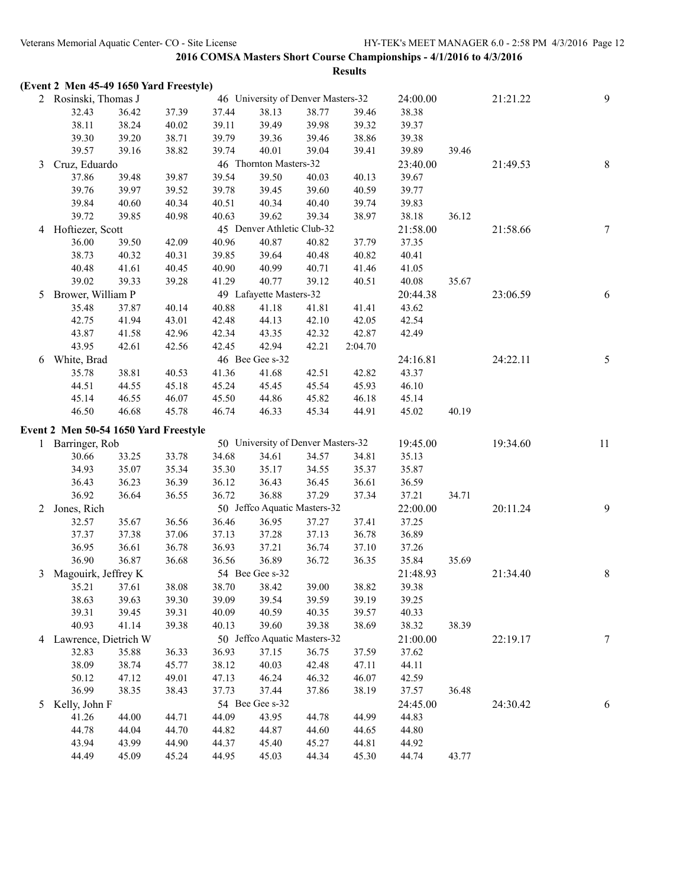|  |  |  | (Event 2 Men 45-49 1650 Yard Freestyle) |
|--|--|--|-----------------------------------------|
|  |  |  |                                         |

|   | 2 Rosinski, Thomas J                  |       |       |       | 46 University of Denver Masters-32 |       |         | 24:00.00 |       | 21:21.22 | 9       |
|---|---------------------------------------|-------|-------|-------|------------------------------------|-------|---------|----------|-------|----------|---------|
|   | 32.43                                 | 36.42 | 37.39 | 37.44 | 38.13                              | 38.77 | 39.46   | 38.38    |       |          |         |
|   | 38.11                                 | 38.24 | 40.02 | 39.11 | 39.49                              | 39.98 | 39.32   | 39.37    |       |          |         |
|   | 39.30                                 | 39.20 | 38.71 | 39.79 | 39.36                              | 39.46 | 38.86   | 39.38    |       |          |         |
|   | 39.57                                 | 39.16 | 38.82 | 39.74 | 40.01                              | 39.04 | 39.41   | 39.89    | 39.46 |          |         |
| 3 | Cruz, Eduardo                         |       |       |       | 46 Thornton Masters-32             |       |         | 23:40.00 |       | 21:49.53 | $\,8\,$ |
|   | 37.86                                 | 39.48 | 39.87 | 39.54 | 39.50                              | 40.03 | 40.13   | 39.67    |       |          |         |
|   | 39.76                                 | 39.97 | 39.52 | 39.78 | 39.45                              | 39.60 | 40.59   | 39.77    |       |          |         |
|   | 39.84                                 | 40.60 | 40.34 | 40.51 | 40.34                              | 40.40 | 39.74   | 39.83    |       |          |         |
|   | 39.72                                 | 39.85 | 40.98 | 40.63 | 39.62                              | 39.34 | 38.97   | 38.18    | 36.12 |          |         |
| 4 | Hoftiezer, Scott                      |       |       |       | 45 Denver Athletic Club-32         |       |         | 21:58.00 |       | 21:58.66 | 7       |
|   | 36.00                                 | 39.50 | 42.09 | 40.96 | 40.87                              | 40.82 | 37.79   | 37.35    |       |          |         |
|   | 38.73                                 | 40.32 | 40.31 | 39.85 | 39.64                              | 40.48 | 40.82   | 40.41    |       |          |         |
|   | 40.48                                 | 41.61 | 40.45 | 40.90 | 40.99                              | 40.71 | 41.46   | 41.05    |       |          |         |
|   | 39.02                                 | 39.33 | 39.28 | 41.29 | 40.77                              | 39.12 | 40.51   | 40.08    | 35.67 |          |         |
| 5 | Brower, William P                     |       |       |       | 49 Lafayette Masters-32            |       |         | 20:44.38 |       | 23:06.59 | 6       |
|   | 35.48                                 | 37.87 | 40.14 | 40.88 | 41.18                              | 41.81 | 41.41   | 43.62    |       |          |         |
|   | 42.75                                 | 41.94 | 43.01 | 42.48 | 44.13                              | 42.10 | 42.05   | 42.54    |       |          |         |
|   | 43.87                                 | 41.58 | 42.96 | 42.34 | 43.35                              | 42.32 | 42.87   | 42.49    |       |          |         |
|   | 43.95                                 | 42.61 | 42.56 | 42.45 | 42.94                              | 42.21 | 2:04.70 |          |       |          |         |
| 6 | White, Brad                           |       |       |       | 46 Bee Gee s-32                    |       |         | 24:16.81 |       | 24:22.11 | 5       |
|   | 35.78                                 | 38.81 | 40.53 | 41.36 | 41.68                              | 42.51 | 42.82   | 43.37    |       |          |         |
|   | 44.51                                 | 44.55 | 45.18 | 45.24 | 45.45                              | 45.54 | 45.93   | 46.10    |       |          |         |
|   | 45.14                                 | 46.55 | 46.07 | 45.50 | 44.86                              | 45.82 | 46.18   | 45.14    |       |          |         |
|   | 46.50                                 | 46.68 | 45.78 | 46.74 | 46.33                              | 45.34 | 44.91   | 45.02    | 40.19 |          |         |
|   |                                       |       |       |       |                                    |       |         |          |       |          |         |
|   | Event 2 Men 50-54 1650 Yard Freestyle |       |       |       | 50 University of Denver Masters-32 |       |         |          |       |          |         |
|   | 1 Barringer, Rob                      |       |       |       |                                    |       |         | 19:45.00 |       | 19:34.60 | 11      |
|   | 30.66                                 | 33.25 | 33.78 | 34.68 | 34.61                              | 34.57 | 34.81   | 35.13    |       |          |         |
|   | 34.93                                 | 35.07 | 35.34 | 35.30 | 35.17                              | 34.55 | 35.37   | 35.87    |       |          |         |
|   | 36.43                                 | 36.23 | 36.39 | 36.12 | 36.43                              | 36.45 | 36.61   | 36.59    |       |          |         |
|   | 36.92                                 | 36.64 | 36.55 | 36.72 | 36.88                              | 37.29 | 37.34   | 37.21    | 34.71 |          |         |
| 2 | Jones, Rich                           |       |       |       | 50 Jeffco Aquatic Masters-32       |       |         | 22:00.00 |       | 20:11.24 | 9       |
|   | 32.57                                 | 35.67 | 36.56 | 36.46 | 36.95                              | 37.27 | 37.41   | 37.25    |       |          |         |
|   | 37.37                                 | 37.38 | 37.06 | 37.13 | 37.28                              | 37.13 | 36.78   | 36.89    |       |          |         |
|   | 36.95                                 | 36.61 | 36.78 | 36.93 | 37.21                              | 36.74 | 37.10   | 37.26    |       |          |         |
|   | 36.90                                 | 36.87 | 36.68 | 36.56 | 36.89                              | 36.72 | 36.35   | 35.84    | 35.69 |          |         |
| 3 | Magouirk, Jeffrey K                   |       |       |       | 54 Bee Gee s-32                    |       |         | 21:48.93 |       | 21:34.40 | 8       |
|   | 35.21                                 | 37.61 | 38.08 | 38.70 | 38.42                              | 39.00 | 38.82   | 39.38    |       |          |         |
|   | 38.63                                 | 39.63 | 39.30 | 39.09 | 39.54                              | 39.59 | 39.19   | 39.25    |       |          |         |
|   | 39.31                                 | 39.45 | 39.31 | 40.09 | 40.59                              | 40.35 | 39.57   | 40.33    |       |          |         |
|   | 40.93                                 | 41.14 | 39.38 | 40.13 | 39.60                              | 39.38 | 38.69   | 38.32    | 38.39 |          |         |
| 4 | Lawrence, Dietrich W                  |       |       |       | 50 Jeffco Aquatic Masters-32       |       |         | 21:00.00 |       | 22:19.17 | 7       |
|   | 32.83                                 | 35.88 | 36.33 | 36.93 | 37.15                              | 36.75 | 37.59   | 37.62    |       |          |         |
|   | 38.09                                 | 38.74 | 45.77 | 38.12 | 40.03                              | 42.48 | 47.11   | 44.11    |       |          |         |
|   | 50.12                                 | 47.12 | 49.01 | 47.13 | 46.24                              | 46.32 | 46.07   | 42.59    |       |          |         |
|   | 36.99                                 | 38.35 | 38.43 | 37.73 | 37.44                              | 37.86 | 38.19   | 37.57    | 36.48 |          |         |
| 5 | Kelly, John F                         |       |       |       | 54 Bee Gee s-32                    |       |         | 24:45.00 |       | 24:30.42 | 6       |
|   | 41.26                                 | 44.00 | 44.71 | 44.09 | 43.95                              | 44.78 | 44.99   | 44.83    |       |          |         |
|   | 44.78                                 | 44.04 | 44.70 | 44.82 | 44.87                              | 44.60 | 44.65   | 44.80    |       |          |         |
|   | 43.94                                 | 43.99 | 44.90 | 44.37 | 45.40                              | 45.27 | 44.81   | 44.92    |       |          |         |
|   | 44.49                                 | 45.09 | 45.24 | 44.95 | 45.03                              | 44.34 | 45.30   | 44.74    | 43.77 |          |         |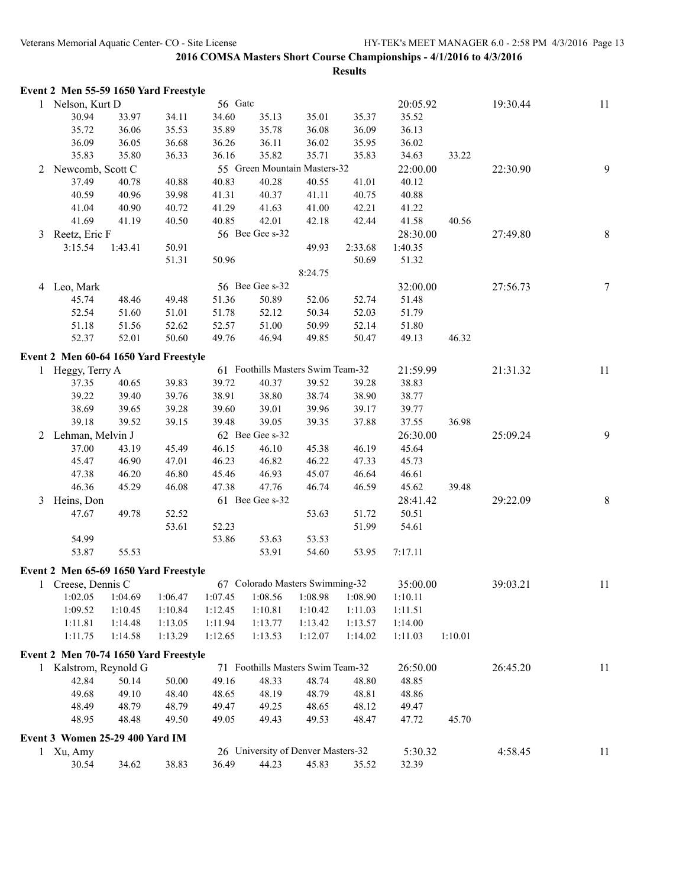|   | Event 2 Men 55-59 1650 Yard Freestyle |         |         |         |                 |                                    |         |          |         |          |         |
|---|---------------------------------------|---------|---------|---------|-----------------|------------------------------------|---------|----------|---------|----------|---------|
|   | 1 Nelson, Kurt D                      |         |         | 56 Gatc |                 |                                    |         | 20:05.92 |         | 19:30.44 | 11      |
|   | 30.94                                 | 33.97   | 34.11   | 34.60   | 35.13           | 35.01                              | 35.37   | 35.52    |         |          |         |
|   | 35.72                                 | 36.06   | 35.53   | 35.89   | 35.78           | 36.08                              | 36.09   | 36.13    |         |          |         |
|   | 36.09                                 | 36.05   | 36.68   | 36.26   | 36.11           | 36.02                              | 35.95   | 36.02    |         |          |         |
|   | 35.83                                 | 35.80   | 36.33   | 36.16   | 35.82           | 35.71                              | 35.83   | 34.63    | 33.22   |          |         |
| 2 | Newcomb, Scott C                      |         |         |         |                 | 55 Green Mountain Masters-32       |         | 22:00.00 |         | 22:30.90 | 9       |
|   | 37.49                                 | 40.78   | 40.88   | 40.83   | 40.28           | 40.55                              | 41.01   | 40.12    |         |          |         |
|   | 40.59                                 | 40.96   | 39.98   | 41.31   | 40.37           | 41.11                              | 40.75   | 40.88    |         |          |         |
|   | 41.04                                 | 40.90   | 40.72   | 41.29   | 41.63           | 41.00                              | 42.21   | 41.22    |         |          |         |
|   | 41.69                                 | 41.19   | 40.50   | 40.85   | 42.01           | 42.18                              | 42.44   | 41.58    | 40.56   |          |         |
| 3 | Reetz, Eric F                         |         |         |         | 56 Bee Gee s-32 |                                    |         | 28:30.00 |         | 27:49.80 | $\,8\,$ |
|   | 3:15.54                               | 1:43.41 | 50.91   |         |                 | 49.93                              | 2:33.68 | 1:40.35  |         |          |         |
|   |                                       |         | 51.31   | 50.96   |                 |                                    | 50.69   | 51.32    |         |          |         |
|   |                                       |         |         |         |                 | 8:24.75                            |         |          |         |          |         |
| 4 | Leo, Mark                             |         |         |         | 56 Bee Gee s-32 |                                    |         | 32:00.00 |         | 27:56.73 | $\tau$  |
|   | 45.74                                 | 48.46   | 49.48   | 51.36   | 50.89           | 52.06                              | 52.74   | 51.48    |         |          |         |
|   | 52.54                                 | 51.60   | 51.01   | 51.78   | 52.12           | 50.34                              | 52.03   | 51.79    |         |          |         |
|   | 51.18                                 | 51.56   | 52.62   | 52.57   | 51.00           | 50.99                              | 52.14   | 51.80    |         |          |         |
|   | 52.37                                 | 52.01   | 50.60   | 49.76   | 46.94           | 49.85                              | 50.47   | 49.13    | 46.32   |          |         |
|   | Event 2 Men 60-64 1650 Yard Freestyle |         |         |         |                 |                                    |         |          |         |          |         |
|   | 1 Heggy, Terry A                      |         |         |         |                 | 61 Foothills Masters Swim Team-32  |         | 21:59.99 |         | 21:31.32 | 11      |
|   | 37.35                                 | 40.65   | 39.83   | 39.72   | 40.37           | 39.52                              | 39.28   | 38.83    |         |          |         |
|   | 39.22                                 | 39.40   | 39.76   | 38.91   | 38.80           | 38.74                              | 38.90   | 38.77    |         |          |         |
|   | 38.69                                 | 39.65   | 39.28   | 39.60   | 39.01           | 39.96                              | 39.17   | 39.77    |         |          |         |
|   | 39.18                                 | 39.52   | 39.15   | 39.48   | 39.05           | 39.35                              | 37.88   | 37.55    | 36.98   |          |         |
|   | 2 Lehman, Melvin J                    |         |         |         | 62 Bee Gee s-32 |                                    |         | 26:30.00 |         | 25:09.24 | 9       |
|   | 37.00                                 | 43.19   | 45.49   | 46.15   | 46.10           | 45.38                              | 46.19   | 45.64    |         |          |         |
|   | 45.47                                 | 46.90   | 47.01   | 46.23   | 46.82           | 46.22                              | 47.33   | 45.73    |         |          |         |
|   | 47.38                                 | 46.20   | 46.80   | 45.46   | 46.93           | 45.07                              | 46.64   | 46.61    |         |          |         |
|   | 46.36                                 | 45.29   | 46.08   | 47.38   | 47.76           | 46.74                              | 46.59   | 45.62    | 39.48   |          |         |
| 3 | Heins, Don                            |         |         |         | 61 Bee Gee s-32 |                                    |         | 28:41.42 |         | 29:22.09 | 8       |
|   | 47.67                                 | 49.78   | 52.52   |         |                 | 53.63                              | 51.72   | 50.51    |         |          |         |
|   |                                       |         | 53.61   | 52.23   |                 |                                    | 51.99   | 54.61    |         |          |         |
|   | 54.99                                 |         |         | 53.86   | 53.63           | 53.53                              |         |          |         |          |         |
|   | 53.87                                 | 55.53   |         |         | 53.91           | 54.60                              | 53.95   | 7:17.11  |         |          |         |
|   |                                       |         |         |         |                 |                                    |         |          |         |          |         |
|   | Event 2 Men 65-69 1650 Yard Freestyle |         |         |         |                 |                                    |         |          |         |          |         |
|   | 1 Creese, Dennis C                    |         |         |         |                 | 67 Colorado Masters Swimming-32    |         | 35:00.00 |         | 39:03.21 | 11      |
|   | 1:02.05                               | 1:04.69 | 1:06.47 | 1:07.45 | 1:08.56         | 1:08.98                            | 1:08.90 | 1:10.11  |         |          |         |
|   | 1:09.52                               | 1:10.45 | 1:10.84 | 1:12.45 | 1:10.81         | 1:10.42                            | 1:11.03 | 1:11.51  |         |          |         |
|   | 1:11.81                               | 1:14.48 | 1:13.05 | 1:11.94 | 1:13.77         | 1:13.42                            | 1:13.57 | 1:14.00  |         |          |         |
|   | 1:11.75                               | 1:14.58 | 1:13.29 | 1:12.65 | 1:13.53         | 1:12.07                            | 1:14.02 | 1:11.03  | 1:10.01 |          |         |
|   | Event 2 Men 70-74 1650 Yard Freestyle |         |         |         |                 |                                    |         |          |         |          |         |
|   | 1 Kalstrom, Reynold G                 |         |         |         |                 | 71 Foothills Masters Swim Team-32  |         | 26:50.00 |         | 26:45.20 | 11      |
|   | 42.84                                 | 50.14   | 50.00   | 49.16   | 48.33           | 48.74                              | 48.80   | 48.85    |         |          |         |
|   | 49.68                                 | 49.10   | 48.40   | 48.65   | 48.19           | 48.79                              | 48.81   | 48.86    |         |          |         |
|   | 48.49                                 | 48.79   | 48.79   | 49.47   | 49.25           | 48.65                              | 48.12   | 49.47    |         |          |         |
|   | 48.95                                 | 48.48   | 49.50   | 49.05   | 49.43           | 49.53                              | 48.47   | 47.72    | 45.70   |          |         |
|   | Event 3 Women 25-29 400 Yard IM       |         |         |         |                 |                                    |         |          |         |          |         |
|   | 1 Xu, Amy                             |         |         |         |                 | 26 University of Denver Masters-32 |         | 5:30.32  |         | 4:58.45  | 11      |
|   | 30.54                                 | 34.62   | 38.83   | 36.49   | 44.23           | 45.83                              | 35.52   | 32.39    |         |          |         |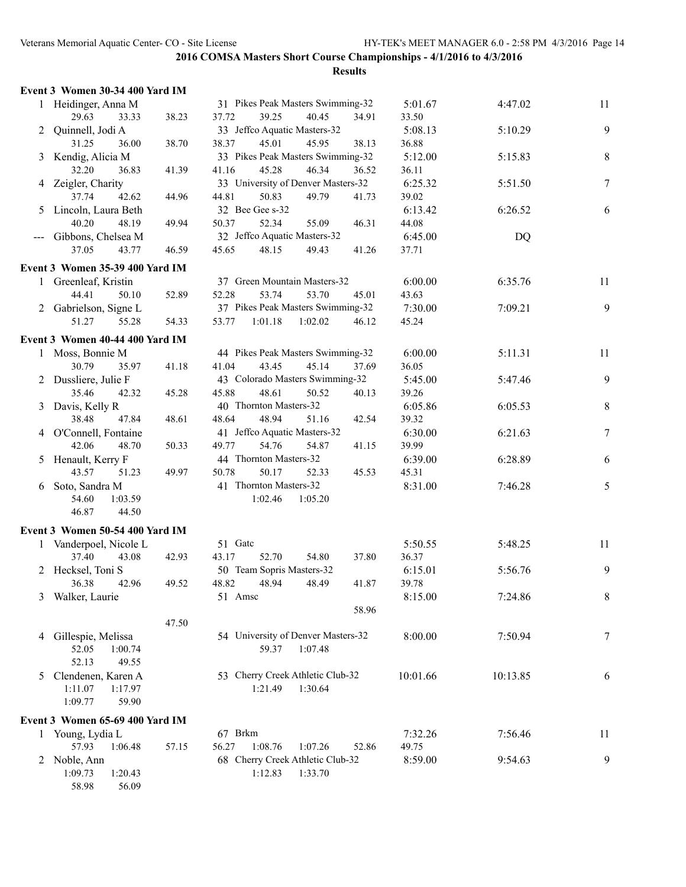|   | Event 3 Women 30-34 400 Yard IM      |       |                                                        |                  |          |         |
|---|--------------------------------------|-------|--------------------------------------------------------|------------------|----------|---------|
|   | 1 Heidinger, Anna M                  |       | 31 Pikes Peak Masters Swimming-32                      | 5:01.67          | 4:47.02  | 11      |
|   | 29.63<br>33.33                       | 38.23 | 37.72<br>39.25<br>40.45<br>34.91                       | 33.50            |          |         |
|   | Quinnell, Jodi A                     |       | 33 Jeffco Aquatic Masters-32                           | 5:08.13          | 5:10.29  | 9       |
|   | 31.25<br>36.00                       | 38.70 | 45.01<br>45.95<br>38.37<br>38.13                       | 36.88            |          |         |
|   | 3 Kendig, Alicia M                   |       | 33 Pikes Peak Masters Swimming-32                      | 5:12.00          | 5:15.83  | 8       |
|   | 32.20<br>36.83                       | 41.39 | 45.28<br>46.34<br>41.16<br>36.52                       | 36.11            |          |         |
|   | 4 Zeigler, Charity                   |       | 33 University of Denver Masters-32                     | 6:25.32          | 5:51.50  | 7       |
|   | 37.74<br>42.62                       | 44.96 | 44.81<br>50.83<br>49.79<br>41.73                       | 39.02            |          |         |
|   | 5 Lincoln, Laura Beth                |       | 32 Bee Gee s-32                                        | 6:13.42          | 6:26.52  | 6       |
|   | 48.19<br>40.20                       | 49.94 | 52.34<br>46.31<br>50.37<br>55.09                       | 44.08            |          |         |
|   | --- Gibbons, Chelsea M               |       | 32 Jeffco Aquatic Masters-32                           | 6:45.00          | DQ       |         |
|   | 37.05<br>43.77                       | 46.59 | 45.65<br>48.15<br>49.43<br>41.26                       | 37.71            |          |         |
|   |                                      |       |                                                        |                  |          |         |
|   | Event 3 Women 35-39 400 Yard IM      |       |                                                        |                  |          |         |
|   | 1 Greenleaf, Kristin                 |       | 37 Green Mountain Masters-32                           | 6:00.00          | 6:35.76  | 11      |
|   | 44.41<br>50.10                       | 52.89 | 52.28<br>53.74<br>53.70<br>45.01                       | 43.63            |          |         |
|   | 2 Gabrielson, Signe L                |       | 37 Pikes Peak Masters Swimming-32                      | 7:30.00          | 7:09.21  | 9       |
|   | 51.27<br>55.28                       | 54.33 | 53.77<br>1:01.18<br>1:02.02<br>46.12                   | 45.24            |          |         |
|   | Event 3 Women 40-44 400 Yard IM      |       |                                                        |                  |          |         |
|   | 1 Moss, Bonnie M                     |       | 44 Pikes Peak Masters Swimming-32                      | 6:00.00          | 5:11.31  | 11      |
|   | 30.79<br>35.97                       | 41.18 | 43.45<br>45.14<br>41.04<br>37.69                       | 36.05            |          |         |
|   | 2 Dussliere, Julie F                 |       | 43 Colorado Masters Swimming-32                        | 5:45.00          | 5:47.46  | 9       |
|   | 35.46<br>42.32                       | 45.28 | 45.88<br>48.61<br>50.52<br>40.13                       | 39.26            |          |         |
|   | 3 Davis, Kelly R                     |       | 40 Thornton Masters-32                                 | 6:05.86          | 6:05.53  | 8       |
|   | 38.48<br>47.84                       | 48.61 | 48.64<br>48.94<br>51.16<br>42.54                       | 39.32            |          |         |
|   | 4 O'Connell, Fontaine                |       | 41 Jeffco Aquatic Masters-32                           | 6:30.00          | 6:21.63  | $\tau$  |
|   | 42.06<br>48.70                       | 50.33 | 54.76<br>49.77<br>54.87<br>41.15                       | 39.99            |          |         |
|   |                                      |       | 44 Thornton Masters-32                                 |                  | 6:28.89  |         |
|   | 5 Henault, Kerry F<br>43.57<br>51.23 | 49.97 | 50.78<br>50.17<br>52.33                                | 6:39.00<br>45.31 |          | 6       |
|   |                                      |       | 45.53                                                  |                  |          |         |
|   | 6 Soto, Sandra M<br>54.60<br>1:03.59 |       | 41 Thornton Masters-32                                 | 8:31.00          | 7:46.28  | 5       |
|   | 46.87                                |       | 1:02.46<br>1:05.20                                     |                  |          |         |
|   | 44.50                                |       |                                                        |                  |          |         |
|   | Event 3 Women 50-54 400 Yard IM      |       |                                                        |                  |          |         |
|   | 1 Vanderpoel, Nicole L               |       | 51 Gate                                                | 5:50.55          | 5:48.25  | 11      |
|   | 37.40<br>43.08                       | 42.93 | 43.17<br>52.70<br>54.80<br>37.80                       | 36.37            |          |         |
| 2 | Hecksel, Toni S                      |       | 50 Team Sopris Masters-32                              | 6:15.01          | 5:56.76  | 9       |
|   | 36.38<br>42.96                       | 49.52 | 48.82<br>48.94<br>48.49<br>41.87                       | 39.78            |          |         |
|   |                                      |       |                                                        |                  |          |         |
|   | 3 Walker, Laurie                     |       | 51 Amsc                                                | 8:15.00          | 7:24.86  | $\,8\,$ |
|   |                                      |       | 58.96                                                  |                  |          |         |
|   |                                      | 47.50 |                                                        |                  |          |         |
|   | 4 Gillespie, Melissa                 |       | 54 University of Denver Masters-32                     | 8:00.00          | 7:50.94  | 7       |
|   | 52.05<br>1:00.74                     |       | 59.37<br>1:07.48                                       |                  |          |         |
|   | 52.13<br>49.55                       |       |                                                        |                  |          |         |
| 5 | Clendenen, Karen A                   |       | 53 Cherry Creek Athletic Club-32                       | 10:01.66         | 10:13.85 | 6       |
|   | 1:11.07<br>1:17.97                   |       | 1:21.49<br>1:30.64                                     |                  |          |         |
|   | 1:09.77<br>59.90                     |       |                                                        |                  |          |         |
|   |                                      |       |                                                        |                  |          |         |
|   | Event 3 Women 65-69 400 Yard IM      |       |                                                        |                  |          |         |
|   | 1 Young, Lydia L                     |       | 67 Brkm                                                | 7:32.26          | 7:56.46  | 11      |
|   | 57.93<br>1:06.48                     | 57.15 | 56.27<br>1:08.76<br>1:07.26<br>52.86                   | 49.75            |          |         |
|   | 2 Noble, Ann<br>1:09.73<br>1:20.43   |       | 68 Cherry Creek Athletic Club-32<br>1:12.83<br>1:33.70 | 8:59.00          | 9:54.63  | 9       |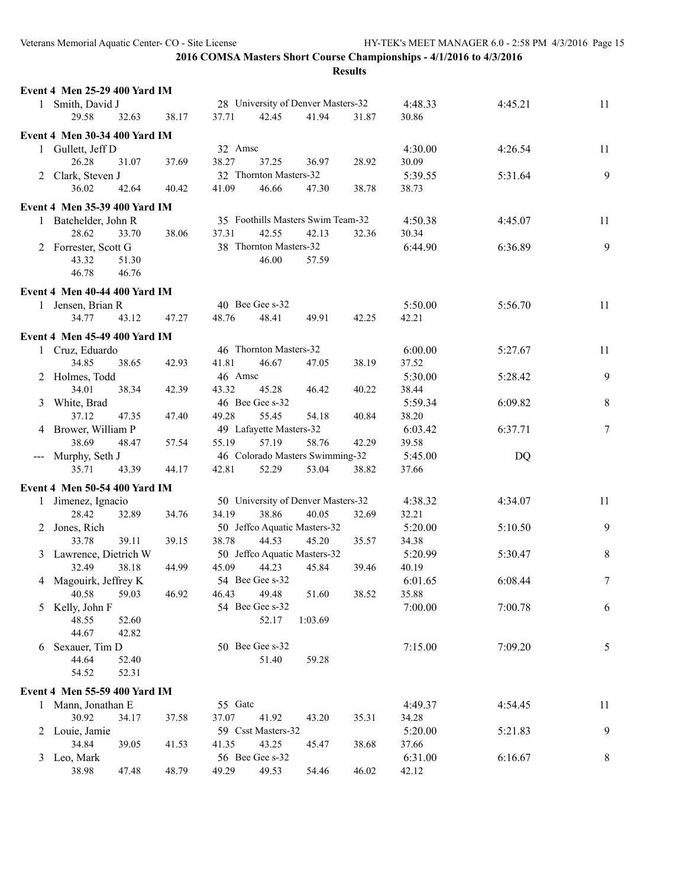|     | Event 4 Men 25-29 400 Yard IM        |       |       |         |                         |                                    |       |         |         |                |
|-----|--------------------------------------|-------|-------|---------|-------------------------|------------------------------------|-------|---------|---------|----------------|
| 1   | Smith, David J                       |       |       |         |                         | 28 University of Denver Masters-32 |       | 4:48.33 | 4:45.21 | 11             |
|     | 29.58                                | 32.63 | 38.17 | 37.71   | 42.45                   | 41.94                              | 31.87 | 30.86   |         |                |
|     | Event 4 Men 30-34 400 Yard IM        |       |       |         |                         |                                    |       |         |         |                |
|     | 1 Gullett, Jeff D                    |       |       | 32 Amsc |                         |                                    |       | 4:30.00 | 4:26.54 | 11             |
|     | 26.28                                | 31.07 | 37.69 | 38.27   | 37.25                   | 36.97                              | 28.92 | 30.09   |         |                |
| 2   | Clark, Steven J                      |       |       |         | 32 Thornton Masters-32  |                                    |       | 5:39.55 | 5:31.64 | 9              |
|     | 36.02                                | 42.64 | 40.42 | 41.09   | 46.66                   | 47.30                              | 38.78 | 38.73   |         |                |
|     |                                      |       |       |         |                         |                                    |       |         |         |                |
|     | Event 4 Men 35-39 400 Yard IM        |       |       |         |                         |                                    |       |         |         |                |
|     | 1 Batchelder, John R                 |       |       |         |                         | 35 Foothills Masters Swim Team-32  |       | 4:50.38 | 4:45.07 | 11             |
|     | 28.62                                | 33.70 | 38.06 | 37.31   | 42.55                   | 42.13                              | 32.36 | 30.34   |         |                |
|     | 2 Forrester, Scott G                 |       |       |         | 38 Thornton Masters-32  |                                    |       | 6:44.90 | 6:36.89 | 9              |
|     | 43.32                                | 51.30 |       |         | 46.00                   | 57.59                              |       |         |         |                |
|     | 46.78                                | 46.76 |       |         |                         |                                    |       |         |         |                |
|     | Event 4 Men 40-44 400 Yard IM        |       |       |         |                         |                                    |       |         |         |                |
| 1.  | Jensen, Brian R                      |       |       |         | 40 Bee Gee s-32         |                                    |       | 5:50.00 | 5:56.70 | 11             |
|     | 34.77                                | 43.12 | 47.27 | 48.76   | 48.41                   | 49.91                              | 42.25 | 42.21   |         |                |
|     | <b>Event 4 Men 45-49 400 Yard IM</b> |       |       |         |                         |                                    |       |         |         |                |
|     | 1 Cruz, Eduardo                      |       |       |         | 46 Thornton Masters-32  |                                    |       | 6:00.00 | 5:27.67 | 11             |
|     | 34.85                                | 38.65 | 42.93 | 41.81   | 46.67                   | 47.05                              | 38.19 | 37.52   |         |                |
| 2   | Holmes, Todd                         |       |       | 46 Amsc |                         |                                    |       | 5:30.00 | 5:28.42 | 9              |
|     | 34.01                                | 38.34 | 42.39 | 43.32   | 45.28                   | 46.42                              | 40.22 | 38.44   |         |                |
| 3   | White, Brad                          |       |       |         | 46 Bee Gee s-32         |                                    |       | 5:59.34 | 6:09.82 | 8              |
|     | 37.12                                | 47.35 | 47.40 | 49.28   | 55.45                   | 54.18                              | 40.84 | 38.20   |         |                |
| 4   | Brower, William P                    |       |       |         | 49 Lafayette Masters-32 |                                    |       | 6:03.42 | 6:37.71 | $\overline{7}$ |
|     | 38.69                                | 48.47 | 57.54 | 55.19   | 57.19                   | 58.76                              | 42.29 | 39.58   |         |                |
| --- | Murphy, Seth J                       |       |       |         |                         | 46 Colorado Masters Swimming-32    |       | 5:45.00 | DQ      |                |
|     | 35.71                                | 43.39 | 44.17 | 42.81   | 52.29                   | 53.04                              | 38.82 | 37.66   |         |                |
|     | <b>Event 4 Men 50-54 400 Yard IM</b> |       |       |         |                         |                                    |       |         |         |                |
|     | 1 Jimenez, Ignacio                   |       |       |         |                         | 50 University of Denver Masters-32 |       | 4:38.32 | 4:34.07 | 11             |
|     | 28.42                                | 32.89 | 34.76 | 34.19   | 38.86                   | 40.05                              | 32.69 | 32.21   |         |                |
| 2   | Jones, Rich                          |       |       |         |                         | 50 Jeffco Aquatic Masters-32       |       | 5:20.00 | 5:10.50 | 9              |
|     | 33.78                                | 39.11 | 39.15 | 38.78   | 44.53                   | 45.20                              | 35.57 | 34.38   |         |                |
|     | 3 Lawrence, Dietrich W               |       |       |         |                         | 50 Jeffco Aquatic Masters-32       |       | 5:20.99 | 5:30.47 | 8              |
|     | 32.49                                | 38.18 | 44.99 | 45.09   | 44.23                   | 45.84                              | 39.46 | 40.19   |         |                |
|     | 4 Magouirk, Jeffrey K                |       |       |         | 54 Bee Gee s-32         |                                    |       | 6:01.65 | 6:08.44 | 7              |
|     | 40.58                                | 59.03 | 46.92 | 46.43   | 49.48                   | 51.60                              | 38.52 | 35.88   |         |                |
| 5   | Kelly, John F                        |       |       |         | 54 Bee Gee s-32         |                                    |       | 7:00.00 | 7:00.78 | 6              |
|     | 48.55                                | 52.60 |       |         | 52.17                   | 1:03.69                            |       |         |         |                |
|     | 44.67                                | 42.82 |       |         |                         |                                    |       |         |         |                |
| 6   | Sexauer, Tim D                       |       |       |         | 50 Bee Gee s-32         |                                    |       | 7:15.00 | 7:09.20 | 5              |
|     | 44.64                                | 52.40 |       |         | 51.40                   | 59.28                              |       |         |         |                |
|     | 54.52                                | 52.31 |       |         |                         |                                    |       |         |         |                |
|     | Event 4 Men 55-59 400 Yard IM        |       |       |         |                         |                                    |       |         |         |                |
| 1   | Mann, Jonathan E                     |       |       | 55 Gatc |                         |                                    |       | 4:49.37 | 4:54.45 | 11             |
|     | 30.92                                | 34.17 | 37.58 | 37.07   | 41.92                   | 43.20                              | 35.31 | 34.28   |         |                |
|     | 2 Louie, Jamie                       |       |       |         | 59 Csst Masters-32      |                                    |       | 5:20.00 | 5:21.83 | 9              |
|     | 34.84                                | 39.05 | 41.53 | 41.35   | 43.25                   | 45.47                              | 38.68 | 37.66   |         |                |
|     | 3 Leo, Mark                          |       |       |         | 56 Bee Gee s-32         |                                    |       | 6:31.00 | 6:16.67 | 8              |
|     | 38.98                                | 47.48 | 48.79 | 49.29   | 49.53                   | 54.46                              | 46.02 | 42.12   |         |                |
|     |                                      |       |       |         |                         |                                    |       |         |         |                |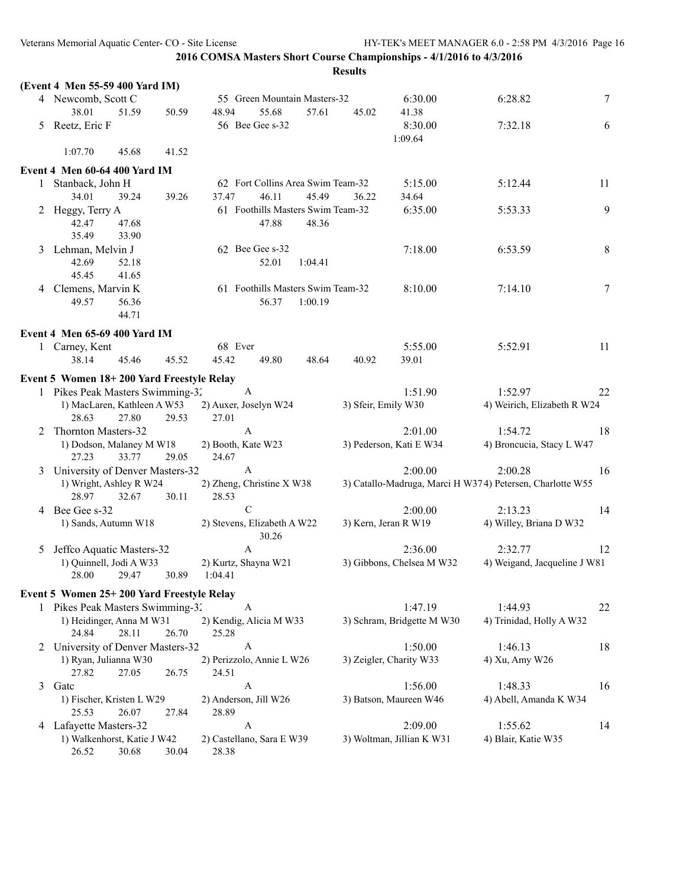|   | (Event 4 Men 55-59 400 Yard IM)                     |       |                                   |                |                            |                                                           |         |
|---|-----------------------------------------------------|-------|-----------------------------------|----------------|----------------------------|-----------------------------------------------------------|---------|
|   | 4 Newcomb, Scott C                                  |       | 55 Green Mountain Masters-32      |                | 6:30.00                    | 6:28.82                                                   | 7       |
|   | 38.01<br>51.59                                      | 50.59 | 48.94<br>55.68                    | 57.61<br>45.02 | 41.38                      |                                                           |         |
|   | 5 Reetz, Eric F                                     |       | 56 Bee Gee s-32                   |                | 8:30.00                    | 7:32.18                                                   | 6       |
|   |                                                     |       |                                   |                | 1:09.64                    |                                                           |         |
|   | 1:07.70<br>45.68                                    | 41.52 |                                   |                |                            |                                                           |         |
|   | Event 4 Men 60-64 400 Yard IM                       |       |                                   |                |                            |                                                           |         |
|   | 1 Stanback, John H                                  |       | 62 Fort Collins Area Swim Team-32 |                | 5:15.00                    | 5:12.44                                                   | 11      |
|   | 34.01<br>39.24                                      | 39.26 | 46.11<br>37.47                    | 45.49<br>36.22 | 34.64                      |                                                           |         |
|   | 2 Heggy, Terry A                                    |       | 61 Foothills Masters Swim Team-32 |                | 6:35.00                    | 5:53.33                                                   | 9       |
|   | 42.47<br>47.68                                      |       | 47.88                             | 48.36          |                            |                                                           |         |
|   | 35.49<br>33.90                                      |       |                                   |                |                            |                                                           |         |
| 3 | Lehman, Melvin J                                    |       | 62 Bee Gee s-32                   |                | 7:18.00                    | 6:53.59                                                   | $\,8\,$ |
|   | 42.69<br>52.18                                      |       | 52.01                             | 1:04.41        |                            |                                                           |         |
|   | 45.45<br>41.65                                      |       |                                   |                |                            |                                                           |         |
|   | 4 Clemens, Marvin K                                 |       | 61 Foothills Masters Swim Team-32 |                | 8:10.00                    | 7:14.10                                                   | 7       |
|   | 49.57<br>56.36                                      |       | 56.37                             | 1:00.19        |                            |                                                           |         |
|   | 44.71                                               |       |                                   |                |                            |                                                           |         |
|   | Event 4 Men 65-69 400 Yard IM                       |       |                                   |                |                            |                                                           |         |
|   | 1 Carney, Kent                                      |       | 68 Ever                           |                | 5:55.00                    | 5:52.91                                                   | 11      |
|   | 38.14<br>45.46                                      | 45.52 | 45.42<br>49.80                    | 48.64<br>40.92 | 39.01                      |                                                           |         |
|   | Event 5 Women 18+200 Yard Freestyle Relay           |       |                                   |                |                            |                                                           |         |
|   | 1 Pikes Peak Masters Swimming-32                    |       | $\mathbf{A}$                      |                | 1:51.90                    | 1:52.97                                                   | 22      |
|   | 1) MacLaren, Kathleen A W53                         |       | 2) Auxer, Joselyn W24             |                | 3) Sfeir, Emily W30        | 4) Weirich, Elizabeth R W24                               |         |
|   | 28.63<br>27.80                                      | 29.53 | 27.01                             |                |                            |                                                           |         |
| 2 | <b>Thornton Masters-32</b>                          |       | A                                 |                | 2:01.00                    | 1:54.72                                                   | 18      |
|   | 1) Dodson, Malaney M W18                            |       | 2) Booth, Kate W23                |                | 3) Pederson, Kati E W34    | 4) Broncucia, Stacy L W47                                 |         |
|   | 27.23<br>33.77                                      | 29.05 | 24.67                             |                |                            |                                                           |         |
|   | University of Denver Masters-32                     |       | A                                 |                | 2:00.00                    | 2:00.28                                                   | 16      |
|   | 1) Wright, Ashley R W24                             |       | 2) Zheng, Christine X W38         |                |                            | 3) Catallo-Madruga, Marci H W374) Petersen, Charlotte W55 |         |
|   | 28.97<br>32.67                                      | 30.11 | 28.53                             |                |                            |                                                           |         |
|   | 4 Bee Gee s-32                                      |       | $\mathcal{C}$                     |                | 2:00.00                    | 2:13.23                                                   | 14      |
|   | 1) Sands, Autumn W18                                |       | 2) Stevens, Elizabeth A W22       |                | 3) Kern, Jeran R W19       | 4) Willey, Briana D W32                                   |         |
|   |                                                     |       | 30.26                             |                |                            |                                                           |         |
| 5 | Jeffco Aquatic Masters-32                           |       | $\boldsymbol{A}$                  |                | 2:36.00                    | 2:32.77                                                   | 12      |
|   | 1) Quinnell, Jodi A W33                             |       | 2) Kurtz, Shayna W21              |                | 3) Gibbons, Chelsea M W32  | 4) Weigand, Jacqueline J W81                              |         |
|   | 28.00<br>29.47                                      | 30.89 | 1:04.41                           |                |                            |                                                           |         |
|   | Event 5 Women 25+200 Yard Freestyle Relay           |       |                                   |                |                            |                                                           |         |
|   | 1 Pikes Peak Masters Swimming-32                    |       | A                                 |                | 1:47.19                    | 1:44.93                                                   | 22      |
|   | 1) Heidinger, Anna M W31                            |       | 2) Kendig, Alicia M W33           |                | 3) Schram, Bridgette M W30 | 4) Trinidad, Holly A W32                                  |         |
|   | 24.84<br>28.11                                      | 26.70 | 25.28                             |                |                            |                                                           |         |
|   | 2 University of Denver Masters-32                   |       | A                                 |                | 1:50.00                    | 1:46.13                                                   | 18      |
|   | 1) Ryan, Julianna W30                               |       | 2) Perizzolo, Annie L W26         |                | 3) Zeigler, Charity W33    | 4) Xu, Amy W26                                            |         |
|   | 27.82<br>27.05                                      | 26.75 | 24.51                             |                |                            |                                                           |         |
| 3 | Gatc                                                |       | A                                 |                | 1:56.00                    | 1:48.33                                                   | 16      |
|   | 1) Fischer, Kristen L W29                           |       | 2) Anderson, Jill W26             |                | 3) Batson, Maureen W46     | 4) Abell, Amanda K W34                                    |         |
|   | 25.53<br>26.07                                      | 27.84 | 28.89<br>A                        |                | 2:09.00                    |                                                           |         |
| 4 | Lafayette Masters-32<br>1) Walkenhorst, Katie J W42 |       | 2) Castellano, Sara E W39         |                | 3) Woltman, Jillian K W31  | 1:55.62<br>4) Blair, Katie W35                            | 14      |
|   | 26.52<br>30.68                                      | 30.04 | 28.38                             |                |                            |                                                           |         |
|   |                                                     |       |                                   |                |                            |                                                           |         |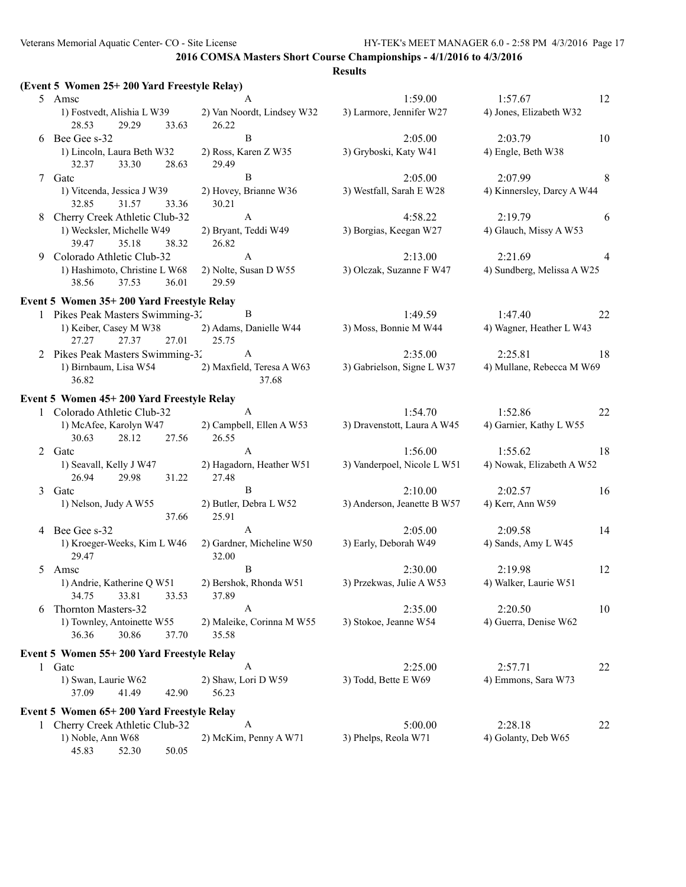|                | (Event 5 Women 25+200 Yard Freestyle Relay)              |                                     |                             |                            |    |
|----------------|----------------------------------------------------------|-------------------------------------|-----------------------------|----------------------------|----|
|                | 5 Amsc                                                   |                                     | 1:59.00                     | 1:57.67                    | 12 |
|                | 1) Fostvedt, Alishia L W39<br>28.53<br>29.29<br>33.63    | 2) Van Noordt, Lindsey W32<br>26.22 | 3) Larmore, Jennifer W27    | 4) Jones, Elizabeth W32    |    |
|                | 6 Bee Gee s-32                                           | $\bf{B}$                            | 2:05.00                     | 2:03.79                    | 10 |
|                | 1) Lincoln, Laura Beth W32<br>32.37<br>33.30<br>28.63    | 2) Ross, Karen Z W35<br>29.49       | 3) Gryboski, Katy W41       | 4) Engle, Beth W38         |    |
|                | 7 Gatc                                                   | $\bf{B}$                            | 2:05.00                     | 2:07.99                    | 8  |
|                | 1) Vitcenda, Jessica J W39<br>32.85<br>31.57<br>33.36    | 2) Hovey, Brianne W36<br>30.21      | 3) Westfall, Sarah E W28    | 4) Kinnersley, Darcy A W44 |    |
|                | 8 Cherry Creek Athletic Club-32                          | $\mathbf{A}$                        | 4:58.22                     | 2:19.79                    | 6  |
|                | 1) Wecksler, Michelle W49<br>39.47<br>35.18<br>38.32     | 2) Bryant, Teddi W49<br>26.82       | 3) Borgias, Keegan W27      | 4) Glauch, Missy A W53     |    |
| 9.             | Colorado Athletic Club-32                                | A                                   | 2:13.00                     | 2:21.69                    | 4  |
|                | 1) Hashimoto, Christine L W68<br>38.56<br>37.53<br>36.01 | 2) Nolte, Susan D W55<br>29.59      | 3) Olczak, Suzanne F W47    | 4) Sundberg, Melissa A W25 |    |
|                | Event 5 Women 35+200 Yard Freestyle Relay                |                                     |                             |                            |    |
|                | 1 Pikes Peak Masters Swimming-32                         | B                                   | 1:49.59                     | 1:47.40                    | 22 |
|                | 1) Keiber, Casey M W38<br>27.01<br>27.27<br>27.37        | 2) Adams, Danielle W44<br>25.75     | 3) Moss, Bonnie M W44       | 4) Wagner, Heather L W43   |    |
|                | 2 Pikes Peak Masters Swimming-32                         | $\mathbf{A}$                        | 2:35.00                     | 2:25.81                    | 18 |
|                | 1) Birnbaum, Lisa W54<br>36.82                           | 2) Maxfield, Teresa A W63<br>37.68  | 3) Gabrielson, Signe L W37  | 4) Mullane, Rebecca M W69  |    |
|                | Event 5 Women 45+200 Yard Freestyle Relay                |                                     |                             |                            |    |
|                | 1 Colorado Athletic Club-32                              | $\mathsf{A}$                        | 1:54.70                     | 1:52.86                    | 22 |
|                | 1) McAfee, Karolyn W47<br>30.63<br>28.12<br>27.56        | 2) Campbell, Ellen A W53<br>26.55   | 3) Dravenstott, Laura A W45 | 4) Garnier, Kathy L W55    |    |
|                | 2 Gate                                                   | A                                   | 1:56.00                     | 1:55.62                    | 18 |
|                | 1) Seavall, Kelly J W47<br>26.94<br>29.98<br>31.22       | 2) Hagadorn, Heather W51<br>27.48   | 3) Vanderpoel, Nicole L W51 | 4) Nowak, Elizabeth A W52  |    |
| $\mathfrak{Z}$ | Gatc                                                     | B                                   | 2:10.00                     | 2:02.57                    | 16 |
|                | 1) Nelson, Judy A W55<br>37.66                           | 2) Butler, Debra L W52<br>25.91     | 3) Anderson, Jeanette B W57 | 4) Kerr, Ann W59           |    |
|                | 4 Bee Gee s-32                                           | A                                   | 2:05.00                     | 2:09.58                    | 14 |
|                | 1) Kroeger-Weeks, Kim L W46<br>29.47                     | 2) Gardner, Micheline W50<br>32.00  | 3) Early, Deborah W49       | 4) Sands, Amy L W45        |    |
|                | 5 Amsc                                                   | B                                   | 2:30.00                     | 2:19.98                    | 12 |
|                | 1) Andrie, Katherine Q W51<br>33.81<br>34.75<br>33.53    | 2) Bershok, Rhonda W51<br>37.89     | 3) Przekwas, Julie A W53    | 4) Walker, Laurie W51      |    |
| 6              | Thornton Masters-32                                      | A                                   | 2:35.00                     | 2:20.50                    | 10 |
|                | 1) Townley, Antoinette W55<br>30.86<br>37.70<br>36.36    | 2) Maleike, Corinna M W55<br>35.58  | 3) Stokoe, Jeanne W54       | 4) Guerra, Denise W62      |    |
|                | Event 5 Women 55+200 Yard Freestyle Relay                |                                     |                             |                            |    |
|                | 1 Gatc                                                   | A                                   | 2:25.00                     | 2:57.71                    | 22 |
|                | 1) Swan, Laurie W62<br>37.09<br>41.49<br>42.90           | 2) Shaw, Lori D W59<br>56.23        | 3) Todd, Bette E W69        | 4) Emmons, Sara W73        |    |
|                | Event 5 Women 65+200 Yard Freestyle Relay                |                                     |                             |                            |    |
|                | 1 Cherry Creek Athletic Club-32                          | A                                   | 5:00.00                     | 2:28.18                    | 22 |
|                | 1) Noble, Ann W68                                        | 2) McKim, Penny A W71               | 3) Phelps, Reola W71        | 4) Golanty, Deb W65        |    |
|                | 45.83<br>52.30<br>50.05                                  |                                     |                             |                            |    |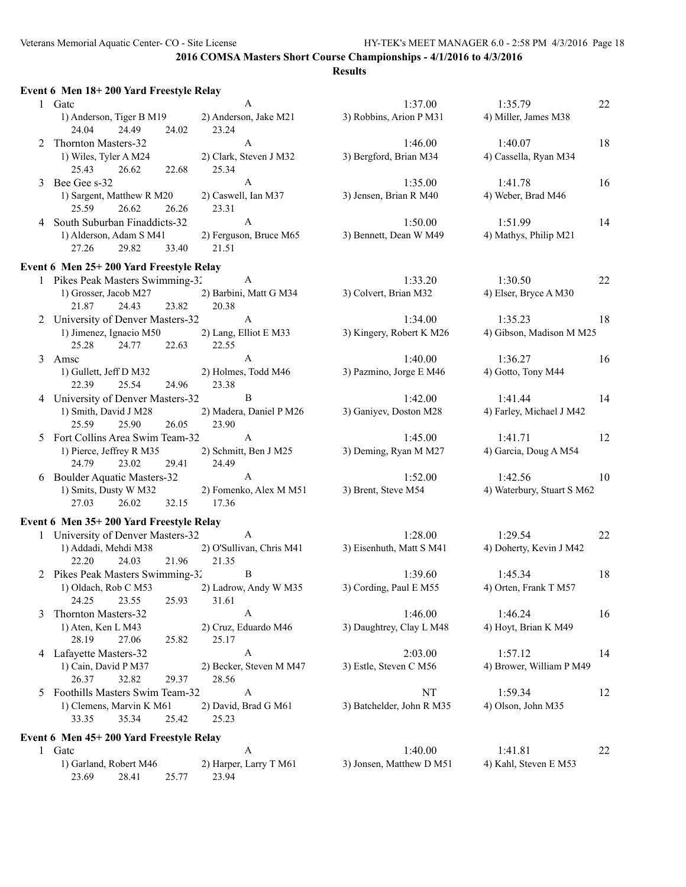|   | Event 6 Men 18+200 Yard Freestyle Relay                               |                                   |                           |                            |    |
|---|-----------------------------------------------------------------------|-----------------------------------|---------------------------|----------------------------|----|
|   | 1 Gate                                                                | A                                 | 1:37.00                   | 1:35.79                    | 22 |
|   | 1) Anderson, Tiger B M19<br>24.04<br>24.49<br>24.02                   | 2) Anderson, Jake M21<br>23.24    | 3) Robbins, Arion P M31   | 4) Miller, James M38       |    |
|   | 2 Thornton Masters-32                                                 | $\mathbf{A}$                      | 1:46.00                   | 1:40.07                    | 18 |
|   | 1) Wiles, Tyler A M24<br>25.43<br>26.62<br>22.68                      | 2) Clark, Steven J M32<br>25.34   | 3) Bergford, Brian M34    | 4) Cassella, Ryan M34      |    |
|   | 3 Bee Gee s-32                                                        | A                                 | 1:35.00                   | 1:41.78                    | 16 |
|   | 1) Sargent, Matthew R M20<br>25.59<br>26.62<br>26.26                  | 2) Caswell, Ian M37<br>23.31      | 3) Jensen, Brian R M40    | 4) Weber, Brad M46         |    |
|   | 4 South Suburban Finaddicts-32                                        | $\mathbf{A}$                      | 1:50.00                   | 1:51.99                    | 14 |
|   | 1) Alderson, Adam S M41<br>27.26<br>29.82<br>33.40                    | 2) Ferguson, Bruce M65<br>21.51   | 3) Bennett, Dean W M49    | 4) Mathys, Philip M21      |    |
|   | Event 6 Men 25+200 Yard Freestyle Relay                               |                                   |                           |                            |    |
|   | 1 Pikes Peak Masters Swimming-32                                      | $\overline{A}$                    | 1:33.20                   | 1:30.50                    | 22 |
|   | 1) Grosser, Jacob M27<br>21.87<br>23.82<br>24.43                      | 2) Barbini, Matt G M34<br>20.38   | 3) Colvert, Brian M32     | 4) Elser, Bryce A M30      |    |
|   | 2 University of Denver Masters-32                                     | A                                 | 1:34.00                   | 1:35.23                    | 18 |
|   | 1) Jimenez, Ignacio M50<br>22.63<br>25.28<br>24.77                    | 2) Lang, Elliot E M33<br>22.55    | 3) Kingery, Robert K M26  | 4) Gibson, Madison M M25   |    |
|   | 3 Amsc                                                                | A                                 | 1:40.00                   | 1:36.27                    | 16 |
|   | 1) Gullett, Jeff D M32<br>25.54<br>24.96<br>22.39                     | 2) Holmes, Todd M46<br>23.38      | 3) Pazmino, Jorge E M46   | 4) Gotto, Tony M44         |    |
|   | 4 University of Denver Masters-32                                     | B                                 | 1:42.00                   | 1:41.44                    | 14 |
|   | 1) Smith, David J M28<br>26.05<br>25.59<br>25.90                      | 2) Madera, Daniel P M26<br>23.90  | 3) Ganiyev, Doston M28    | 4) Farley, Michael J M42   |    |
|   | 5 Fort Collins Area Swim Team-32                                      | A                                 | 1:45.00                   | 1:41.71                    | 12 |
|   | 1) Pierce, Jeffrey R M35<br>24.79<br>23.02<br>29.41                   | 2) Schmitt, Ben J M25<br>24.49    | 3) Deming, Ryan M M27     | 4) Garcia, Doug A M54      |    |
|   | 6 Boulder Aquatic Masters-32                                          | A                                 | 1:52.00                   | 1:42.56                    | 10 |
|   | 1) Smits, Dusty W M32<br>26.02<br>27.03<br>32.15                      | 2) Fomenko, Alex M M51<br>17.36   | 3) Brent, Steve M54       | 4) Waterbury, Stuart S M62 |    |
|   | Event 6 Men 35+200 Yard Freestyle Relay                               |                                   |                           |                            |    |
|   | 1 University of Denver Masters-32                                     | $\mathbf{A}$                      | 1:28.00                   | 1:29.54                    | 22 |
|   | 1) Addadi, Mehdi M38<br>22.20<br>21.96<br>24.03                       | 2) O'Sullivan, Chris M41<br>21.35 | 3) Eisenhuth, Matt S M41  | 4) Doherty, Kevin J M42    |    |
|   | 2 Pikes Peak Masters Swimming-32                                      | B                                 | 1:39.60                   | 1:45.34                    | 18 |
|   | 1) Oldach, Rob C M53 2) Ladrow, Andy W M35<br>24.25<br>23.55<br>25.93 | 31.61                             | 3) Cording, Paul E M55    | 4) Orten, Frank T M57      |    |
| 3 | Thornton Masters-32                                                   | A                                 | 1:46.00                   | 1:46.24                    | 16 |
|   | 1) Aten, Ken L M43<br>28.19<br>27.06<br>25.82                         | 2) Cruz, Eduardo M46<br>25.17     | 3) Daughtrey, Clay L M48  | 4) Hoyt, Brian K M49       |    |
| 4 | Lafayette Masters-32                                                  | A                                 | 2:03.00                   | 1:57.12                    | 14 |
|   | 1) Cain, David P M37<br>26.37<br>32.82<br>29.37                       | 2) Becker, Steven M M47<br>28.56  | 3) Estle, Steven C M56    | 4) Brower, William P M49   |    |
| 5 | Foothills Masters Swim Team-32                                        | A                                 | NT                        | 1:59.34                    | 12 |
|   | 1) Clemens, Marvin K M61<br>33.35<br>35.34<br>25.42                   | 2) David, Brad G M61<br>25.23     | 3) Batchelder, John R M35 | 4) Olson, John M35         |    |
|   | Event 6 Men 45+200 Yard Freestyle Relay                               |                                   |                           |                            |    |
|   | 1 Gate                                                                | A                                 | 1:40.00                   | 1:41.81                    | 22 |
|   | 1) Garland, Robert M46<br>25.77<br>23.69<br>28.41                     | 2) Harper, Larry T M61<br>23.94   | 3) Jonsen, Matthew D M51  | 4) Kahl, Steven E M53      |    |
|   |                                                                       |                                   |                           |                            |    |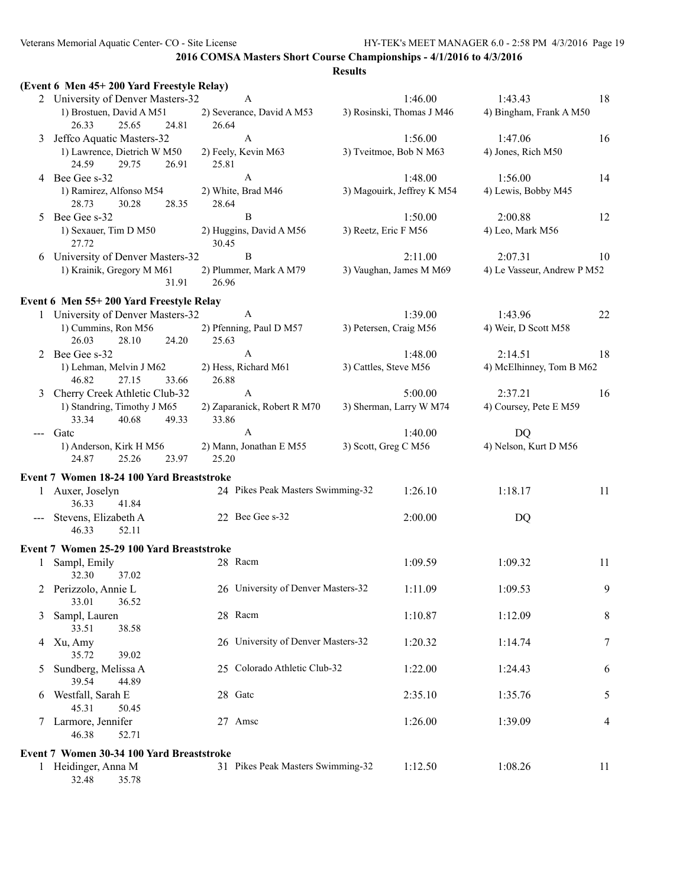|              | (Event 6 Men 45+200 Yard Freestyle Relay)                                           |                                       |                                       |                                    |    |
|--------------|-------------------------------------------------------------------------------------|---------------------------------------|---------------------------------------|------------------------------------|----|
|              | 2 University of Denver Masters-32<br>1) Brostuen, David A M51                       | A<br>2) Severance, David A M53        | 1:46.00<br>3) Rosinski, Thomas J M46  | 1:43.43<br>4) Bingham, Frank A M50 | 18 |
| 3            | 25.65<br>24.81<br>26.33<br>Jeffco Aquatic Masters-32<br>1) Lawrence, Dietrich W M50 | 26.64<br>A                            | 1:56.00<br>3) Tveitmoe, Bob N M63     | 1:47.06                            | 16 |
|              | 24.59<br>29.75<br>26.91                                                             | 2) Feely, Kevin M63<br>25.81          |                                       | 4) Jones, Rich M50                 |    |
|              | 4 Bee Gee s-32<br>1) Ramirez, Alfonso M54<br>28.73<br>30.28<br>28.35                | A<br>2) White, Brad M46<br>28.64      | 1:48.00<br>3) Magouirk, Jeffrey K M54 | 1:56.00<br>4) Lewis, Bobby M45     | 14 |
| 5            | Bee Gee s-32                                                                        | B                                     | 1:50.00                               | 2:00.88                            | 12 |
|              | 1) Sexauer, Tim D M50<br>27.72                                                      | 2) Huggins, David A M56<br>30.45      | 3) Reetz, Eric F M56                  | 4) Leo, Mark M56                   |    |
|              | 6 University of Denver Masters-32                                                   | B                                     | 2:11.00                               | 2:07.31                            | 10 |
|              | 1) Krainik, Gregory M M61<br>31.91                                                  | 2) Plummer, Mark A M79<br>26.96       | 3) Vaughan, James M M69               | 4) Le Vasseur, Andrew P M52        |    |
|              | Event 6 Men 55+200 Yard Freestyle Relay                                             |                                       |                                       |                                    |    |
|              | 1 University of Denver Masters-32                                                   | A                                     | 1:39.00                               | 1:43.96                            | 22 |
|              | 1) Cummins, Ron M56<br>26.03<br>24.20<br>28.10                                      | 2) Pfenning, Paul D M57<br>25.63      | 3) Petersen, Craig M56                | 4) Weir, D Scott M58               |    |
|              | 2 Bee Gee s-32                                                                      | A                                     | 1:48.00                               | 2:14.51                            | 18 |
|              | 1) Lehman, Melvin J M62<br>46.82<br>27.15<br>33.66                                  | 2) Hess, Richard M61<br>26.88         | 3) Cattles, Steve M56                 | 4) McElhinney, Tom B M62           |    |
| 3            | Cherry Creek Athletic Club-32                                                       | A                                     | 5:00.00                               | 2:37.21                            | 16 |
|              | 1) Standring, Timothy J M65<br>33.34<br>40.68<br>49.33                              | 2) Zaparanick, Robert R M70<br>33.86  | 3) Sherman, Larry W M74               | 4) Coursey, Pete E M59             |    |
|              | --- Gatc<br>1) Anderson, Kirk H M56<br>24.87<br>25.26<br>23.97                      | A<br>2) Mann, Jonathan E M55<br>25.20 | 1:40.00<br>3) Scott, Greg C M56       | DQ<br>4) Nelson, Kurt D M56        |    |
|              | Event 7 Women 18-24 100 Yard Breaststroke                                           |                                       |                                       |                                    |    |
|              | 1 Auxer, Joselyn<br>36.33<br>41.84                                                  | 24 Pikes Peak Masters Swimming-32     | 1:26.10                               | 1:18.17                            | 11 |
|              | --- Stevens, Elizabeth A<br>46.33<br>52.11                                          | 22 Bee Gee s-32                       | 2:00.00                               | DQ                                 |    |
|              | Event 7 Women 25-29 100 Yard Breaststroke                                           |                                       |                                       |                                    |    |
| $\mathbf{1}$ | Sampl, Emily<br>32.30<br>37.02                                                      | 28 Racm                               | 1:09.59                               | 1:09.32                            | 11 |
|              | 2 Perizzolo, Annie L<br>33.01<br>36.52                                              | 26 University of Denver Masters-32    | 1:11.09                               | 1:09.53                            | 9  |
| 3            | Sampl, Lauren<br>38.58<br>33.51                                                     | 28 Racm                               | 1:10.87                               | 1:12.09                            | 8  |
|              | 4 Xu, Amy<br>35.72<br>39.02                                                         | 26 University of Denver Masters-32    | 1:20.32                               | 1:14.74                            | 7  |
| 5            | Sundberg, Melissa A<br>39.54<br>44.89                                               | 25 Colorado Athletic Club-32          | 1:22.00                               | 1:24.43                            | 6  |
|              | 6 Westfall, Sarah E<br>45.31<br>50.45                                               | 28 Gate                               | 2:35.10                               | 1:35.76                            | 5  |
|              | 7 Larmore, Jennifer<br>46.38<br>52.71                                               | 27 Amsc                               | 1:26.00                               | 1:39.09                            | 4  |
|              | Event 7 Women 30-34 100 Yard Breaststroke                                           |                                       |                                       |                                    |    |
|              | 1 Heidinger, Anna M<br>32.48<br>35.78                                               | 31 Pikes Peak Masters Swimming-32     | 1:12.50                               | 1:08.26                            | 11 |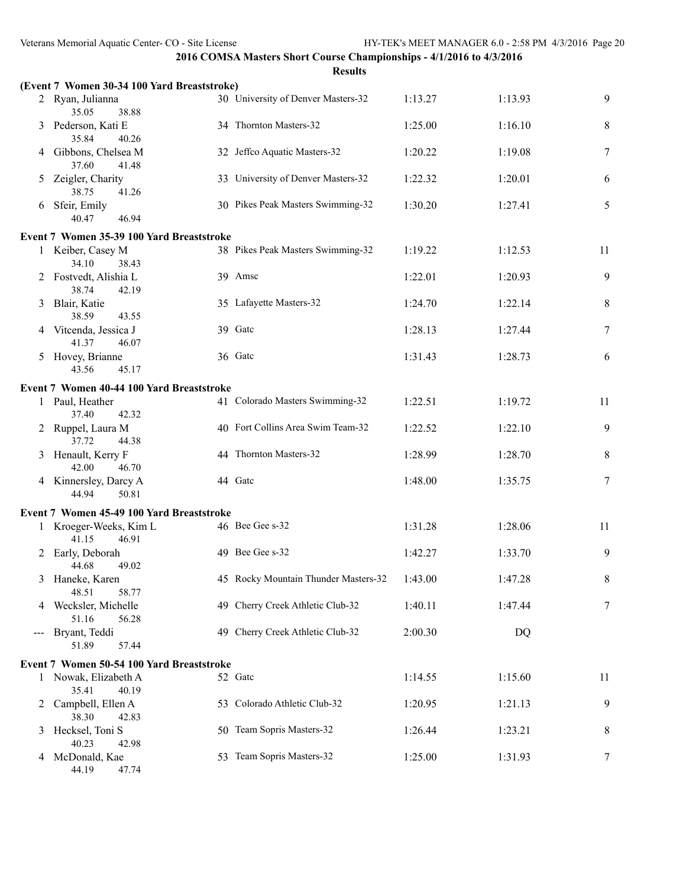|                     |                                             | <b>Results</b>                       |         |         |                 |
|---------------------|---------------------------------------------|--------------------------------------|---------|---------|-----------------|
|                     | (Event 7 Women 30-34 100 Yard Breaststroke) |                                      |         |         |                 |
|                     | 2 Ryan, Julianna<br>35.05<br>38.88          | 30 University of Denver Masters-32   | 1:13.27 | 1:13.93 | 9               |
| 3                   | Pederson, Kati E<br>35.84<br>40.26          | 34 Thornton Masters-32               | 1:25.00 | 1:16.10 | $8\,$           |
| 4                   | Gibbons, Chelsea M<br>37.60<br>41.48        | 32 Jeffco Aquatic Masters-32         | 1:20.22 | 1:19.08 | $\tau$          |
| 5                   | Zeigler, Charity<br>38.75<br>41.26          | 33 University of Denver Masters-32   | 1:22.32 | 1:20.01 | 6               |
| 6                   | Sfeir, Emily<br>40.47<br>46.94              | 30 Pikes Peak Masters Swimming-32    | 1:30.20 | 1:27.41 | 5               |
|                     | Event 7 Women 35-39 100 Yard Breaststroke   |                                      |         |         |                 |
|                     | 1 Keiber, Casey M<br>34.10<br>38.43         | 38 Pikes Peak Masters Swimming-32    | 1:19.22 | 1:12.53 | 11              |
|                     | 2 Fostvedt, Alishia L<br>38.74<br>42.19     | 39 Amsc                              | 1:22.01 | 1:20.93 | 9               |
| 3                   | Blair, Katie<br>38.59<br>43.55              | 35 Lafayette Masters-32              | 1:24.70 | 1:22.14 | 8               |
|                     | 4 Vitcenda, Jessica J<br>41.37<br>46.07     | 39 Gatc                              | 1:28.13 | 1:27.44 | $7\phantom{.0}$ |
|                     | 5 Hovey, Brianne<br>43.56<br>45.17          | 36 Gatc                              | 1:31.43 | 1:28.73 | 6               |
|                     | Event 7 Women 40-44 100 Yard Breaststroke   |                                      |         |         |                 |
|                     | 1 Paul, Heather<br>37.40<br>42.32           | 41 Colorado Masters Swimming-32      | 1:22.51 | 1:19.72 | 11              |
|                     | 2 Ruppel, Laura M<br>37.72<br>44.38         | 40 Fort Collins Area Swim Team-32    | 1:22.52 | 1:22.10 | 9               |
|                     | 3 Henault, Kerry F<br>46.70<br>42.00        | 44 Thornton Masters-32               | 1:28.99 | 1:28.70 | 8               |
|                     | 4 Kinnersley, Darcy A<br>44.94<br>50.81     | 44 Gatc                              | 1:48.00 | 1:35.75 | 7               |
|                     | Event 7 Women 45-49 100 Yard Breaststroke   |                                      |         |         |                 |
|                     | 1 Kroeger-Weeks, Kim L<br>41.15<br>46.91    | 46 Bee Gee s-32                      | 1:31.28 | 1:28.06 | 11              |
|                     | 2 Early, Deborah<br>49.02<br>44.68          | 49 Bee Gee s-32                      | 1:42.27 | 1:33.70 | 9               |
| 3                   | Haneke, Karen<br>48.51<br>58.77             | 45 Rocky Mountain Thunder Masters-32 | 1:43.00 | 1:47.28 | 8               |
| 4                   | Wecksler, Michelle<br>51.16<br>56.28        | 49 Cherry Creek Athletic Club-32     | 1:40.11 | 1:47.44 | 7               |
| $\qquad \qquad - -$ | Bryant, Teddi<br>51.89<br>57.44             | 49 Cherry Creek Athletic Club-32     | 2:00.30 | DQ      |                 |
|                     | Event 7 Women 50-54 100 Yard Breaststroke   |                                      |         |         |                 |
|                     | 1 Nowak, Elizabeth A<br>35.41<br>40.19      | 52 Gate                              | 1:14.55 | 1:15.60 | 11              |
| $\mathbf{2}$        | Campbell, Ellen A<br>38.30<br>42.83         | 53 Colorado Athletic Club-32         | 1:20.95 | 1:21.13 | 9               |
| 3                   | Hecksel, Toni S<br>40.23<br>42.98           | 50 Team Sopris Masters-32            | 1:26.44 | 1:23.21 | 8               |
|                     | 4 McDonald, Kae<br>44.19<br>47.74           | 53 Team Sopris Masters-32            | 1:25.00 | 1:31.93 | 7               |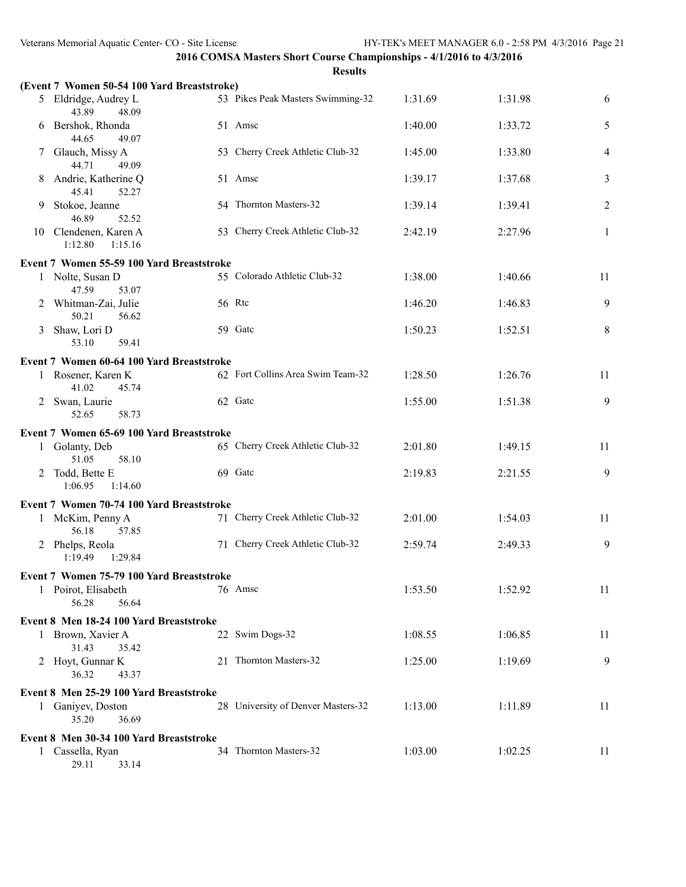|    |                                             |    | <b>Results</b>                     |         |         |                |
|----|---------------------------------------------|----|------------------------------------|---------|---------|----------------|
|    | (Event 7 Women 50-54 100 Yard Breaststroke) |    |                                    |         |         |                |
|    | 5 Eldridge, Audrey L<br>43.89<br>48.09      |    | 53 Pikes Peak Masters Swimming-32  | 1:31.69 | 1:31.98 | 6              |
| 6  | Bershok, Rhonda<br>44.65<br>49.07           |    | 51 Amsc                            | 1:40.00 | 1:33.72 | 5              |
|    | Glauch, Missy A<br>44.71<br>49.09           |    | 53 Cherry Creek Athletic Club-32   | 1:45.00 | 1:33.80 | $\overline{4}$ |
| 8  | Andrie, Katherine Q<br>45.41<br>52.27       |    | 51 Amsc                            | 1:39.17 | 1:37.68 | 3              |
| 9  | Stokoe, Jeanne<br>46.89<br>52.52            |    | 54 Thornton Masters-32             | 1:39.14 | 1:39.41 | $\overline{2}$ |
| 10 | Clendenen, Karen A<br>1:12.80<br>1:15.16    |    | 53 Cherry Creek Athletic Club-32   | 2:42.19 | 2:27.96 | 1              |
|    | Event 7 Women 55-59 100 Yard Breaststroke   |    |                                    |         |         |                |
|    | 1 Nolte, Susan D<br>47.59<br>53.07          |    | 55 Colorado Athletic Club-32       | 1:38.00 | 1:40.66 | 11             |
|    | 2 Whitman-Zai, Julie<br>50.21<br>56.62      |    | 56 Rtc                             | 1:46.20 | 1:46.83 | 9              |
| 3  | Shaw, Lori D<br>53.10<br>59.41              |    | 59 Gate                            | 1:50.23 | 1:52.51 | 8              |
|    | Event 7 Women 60-64 100 Yard Breaststroke   |    |                                    |         |         |                |
|    | 1 Rosener, Karen K<br>41.02<br>45.74        |    | 62 Fort Collins Area Swim Team-32  | 1:28.50 | 1:26.76 | 11             |
|    | 2 Swan, Laurie<br>52.65<br>58.73            |    | 62 Gate                            | 1:55.00 | 1:51.38 | 9              |
|    | Event 7 Women 65-69 100 Yard Breaststroke   |    |                                    |         |         |                |
|    | 1 Golanty, Deb<br>51.05<br>58.10            |    | 65 Cherry Creek Athletic Club-32   | 2:01.80 | 1:49.15 | 11             |
| 2  | Todd, Bette E<br>1:06.95<br>1:14.60         |    | 69 Gatc                            | 2:19.83 | 2:21.55 | 9              |
|    | Event 7 Women 70-74 100 Yard Breaststroke   |    |                                    |         |         |                |
|    | 1 McKim, Penny A<br>56.18<br>57.85          |    | 71 Cherry Creek Athletic Club-32   | 2:01.00 | 1:54.03 | 11             |
|    | 2 Phelps, Reola<br>1:19.49<br>1:29.84       | 71 | Cherry Creek Athletic Club-32      | 2:59.74 | 2:49.33 | 9              |
|    | Event 7 Women 75-79 100 Yard Breaststroke   |    |                                    |         |         |                |
|    | 1 Poirot, Elisabeth<br>56.28<br>56.64       |    | 76 Amsc                            | 1:53.50 | 1:52.92 | 11             |
|    | Event 8 Men 18-24 100 Yard Breaststroke     |    |                                    |         |         |                |
|    | 1 Brown, Xavier A<br>31.43<br>35.42         |    | 22 Swim Dogs-32                    | 1:08.55 | 1:06.85 | 11             |
|    | 2 Hoyt, Gunnar K<br>36.32<br>43.37          |    | 21 Thornton Masters-32             | 1:25.00 | 1:19.69 | 9              |
|    | Event 8 Men 25-29 100 Yard Breaststroke     |    |                                    |         |         |                |
|    | 1 Ganiyev, Doston<br>35.20<br>36.69         |    | 28 University of Denver Masters-32 | 1:13.00 | 1:11.89 | 11             |
|    | Event 8 Men 30-34 100 Yard Breaststroke     |    |                                    |         |         |                |
|    | 1 Cassella, Ryan<br>29.11<br>33.14          |    | 34 Thornton Masters-32             | 1:03.00 | 1:02.25 | 11             |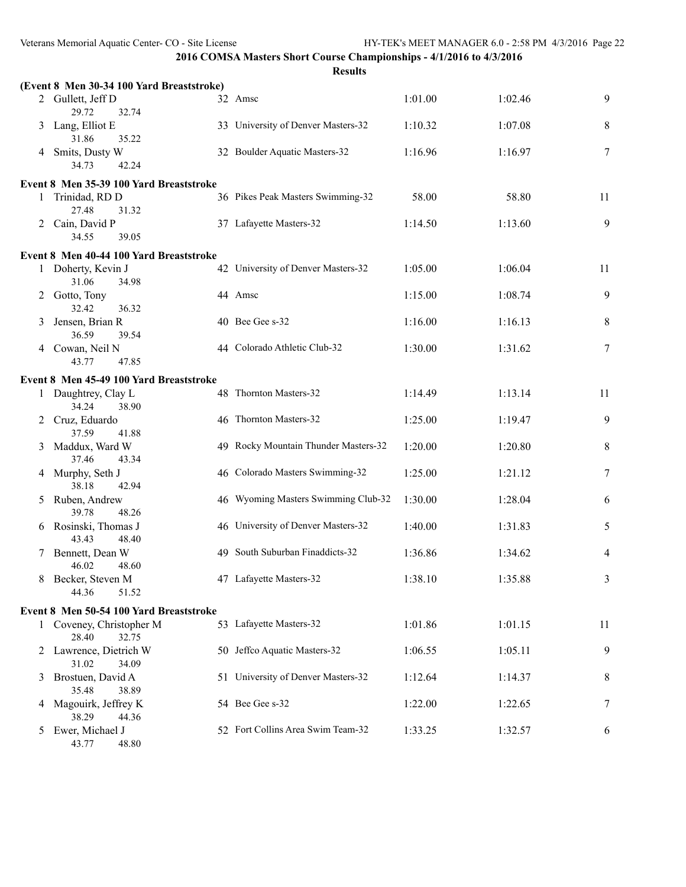|   | (Event 8 Men 30-34 100 Yard Breaststroke)  |                                      |         |         |    |
|---|--------------------------------------------|--------------------------------------|---------|---------|----|
|   | 2 Gullett, Jeff D<br>29.72<br>32.74        | 32 Amsc                              | 1:01.00 | 1:02.46 | 9  |
|   | Lang, Elliot E<br>31.86<br>35.22           | 33 University of Denver Masters-32   | 1:10.32 | 1:07.08 | 8  |
| 4 | Smits, Dusty W<br>34.73<br>42.24           | 32 Boulder Aquatic Masters-32        | 1:16.96 | 1:16.97 | 7  |
|   | Event 8 Men 35-39 100 Yard Breaststroke    |                                      |         |         |    |
|   | Trinidad, RD D<br>27.48<br>31.32           | 36 Pikes Peak Masters Swimming-32    | 58.00   | 58.80   | 11 |
|   | 2 Cain, David P<br>34.55<br>39.05          | 37 Lafayette Masters-32              | 1:14.50 | 1:13.60 | 9  |
|   | Event 8 Men 40-44 100 Yard Breaststroke    |                                      |         |         |    |
|   | 1 Doherty, Kevin J<br>31.06<br>34.98       | 42 University of Denver Masters-32   | 1:05.00 | 1:06.04 | 11 |
|   | 2 Gotto, Tony<br>32.42<br>36.32            | 44 Amsc                              | 1:15.00 | 1:08.74 | 9  |
|   | Jensen, Brian R<br>36.59<br>39.54          | 40 Bee Gee s-32                      | 1:16.00 | 1:16.13 | 8  |
|   | 4 Cowan, Neil N<br>43.77<br>47.85          | 44 Colorado Athletic Club-32         | 1:30.00 | 1:31.62 | 7  |
|   | Event 8 Men 45-49 100 Yard Breaststroke    |                                      |         |         |    |
|   | 1 Daughtrey, Clay L<br>34.24<br>38.90      | 48 Thornton Masters-32               | 1:14.49 | 1:13.14 | 11 |
|   | Cruz, Eduardo<br>37.59<br>41.88            | 46 Thornton Masters-32               | 1:25.00 | 1:19.47 | 9  |
| 3 | Maddux, Ward W<br>37.46<br>43.34           | 49 Rocky Mountain Thunder Masters-32 | 1:20.00 | 1:20.80 | 8  |
| 4 | Murphy, Seth J<br>38.18<br>42.94           | 46 Colorado Masters Swimming-32      | 1:25.00 | 1:21.12 | 7  |
| 5 | Ruben, Andrew<br>39.78<br>48.26            | 46 Wyoming Masters Swimming Club-32  | 1:30.00 | 1:28.04 | 6  |
| 6 | Rosinski, Thomas J<br>43.43<br>48.40       | 46 University of Denver Masters-32   | 1:40.00 | 1:31.83 | 5  |
|   | Bennett, Dean W<br>46.02<br>48.60          | 49 South Suburban Finaddicts-32      | 1:36.86 | 1:34.62 | 4  |
|   | 8 Becker, Steven M<br>44.36<br>51.52       | 47 Lafayette Masters-32              | 1:38.10 | 1:35.88 | 3  |
|   | Event 8 Men 50-54 100 Yard Breaststroke    |                                      |         |         |    |
|   | 1 Coveney, Christopher M<br>28.40<br>32.75 | 53 Lafayette Masters-32              | 1:01.86 | 1:01.15 | 11 |
|   | 2 Lawrence, Dietrich W<br>31.02<br>34.09   | 50 Jeffco Aquatic Masters-32         | 1:06.55 | 1:05.11 | 9  |
|   | 3 Brostuen, David A<br>35.48<br>38.89      | 51 University of Denver Masters-32   | 1:12.64 | 1:14.37 | 8  |
|   | 4 Magouirk, Jeffrey K<br>38.29<br>44.36    | 54 Bee Gee s-32                      | 1:22.00 | 1:22.65 | 7  |
|   | 5 Ewer, Michael J<br>48.80<br>43.77        | 52 Fort Collins Area Swim Team-32    | 1:33.25 | 1:32.57 | 6  |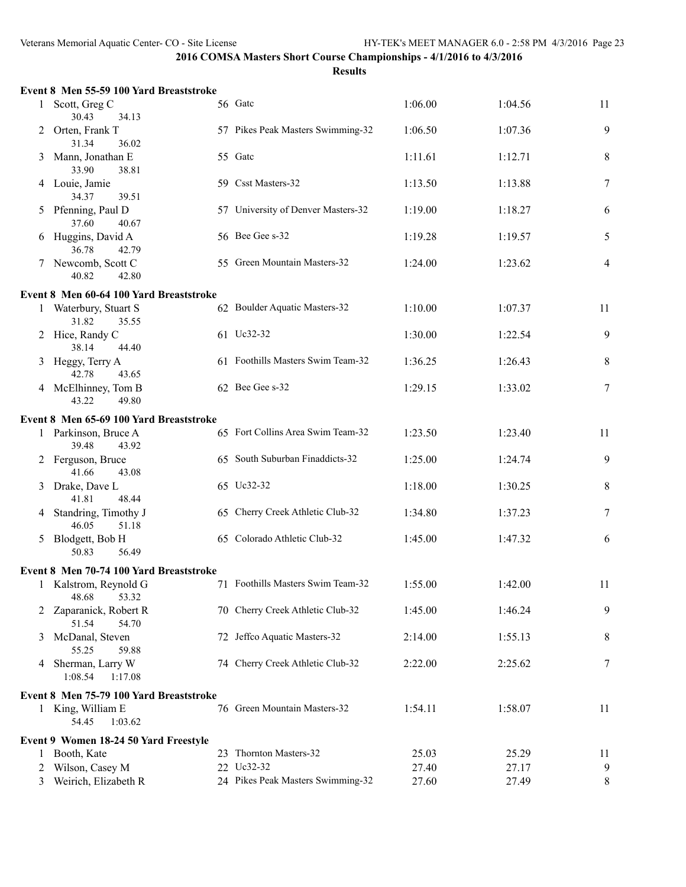|              | Event 8 Men 55-59 100 Yard Breaststroke  |                                    |         |         |    |
|--------------|------------------------------------------|------------------------------------|---------|---------|----|
| $\mathbf{1}$ | Scott, Greg C<br>30.43<br>34.13          | 56 Gatc                            | 1:06.00 | 1:04.56 | 11 |
|              | 2 Orten, Frank T<br>31.34<br>36.02       | 57 Pikes Peak Masters Swimming-32  | 1:06.50 | 1:07.36 | 9  |
|              | Mann, Jonathan E<br>33.90<br>38.81       | 55 Gate                            | 1:11.61 | 1:12.71 | 8  |
|              | 4 Louie, Jamie<br>34.37<br>39.51         | 59 Csst Masters-32                 | 1:13.50 | 1:13.88 | 7  |
|              | 5 Pfenning, Paul D<br>37.60<br>40.67     | 57 University of Denver Masters-32 | 1:19.00 | 1:18.27 | 6  |
|              | 6 Huggins, David A<br>36.78<br>42.79     | 56 Bee Gee s-32                    | 1:19.28 | 1:19.57 | 5  |
|              | 7 Newcomb, Scott C<br>40.82<br>42.80     | 55 Green Mountain Masters-32       | 1:24.00 | 1:23.62 | 4  |
|              | Event 8 Men 60-64 100 Yard Breaststroke  |                                    |         |         |    |
|              | 1 Waterbury, Stuart S<br>31.82<br>35.55  | 62 Boulder Aquatic Masters-32      | 1:10.00 | 1:07.37 | 11 |
|              | 2 Hice, Randy C<br>38.14<br>44.40        | 61 Uc32-32                         | 1:30.00 | 1:22.54 | 9  |
| 3            | Heggy, Terry A<br>42.78<br>43.65         | 61 Foothills Masters Swim Team-32  | 1:36.25 | 1:26.43 | 8  |
|              | 4 McElhinney, Tom B<br>43.22<br>49.80    | 62 Bee Gee s-32                    | 1:29.15 | 1:33.02 | 7  |
|              | Event 8 Men 65-69 100 Yard Breaststroke  |                                    |         |         |    |
|              | 1 Parkinson, Bruce A<br>39.48<br>43.92   | 65 Fort Collins Area Swim Team-32  | 1:23.50 | 1:23.40 | 11 |
|              | 2 Ferguson, Bruce<br>41.66<br>43.08      | 65 South Suburban Finaddicts-32    | 1:25.00 | 1:24.74 | 9  |
|              | 3 Drake, Dave L<br>41.81<br>48.44        | 65 Uc32-32                         | 1:18.00 | 1:30.25 | 8  |
|              | 4 Standring, Timothy J<br>46.05<br>51.18 | 65 Cherry Creek Athletic Club-32   | 1:34.80 | 1:37.23 | 7  |
|              | 5 Blodgett, Bob H<br>50.83<br>56.49      | 65 Colorado Athletic Club-32       | 1:45.00 | 1:47.32 | 6  |
|              | Event 8 Men 70-74 100 Yard Breaststroke  |                                    |         |         |    |
|              | 1 Kalstrom, Reynold G<br>48.68<br>53.32  | 71 Foothills Masters Swim Team-32  | 1:55.00 | 1:42.00 | 11 |
| 2            | Zaparanick, Robert R<br>51.54<br>54.70   | 70 Cherry Creek Athletic Club-32   | 1:45.00 | 1:46.24 | 9  |
| 3            | McDanal, Steven<br>55.25<br>59.88        | 72 Jeffco Aquatic Masters-32       | 2:14.00 | 1:55.13 | 8  |
| 4            | Sherman, Larry W<br>1:08.54<br>1:17.08   | 74 Cherry Creek Athletic Club-32   | 2:22.00 | 2:25.62 | 7  |
|              | Event 8 Men 75-79 100 Yard Breaststroke  |                                    |         |         |    |
|              | 1 King, William E<br>54.45<br>1:03.62    | 76 Green Mountain Masters-32       | 1:54.11 | 1:58.07 | 11 |
|              | Event 9 Women 18-24 50 Yard Freestyle    |                                    |         |         |    |
| 1            | Booth, Kate                              | 23 Thornton Masters-32             | 25.03   | 25.29   | 11 |
| 2            | Wilson, Casey M                          | 22 Uc32-32                         | 27.40   | 27.17   | 9  |
| 3            | Weirich, Elizabeth R                     | 24 Pikes Peak Masters Swimming-32  | 27.60   | 27.49   | 8  |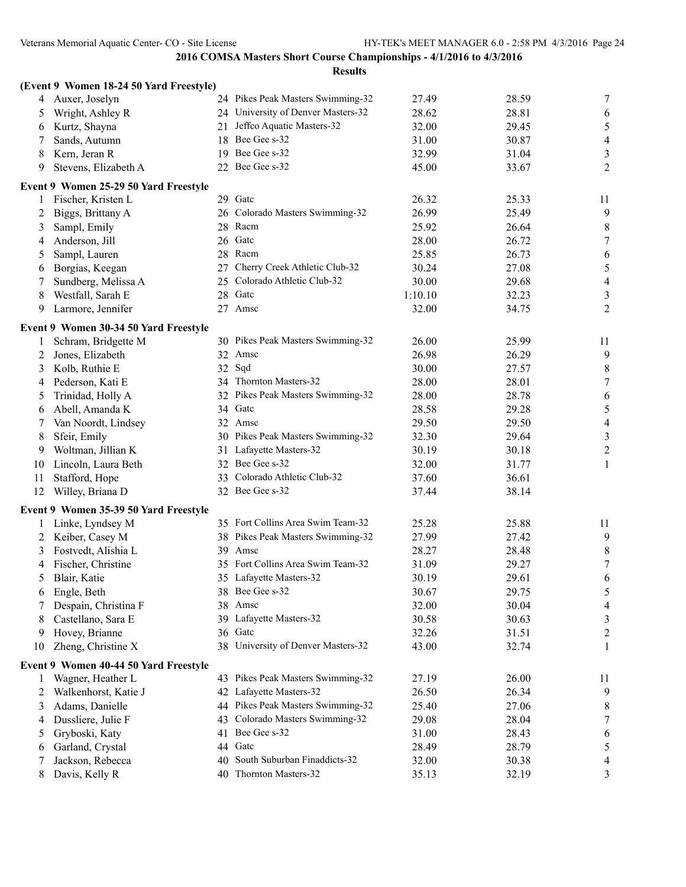|    | (Event 9 Women 18-24 50 Yard Freestyle) |     |                                    |         |       |                  |
|----|-----------------------------------------|-----|------------------------------------|---------|-------|------------------|
|    | 4 Auxer, Joselyn                        |     | 24 Pikes Peak Masters Swimming-32  | 27.49   | 28.59 | 7                |
| 5  | Wright, Ashley R                        |     | 24 University of Denver Masters-32 | 28.62   | 28.81 | 6                |
| 6  | Kurtz, Shayna                           | 21  | Jeffco Aquatic Masters-32          | 32.00   | 29.45 | $\mathfrak s$    |
| 7  | Sands, Autumn                           | 18  | Bee Gee s-32                       | 31.00   | 30.87 | $\overline{4}$   |
| 8  | Kern, Jeran R                           | 19. | Bee Gee s-32                       | 32.99   | 31.04 | $\mathfrak{Z}$   |
| 9  | Stevens, Elizabeth A                    |     | 22 Bee Gee s-32                    | 45.00   | 33.67 | $\overline{2}$   |
|    | Event 9 Women 25-29 50 Yard Freestyle   |     |                                    |         |       |                  |
| 1  | Fischer, Kristen L                      |     | 29 Gate                            | 26.32   | 25.33 | 11               |
| 2  | Biggs, Brittany A                       | 26  | Colorado Masters Swimming-32       | 26.99   | 25.49 | $\overline{9}$   |
| 3  | Sampl, Emily                            | 28  | Racm                               | 25.92   | 26.64 | $\,8\,$          |
| 4  | Anderson, Jill                          | 26  | Gatc                               | 28.00   | 26.72 | $\boldsymbol{7}$ |
| 5  | Sampl, Lauren                           | 28  | Racm                               | 25.85   | 26.73 | $\sqrt{6}$       |
| 6  | Borgias, Keegan                         | 27  | Cherry Creek Athletic Club-32      | 30.24   | 27.08 | $\sqrt{5}$       |
| 7  | Sundberg, Melissa A                     | 25  | Colorado Athletic Club-32          | 30.00   | 29.68 | $\overline{4}$   |
| 8  | Westfall, Sarah E                       | 28  | Gatc                               | 1:10.10 | 32.23 | $\mathfrak{Z}$   |
| 9  | Larmore, Jennifer                       |     | 27 Amsc                            | 32.00   | 34.75 | $\overline{2}$   |
|    | Event 9 Women 30-34 50 Yard Freestyle   |     |                                    |         |       |                  |
| 1  | Schram, Bridgette M                     |     | 30 Pikes Peak Masters Swimming-32  | 26.00   | 25.99 | 11               |
| 2  | Jones, Elizabeth                        | 32  | Amsc                               | 26.98   | 26.29 | $\overline{9}$   |
| 3  | Kolb, Ruthie E                          | 32  | Sqd                                | 30.00   | 27.57 | $\,8\,$          |
| 4  | Pederson, Kati E                        |     | 34 Thornton Masters-32             | 28.00   | 28.01 | $\boldsymbol{7}$ |
| 5  | Trinidad, Holly A                       |     | 32 Pikes Peak Masters Swimming-32  | 28.00   | 28.78 | $\sqrt{6}$       |
| 6  | Abell, Amanda K                         | 34  | Gatc                               | 28.58   | 29.28 | $\sqrt{5}$       |
| 7  | Van Noordt, Lindsey                     |     | 32 Amsc                            | 29.50   | 29.50 | $\overline{4}$   |
| 8  | Sfeir, Emily                            |     | 30 Pikes Peak Masters Swimming-32  | 32.30   | 29.64 | $\sqrt{3}$       |
| 9  | Woltman, Jillian K                      |     | 31 Lafayette Masters-32            | 30.19   | 30.18 | $\sqrt{2}$       |
| 10 | Lincoln, Laura Beth                     |     | 32 Bee Gee s-32                    | 32.00   | 31.77 | $\mathbf{1}$     |
| 11 | Stafford, Hope                          |     | 33 Colorado Athletic Club-32       | 37.60   | 36.61 |                  |
| 12 | Willey, Briana D                        |     | 32 Bee Gee s-32                    | 37.44   | 38.14 |                  |
|    | Event 9 Women 35-39 50 Yard Freestyle   |     |                                    |         |       |                  |
| 1  | Linke, Lyndsey M                        |     | 35 Fort Collins Area Swim Team-32  | 25.28   | 25.88 | 11               |
| 2  | Keiber, Casey M                         |     | 38 Pikes Peak Masters Swimming-32  | 27.99   | 27.42 | 9                |
| 3  | Fostvedt, Alishia L                     |     | 39 Amsc                            | 28.27   | 28.48 | $\,8\,$          |
| 4  | Fischer, Christine                      |     | 35 Fort Collins Area Swim Team-32  | 31.09   | 29.27 | $\boldsymbol{7}$ |
| 5  | Blair, Katie                            |     | 35 Lafayette Masters-32            | 30.19   | 29.61 | 6                |
| 6  | Engle, Beth                             |     | 38 Bee Gee s-32                    | 30.67   | 29.75 | 5                |
| 7  | Despain, Christina F                    |     | 38 Amsc                            | 32.00   | 30.04 | $\overline{4}$   |
| 8  | Castellano, Sara E                      |     | 39 Lafayette Masters-32            | 30.58   | 30.63 | 3                |
| 9  | Hovey, Brianne                          | 36  | Gatc                               | 32.26   | 31.51 | $\overline{c}$   |
| 10 | Zheng, Christine X                      |     | 38 University of Denver Masters-32 | 43.00   | 32.74 | 1                |
|    | Event 9 Women 40-44 50 Yard Freestyle   |     |                                    |         |       |                  |
| 1  | Wagner, Heather L                       |     | 43 Pikes Peak Masters Swimming-32  | 27.19   | 26.00 | 11               |
| 2  | Walkenhorst, Katie J                    | 42  | Lafayette Masters-32               | 26.50   | 26.34 | 9                |
| 3  | Adams, Danielle                         |     | 44 Pikes Peak Masters Swimming-32  | 25.40   | 27.06 | 8                |
| 4  | Dussliere, Julie F                      | 43  | Colorado Masters Swimming-32       | 29.08   | 28.04 | 7                |
| 5  | Gryboski, Katy                          | 41  | Bee Gee s-32                       | 31.00   | 28.43 | 6                |
| 6  | Garland, Crystal                        | 44  | Gatc                               | 28.49   | 28.79 | 5                |
| 7  | Jackson, Rebecca                        | 40  | South Suburban Finaddicts-32       | 32.00   | 30.38 | 4                |
| 8  | Davis, Kelly R                          | 40  | Thornton Masters-32                | 35.13   | 32.19 | 3                |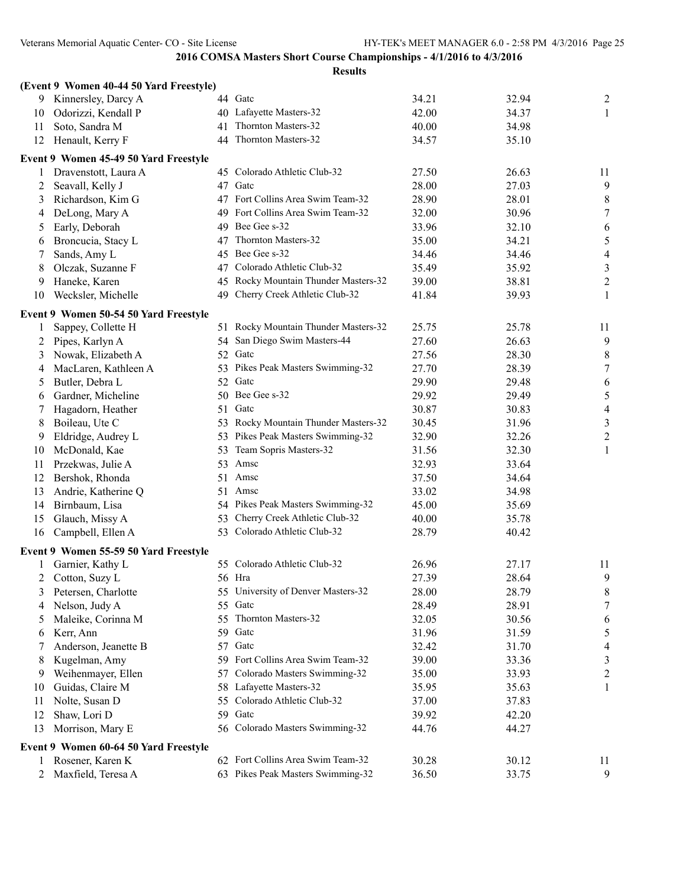|    | (Event 9 Women 40-44 50 Yard Freestyle) |     |                                      |       |       |                  |
|----|-----------------------------------------|-----|--------------------------------------|-------|-------|------------------|
| 9. | Kinnersley, Darcy A                     |     | 44 Gatc                              | 34.21 | 32.94 | $\overline{2}$   |
| 10 | Odorizzi, Kendall P                     |     | 40 Lafayette Masters-32              | 42.00 | 34.37 | $\mathbf{1}$     |
| 11 | Soto, Sandra M                          | 41  | Thornton Masters-32                  | 40.00 | 34.98 |                  |
| 12 | Henault, Kerry F                        |     | 44 Thornton Masters-32               | 34.57 | 35.10 |                  |
|    | Event 9 Women 45-49 50 Yard Freestyle   |     |                                      |       |       |                  |
|    | 1 Dravenstott, Laura A                  |     | 45 Colorado Athletic Club-32         | 27.50 | 26.63 | 11               |
| 2  | Seavall, Kelly J                        |     | 47 Gate                              | 28.00 | 27.03 | 9                |
| 3  | Richardson, Kim G                       |     | 47 Fort Collins Area Swim Team-32    | 28.90 | 28.01 | $\,8\,$          |
| 4  | DeLong, Mary A                          |     | 49 Fort Collins Area Swim Team-32    | 32.00 | 30.96 | $\boldsymbol{7}$ |
| 5  | Early, Deborah                          |     | 49 Bee Gee s-32                      | 33.96 | 32.10 | $\sqrt{6}$       |
| 6  | Broncucia, Stacy L                      |     | 47 Thornton Masters-32               | 35.00 | 34.21 | $\sqrt{5}$       |
| 7  | Sands, Amy L                            |     | 45 Bee Gee s-32                      | 34.46 | 34.46 | $\overline{4}$   |
| 8  | Olczak, Suzanne F                       |     | 47 Colorado Athletic Club-32         | 35.49 | 35.92 | $\mathfrak{Z}$   |
| 9  | Haneke, Karen                           |     | 45 Rocky Mountain Thunder Masters-32 | 39.00 | 38.81 | $\sqrt{2}$       |
| 10 | Wecksler, Michelle                      |     | 49 Cherry Creek Athletic Club-32     | 41.84 | 39.93 | $\mathbf{1}$     |
|    | Event 9 Women 50-54 50 Yard Freestyle   |     |                                      |       |       |                  |
| 1  | Sappey, Collette H                      |     | 51 Rocky Mountain Thunder Masters-32 | 25.75 | 25.78 | 11               |
| 2  | Pipes, Karlyn A                         |     | 54 San Diego Swim Masters-44         | 27.60 | 26.63 | 9                |
| 3  | Nowak, Elizabeth A                      |     | 52 Gate                              | 27.56 | 28.30 | $\,8\,$          |
| 4  | MacLaren, Kathleen A                    |     | 53 Pikes Peak Masters Swimming-32    | 27.70 | 28.39 | $\boldsymbol{7}$ |
| 5  | Butler, Debra L                         | 52  | Gatc                                 | 29.90 | 29.48 | 6                |
| 6  | Gardner, Micheline                      |     | 50 Bee Gee s-32                      | 29.92 | 29.49 | 5                |
|    | Hagadorn, Heather                       | 51  | Gatc                                 | 30.87 | 30.83 | $\overline{4}$   |
| 8  | Boileau, Ute C                          |     | 53 Rocky Mountain Thunder Masters-32 | 30.45 | 31.96 | $\mathfrak{Z}$   |
| 9  | Eldridge, Audrey L                      |     | 53 Pikes Peak Masters Swimming-32    | 32.90 | 32.26 | $\sqrt{2}$       |
| 10 | McDonald, Kae                           |     | 53 Team Sopris Masters-32            | 31.56 | 32.30 | $\mathbf{1}$     |
| 11 | Przekwas, Julie A                       |     | 53 Amsc                              | 32.93 | 33.64 |                  |
| 12 | Bershok, Rhonda                         |     | 51 Amsc                              | 37.50 | 34.64 |                  |
| 13 | Andrie, Katherine Q                     |     | 51 Amsc                              | 33.02 | 34.98 |                  |
| 14 | Birnbaum, Lisa                          |     | 54 Pikes Peak Masters Swimming-32    | 45.00 | 35.69 |                  |
| 15 | Glauch, Missy A                         |     | 53 Cherry Creek Athletic Club-32     | 40.00 | 35.78 |                  |
| 16 | Campbell, Ellen A                       |     | 53 Colorado Athletic Club-32         | 28.79 | 40.42 |                  |
|    | Event 9 Women 55-59 50 Yard Freestyle   |     |                                      |       |       |                  |
|    | Garnier, Kathy L                        |     | 55 Colorado Athletic Club-32         | 26.96 | 27.17 | 11               |
| 2  | Cotton, Suzy L                          |     | 56 Hra                               | 27.39 | 28.64 | 9                |
| 3  | Petersen, Charlotte                     |     | 55 University of Denver Masters-32   | 28.00 | 28.79 | 8                |
| 4  | Nelson, Judy A                          | 55. | Gatc                                 | 28.49 | 28.91 | 7                |
| 5  | Maleike, Corinna M                      |     | 55 Thornton Masters-32               | 32.05 | 30.56 | 6                |
| 6  | Kerr, Ann                               | 59  | Gatc                                 | 31.96 | 31.59 | 5                |
|    | Anderson, Jeanette B                    |     | 57 Gatc                              | 32.42 | 31.70 | $\overline{4}$   |
| 8  | Kugelman, Amy                           |     | 59 Fort Collins Area Swim Team-32    | 39.00 | 33.36 | 3                |
| 9  | Weihenmayer, Ellen                      |     | 57 Colorado Masters Swimming-32      | 35.00 | 33.93 | 2                |
| 10 | Guidas, Claire M                        |     | 58 Lafayette Masters-32              | 35.95 | 35.63 | 1                |
| 11 | Nolte, Susan D                          |     | 55 Colorado Athletic Club-32         | 37.00 | 37.83 |                  |
| 12 | Shaw, Lori D                            | 59  | Gatc                                 | 39.92 | 42.20 |                  |
| 13 | Morrison, Mary E                        |     | 56 Colorado Masters Swimming-32      | 44.76 | 44.27 |                  |
|    |                                         |     |                                      |       |       |                  |
|    | Event 9 Women 60-64 50 Yard Freestyle   |     |                                      |       |       |                  |
| 1  | Rosener, Karen K                        |     | 62 Fort Collins Area Swim Team-32    | 30.28 | 30.12 | 11               |
|    | Maxfield, Teresa A                      |     | 63 Pikes Peak Masters Swimming-32    | 36.50 | 33.75 | 9                |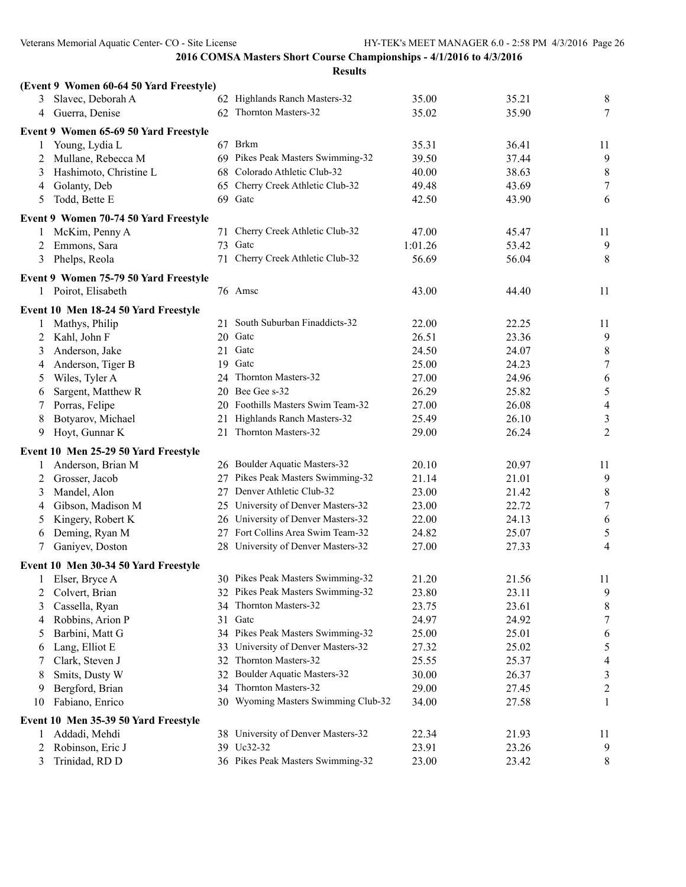|    | (Event 9 Women 60-64 50 Yard Freestyle) |    |                                                                         |         |       |                |
|----|-----------------------------------------|----|-------------------------------------------------------------------------|---------|-------|----------------|
| 3. | Slavec, Deborah A                       |    | 62 Highlands Ranch Masters-32                                           | 35.00   | 35.21 | $\,8\,$        |
| 4  | Guerra, Denise                          |    | 62 Thornton Masters-32                                                  | 35.02   | 35.90 | $\tau$         |
|    | Event 9 Women 65-69 50 Yard Freestyle   |    |                                                                         |         |       |                |
| 1  | Young, Lydia L                          |    | 67 Brkm                                                                 | 35.31   | 36.41 | 11             |
| 2  | Mullane, Rebecca M                      |    | 69 Pikes Peak Masters Swimming-32                                       | 39.50   | 37.44 | $\overline{9}$ |
| 3  | Hashimoto, Christine L                  | 68 | Colorado Athletic Club-32                                               | 40.00   | 38.63 | $\,8\,$        |
| 4  | Golanty, Deb                            |    | 65 Cherry Creek Athletic Club-32                                        | 49.48   | 43.69 | $\tau$         |
| 5  | Todd, Bette E                           |    | 69 Gatc                                                                 | 42.50   | 43.90 | 6              |
|    | Event 9 Women 70-74 50 Yard Freestyle   |    |                                                                         |         |       |                |
| 1  | McKim, Penny A                          |    | 71 Cherry Creek Athletic Club-32                                        | 47.00   | 45.47 | 11             |
| 2  | Emmons, Sara                            |    | 73 Gatc                                                                 | 1:01.26 | 53.42 | 9              |
| 3  | Phelps, Reola                           | 71 | Cherry Creek Athletic Club-32                                           | 56.69   | 56.04 | $8\,$          |
|    | Event 9 Women 75-79 50 Yard Freestyle   |    |                                                                         |         |       |                |
|    | 1 Poirot, Elisabeth                     |    | 76 Amsc                                                                 | 43.00   | 44.40 | 11             |
|    | Event 10 Men 18-24 50 Yard Freestyle    |    |                                                                         |         |       |                |
| 1  | Mathys, Philip                          |    | 21 South Suburban Finaddicts-32                                         | 22.00   | 22.25 | 11             |
| 2  | Kahl, John F                            |    | 20 Gatc                                                                 | 26.51   | 23.36 | 9              |
| 3  | Anderson, Jake                          |    | 21 Gatc                                                                 | 24.50   | 24.07 | $\,8\,$        |
| 4  | Anderson, Tiger B                       | 19 | Gatc                                                                    | 25.00   | 24.23 | $\tau$         |
| 5  | Wiles, Tyler A                          |    | 24 Thornton Masters-32                                                  | 27.00   | 24.96 | 6              |
| 6  | Sargent, Matthew R                      |    | 20 Bee Gee s-32                                                         | 26.29   | 25.82 | $\sqrt{5}$     |
| 7  | Porras, Felipe                          |    | 20 Foothills Masters Swim Team-32                                       | 27.00   | 26.08 | $\overline{4}$ |
| 8  | Botyarov, Michael                       |    | 21 Highlands Ranch Masters-32                                           | 25.49   | 26.10 | $\mathfrak{Z}$ |
| 9  | Hoyt, Gunnar K                          |    | 21 Thornton Masters-32                                                  | 29.00   | 26.24 | $\overline{2}$ |
|    |                                         |    |                                                                         |         |       |                |
|    | Event 10 Men 25-29 50 Yard Freestyle    |    |                                                                         |         |       |                |
| 1  | Anderson, Brian M                       |    | 26 Boulder Aquatic Masters-32                                           | 20.10   | 20.97 | 11             |
| 2  | Grosser, Jacob                          |    | 27 Pikes Peak Masters Swimming-32                                       | 21.14   | 21.01 | 9              |
| 3  | Mandel, Alon                            |    | 27 Denver Athletic Club-32                                              | 23.00   | 21.42 | $\,8\,$        |
| 4  | Gibson, Madison M                       |    | 25 University of Denver Masters-32                                      | 23.00   | 22.72 | $\tau$         |
| 5  | Kingery, Robert K                       |    | 26 University of Denver Masters-32<br>27 Fort Collins Area Swim Team-32 | 22.00   | 24.13 | 6              |
| 6  | Deming, Ryan M                          |    |                                                                         | 24.82   | 25.07 | $\mathfrak s$  |
| 7  | Ganiyev, Doston                         |    | 28 University of Denver Masters-32                                      | 27.00   | 27.33 | $\overline{4}$ |
|    | Event 10 Men 30-34 50 Yard Freestyle    |    |                                                                         |         |       |                |
|    | 1 Elser, Bryce A                        |    | 30 Pikes Peak Masters Swimming-32                                       | 21.20   | 21.56 | 11             |
| 2  | Colvert, Brian                          |    | 32 Pikes Peak Masters Swimming-32                                       | 23.80   | 23.11 | 9              |
| 3  | Cassella, Ryan                          |    | 34 Thornton Masters-32                                                  | 23.75   | 23.61 | 8              |
| 4  | Robbins, Arion P                        |    | 31 Gate                                                                 | 24.97   | 24.92 | $\tau$         |
| 5  | Barbini, Matt G                         |    | 34 Pikes Peak Masters Swimming-32                                       | 25.00   | 25.01 | 6              |
| 6  | Lang, Elliot E                          |    | 33 University of Denver Masters-32                                      | 27.32   | 25.02 | 5              |
| 7  | Clark, Steven J                         | 32 | Thornton Masters-32                                                     | 25.55   | 25.37 | $\overline{4}$ |
| 8  | Smits, Dusty W                          |    | 32 Boulder Aquatic Masters-32                                           | 30.00   | 26.37 | 3              |
| 9  | Bergford, Brian                         |    | 34 Thornton Masters-32                                                  | 29.00   | 27.45 | $\overline{c}$ |
| 10 | Fabiano, Enrico                         |    | 30 Wyoming Masters Swimming Club-32                                     | 34.00   | 27.58 | $\mathbf{1}$   |
|    | Event 10 Men 35-39 50 Yard Freestyle    |    |                                                                         |         |       |                |
| 1  | Addadi, Mehdi                           |    | 38 University of Denver Masters-32                                      | 22.34   | 21.93 | 11             |
| 2  | Robinson, Eric J                        |    | 39 Uc32-32                                                              | 23.91   | 23.26 | 9              |
| 3  | Trinidad, RD D                          |    | 36 Pikes Peak Masters Swimming-32                                       | 23.00   | 23.42 | 8              |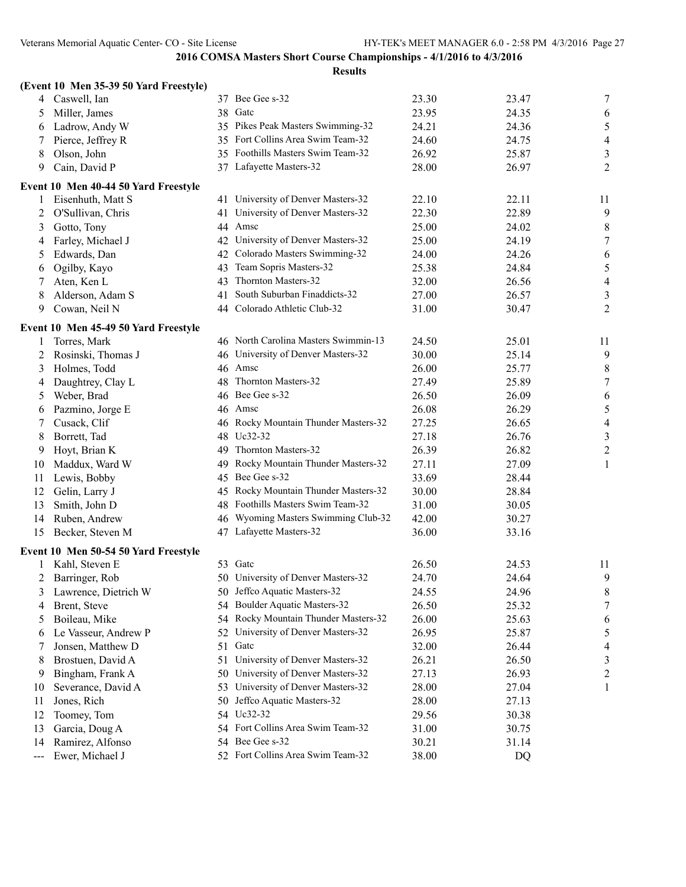|                                        | (Event 10 Men 35-39 50 Yard Freestyle) |    |                                      |       |       |                          |
|----------------------------------------|----------------------------------------|----|--------------------------------------|-------|-------|--------------------------|
| 4                                      | Caswell, Ian                           |    | 37 Bee Gee s-32                      | 23.30 | 23.47 | 7                        |
| 5                                      | Miller, James                          |    | 38 Gate                              | 23.95 | 24.35 | 6                        |
| 6                                      | Ladrow, Andy W                         |    | 35 Pikes Peak Masters Swimming-32    | 24.21 | 24.36 | 5                        |
| 7                                      | Pierce, Jeffrey R                      | 35 | Fort Collins Area Swim Team-32       | 24.60 | 24.75 | $\overline{\mathcal{A}}$ |
| 8                                      | Olson, John                            | 35 | Foothills Masters Swim Team-32       | 26.92 | 25.87 | 3                        |
| 9                                      | Cain, David P                          |    | 37 Lafayette Masters-32              | 28.00 | 26.97 | 2                        |
|                                        | Event 10 Men 40-44 50 Yard Freestyle   |    |                                      |       |       |                          |
| 1                                      | Eisenhuth, Matt S                      |    | 41 University of Denver Masters-32   | 22.10 | 22.11 | 11                       |
| 2                                      | O'Sullivan, Chris                      | 41 | University of Denver Masters-32      | 22.30 | 22.89 | 9                        |
| 3                                      | Gotto, Tony                            |    | 44 Amsc                              | 25.00 | 24.02 | 8                        |
| 4                                      | Farley, Michael J                      |    | 42 University of Denver Masters-32   | 25.00 | 24.19 | $\boldsymbol{7}$         |
| 5                                      | Edwards, Dan                           |    | 42 Colorado Masters Swimming-32      | 24.00 | 24.26 | 6                        |
| 6                                      | Ogilby, Kayo                           | 43 | Team Sopris Masters-32               | 25.38 | 24.84 | 5                        |
| 7                                      | Aten, Ken L                            | 43 | Thornton Masters-32                  | 32.00 | 26.56 | 4                        |
| 8                                      | Alderson, Adam S                       | 41 | South Suburban Finaddicts-32         | 27.00 | 26.57 | 3                        |
| 9                                      | Cowan, Neil N                          |    | 44 Colorado Athletic Club-32         | 31.00 | 30.47 | $\overline{c}$           |
|                                        | Event 10 Men 45-49 50 Yard Freestyle   |    |                                      |       |       |                          |
| 1                                      | Torres, Mark                           |    | 46 North Carolina Masters Swimmin-13 | 24.50 | 25.01 | 11                       |
| 2                                      | Rosinski, Thomas J                     |    | 46 University of Denver Masters-32   | 30.00 | 25.14 | 9                        |
| 3                                      | Holmes, Todd                           |    | 46 Amsc                              | 26.00 | 25.77 | 8                        |
| 4                                      | Daughtrey, Clay L                      | 48 | Thornton Masters-32                  | 27.49 | 25.89 | $\boldsymbol{7}$         |
| 5                                      | Weber, Brad                            |    | 46 Bee Gee s-32                      | 26.50 | 26.09 | 6                        |
| 6                                      | Pazmino, Jorge E                       |    | 46 Amsc                              | 26.08 | 26.29 | $\sqrt{5}$               |
| 7                                      | Cusack, Clif                           |    | 46 Rocky Mountain Thunder Masters-32 | 27.25 | 26.65 | 4                        |
| 8                                      | Borrett, Tad                           | 48 | Uc32-32                              | 27.18 | 26.76 | 3                        |
| 9                                      | Hoyt, Brian K                          | 49 | Thornton Masters-32                  | 26.39 | 26.82 | $\overline{c}$           |
| 10                                     | Maddux, Ward W                         | 49 | Rocky Mountain Thunder Masters-32    | 27.11 | 27.09 | 1                        |
| 11                                     | Lewis, Bobby                           | 45 | Bee Gee s-32                         | 33.69 | 28.44 |                          |
| 12                                     | Gelin, Larry J                         | 45 | Rocky Mountain Thunder Masters-32    | 30.00 | 28.84 |                          |
| 13                                     | Smith, John D                          | 48 | Foothills Masters Swim Team-32       | 31.00 | 30.05 |                          |
| 14                                     | Ruben, Andrew                          |    | 46 Wyoming Masters Swimming Club-32  | 42.00 | 30.27 |                          |
| 15                                     | Becker, Steven M                       |    | 47 Lafayette Masters-32              | 36.00 | 33.16 |                          |
|                                        | Event 10 Men 50-54 50 Yard Freestyle   |    |                                      |       |       |                          |
|                                        | Kahl, Steven E                         |    | 53 Gate                              | 26.50 | 24.53 | 11                       |
|                                        | 2 Barringer, Rob                       |    | 50 University of Denver Masters-32   | 24.70 | 24.64 | 9                        |
| 3                                      | Lawrence, Dietrich W                   |    | 50 Jeffco Aquatic Masters-32         | 24.55 | 24.96 | 8                        |
| 4                                      | Brent, Steve                           |    | 54 Boulder Aquatic Masters-32        | 26.50 | 25.32 | 7                        |
| 5                                      | Boileau, Mike                          |    | 54 Rocky Mountain Thunder Masters-32 | 26.00 | 25.63 | 6                        |
| 6                                      | Le Vasseur, Andrew P                   | 52 | University of Denver Masters-32      | 26.95 | 25.87 | 5                        |
| 7                                      | Jonsen, Matthew D                      | 51 | Gatc                                 | 32.00 | 26.44 | 4                        |
| 8                                      | Brostuen, David A                      | 51 | University of Denver Masters-32      | 26.21 | 26.50 | 3                        |
| 9                                      | Bingham, Frank A                       | 50 | University of Denver Masters-32      | 27.13 | 26.93 | $\overline{\mathbf{c}}$  |
| 10                                     | Severance, David A                     | 53 | University of Denver Masters-32      | 28.00 | 27.04 | 1                        |
| 11                                     | Jones, Rich                            | 50 | Jeffco Aquatic Masters-32            | 28.00 | 27.13 |                          |
| 12                                     | Toomey, Tom                            |    | 54 Uc32-32                           | 29.56 | 30.38 |                          |
| 13                                     | Garcia, Doug A                         |    | 54 Fort Collins Area Swim Team-32    | 31.00 | 30.75 |                          |
| 14                                     | Ramirez, Alfonso                       |    | 54 Bee Gee s-32                      | 30.21 | 31.14 |                          |
| $\scriptstyle\cdots\scriptstyle\cdots$ | Ewer, Michael J                        |    | 52 Fort Collins Area Swim Team-32    | 38.00 | DQ    |                          |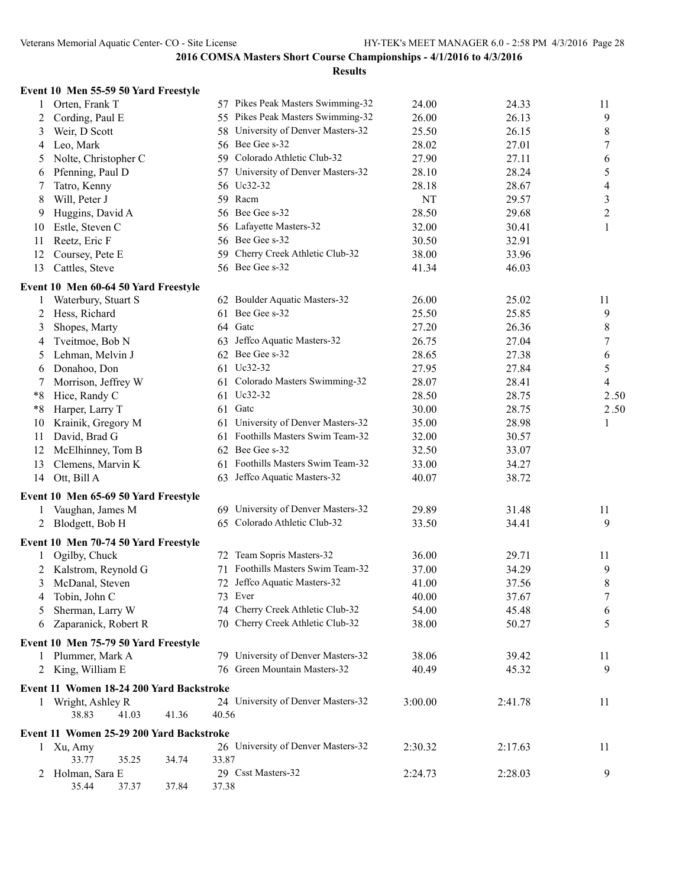|      | Event 10 Men 55-59 50 Yard Freestyle     |                |                                    |         |         |                  |
|------|------------------------------------------|----------------|------------------------------------|---------|---------|------------------|
| 1    | Orten, Frank T                           |                | 57 Pikes Peak Masters Swimming-32  | 24.00   | 24.33   | 11               |
| 2    | Cording, Paul E                          |                | 55 Pikes Peak Masters Swimming-32  | 26.00   | 26.13   | 9                |
| 3    | Weir, D Scott                            |                | 58 University of Denver Masters-32 | 25.50   | 26.15   | 8                |
| 4    | Leo, Mark                                |                | 56 Bee Gee s-32                    | 28.02   | 27.01   | 7                |
| 5    | Nolte, Christopher C                     |                | 59 Colorado Athletic Club-32       | 27.90   | 27.11   | 6                |
| 6    | Pfenning, Paul D                         |                | 57 University of Denver Masters-32 | 28.10   | 28.24   | 5                |
| 7    | Tatro, Kenny                             |                | 56 Uc32-32                         | 28.18   | 28.67   | 4                |
| 8    | Will, Peter J                            | 59.            | Racm                               | NT      | 29.57   | 3                |
| 9    | Huggins, David A                         |                | 56 Bee Gee s-32                    | 28.50   | 29.68   | $\overline{c}$   |
| 10   | Estle, Steven C                          |                | 56 Lafayette Masters-32            | 32.00   | 30.41   | 1                |
| 11   | Reetz, Eric F                            |                | 56 Bee Gee s-32                    | 30.50   | 32.91   |                  |
| 12   | Coursey, Pete E                          |                | 59 Cherry Creek Athletic Club-32   | 38.00   | 33.96   |                  |
| 13   | Cattles, Steve                           |                | 56 Bee Gee s-32                    | 41.34   | 46.03   |                  |
|      | Event 10 Men 60-64 50 Yard Freestyle     |                |                                    |         |         |                  |
| 1    | Waterbury, Stuart S                      |                | 62 Boulder Aquatic Masters-32      | 26.00   | 25.02   | 11               |
| 2    | Hess, Richard                            |                | 61 Bee Gee s-32                    | 25.50   | 25.85   | 9                |
| 3    | Shopes, Marty                            |                | 64 Gatc                            | 27.20   | 26.36   | 8                |
| 4    | Tveitmoe, Bob N                          |                | 63 Jeffco Aquatic Masters-32       | 26.75   | 27.04   | 7                |
| 5    | Lehman, Melvin J                         |                | 62 Bee Gee s-32                    | 28.65   | 27.38   | 6                |
| 6    | Donahoo, Don                             |                | 61 Uc32-32                         | 27.95   | 27.84   | 5                |
| 7    | Morrison, Jeffrey W                      |                | 61 Colorado Masters Swimming-32    | 28.07   | 28.41   | 4                |
| $*8$ | Hice, Randy C                            |                | 61 Uc32-32                         | 28.50   | 28.75   | 2.50             |
| $*8$ | Harper, Larry T                          |                | 61 Gate                            | 30.00   | 28.75   | 2.50             |
| 10   | Krainik, Gregory M                       |                | 61 University of Denver Masters-32 | 35.00   | 28.98   | 1                |
| 11   | David, Brad G                            |                | 61 Foothills Masters Swim Team-32  | 32.00   | 30.57   |                  |
| 12   | McElhinney, Tom B                        |                | 62 Bee Gee s-32                    | 32.50   | 33.07   |                  |
| 13   | Clemens, Marvin K                        |                | 61 Foothills Masters Swim Team-32  | 33.00   | 34.27   |                  |
| 14   | Ott, Bill A                              |                | 63 Jeffco Aquatic Masters-32       | 40.07   | 38.72   |                  |
|      | Event 10 Men 65-69 50 Yard Freestyle     |                |                                    |         |         |                  |
| 1    | Vaughan, James M                         |                | 69 University of Denver Masters-32 | 29.89   | 31.48   | 11               |
|      | 2 Blodgett, Bob H                        |                | 65 Colorado Athletic Club-32       | 33.50   | 34.41   | 9                |
|      | Event 10 Men 70-74 50 Yard Freestyle     |                |                                    |         |         |                  |
| 1    | Ogilby, Chuck                            |                | 72 Team Sopris Masters-32          | 36.00   | 29.71   | 11               |
|      | 2 Kalstrom, Reynold G                    |                | 71 Foothills Masters Swim Team-32  | 37.00   | 34.29   | 9                |
|      | 3 McDanal, Steven                        |                | 72 Jeffco Aquatic Masters-32       | 41.00   | 37.56   | $\,8\,$          |
| 4    | Tobin, John C                            |                | 73 Ever                            | 40.00   | 37.67   | $\boldsymbol{7}$ |
|      | Sherman, Larry W                         |                | 74 Cherry Creek Athletic Club-32   | 54.00   | 45.48   |                  |
| 5    | Zaparanick, Robert R                     |                | 70 Cherry Creek Athletic Club-32   | 38.00   | 50.27   | 6<br>5           |
| 6    |                                          |                |                                    |         |         |                  |
|      | Event 10 Men 75-79 50 Yard Freestyle     |                |                                    |         |         |                  |
| 1    | Plummer, Mark A                          |                | 79 University of Denver Masters-32 | 38.06   | 39.42   | 11               |
|      | 2 King, William E                        |                | 76 Green Mountain Masters-32       | 40.49   | 45.32   | 9                |
|      | Event 11 Women 18-24 200 Yard Backstroke |                |                                    |         |         |                  |
|      | 1 Wright, Ashley R                       |                | 24 University of Denver Masters-32 | 3:00.00 | 2:41.78 | 11               |
|      | 38.83<br>41.03                           | 41.36<br>40.56 |                                    |         |         |                  |
|      | Event 11 Women 25-29 200 Yard Backstroke |                |                                    |         |         |                  |
|      | 1 Xu, Amy                                |                | 26 University of Denver Masters-32 | 2:30.32 | 2:17.63 | 11               |
|      | 33.77<br>35.25                           | 34.74<br>33.87 |                                    |         |         |                  |
|      | 2 Holman, Sara E                         |                | 29 Csst Masters-32                 | 2:24.73 | 2:28.03 | 9                |
|      | 35.44<br>37.37                           | 37.84<br>37.38 |                                    |         |         |                  |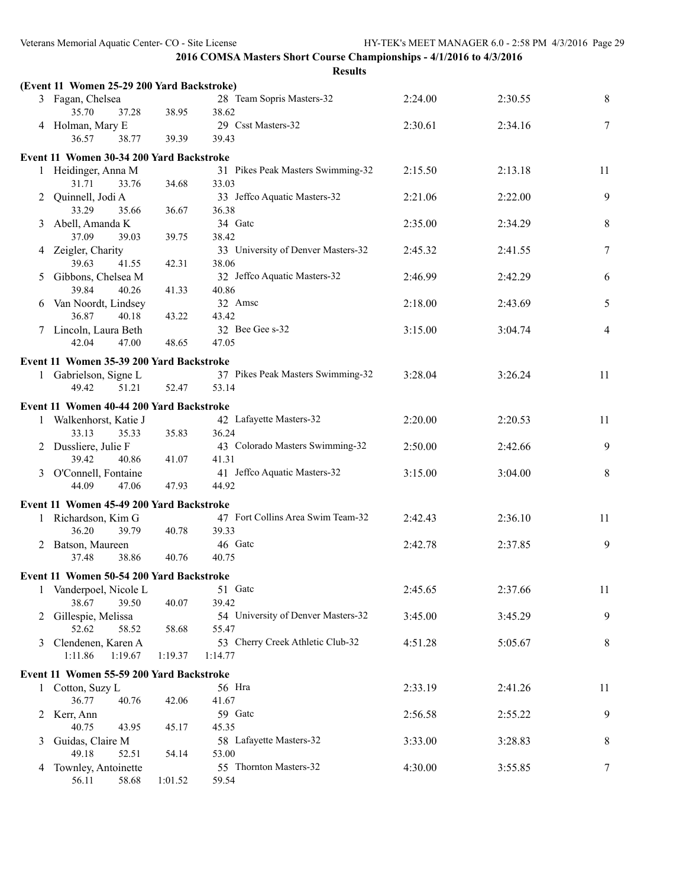|   | (Event 11 Women 25-29 200 Yard Backstroke) |         |                                             |         |         |                |
|---|--------------------------------------------|---------|---------------------------------------------|---------|---------|----------------|
|   | 3 Fagan, Chelsea<br>35.70<br>37.28         | 38.95   | 28 Team Sopris Masters-32<br>38.62          | 2:24.00 | 2:30.55 | 8              |
|   | 4 Holman, Mary E<br>36.57<br>38.77         | 39.39   | 29 Csst Masters-32<br>39.43                 | 2:30.61 | 2:34.16 | $\tau$         |
|   | Event 11 Women 30-34 200 Yard Backstroke   |         |                                             |         |         |                |
|   | 1 Heidinger, Anna M<br>31.71<br>33.76      | 34.68   | 31 Pikes Peak Masters Swimming-32<br>33.03  | 2:15.50 | 2:13.18 | 11             |
|   | 2 Quinnell, Jodi A                         |         | 33 Jeffco Aquatic Masters-32                | 2:21.06 | 2:22.00 | 9              |
| 3 | 33.29<br>35.66<br>Abell, Amanda K          | 36.67   | 36.38<br>34 Gate                            | 2:35.00 | 2:34.29 | 8              |
|   | 37.09<br>39.03<br>4 Zeigler, Charity       | 39.75   | 38.42<br>33 University of Denver Masters-32 | 2:45.32 | 2:41.55 | 7              |
| 5 | 39.63<br>41.55<br>Gibbons, Chelsea M       | 42.31   | 38.06<br>32 Jeffco Aquatic Masters-32       | 2:46.99 | 2:42.29 | 6              |
| 6 | 39.84<br>40.26<br>Van Noordt, Lindsey      | 41.33   | 40.86<br>32 Amsc                            | 2:18.00 | 2:43.69 | 5              |
|   | 36.87<br>40.18<br>7 Lincoln, Laura Beth    | 43.22   | 43.42<br>32 Bee Gee s-32                    |         |         |                |
|   | 42.04<br>47.00                             | 48.65   | 47.05                                       | 3:15.00 | 3:04.74 | $\overline{4}$ |
|   | Event 11 Women 35-39 200 Yard Backstroke   |         |                                             |         |         |                |
|   | 1 Gabrielson, Signe L<br>49.42<br>51.21    | 52.47   | 37 Pikes Peak Masters Swimming-32<br>53.14  | 3:28.04 | 3:26.24 | 11             |
|   | Event 11 Women 40-44 200 Yard Backstroke   |         |                                             |         |         |                |
|   | 1 Walkenhorst, Katie J<br>33.13<br>35.33   | 35.83   | 42 Lafayette Masters-32<br>36.24            | 2:20.00 | 2:20.53 | 11             |
|   | 2 Dussliere, Julie F<br>39.42<br>40.86     |         | 43 Colorado Masters Swimming-32<br>41.31    | 2:50.00 | 2:42.66 | 9              |
|   | 3 O'Connell, Fontaine                      | 41.07   | 41 Jeffco Aquatic Masters-32                | 3:15.00 | 3:04.00 | 8              |
|   | 44.09<br>47.06                             | 47.93   | 44.92                                       |         |         |                |
|   | Event 11 Women 45-49 200 Yard Backstroke   |         |                                             |         |         |                |
|   | 1 Richardson, Kim G<br>36.20<br>39.79      | 40.78   | 47 Fort Collins Area Swim Team-32<br>39.33  | 2:42.43 | 2:36.10 | 11             |
|   | 2 Batson, Maureen<br>37.48<br>38.86        | 40.76   | 46 Gate<br>40.75                            | 2:42.78 | 2:37.85 | 9              |
|   | Event 11 Women 50-54 200 Yard Backstroke   |         |                                             |         |         |                |
|   | Vanderpoel, Nicole L<br>38.67<br>39.50     | 40.07   | 51 Gate<br>39.42                            | 2:45.65 | 2:37.66 | 11             |
|   | 2 Gillespie, Melissa                       |         | 54 University of Denver Masters-32          | 3:45.00 | 3:45.29 | 9              |
|   | 52.62<br>58.52<br>Clendenen, Karen A       | 58.68   | 55.47<br>53 Cherry Creek Athletic Club-32   | 4:51.28 | 5:05.67 | 8              |
|   | 1:11.86<br>1:19.67                         | 1:19.37 | 1:14.77                                     |         |         |                |
|   | Event 11 Women 55-59 200 Yard Backstroke   |         |                                             |         |         |                |
|   | 1 Cotton, Suzy L<br>36.77<br>40.76         | 42.06   | 56 Hra<br>41.67                             | 2:33.19 | 2:41.26 | 11             |
|   | 2 Kerr, Ann<br>40.75<br>43.95              | 45.17   | 59 Gatc<br>45.35                            | 2:56.58 | 2:55.22 | 9              |
| 3 | Guidas, Claire M<br>49.18<br>52.51         | 54.14   | 58 Lafayette Masters-32<br>53.00            | 3:33.00 | 3:28.83 | 8              |
| 4 | Townley, Antoinette<br>56.11<br>58.68      | 1:01.52 | 55 Thornton Masters-32<br>59.54             | 4:30.00 | 3:55.85 | 7              |
|   |                                            |         |                                             |         |         |                |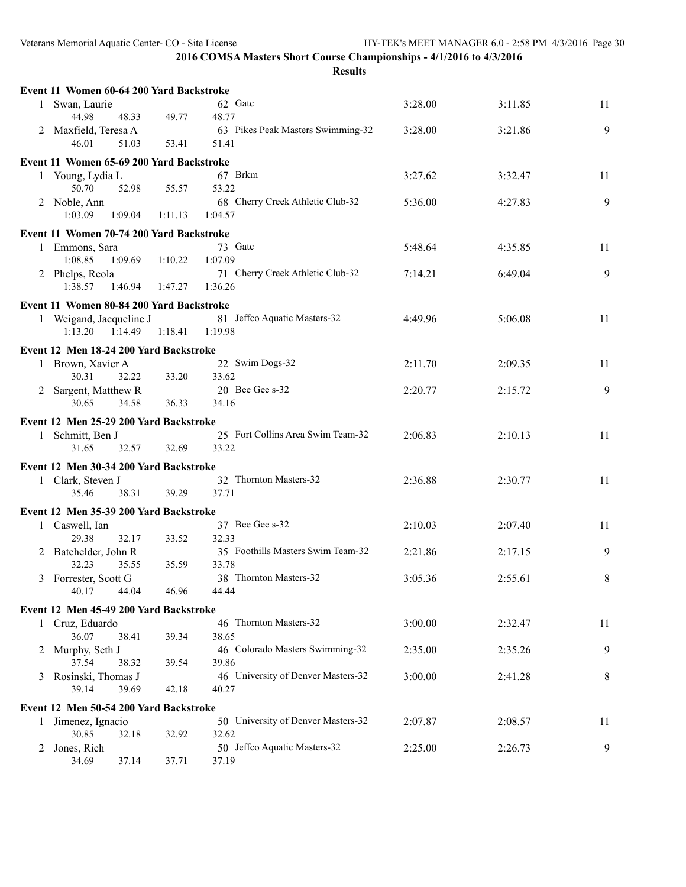|   | Event 11 Women 60-64 200 Yard Backstroke |         |                                    |         |         |    |
|---|------------------------------------------|---------|------------------------------------|---------|---------|----|
|   | 1 Swan, Laurie                           |         | 62 Gate                            | 3:28.00 | 3:11.85 | 11 |
|   | 44.98<br>48.33                           | 49.77   | 48.77                              |         |         |    |
|   | 2 Maxfield, Teresa A                     |         | 63 Pikes Peak Masters Swimming-32  | 3:28.00 | 3:21.86 | 9  |
|   | 46.01<br>51.03                           | 53.41   | 51.41                              |         |         |    |
|   | Event 11 Women 65-69 200 Yard Backstroke |         |                                    |         |         |    |
|   | 1 Young, Lydia L                         |         | 67 Brkm                            | 3:27.62 | 3:32.47 | 11 |
|   | 50.70<br>52.98                           | 55.57   | 53.22                              |         |         |    |
|   | 2 Noble, Ann                             |         | 68 Cherry Creek Athletic Club-32   | 5:36.00 | 4:27.83 | 9  |
|   | 1:03.09<br>1:09.04                       | 1:11.13 | 1:04.57                            |         |         |    |
|   |                                          |         |                                    |         |         |    |
|   | Event 11 Women 70-74 200 Yard Backstroke |         |                                    |         |         |    |
|   | 1 Emmons, Sara                           |         | 73 Gate                            | 5:48.64 | 4:35.85 | 11 |
|   | 1:08.85<br>1:09.69                       | 1:10.22 | 1:07.09                            |         |         |    |
|   | 2 Phelps, Reola                          |         | 71 Cherry Creek Athletic Club-32   | 7:14.21 | 6:49.04 | 9  |
|   | 1:38.57<br>1:46.94                       | 1:47.27 | 1:36.26                            |         |         |    |
|   | Event 11 Women 80-84 200 Yard Backstroke |         |                                    |         |         |    |
|   | 1 Weigand, Jacqueline J                  |         | 81 Jeffco Aquatic Masters-32       | 4:49.96 | 5:06.08 | 11 |
|   | 1:13.20<br>1:14.49                       | 1:18.41 | 1:19.98                            |         |         |    |
|   |                                          |         |                                    |         |         |    |
|   | Event 12 Men 18-24 200 Yard Backstroke   |         |                                    |         |         |    |
|   | 1 Brown, Xavier A                        |         | 22 Swim Dogs-32                    | 2:11.70 | 2:09.35 | 11 |
|   | 30.31<br>32.22                           | 33.20   | 33.62                              |         |         |    |
|   | 2 Sargent, Matthew R                     |         | 20 Bee Gee s-32                    | 2:20.77 | 2:15.72 | 9  |
|   | 30.65<br>34.58                           | 36.33   | 34.16                              |         |         |    |
|   | Event 12 Men 25-29 200 Yard Backstroke   |         |                                    |         |         |    |
| 1 | Schmitt, Ben J                           |         | 25 Fort Collins Area Swim Team-32  | 2:06.83 | 2:10.13 | 11 |
|   | 31.65<br>32.57                           | 32.69   | 33.22                              |         |         |    |
|   | Event 12 Men 30-34 200 Yard Backstroke   |         |                                    |         |         |    |
|   | 1 Clark, Steven J                        |         | 32 Thornton Masters-32             | 2:36.88 | 2:30.77 | 11 |
|   | 35.46<br>38.31                           | 39.29   | 37.71                              |         |         |    |
|   |                                          |         |                                    |         |         |    |
|   | Event 12 Men 35-39 200 Yard Backstroke   |         |                                    |         |         |    |
|   | 1 Caswell, Ian                           |         | 37 Bee Gee s-32                    | 2:10.03 | 2:07.40 | 11 |
|   | 29.38<br>32.17                           | 33.52   | 32.33                              |         |         |    |
|   | 2 Batchelder, John R                     |         | 35 Foothills Masters Swim Team-32  | 2:21.86 | 2:17.15 | 9  |
|   | 32.23<br>35.55                           | 35.59   | 33.78                              |         |         |    |
|   | 3 Forrester, Scott G                     |         | 38 Thornton Masters-32             | 3:05.36 | 2:55.61 | 8  |
|   | 40.17<br>44.04                           | 46.96   | 44.44                              |         |         |    |
|   | Event 12 Men 45-49 200 Yard Backstroke   |         |                                    |         |         |    |
|   | 1 Cruz, Eduardo                          |         | 46 Thornton Masters-32             | 3:00.00 | 2:32.47 | 11 |
|   | 36.07<br>38.41                           | 39.34   | 38.65                              |         |         |    |
| 2 | Murphy, Seth J                           |         | 46 Colorado Masters Swimming-32    | 2:35.00 | 2:35.26 | 9  |
|   | 37.54<br>38.32                           | 39.54   | 39.86                              |         |         |    |
| 3 | Rosinski, Thomas J                       |         | 46 University of Denver Masters-32 | 3:00.00 | 2:41.28 | 8  |
|   | 39.14<br>39.69                           | 42.18   | 40.27                              |         |         |    |
|   | Event 12 Men 50-54 200 Yard Backstroke   |         |                                    |         |         |    |
|   |                                          |         | 50 University of Denver Masters-32 | 2:07.87 | 2:08.57 | 11 |
| 1 | Jimenez, Ignacio<br>30.85                | 32.92   | 32.62                              |         |         |    |
|   | 32.18<br>Jones, Rich                     |         | 50 Jeffco Aquatic Masters-32       | 2:25.00 | 2:26.73 | 9  |
| 2 | 34.69<br>37.14                           | 37.71   | 37.19                              |         |         |    |
|   |                                          |         |                                    |         |         |    |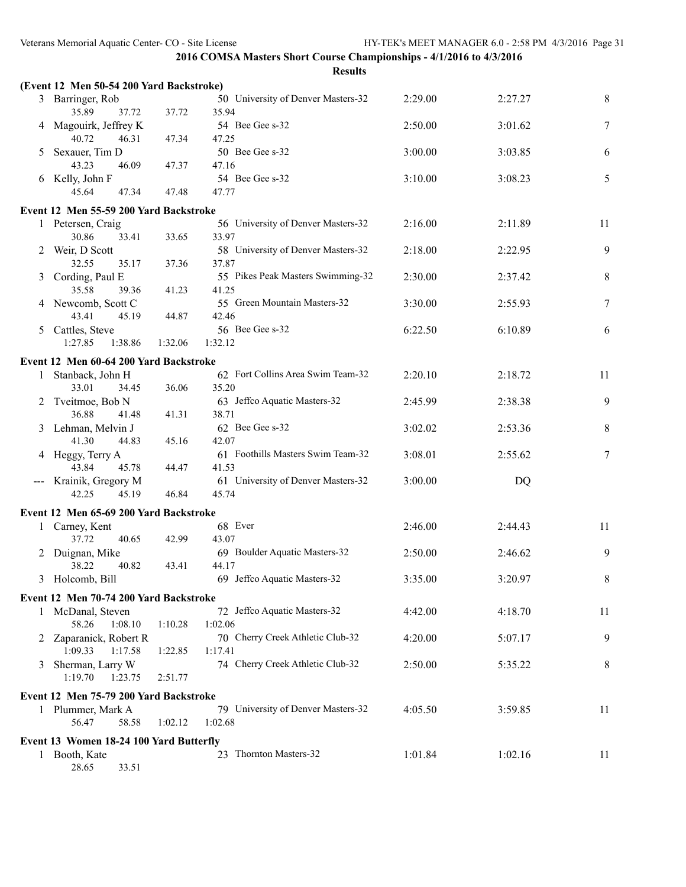|              | (Event 12 Men 50-54 200 Yard Backstroke)     |         |                                               |         |         |        |
|--------------|----------------------------------------------|---------|-----------------------------------------------|---------|---------|--------|
|              | 3 Barringer, Rob<br>35.89<br>37.72           | 37.72   | 50 University of Denver Masters-32<br>35.94   | 2:29.00 | 2:27.27 | 8      |
| 4            | Magouirk, Jeffrey K<br>40.72<br>46.31        | 47.34   | 54 Bee Gee s-32<br>47.25                      | 2:50.00 | 3:01.62 | $\tau$ |
| 5.           | Sexauer, Tim D<br>43.23<br>46.09             | 47.37   | 50 Bee Gee s-32<br>47.16                      | 3:00.00 | 3:03.85 | 6      |
| 6            | Kelly, John F<br>45.64<br>47.34              | 47.48   | 54 Bee Gee s-32<br>47.77                      | 3:10.00 | 3:08.23 | 5      |
|              | Event 12 Men 55-59 200 Yard Backstroke       |         |                                               |         |         |        |
|              | 1 Petersen, Craig<br>30.86<br>33.41          | 33.65   | 56 University of Denver Masters-32<br>33.97   | 2:16.00 | 2:11.89 | 11     |
| 2            | Weir, D Scott<br>32.55<br>35.17              | 37.36   | 58 University of Denver Masters-32<br>37.87   | 2:18.00 | 2:22.95 | 9      |
| 3            | Cording, Paul E<br>35.58<br>39.36            | 41.23   | 55 Pikes Peak Masters Swimming-32<br>41.25    | 2:30.00 | 2:37.42 | 8      |
|              | 4 Newcomb, Scott C<br>43.41<br>45.19         | 44.87   | 55 Green Mountain Masters-32<br>42.46         | 3:30.00 | 2:55.93 | 7      |
|              | 5 Cattles, Steve<br>1:27.85<br>1:38.86       | 1:32.06 | 56 Bee Gee s-32<br>1:32.12                    | 6:22.50 | 6:10.89 | 6      |
|              | Event 12 Men 60-64 200 Yard Backstroke       |         |                                               |         |         |        |
| $\mathbf{1}$ | Stanback, John H<br>33.01<br>34.45           | 36.06   | 62 Fort Collins Area Swim Team-32<br>35.20    | 2:20.10 | 2:18.72 | 11     |
|              | 2 Tveitmoe, Bob N<br>36.88<br>41.48          | 41.31   | 63 Jeffco Aquatic Masters-32<br>38.71         | 2:45.99 | 2:38.38 | 9      |
|              | 3 Lehman, Melvin J<br>41.30<br>44.83         | 45.16   | 62 Bee Gee s-32<br>42.07                      | 3:02.02 | 2:53.36 | 8      |
|              | 4 Heggy, Terry A<br>43.84<br>45.78           | 44.47   | 61 Foothills Masters Swim Team-32<br>41.53    | 3:08.01 | 2:55.62 | $\tau$ |
|              | --- Krainik, Gregory M<br>42.25<br>45.19     | 46.84   | 61 University of Denver Masters-32<br>45.74   | 3:00.00 | DQ      |        |
|              | Event 12 Men 65-69 200 Yard Backstroke       |         |                                               |         |         |        |
|              | 1 Carney, Kent<br>37.72<br>40.65             | 42.99   | 68 Ever<br>43.07                              | 2:46.00 | 2:44.43 | 11     |
|              | Duignan, Mike<br>38.22<br>40.82              | 43.41   | 69 Boulder Aquatic Masters-32<br>44.17        | 2:50.00 | 2:46.62 | 9      |
|              | 3 Holcomb, Bill                              |         | 69 Jeffco Aquatic Masters-32                  | 3:35.00 | 3:20.97 | 8      |
|              | Event 12 Men 70-74 200 Yard Backstroke       |         |                                               |         |         |        |
|              | 1 McDanal, Steven<br>58.26<br>1:08.10        | 1:10.28 | 72 Jeffco Aquatic Masters-32<br>1:02.06       | 4:42.00 | 4:18.70 | 11     |
|              | 2 Zaparanick, Robert R<br>1:09.33<br>1:17.58 | 1:22.85 | 70 Cherry Creek Athletic Club-32<br>1:17.41   | 4:20.00 | 5:07.17 | 9      |
|              | 3 Sherman, Larry W<br>1:19.70<br>1:23.75     | 2:51.77 | 74 Cherry Creek Athletic Club-32              | 2:50.00 | 5:35.22 | 8      |
|              | Event 12 Men 75-79 200 Yard Backstroke       |         |                                               |         |         |        |
|              | 1 Plummer, Mark A<br>56.47<br>58.58          | 1:02.12 | 79 University of Denver Masters-32<br>1:02.68 | 4:05.50 | 3:59.85 | 11     |
|              | Event 13 Women 18-24 100 Yard Butterfly      |         |                                               |         |         |        |
|              | 1 Booth, Kate<br>28.65<br>33.51              |         | 23 Thornton Masters-32                        | 1:01.84 | 1:02.16 | 11     |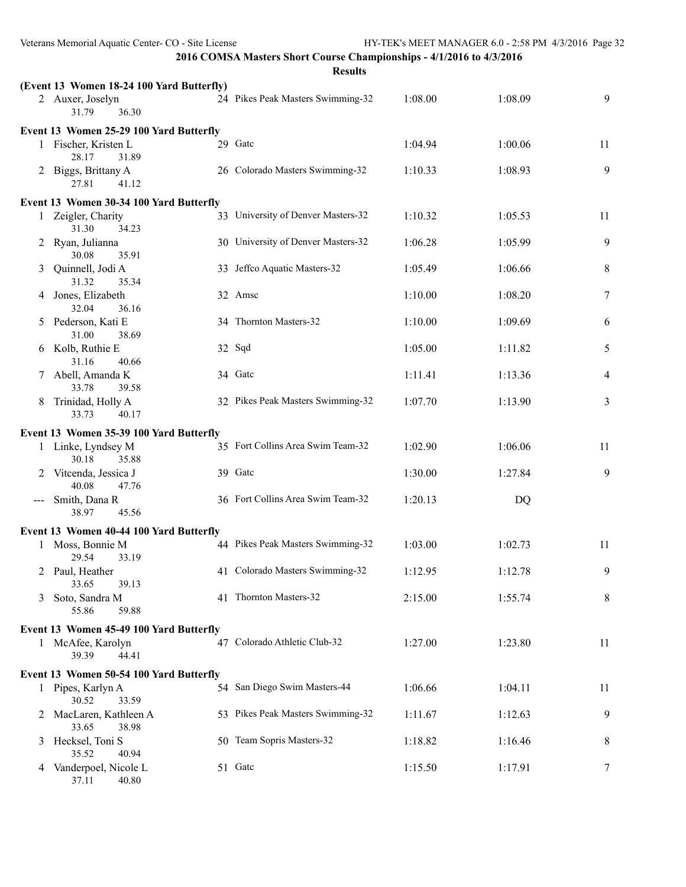|                     | (Event 13 Women 18-24 100 Yard Butterfly) |                                    |         |         |        |
|---------------------|-------------------------------------------|------------------------------------|---------|---------|--------|
|                     | 2 Auxer, Joselyn<br>31.79<br>36.30        | 24 Pikes Peak Masters Swimming-32  | 1:08.00 | 1:08.09 | 9      |
|                     | Event 13 Women 25-29 100 Yard Butterfly   |                                    |         |         |        |
|                     | 1 Fischer, Kristen L<br>28.17<br>31.89    | 29 Gate                            | 1:04.94 | 1:00.06 | 11     |
|                     | 2 Biggs, Brittany A<br>27.81<br>41.12     | 26 Colorado Masters Swimming-32    | 1:10.33 | 1:08.93 | 9      |
|                     | Event 13 Women 30-34 100 Yard Butterfly   |                                    |         |         |        |
|                     | 1 Zeigler, Charity<br>31.30<br>34.23      | 33 University of Denver Masters-32 | 1:10.32 | 1:05.53 | 11     |
|                     | 2 Ryan, Julianna<br>30.08<br>35.91        | 30 University of Denver Masters-32 | 1:06.28 | 1:05.99 | 9      |
| 3                   | Quinnell, Jodi A<br>31.32<br>35.34        | 33 Jeffco Aquatic Masters-32       | 1:05.49 | 1:06.66 | 8      |
|                     | 4 Jones, Elizabeth<br>32.04<br>36.16      | 32 Amsc                            | 1:10.00 | 1:08.20 | $\tau$ |
|                     | 5 Pederson, Kati E<br>31.00<br>38.69      | 34 Thornton Masters-32             | 1:10.00 | 1:09.69 | 6      |
|                     | 6 Kolb, Ruthie E<br>31.16<br>40.66        | 32 Sqd                             | 1:05.00 | 1:11.82 | 5      |
|                     | 7 Abell, Amanda K<br>33.78<br>39.58       | 34 Gate                            | 1:11.41 | 1:13.36 | 4      |
| 8                   | Trinidad, Holly A<br>33.73<br>40.17       | 32 Pikes Peak Masters Swimming-32  | 1:07.70 | 1:13.90 | 3      |
|                     | Event 13 Women 35-39 100 Yard Butterfly   |                                    |         |         |        |
|                     | 1 Linke, Lyndsey M<br>30.18<br>35.88      | 35 Fort Collins Area Swim Team-32  | 1:02.90 | 1:06.06 | 11     |
|                     | 2 Vitcenda, Jessica J<br>40.08<br>47.76   | 39 Gate                            | 1:30.00 | 1:27.84 | 9      |
| $\qquad \qquad - -$ | Smith, Dana R<br>38.97<br>45.56           | 36 Fort Collins Area Swim Team-32  | 1:20.13 | DQ      |        |
|                     | Event 13 Women 40-44 100 Yard Butterfly   |                                    |         |         |        |
|                     | 1 Moss, Bonnie M<br>29.54<br>33.19        | 44 Pikes Peak Masters Swimming-32  | 1:03.00 | 1:02.73 | 11     |
|                     | 2 Paul, Heather<br>33.65<br>39.13         | 41 Colorado Masters Swimming-32    | 1:12.95 | 1:12.78 | 9      |
| 3                   | Soto, Sandra M<br>55.86<br>59.88          | 41 Thornton Masters-32             | 2:15.00 | 1:55.74 | 8      |
|                     | Event 13 Women 45-49 100 Yard Butterfly   |                                    |         |         |        |
|                     | McAfee, Karolyn<br>39.39<br>44.41         | 47 Colorado Athletic Club-32       | 1:27.00 | 1:23.80 | 11     |
|                     | Event 13 Women 50-54 100 Yard Butterfly   |                                    |         |         |        |
|                     | 1 Pipes, Karlyn A<br>30.52<br>33.59       | 54 San Diego Swim Masters-44       | 1:06.66 | 1:04.11 | 11     |
|                     | 2 MacLaren, Kathleen A<br>33.65<br>38.98  | 53 Pikes Peak Masters Swimming-32  | 1:11.67 | 1:12.63 | 9      |
|                     | 3 Hecksel, Toni S<br>35.52<br>40.94       | 50 Team Sopris Masters-32          | 1:18.82 | 1:16.46 | 8      |
| 4                   | Vanderpoel, Nicole L<br>37.11<br>40.80    | 51 Gatc                            | 1:15.50 | 1:17.91 | 7      |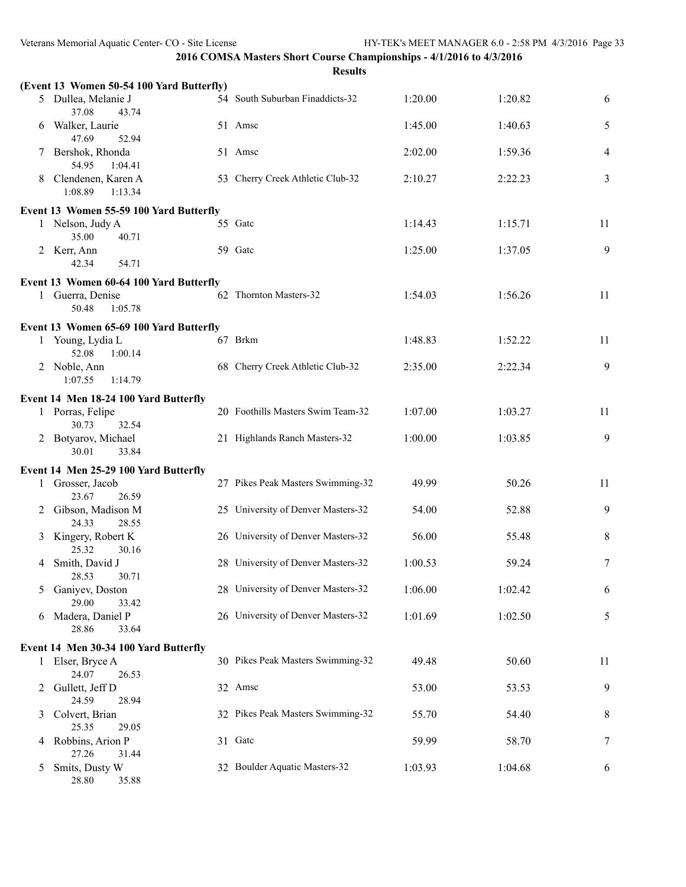|   |                                           | <b>Results</b>                     |         |         |    |
|---|-------------------------------------------|------------------------------------|---------|---------|----|
|   | (Event 13 Women 50-54 100 Yard Butterfly) |                                    |         |         |    |
|   | 5 Dullea, Melanie J<br>37.08<br>43.74     | 54 South Suburban Finaddicts-32    | 1:20.00 | 1:20.82 | 6  |
|   | 6 Walker, Laurie<br>47.69<br>52.94        | 51 Amsc                            | 1:45.00 | 1:40.63 | 5  |
|   | 7 Bershok, Rhonda<br>54.95<br>1:04.41     | 51 Amsc                            | 2:02.00 | 1:59.36 | 4  |
| 8 | Clendenen, Karen A<br>1:08.89<br>1:13.34  | 53 Cherry Creek Athletic Club-32   | 2:10.27 | 2:22.23 | 3  |
|   | Event 13 Women 55-59 100 Yard Butterfly   |                                    |         |         |    |
|   | 1 Nelson, Judy A<br>35.00<br>40.71        | 55 Gate                            | 1:14.43 | 1:15.71 | 11 |
|   | 2 Kerr, Ann<br>42.34<br>54.71             | 59 Gatc                            | 1:25.00 | 1:37.05 | 9  |
|   | Event 13 Women 60-64 100 Yard Butterfly   |                                    |         |         |    |
|   | 1 Guerra, Denise<br>50.48<br>1:05.78      | 62 Thornton Masters-32             | 1:54.03 | 1:56.26 | 11 |
|   | Event 13 Women 65-69 100 Yard Butterfly   |                                    |         |         |    |
|   | 1 Young, Lydia L<br>52.08<br>1:00.14      | 67 Brkm                            | 1:48.83 | 1:52.22 | 11 |
|   | 2 Noble, Ann<br>1:07.55<br>1:14.79        | 68 Cherry Creek Athletic Club-32   | 2:35.00 | 2:22.34 | 9  |
|   | Event 14 Men 18-24 100 Yard Butterfly     |                                    |         |         |    |
|   | 1 Porras, Felipe<br>30.73<br>32.54        | 20 Foothills Masters Swim Team-32  | 1:07.00 | 1:03.27 | 11 |
|   | 2 Botyarov, Michael<br>30.01<br>33.84     | 21 Highlands Ranch Masters-32      | 1:00.00 | 1:03.85 | 9  |
|   | Event 14 Men 25-29 100 Yard Butterfly     |                                    |         |         |    |
|   | 1 Grosser, Jacob<br>23.67<br>26.59        | 27 Pikes Peak Masters Swimming-32  | 49.99   | 50.26   | 11 |
|   | 2 Gibson, Madison M<br>24.33<br>28.55     | 25 University of Denver Masters-32 | 54.00   | 52.88   | 9  |
|   | 3 Kingery, Robert K<br>25.32<br>30.16     | 26 University of Denver Masters-32 | 56.00   | 55.48   | 8  |
|   | 4 Smith, David J<br>28.53<br>30.71        | 28 University of Denver Masters-32 | 1:00.53 | 59.24   | 7  |
| 5 | Ganiyev, Doston<br>29.00<br>33.42         | 28 University of Denver Masters-32 | 1:06.00 | 1:02.42 | 6  |
|   | 6 Madera, Daniel P<br>28.86<br>33.64      | 26 University of Denver Masters-32 | 1:01.69 | 1:02.50 | 5  |
|   | Event 14 Men 30-34 100 Yard Butterfly     |                                    |         |         |    |
|   | 1 Elser, Bryce A<br>24.07<br>26.53        | 30 Pikes Peak Masters Swimming-32  | 49.48   | 50.60   | 11 |
|   | 2 Gullett, Jeff D<br>24.59<br>28.94       | 32 Amse                            | 53.00   | 53.53   | 9  |
| 3 | Colvert, Brian<br>25.35<br>29.05          | 32 Pikes Peak Masters Swimming-32  | 55.70   | 54.40   | 8  |
|   | 4 Robbins, Arion P<br>27.26<br>31.44      | 31 Gate                            | 59.99   | 58.70   | 7  |
| 5 | Smits, Dusty W<br>28.80<br>35.88          | 32 Boulder Aquatic Masters-32      | 1:03.93 | 1:04.68 | 6  |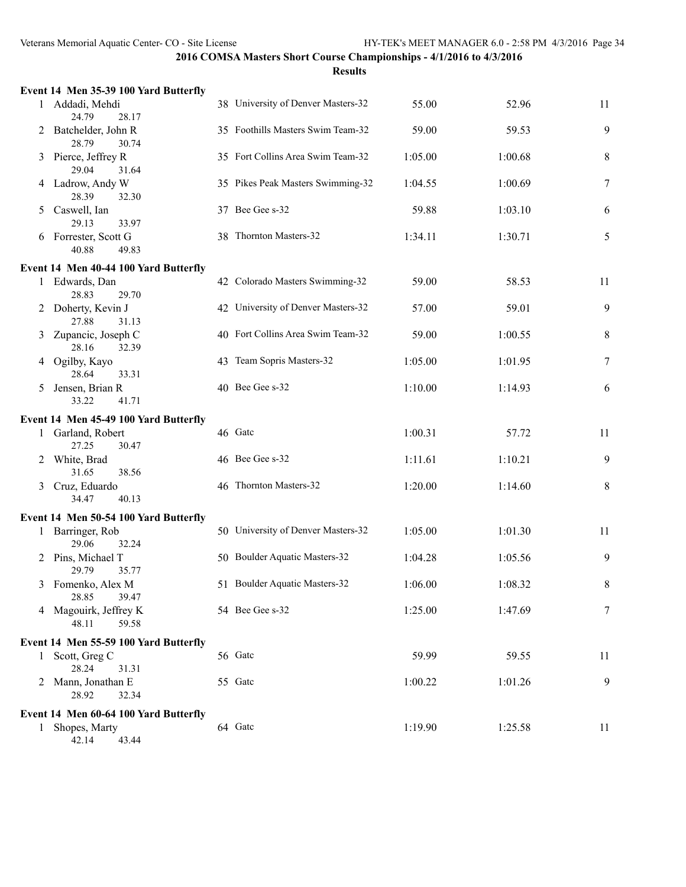|              | Event 14 Men 35-39 100 Yard Butterfly                     |                                    |         |         |       |
|--------------|-----------------------------------------------------------|------------------------------------|---------|---------|-------|
|              | Addadi, Mehdi<br>24.79<br>28.17                           | 38 University of Denver Masters-32 | 55.00   | 52.96   | 11    |
|              | Batchelder, John R<br>28.79<br>30.74                      | 35 Foothills Masters Swim Team-32  | 59.00   | 59.53   | 9     |
| 3            | Pierce, Jeffrey R<br>29.04<br>31.64                       | 35 Fort Collins Area Swim Team-32  | 1:05.00 | 1:00.68 | 8     |
|              | 4 Ladrow, Andy W<br>28.39<br>32.30                        | 35 Pikes Peak Masters Swimming-32  | 1:04.55 | 1:00.69 | 7     |
| 5            | Caswell, Ian<br>29.13<br>33.97                            | 37 Bee Gee s-32                    | 59.88   | 1:03.10 | 6     |
|              | 6 Forrester, Scott G<br>40.88<br>49.83                    | 38 Thornton Masters-32             | 1:34.11 | 1:30.71 | 5     |
|              | Event 14 Men 40-44 100 Yard Butterfly                     |                                    |         |         |       |
|              | 1 Edwards, Dan<br>28.83<br>29.70                          | 42 Colorado Masters Swimming-32    | 59.00   | 58.53   | 11    |
|              | 2 Doherty, Kevin J<br>27.88<br>31.13                      | 42 University of Denver Masters-32 | 57.00   | 59.01   | 9     |
| 3            | Zupancic, Joseph C<br>28.16<br>32.39                      | 40 Fort Collins Area Swim Team-32  | 59.00   | 1:00.55 | $8\,$ |
|              | 4 Ogilby, Kayo<br>28.64<br>33.31                          | 43 Team Sopris Masters-32          | 1:05.00 | 1:01.95 | 7     |
| 5            | Jensen, Brian R<br>33.22<br>41.71                         | 40 Bee Gee s-32                    | 1:10.00 | 1:14.93 | 6     |
|              |                                                           |                                    |         |         |       |
|              |                                                           |                                    |         |         |       |
| $\mathbf{1}$ | Event 14 Men 45-49 100 Yard Butterfly<br>Garland, Robert  | 46 Gatc                            | 1:00.31 | 57.72   | 11    |
| 2            | 27.25<br>30.47<br>White, Brad<br>31.65<br>38.56           | 46 Bee Gee s-32                    | 1:11.61 | 1:10.21 | 9     |
| 3            | Cruz, Eduardo<br>34.47<br>40.13                           | 46 Thornton Masters-32             | 1:20.00 | 1:14.60 | $8\,$ |
|              |                                                           |                                    |         |         |       |
|              | Event 14 Men 50-54 100 Yard Butterfly<br>1 Barringer, Rob | 50 University of Denver Masters-32 | 1:05.00 | 1:01.30 | 11    |
|              | 29.06<br>32.24<br>2 Pins, Michael T<br>29.79<br>35.77     | 50 Boulder Aquatic Masters-32      | 1:04.28 | 1:05.56 | 9     |
|              | 3 Fomenko, Alex M<br>28.85<br>39.47                       | 51 Boulder Aquatic Masters-32      | 1:06.00 | 1:08.32 | 8     |
|              | 4 Magouirk, Jeffrey K<br>48.11<br>59.58                   | 54 Bee Gee s-32                    | 1:25.00 | 1:47.69 | 7     |
|              |                                                           |                                    |         |         |       |
| $\mathbf{1}$ | Event 14 Men 55-59 100 Yard Butterfly<br>Scott, Greg C    | 56 Gatc                            | 59.99   | 59.55   | 11    |
|              | 28.24<br>31.31<br>2 Mann, Jonathan E<br>28.92<br>32.34    | 55 Gate                            | 1:00.22 | 1:01.26 | 9     |
|              | Event 14 Men 60-64 100 Yard Butterfly                     |                                    |         |         |       |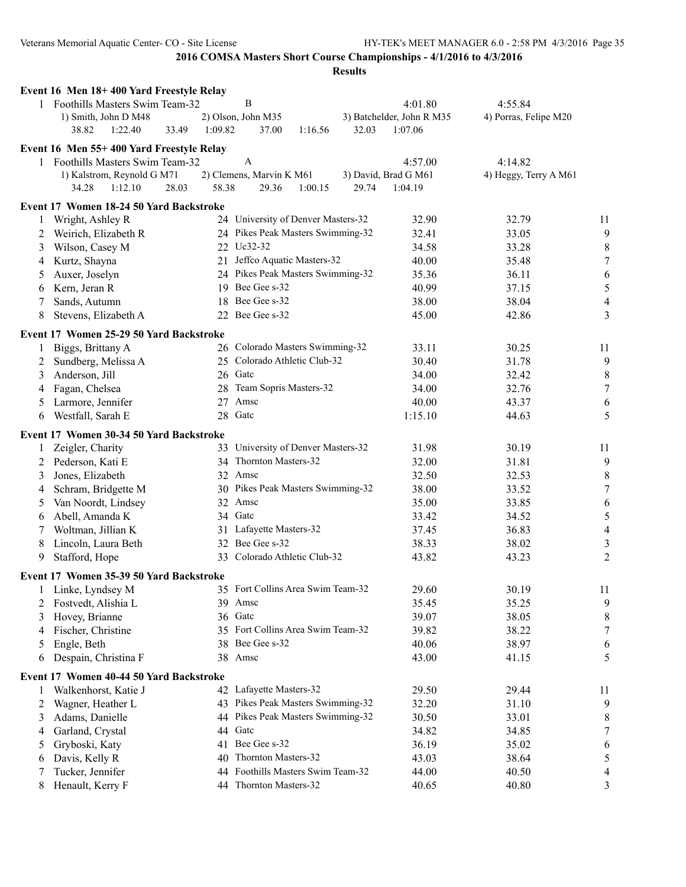|              | Event 16 Men 18+400 Yard Freestyle Relay |         |                                    |       |                           |                       |                         |
|--------------|------------------------------------------|---------|------------------------------------|-------|---------------------------|-----------------------|-------------------------|
|              | 1 Foothills Masters Swim Team-32         |         | $\, {\bf B}$                       |       | 4:01.80                   | 4:55.84               |                         |
|              | 1) Smith, John D M48                     |         | 2) Olson, John M35                 |       | 3) Batchelder, John R M35 | 4) Porras, Felipe M20 |                         |
|              | 38.82<br>1:22.40<br>33.49                | 1:09.82 | 37.00<br>1:16.56                   | 32.03 | 1:07.06                   |                       |                         |
|              | Event 16 Men 55+400 Yard Freestyle Relay |         |                                    |       |                           |                       |                         |
|              | 1 Foothills Masters Swim Team-32         |         | A                                  |       | 4:57.00                   | 4:14.82               |                         |
|              | 1) Kalstrom, Reynold G M71               |         | 2) Clemens, Marvin K M61           |       | 3) David, Brad G M61      | 4) Heggy, Terry A M61 |                         |
|              | 34.28<br>1:12.10<br>28.03                | 58.38   | 29.36<br>1:00.15                   | 29.74 | 1:04.19                   |                       |                         |
|              | Event 17 Women 18-24 50 Yard Backstroke  |         |                                    |       |                           |                       |                         |
|              | 1 Wright, Ashley R                       |         | 24 University of Denver Masters-32 |       | 32.90                     | 32.79                 | 11                      |
|              | 2 Weirich, Elizabeth R                   |         | 24 Pikes Peak Masters Swimming-32  |       | 32.41                     | 33.05                 | $\overline{9}$          |
| 3            | Wilson, Casey M                          |         | 22 Uc32-32                         |       | 34.58                     | 33.28                 | $\,8\,$                 |
| 4            | Kurtz, Shayna                            |         | 21 Jeffco Aquatic Masters-32       |       | 40.00                     | 35.48                 | $\boldsymbol{7}$        |
| 5            | Auxer, Joselyn                           |         | 24 Pikes Peak Masters Swimming-32  |       | 35.36                     | 36.11                 | 6                       |
| 6            | Kern, Jeran R                            |         | 19 Bee Gee s-32                    |       | 40.99                     | 37.15                 | 5                       |
| 7            | Sands, Autumn                            |         | 18 Bee Gee s-32                    |       | 38.00                     | 38.04                 | $\overline{\mathbf{4}}$ |
| 8            | Stevens, Elizabeth A                     |         | 22 Bee Gee s-32                    |       | 45.00                     | 42.86                 | 3                       |
|              |                                          |         |                                    |       |                           |                       |                         |
|              | Event 17 Women 25-29 50 Yard Backstroke  |         |                                    |       |                           |                       |                         |
| $\mathbf{1}$ | Biggs, Brittany A                        |         | 26 Colorado Masters Swimming-32    |       | 33.11                     | 30.25                 | 11                      |
| 2            | Sundberg, Melissa A                      |         | 25 Colorado Athletic Club-32       |       | 30.40                     | 31.78                 | 9                       |
| 3            | Anderson, Jill                           |         | 26 Gate                            |       | 34.00                     | 32.42                 | $\,8\,$                 |
| 4            | Fagan, Chelsea                           |         | 28 Team Sopris Masters-32          |       | 34.00                     | 32.76                 | $\boldsymbol{7}$        |
| 5            | Larmore, Jennifer                        | 27      | Amsc                               |       | 40.00                     | 43.37                 | 6                       |
| 6            | Westfall, Sarah E                        |         | 28 Gatc                            |       | 1:15.10                   | 44.63                 | 5                       |
|              | Event 17 Women 30-34 50 Yard Backstroke  |         |                                    |       |                           |                       |                         |
| 1            | Zeigler, Charity                         |         | 33 University of Denver Masters-32 |       | 31.98                     | 30.19                 | 11                      |
|              | 2 Pederson, Kati E                       |         | 34 Thornton Masters-32             |       | 32.00                     | 31.81                 | 9                       |
| 3            | Jones, Elizabeth                         |         | 32 Amsc                            |       | 32.50                     | 32.53                 | $\,8\,$                 |
| 4            | Schram, Bridgette M                      |         | 30 Pikes Peak Masters Swimming-32  |       | 38.00                     | 33.52                 | $\boldsymbol{7}$        |
| 5            | Van Noordt, Lindsey                      |         | 32 Amsc                            |       | 35.00                     | 33.85                 | 6                       |
| 6            | Abell, Amanda K                          |         | 34 Gate                            |       | 33.42                     | 34.52                 | 5                       |
| 7            | Woltman, Jillian K                       |         | 31 Lafayette Masters-32            |       | 37.45                     | 36.83                 | $\overline{4}$          |
| 8            | Lincoln, Laura Beth                      |         | 32 Bee Gee s-32                    |       | 38.33                     | 38.02                 | $\mathfrak{Z}$          |
| 9            | Stafford, Hope                           |         | 33 Colorado Athletic Club-32       |       | 43.82                     | 43.23                 | $\overline{2}$          |
|              |                                          |         |                                    |       |                           |                       |                         |
|              | Event 17 Women 35-39 50 Yard Backstroke  |         | 35 Fort Collins Area Swim Team-32  |       |                           |                       |                         |
| 1            | Linke, Lyndsey M                         |         |                                    |       | 29.60                     | 30.19                 | 11                      |
|              | Fostvedt, Alishia L                      |         | 39 Amsc<br>36 Gatc                 |       | 35.45                     | 35.25                 | 9                       |
| 3            | Hovey, Brianne                           |         | 35 Fort Collins Area Swim Team-32  |       | 39.07                     | 38.05                 | 8                       |
| 4            | Fischer, Christine                       |         | 38 Bee Gee s-32                    |       | 39.82                     | 38.22                 | 7                       |
| 5            | Engle, Beth                              |         |                                    |       | 40.06                     | 38.97                 | 6                       |
| 6            | Despain, Christina F                     |         | 38 Amsc                            |       | 43.00                     | 41.15                 | 5                       |
|              | Event 17 Women 40-44 50 Yard Backstroke  |         |                                    |       |                           |                       |                         |
| 1            | Walkenhorst, Katie J                     |         | 42 Lafayette Masters-32            |       | 29.50                     | 29.44                 | 11                      |
| 2            | Wagner, Heather L                        |         | 43 Pikes Peak Masters Swimming-32  |       | 32.20                     | 31.10                 | 9                       |
| 3            | Adams, Danielle                          |         | 44 Pikes Peak Masters Swimming-32  |       | 30.50                     | 33.01                 | 8                       |
| 4            | Garland, Crystal                         |         | 44 Gatc                            |       | 34.82                     | 34.85                 | 7                       |
| 5            | Gryboski, Katy                           |         | 41 Bee Gee s-32                    |       | 36.19                     | 35.02                 | 6                       |
| 6            | Davis, Kelly R                           |         | 40 Thornton Masters-32             |       | 43.03                     | 38.64                 | 5                       |
|              | Tucker, Jennifer                         |         | 44 Foothills Masters Swim Team-32  |       | 44.00                     | 40.50                 | 4                       |
| 8            | Henault, Kerry F                         |         | 44 Thornton Masters-32             |       | 40.65                     | 40.80                 | 3                       |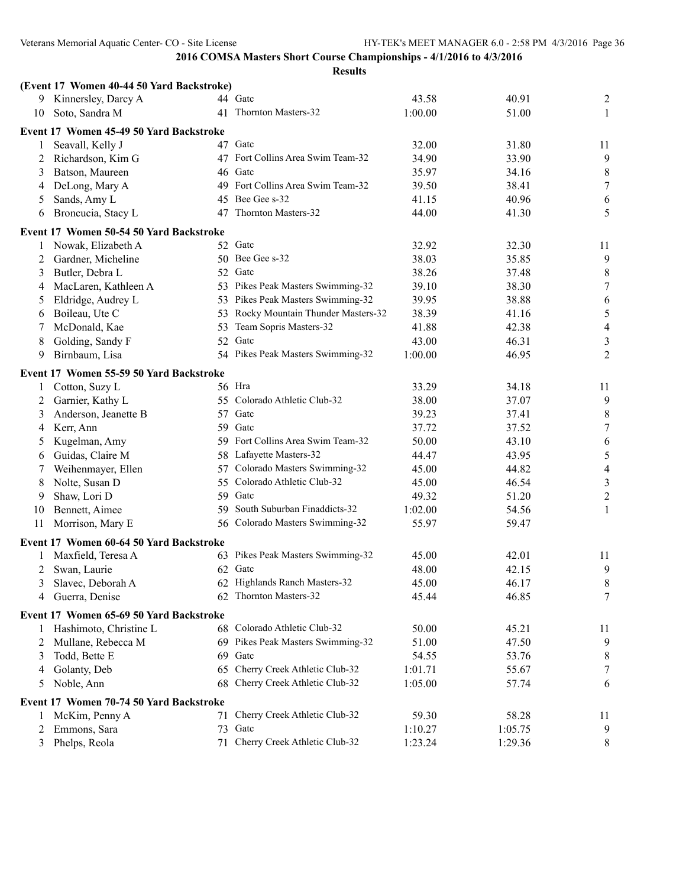|              | (Event 17 Women 40-44 50 Yard Backstroke) |    |                                      |         |         |                |
|--------------|-------------------------------------------|----|--------------------------------------|---------|---------|----------------|
|              | 9 Kinnersley, Darcy A                     |    | 44 Gatc                              | 43.58   | 40.91   | $\overline{2}$ |
| 10           | Soto, Sandra M                            |    | 41 Thornton Masters-32               | 1:00.00 | 51.00   | 1              |
|              | Event 17 Women 45-49 50 Yard Backstroke   |    |                                      |         |         |                |
| 1            | Seavall, Kelly J                          |    | 47 Gatc                              | 32.00   | 31.80   | 11             |
| 2            | Richardson, Kim G                         |    | 47 Fort Collins Area Swim Team-32    | 34.90   | 33.90   | 9              |
| 3            | Batson, Maureen                           |    | 46 Gatc                              | 35.97   | 34.16   | $\,8\,$        |
| 4            | DeLong, Mary A                            |    | 49 Fort Collins Area Swim Team-32    | 39.50   | 38.41   | $\tau$         |
| 5            | Sands, Amy L                              | 45 | Bee Gee s-32                         | 41.15   | 40.96   | 6              |
| 6            | Broncucia, Stacy L                        | 47 | Thornton Masters-32                  | 44.00   | 41.30   | 5              |
|              | Event 17 Women 50-54 50 Yard Backstroke   |    |                                      |         |         |                |
|              | Nowak, Elizabeth A                        |    | 52 Gate                              | 32.92   | 32.30   | 11             |
| 2            | Gardner, Micheline                        |    | 50 Bee Gee s-32                      | 38.03   | 35.85   | 9              |
| 3            | Butler, Debra L                           |    | 52 Gate                              | 38.26   | 37.48   | 8              |
| 4            | MacLaren, Kathleen A                      |    | 53 Pikes Peak Masters Swimming-32    | 39.10   | 38.30   | $\tau$         |
| 5            | Eldridge, Audrey L                        |    | 53 Pikes Peak Masters Swimming-32    | 39.95   | 38.88   | 6              |
| 6            | Boileau, Ute C                            |    | 53 Rocky Mountain Thunder Masters-32 | 38.39   | 41.16   | $\sqrt{5}$     |
| 7            | McDonald, Kae                             | 53 | Team Sopris Masters-32               | 41.88   | 42.38   | $\overline{4}$ |
| 8            | Golding, Sandy F                          |    | 52 Gate                              | 43.00   | 46.31   | $\mathfrak{Z}$ |
| 9            | Birnbaum, Lisa                            |    | 54 Pikes Peak Masters Swimming-32    | 1:00.00 | 46.95   | $\overline{2}$ |
|              | Event 17 Women 55-59 50 Yard Backstroke   |    |                                      |         |         |                |
| 1            | Cotton, Suzy L                            |    | 56 Hra                               | 33.29   | 34.18   | 11             |
| 2            | Garnier, Kathy L                          |    | 55 Colorado Athletic Club-32         | 38.00   | 37.07   | 9              |
| 3            | Anderson, Jeanette B                      |    | 57 Gate                              | 39.23   | 37.41   | 8              |
| 4            | Kerr, Ann                                 |    | 59 Gate                              | 37.72   | 37.52   | $\tau$         |
| 5            | Kugelman, Amy                             |    | 59 Fort Collins Area Swim Team-32    | 50.00   | 43.10   | 6              |
| 6            | Guidas, Claire M                          |    | 58 Lafayette Masters-32              | 44.47   | 43.95   | $\mathfrak s$  |
| 7            | Weihenmayer, Ellen                        |    | 57 Colorado Masters Swimming-32      | 45.00   | 44.82   | $\overline{4}$ |
| 8            | Nolte, Susan D                            | 55 | Colorado Athletic Club-32            | 45.00   | 46.54   | $\mathfrak{Z}$ |
| 9            | Shaw, Lori D                              |    | 59 Gate                              | 49.32   | 51.20   | $\sqrt{2}$     |
| 10           | Bennett, Aimee                            | 59 | South Suburban Finaddicts-32         | 1:02.00 | 54.56   | $\mathbf{1}$   |
| 11           | Morrison, Mary E                          |    | 56 Colorado Masters Swimming-32      | 55.97   | 59.47   |                |
|              | Event 17 Women 60-64 50 Yard Backstroke   |    |                                      |         |         |                |
| 1            | Maxfield, Teresa A                        |    | 63 Pikes Peak Masters Swimming-32    | 45.00   | 42.01   | 11             |
| 2            | Swan, Laurie                              |    | 62 Gate                              | 48.00   | 42.15   | 9              |
| 3            | Slavec, Deborah A                         |    | 62 Highlands Ranch Masters-32        | 45.00   | 46.17   | 8              |
| 4            | Guerra, Denise                            |    | 62 Thornton Masters-32               | 45.44   | 46.85   | 7              |
|              | Event 17 Women 65-69 50 Yard Backstroke   |    |                                      |         |         |                |
|              | Hashimoto, Christine L                    |    | 68 Colorado Athletic Club-32         | 50.00   | 45.21   | 11             |
| 2            | Mullane, Rebecca M                        |    | 69 Pikes Peak Masters Swimming-32    | 51.00   | 47.50   | 9              |
| 3            | Todd, Bette E                             |    | 69 Gatc                              | 54.55   | 53.76   | 8              |
| 4            | Golanty, Deb                              | 65 | Cherry Creek Athletic Club-32        | 1:01.71 | 55.67   | 7              |
| 5            | Noble, Ann                                | 68 | Cherry Creek Athletic Club-32        | 1:05.00 | 57.74   | 6              |
|              | Event 17 Women 70-74 50 Yard Backstroke   |    |                                      |         |         |                |
| $\mathbf{I}$ | McKim, Penny A                            | 71 | Cherry Creek Athletic Club-32        | 59.30   | 58.28   | 11             |
| 2            | Emmons, Sara                              |    | 73 Gate                              | 1:10.27 | 1:05.75 | 9              |
| 3            | Phelps, Reola                             | 71 | Cherry Creek Athletic Club-32        | 1:23.24 | 1:29.36 | 8              |
|              |                                           |    |                                      |         |         |                |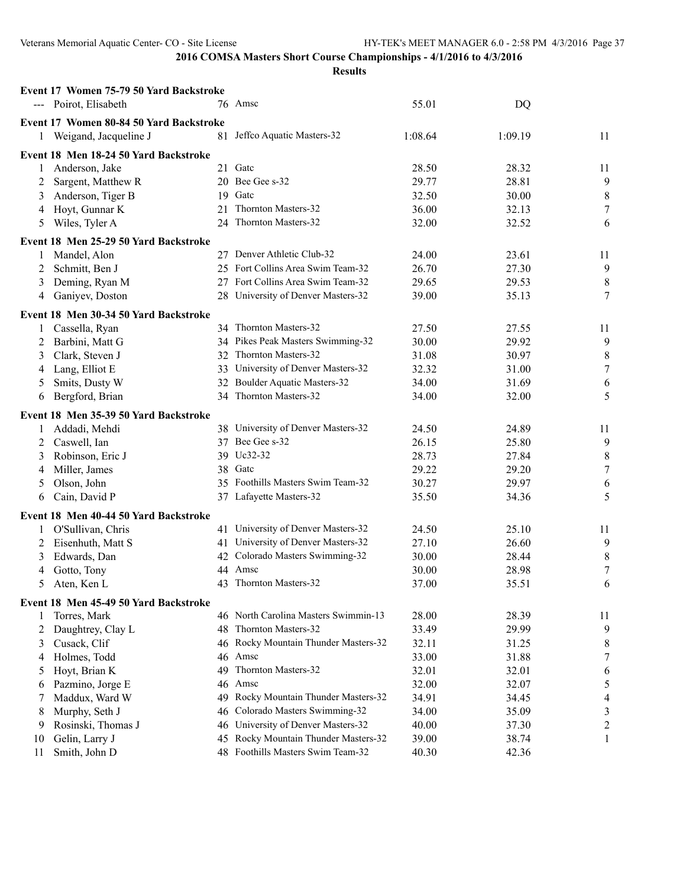|              | Event 17 Women 75-79 50 Yard Backstroke |    |                                      |                |         |                  |
|--------------|-----------------------------------------|----|--------------------------------------|----------------|---------|------------------|
|              | --- Poirot, Elisabeth                   |    | 76 Amsc                              | 55.01          | DQ      |                  |
|              | Event 17 Women 80-84 50 Yard Backstroke |    |                                      |                |         |                  |
| $\mathbf{1}$ | Weigand, Jacqueline J                   |    | 81 Jeffco Aquatic Masters-32         | 1:08.64        | 1:09.19 | 11               |
|              |                                         |    |                                      |                |         |                  |
|              | Event 18 Men 18-24 50 Yard Backstroke   |    | 21 Gate                              |                |         |                  |
|              | Anderson, Jake                          |    | 20 Bee Gee s-32                      | 28.50<br>29.77 | 28.32   | 11               |
| 2            | Sargent, Matthew R                      |    | 19 Gate                              |                | 28.81   | 9                |
| 3            | Anderson, Tiger B                       |    | 21 Thornton Masters-32               | 32.50          | 30.00   | $\,8\,$          |
| 4            | Hoyt, Gunnar K                          |    | 24 Thornton Masters-32               | 36.00          | 32.13   | $\boldsymbol{7}$ |
| 5            | Wiles, Tyler A                          |    |                                      | 32.00          | 32.52   | 6                |
|              | Event 18 Men 25-29 50 Yard Backstroke   |    |                                      |                |         |                  |
|              | Mandel, Alon                            |    | 27 Denver Athletic Club-32           | 24.00          | 23.61   | 11               |
| 2            | Schmitt, Ben J                          |    | 25 Fort Collins Area Swim Team-32    | 26.70          | 27.30   | $\overline{9}$   |
| 3            | Deming, Ryan M                          |    | 27 Fort Collins Area Swim Team-32    | 29.65          | 29.53   | $\,8\,$          |
| 4            | Ganiyev, Doston                         |    | 28 University of Denver Masters-32   | 39.00          | 35.13   | 7                |
|              | Event 18 Men 30-34 50 Yard Backstroke   |    |                                      |                |         |                  |
| 1            | Cassella, Ryan                          |    | 34 Thornton Masters-32               | 27.50          | 27.55   | 11               |
| 2            | Barbini, Matt G                         |    | 34 Pikes Peak Masters Swimming-32    | 30.00          | 29.92   | $\overline{9}$   |
| 3            | Clark, Steven J                         |    | 32 Thornton Masters-32               | 31.08          | 30.97   | $\,8\,$          |
| 4            | Lang, Elliot E                          |    | 33 University of Denver Masters-32   | 32.32          | 31.00   | $\tau$           |
| 5            | Smits, Dusty W                          |    | 32 Boulder Aquatic Masters-32        | 34.00          | 31.69   | $\sqrt{6}$       |
| 6            | Bergford, Brian                         |    | 34 Thornton Masters-32               | 34.00          | 32.00   | 5                |
|              | Event 18 Men 35-39 50 Yard Backstroke   |    |                                      |                |         |                  |
|              | Addadi, Mehdi                           |    | 38 University of Denver Masters-32   | 24.50          | 24.89   | 11               |
| 2            | Caswell, Ian                            |    | 37 Bee Gee s-32                      | 26.15          | 25.80   | 9                |
| 3            | Robinson, Eric J                        |    | 39 Uc32-32                           | 28.73          | 27.84   | $\,8\,$          |
| 4            | Miller, James                           | 38 | Gatc                                 | 29.22          | 29.20   | $\boldsymbol{7}$ |
| 5            | Olson, John                             |    | 35 Foothills Masters Swim Team-32    | 30.27          | 29.97   | 6                |
| 6            | Cain, David P                           |    | 37 Lafayette Masters-32              | 35.50          | 34.36   | 5                |
|              |                                         |    |                                      |                |         |                  |
|              | Event 18 Men 40-44 50 Yard Backstroke   |    |                                      |                |         |                  |
|              | O'Sullivan, Chris                       |    | 41 University of Denver Masters-32   | 24.50          | 25.10   | 11               |
| 2            | Eisenhuth, Matt S                       |    | 41 University of Denver Masters-32   | 27.10          | 26.60   | 9                |
| 3            | Edwards, Dan                            |    | 42 Colorado Masters Swimming-32      | 30.00          | 28.44   | $\,8\,$          |
| 4            | Gotto, Tony                             |    | 44 Amsc                              | 30.00          | 28.98   | $\tau$           |
| 5            | Aten, Ken L                             |    | 43 Thornton Masters-32               | 37.00          | 35.51   | 6                |
|              | Event 18 Men 45-49 50 Yard Backstroke   |    |                                      |                |         |                  |
| 1            | Torres, Mark                            |    | 46 North Carolina Masters Swimmin-13 | 28.00          | 28.39   | 11               |
| 2            | Daughtrey, Clay L                       |    | 48 Thornton Masters-32               | 33.49          | 29.99   | 9                |
| 3            | Cusack, Clif                            |    | 46 Rocky Mountain Thunder Masters-32 | 32.11          | 31.25   | $\,8\,$          |
| 4            | Holmes, Todd                            |    | 46 Amsc                              | 33.00          | 31.88   | 7                |
| 5            | Hoyt, Brian K                           | 49 | Thornton Masters-32                  | 32.01          | 32.01   | 6                |
| 6            | Pazmino, Jorge E                        |    | 46 Amsc                              | 32.00          | 32.07   | $\sqrt{5}$       |
| 7            | Maddux, Ward W                          | 49 | Rocky Mountain Thunder Masters-32    | 34.91          | 34.45   | $\overline{4}$   |
| 8            | Murphy, Seth J                          | 46 | Colorado Masters Swimming-32         | 34.00          | 35.09   | $\mathfrak{Z}$   |
| 9            | Rosinski, Thomas J                      | 46 | University of Denver Masters-32      | 40.00          | 37.30   | $\overline{c}$   |
| 10           | Gelin, Larry J                          | 45 | Rocky Mountain Thunder Masters-32    | 39.00          | 38.74   | $\mathbf{1}$     |
| 11           | Smith, John D                           | 48 | Foothills Masters Swim Team-32       | 40.30          | 42.36   |                  |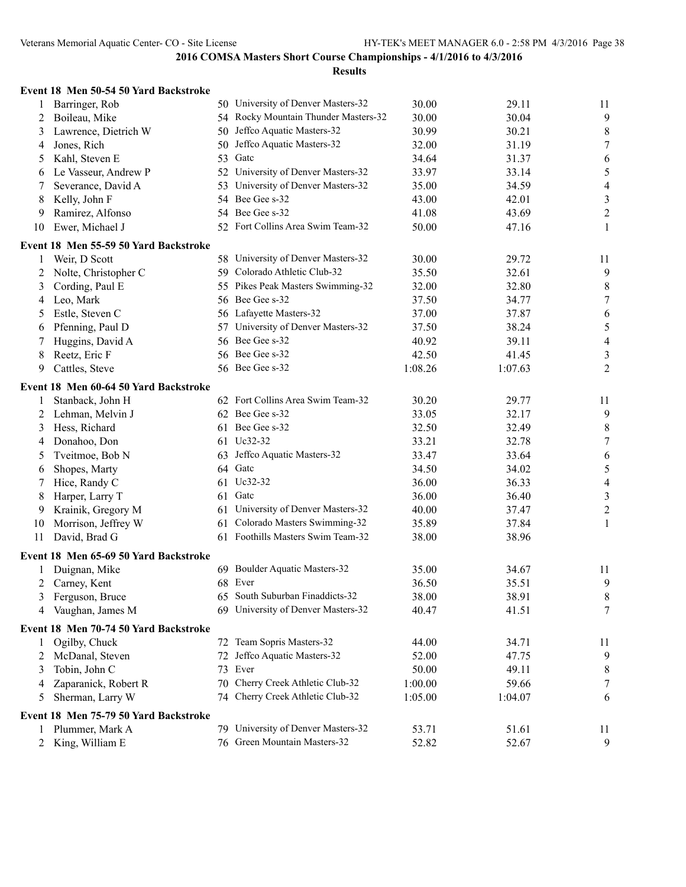|                | Event 18 Men 50-54 50 Yard Backstroke |    |                                      |         |         |                  |
|----------------|---------------------------------------|----|--------------------------------------|---------|---------|------------------|
| 1              | Barringer, Rob                        |    | 50 University of Denver Masters-32   | 30.00   | 29.11   | 11               |
| 2              | Boileau, Mike                         |    | 54 Rocky Mountain Thunder Masters-32 | 30.00   | 30.04   | 9                |
| 3              | Lawrence, Dietrich W                  |    | 50 Jeffco Aquatic Masters-32         | 30.99   | 30.21   | 8                |
| 4              | Jones, Rich                           |    | 50 Jeffco Aquatic Masters-32         | 32.00   | 31.19   | $\tau$           |
| 5              | Kahl, Steven E                        |    | 53 Gate                              | 34.64   | 31.37   | 6                |
| 6              | Le Vasseur, Andrew P                  |    | 52 University of Denver Masters-32   | 33.97   | 33.14   | $\sqrt{5}$       |
| 7              | Severance, David A                    | 53 | University of Denver Masters-32      | 35.00   | 34.59   | $\overline{4}$   |
| 8              | Kelly, John F                         |    | 54 Bee Gee s-32                      | 43.00   | 42.01   | $\mathfrak{Z}$   |
| 9              | Ramirez, Alfonso                      |    | 54 Bee Gee s-32                      | 41.08   | 43.69   | $\sqrt{2}$       |
| 10             | Ewer, Michael J                       |    | 52 Fort Collins Area Swim Team-32    | 50.00   | 47.16   | $\mathbf{1}$     |
|                | Event 18 Men 55-59 50 Yard Backstroke |    |                                      |         |         |                  |
| 1              | Weir, D Scott                         |    | 58 University of Denver Masters-32   | 30.00   | 29.72   | 11               |
| 2              | Nolte, Christopher C                  |    | 59 Colorado Athletic Club-32         | 35.50   | 32.61   | 9                |
| 3              | Cording, Paul E                       |    | 55 Pikes Peak Masters Swimming-32    | 32.00   | 32.80   | $\,8\,$          |
| 4              | Leo, Mark                             |    | 56 Bee Gee s-32                      | 37.50   | 34.77   | $\tau$           |
| 5              | Estle, Steven C                       |    | 56 Lafayette Masters-32              | 37.00   | 37.87   | $\sqrt{6}$       |
| 6              | Pfenning, Paul D                      |    | 57 University of Denver Masters-32   | 37.50   | 38.24   | $\sqrt{5}$       |
| 7              | Huggins, David A                      |    | 56 Bee Gee s-32                      | 40.92   | 39.11   | $\overline{4}$   |
| 8              | Reetz, Eric F                         |    | 56 Bee Gee s-32                      | 42.50   | 41.45   | $\mathfrak{Z}$   |
| 9              | Cattles, Steve                        |    | 56 Bee Gee s-32                      | 1:08.26 | 1:07.63 | $\overline{2}$   |
|                | Event 18 Men 60-64 50 Yard Backstroke |    |                                      |         |         |                  |
|                |                                       |    | 62 Fort Collins Area Swim Team-32    |         |         |                  |
| 1              | Stanback, John H                      |    | 62 Bee Gee s-32                      | 30.20   | 29.77   | 11               |
| 2              | Lehman, Melvin J                      |    |                                      | 33.05   | 32.17   | 9                |
| 3              | Hess, Richard                         |    | 61 Bee Gee s-32                      | 32.50   | 32.49   | $\,8\,$          |
| 4              | Donahoo, Don                          |    | 61 Uc32-32                           | 33.21   | 32.78   | $\boldsymbol{7}$ |
| 5              | Tveitmoe, Bob N                       |    | 63 Jeffco Aquatic Masters-32         | 33.47   | 33.64   | 6                |
| 6              | Shopes, Marty                         |    | 64 Gatc                              | 34.50   | 34.02   | $\sqrt{5}$       |
| 7              | Hice, Randy C                         |    | 61 Uc32-32                           | 36.00   | 36.33   | $\overline{4}$   |
| 8              | Harper, Larry T                       |    | 61 Gate                              | 36.00   | 36.40   | $\mathfrak{Z}$   |
| 9              | Krainik, Gregory M                    |    | 61 University of Denver Masters-32   | 40.00   | 37.47   | $\sqrt{2}$       |
| 10             | Morrison, Jeffrey W                   |    | 61 Colorado Masters Swimming-32      | 35.89   | 37.84   | $\mathbf{1}$     |
| 11             | David, Brad G                         |    | 61 Foothills Masters Swim Team-32    | 38.00   | 38.96   |                  |
|                | Event 18 Men 65-69 50 Yard Backstroke |    |                                      |         |         |                  |
| 1              | Duignan, Mike                         |    | 69 Boulder Aquatic Masters-32        | 35.00   | 34.67   | 11               |
| $\overline{2}$ | Carney, Kent                          |    | 68 Ever                              | 36.50   | 35.51   | 9                |
| 3              | Ferguson, Bruce                       |    | 65 South Suburban Finaddicts-32      | 38.00   | 38.91   | 8                |
| 4              | Vaughan, James M                      |    | 69 University of Denver Masters-32   | 40.47   | 41.51   | 7                |
|                | Event 18 Men 70-74 50 Yard Backstroke |    |                                      |         |         |                  |
| 1              | Ogilby, Chuck                         |    | 72 Team Sopris Masters-32            | 44.00   | 34.71   | 11               |
| 2              | McDanal, Steven                       |    | 72 Jeffco Aquatic Masters-32         | 52.00   | 47.75   | 9                |
| 3              | Tobin, John C                         |    | 73 Ever                              | 50.00   | 49.11   | 8                |
| 4              | Zaparanick, Robert R                  |    | 70 Cherry Creek Athletic Club-32     | 1:00.00 | 59.66   | 7                |
| 5              | Sherman, Larry W                      |    | 74 Cherry Creek Athletic Club-32     | 1:05.00 | 1:04.07 | 6                |
|                | Event 18 Men 75-79 50 Yard Backstroke |    |                                      |         |         |                  |
| 1              | Plummer, Mark A                       |    | 79 University of Denver Masters-32   | 53.71   | 51.61   | 11               |
|                | 2 King, William E                     |    | 76 Green Mountain Masters-32         | 52.82   | 52.67   | 9                |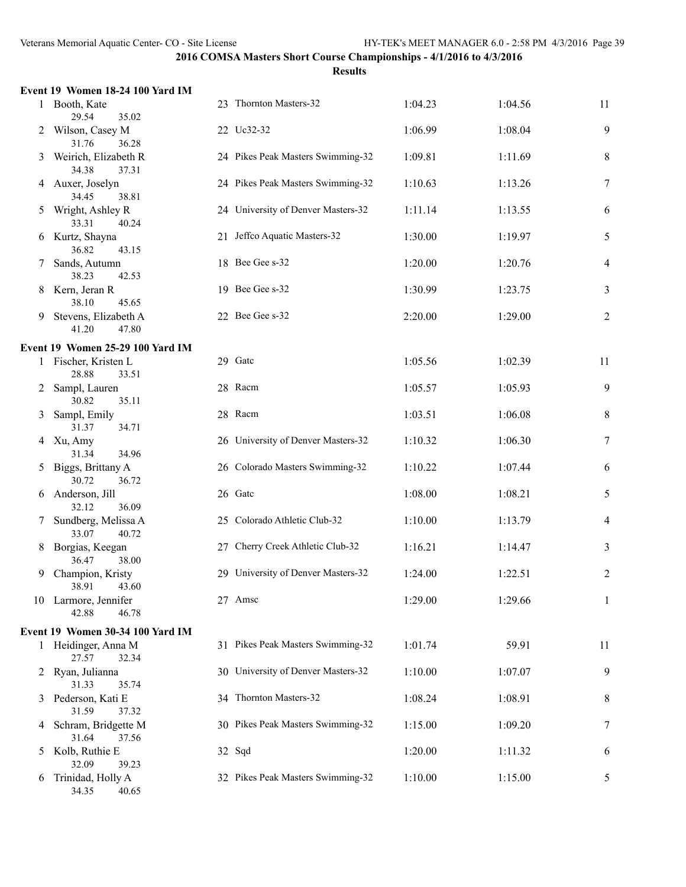|               | Event 19 Women 18-24 100 Yard IM                    |                                    |         |         |              |
|---------------|-----------------------------------------------------|------------------------------------|---------|---------|--------------|
|               | 1 Booth, Kate                                       | 23 Thornton Masters-32             | 1:04.23 | 1:04.56 | 11           |
| 2             | 29.54<br>35.02<br>Wilson, Casey M<br>31.76<br>36.28 | 22 Uc32-32                         | 1:06.99 | 1:08.04 | 9            |
| 3             | Weirich, Elizabeth R<br>34.38<br>37.31              | 24 Pikes Peak Masters Swimming-32  | 1:09.81 | 1:11.69 | 8            |
|               | 4 Auxer, Joselyn<br>34.45<br>38.81                  | 24 Pikes Peak Masters Swimming-32  | 1:10.63 | 1:13.26 | 7            |
| $\mathcal{L}$ | Wright, Ashley R<br>33.31<br>40.24                  | 24 University of Denver Masters-32 | 1:11.14 | 1:13.55 | 6            |
| 6             | Kurtz, Shayna<br>36.82<br>43.15                     | 21 Jeffco Aquatic Masters-32       | 1:30.00 | 1:19.97 | 5            |
| $\mathcal{L}$ | Sands, Autumn<br>38.23<br>42.53                     | 18 Bee Gee s-32                    | 1:20.00 | 1:20.76 | 4            |
| 8             | Kern, Jeran R<br>38.10<br>45.65                     | 19 Bee Gee s-32                    | 1:30.99 | 1:23.75 | 3            |
| 9.            | Stevens, Elizabeth A<br>41.20<br>47.80              | 22 Bee Gee s-32                    | 2:20.00 | 1:29.00 | 2            |
|               | Event 19 Women 25-29 100 Yard IM                    |                                    |         |         |              |
|               | 1 Fischer, Kristen L<br>28.88<br>33.51              | 29 Gate                            | 1:05.56 | 1:02.39 | 11           |
|               | 2 Sampl, Lauren<br>30.82<br>35.11                   | 28 Racm                            | 1:05.57 | 1:05.93 | 9            |
| 3             | Sampl, Emily<br>31.37<br>34.71                      | 28 Racm                            | 1:03.51 | 1:06.08 | 8            |
|               | 4 Xu, Amy<br>31.34<br>34.96                         | 26 University of Denver Masters-32 | 1:10.32 | 1:06.30 | 7            |
| 5             | Biggs, Brittany A<br>30.72<br>36.72                 | 26 Colorado Masters Swimming-32    | 1:10.22 | 1:07.44 | 6            |
| 6             | Anderson, Jill<br>32.12<br>36.09                    | 26 Gatc                            | 1:08.00 | 1:08.21 | 5            |
| 7             | Sundberg, Melissa A<br>33.07<br>40.72               | 25 Colorado Athletic Club-32       | 1:10.00 | 1:13.79 | 4            |
| 8             | Borgias, Keegan<br>36.47<br>38.00                   | 27 Cherry Creek Athletic Club-32   | 1:16.21 | 1:14.47 | 3            |
| 9             | Champion, Kristy<br>38.91 43.60                     | 29 University of Denver Masters-32 | 1:24.00 | 1:22.51 | 2            |
|               | 10 Larmore, Jennifer<br>42.88<br>46.78              | 27 Amsc                            | 1:29.00 | 1:29.66 | $\mathbf{1}$ |
|               | Event 19 Women 30-34 100 Yard IM                    |                                    |         |         |              |
|               | 1 Heidinger, Anna M<br>27.57<br>32.34               | 31 Pikes Peak Masters Swimming-32  | 1:01.74 | 59.91   | 11           |
|               | 2 Ryan, Julianna<br>31.33<br>35.74                  | 30 University of Denver Masters-32 | 1:10.00 | 1:07.07 | 9            |
| 3             | Pederson, Kati E<br>31.59<br>37.32                  | 34 Thornton Masters-32             | 1:08.24 | 1:08.91 | 8            |
| 4             | Schram, Bridgette M<br>31.64<br>37.56               | 30 Pikes Peak Masters Swimming-32  | 1:15.00 | 1:09.20 | 7            |
| $\mathcal{L}$ | Kolb, Ruthie E<br>32.09<br>39.23                    | 32 Sqd                             | 1:20.00 | 1:11.32 | 6            |
| 6             | Trinidad, Holly A<br>34.35<br>40.65                 | 32 Pikes Peak Masters Swimming-32  | 1:10.00 | 1:15.00 | 5            |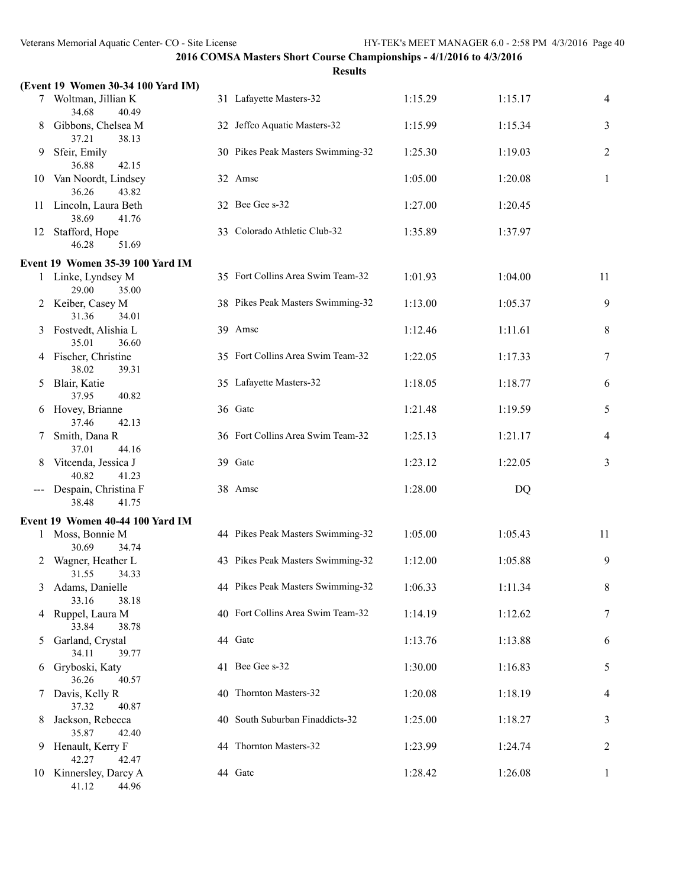|    | (Event 19 Women 30-34 100 Yard IM)       |                                   |         |         |                |
|----|------------------------------------------|-----------------------------------|---------|---------|----------------|
|    | 7 Woltman, Jillian K<br>34.68<br>40.49   | 31 Lafayette Masters-32           | 1:15.29 | 1:15.17 | 4              |
| 8  | Gibbons, Chelsea M<br>37.21<br>38.13     | 32 Jeffco Aquatic Masters-32      | 1:15.99 | 1:15.34 | 3              |
| 9  | Sfeir, Emily<br>36.88<br>42.15           | 30 Pikes Peak Masters Swimming-32 | 1:25.30 | 1:19.03 | $\overline{2}$ |
| 10 | Van Noordt, Lindsey<br>36.26<br>43.82    | 32 Amsc                           | 1:05.00 | 1:20.08 | 1              |
| 11 | Lincoln, Laura Beth<br>38.69<br>41.76    | 32 Bee Gee s-32                   | 1:27.00 | 1:20.45 |                |
| 12 | Stafford, Hope<br>46.28<br>51.69         | 33 Colorado Athletic Club-32      | 1:35.89 | 1:37.97 |                |
|    | Event 19 Women 35-39 100 Yard IM         |                                   |         |         |                |
|    | 1 Linke, Lyndsey M<br>29.00<br>35.00     | 35 Fort Collins Area Swim Team-32 | 1:01.93 | 1:04.00 | 11             |
|    | 2 Keiber, Casey M<br>31.36<br>34.01      | 38 Pikes Peak Masters Swimming-32 | 1:13.00 | 1:05.37 | 9              |
| 3  | Fostvedt, Alishia L<br>35.01<br>36.60    | 39 Amsc                           | 1:12.46 | 1:11.61 | 8              |
|    | 4 Fischer, Christine<br>38.02<br>39.31   | 35 Fort Collins Area Swim Team-32 | 1:22.05 | 1:17.33 | 7              |
| 5  | Blair, Katie<br>37.95<br>40.82           | 35 Lafayette Masters-32           | 1:18.05 | 1:18.77 | 6              |
|    | 6 Hovey, Brianne<br>37.46<br>42.13       | 36 Gate                           | 1:21.48 | 1:19.59 | 5              |
|    | Smith, Dana R<br>37.01<br>44.16          | 36 Fort Collins Area Swim Team-32 | 1:25.13 | 1:21.17 | 4              |
|    | Vitcenda, Jessica J<br>40.82<br>41.23    | 39 Gate                           | 1:23.12 | 1:22.05 | 3              |
|    | Despain, Christina F<br>38.48<br>41.75   | 38 Amsc                           | 1:28.00 | DQ      |                |
|    | Event 19 Women 40-44 100 Yard IM         |                                   |         |         |                |
|    | 1 Moss, Bonnie M<br>30.69<br>34.74       | 44 Pikes Peak Masters Swimming-32 | 1:05.00 | 1:05.43 | 11             |
|    | Wagner, Heather L<br>31.55<br>34.33      | 43 Pikes Peak Masters Swimming-32 | 1:12.00 | 1:05.88 | 9              |
| 3  | Adams, Danielle<br>33.16<br>38.18        | 44 Pikes Peak Masters Swimming-32 | 1:06.33 | 1:11.34 | 8              |
|    | 4 Ruppel, Laura M<br>33.84<br>38.78      | 40 Fort Collins Area Swim Team-32 | 1:14.19 | 1:12.62 | 7              |
| 5  | Garland, Crystal<br>34.11<br>39.77       | 44 Gate                           | 1:13.76 | 1:13.88 | 6              |
| 6  | Gryboski, Katy<br>36.26<br>40.57         | 41 Bee Gee s-32                   | 1:30.00 | 1:16.83 | 5              |
|    | 7 Davis, Kelly R<br>37.32<br>40.87       | 40 Thornton Masters-32            | 1:20.08 | 1:18.19 | 4              |
| 8  | Jackson, Rebecca<br>35.87<br>42.40       | 40 South Suburban Finaddicts-32   | 1:25.00 | 1:18.27 | 3              |
| 9  | Henault, Kerry F<br>42.27<br>42.47       | 44 Thornton Masters-32            | 1:23.99 | 1:24.74 | 2              |
|    | 10 Kinnersley, Darcy A<br>41.12<br>44.96 | 44 Gate                           | 1:28.42 | 1:26.08 | 1              |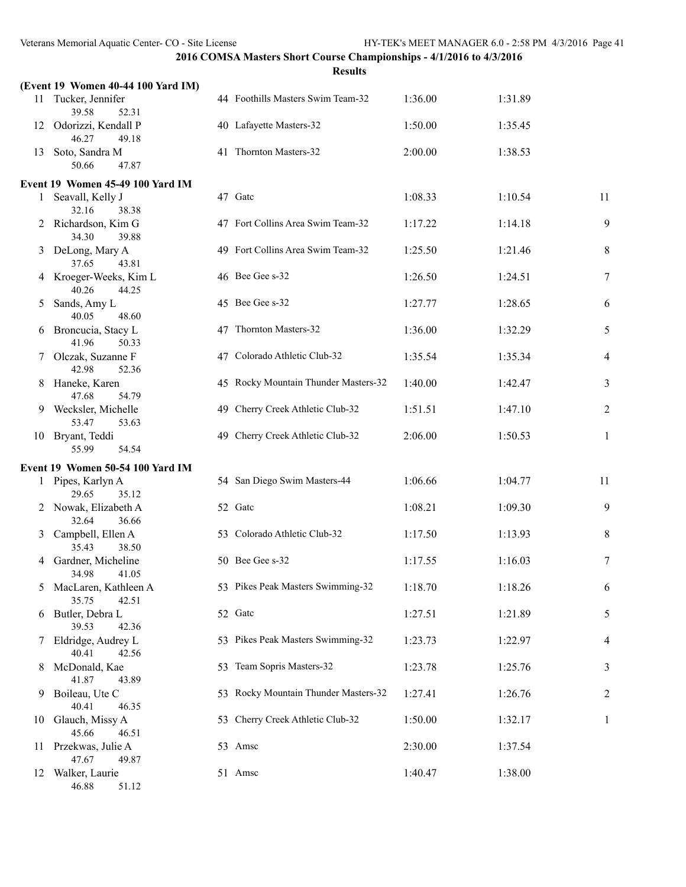|    |                                          | <b>Results</b>                       |         |         |              |
|----|------------------------------------------|--------------------------------------|---------|---------|--------------|
|    | (Event 19 Women 40-44 100 Yard IM)       |                                      |         |         |              |
| 11 | Tucker, Jennifer<br>39.58<br>52.31       | 44 Foothills Masters Swim Team-32    | 1:36.00 | 1:31.89 |              |
| 12 | Odorizzi, Kendall P<br>46.27<br>49.18    | 40 Lafayette Masters-32              | 1:50.00 | 1:35.45 |              |
|    | 13 Soto, Sandra M<br>50.66<br>47.87      | 41 Thornton Masters-32               | 2:00.00 | 1:38.53 |              |
|    | Event 19 Women 45-49 100 Yard IM         |                                      |         |         |              |
|    | 1 Seavall, Kelly J<br>32.16<br>38.38     | 47 Gate                              | 1:08.33 | 1:10.54 | 11           |
|    | 2 Richardson, Kim G<br>34.30<br>39.88    | 47 Fort Collins Area Swim Team-32    | 1:17.22 | 1:14.18 | 9            |
|    | 3 DeLong, Mary A<br>37.65<br>43.81       | 49 Fort Collins Area Swim Team-32    | 1:25.50 | 1:21.46 | 8            |
|    | 4 Kroeger-Weeks, Kim L<br>40.26<br>44.25 | 46 Bee Gee s-32                      | 1:26.50 | 1:24.51 | $\tau$       |
|    | Sands, Amy L<br>40.05<br>48.60           | 45 Bee Gee s-32                      | 1:27.77 | 1:28.65 | 6            |
|    | 6 Broncucia, Stacy L<br>41.96<br>50.33   | 47 Thornton Masters-32               | 1:36.00 | 1:32.29 | 5            |
|    | 7 Olczak, Suzanne F<br>42.98<br>52.36    | 47 Colorado Athletic Club-32         | 1:35.54 | 1:35.34 | 4            |
| 8  | Haneke, Karen<br>47.68<br>54.79          | 45 Rocky Mountain Thunder Masters-32 | 1:40.00 | 1:42.47 | 3            |
|    | 9 Wecksler, Michelle<br>53.47<br>53.63   | 49 Cherry Creek Athletic Club-32     | 1:51.51 | 1:47.10 | 2            |
|    | 10 Bryant, Teddi<br>55.99<br>54.54       | 49 Cherry Creek Athletic Club-32     | 2:06.00 | 1:50.53 | $\mathbf{1}$ |
|    | Event 19 Women 50-54 100 Yard IM         |                                      |         |         |              |
|    | 1 Pipes, Karlyn A<br>29.65<br>35.12      | 54 San Diego Swim Masters-44         | 1:06.66 | 1:04.77 | 11           |
|    | 2 Nowak, Elizabeth A<br>32.64<br>36.66   | 52 Gate                              | 1:08.21 | 1:09.30 | 9            |
|    | 3 Campbell, Ellen A<br>35.43<br>38.50    | 53 Colorado Athletic Club-32         | 1:17.50 | 1:13.93 | 8            |
|    | 4 Gardner, Micheline<br>34.98<br>41.05   | 50 Bee Gee s-32                      | 1:17.55 | 1:16.03 | 7            |
| 5  | MacLaren, Kathleen A<br>35.75<br>42.51   | 53 Pikes Peak Masters Swimming-32    | 1:18.70 | 1:18.26 | 6            |
| 6  | Butler, Debra L<br>39.53<br>42.36        | 52 Gate                              | 1:27.51 | 1:21.89 | 5            |
| 7  | Eldridge, Audrey L<br>40.41<br>42.56     | 53 Pikes Peak Masters Swimming-32    | 1:23.73 | 1:22.97 | 4            |
| 8  | McDonald, Kae<br>41.87<br>43.89          | 53 Team Sopris Masters-32            | 1:23.78 | 1:25.76 | 3            |
| 9  | Boileau, Ute C<br>40.41<br>46.35         | 53 Rocky Mountain Thunder Masters-32 | 1:27.41 | 1:26.76 | 2            |
| 10 | Glauch, Missy A<br>45.66<br>46.51        | 53 Cherry Creek Athletic Club-32     | 1:50.00 | 1:32.17 | 1            |
| 11 | Przekwas, Julie A<br>47.67<br>49.87      | 53 Amsc                              | 2:30.00 | 1:37.54 |              |
| 12 | Walker, Laurie<br>46.88<br>51.12         | 51 Amsc                              | 1:40.47 | 1:38.00 |              |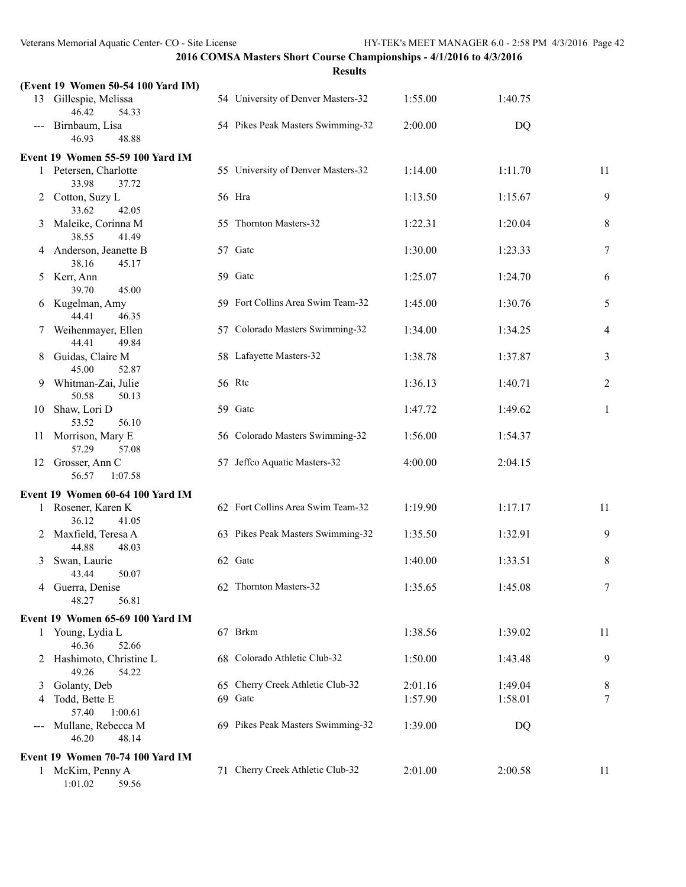1:01.02 59.56

### **2016 COMSA Masters Short Course Championships - 4/1/2016 to 4/3/2016**

|                                          | (Event 19 Women 50-54 100 Yard IM)       |                                    |         |         |              |
|------------------------------------------|------------------------------------------|------------------------------------|---------|---------|--------------|
|                                          | 13 Gillespie, Melissa<br>46.42<br>54.33  | 54 University of Denver Masters-32 | 1:55.00 | 1:40.75 |              |
|                                          | Birnbaum, Lisa<br>46.93<br>48.88         | 54 Pikes Peak Masters Swimming-32  | 2:00.00 | DQ      |              |
|                                          | Event 19 Women 55-59 100 Yard IM         |                                    |         |         |              |
|                                          | 1 Petersen, Charlotte<br>33.98<br>37.72  | 55 University of Denver Masters-32 | 1:14.00 | 1:11.70 | 11           |
|                                          | 2 Cotton, Suzy L<br>33.62<br>42.05       | 56 Hra                             | 1:13.50 | 1:15.67 | 9            |
|                                          | 3 Maleike, Corinna M<br>38.55<br>41.49   | 55 Thornton Masters-32             | 1:22.31 | 1:20.04 | 8            |
|                                          | 4 Anderson, Jeanette B<br>38.16<br>45.17 | 57 Gate                            | 1:30.00 | 1:23.33 | 7            |
|                                          | 5 Kerr, Ann<br>39.70<br>45.00            | 59 Gatc                            | 1:25.07 | 1:24.70 | 6            |
|                                          | 6 Kugelman, Amy<br>44.41<br>46.35        | 59 Fort Collins Area Swim Team-32  | 1:45.00 | 1:30.76 | 5            |
| 7                                        | Weihenmayer, Ellen<br>44.41<br>49.84     | 57 Colorado Masters Swimming-32    | 1:34.00 | 1:34.25 | 4            |
| 8                                        | Guidas, Claire M<br>45.00<br>52.87       | 58 Lafayette Masters-32            | 1:38.78 | 1:37.87 | 3            |
| 9.                                       | Whitman-Zai, Julie<br>50.58<br>50.13     | 56 Rtc                             | 1:36.13 | 1:40.71 | 2            |
| 10                                       | Shaw, Lori D<br>53.52<br>56.10           | 59 Gatc                            | 1:47.72 | 1:49.62 | $\mathbf{1}$ |
|                                          | 11 Morrison, Mary E<br>57.29<br>57.08    | 56 Colorado Masters Swimming-32    | 1:56.00 | 1:54.37 |              |
| 12                                       | Grosser, Ann C<br>56.57<br>1:07.58       | 57 Jeffco Aquatic Masters-32       | 4:00.00 | 2:04.15 |              |
|                                          | Event 19 Women 60-64 100 Yard IM         |                                    |         |         |              |
|                                          | 1 Rosener, Karen K<br>36.12<br>41.05     | 62 Fort Collins Area Swim Team-32  | 1:19.90 | 1:17.17 | 11           |
|                                          | 2 Maxfield, Teresa A<br>44.88<br>48.03   | 63 Pikes Peak Masters Swimming-32  | 1:35.50 | 1:32.91 | 9            |
| 3                                        | Swan, Laurie<br>43.44<br>50.07           | 62 Gatc                            | 1:40.00 | 1:33.51 | 8            |
|                                          | 4 Guerra, Denise<br>48.27<br>56.81       | 62 Thornton Masters-32             | 1:35.65 | 1:45.08 | $\tau$       |
|                                          | Event 19 Women 65-69 100 Yard IM         |                                    |         |         |              |
|                                          | 1 Young, Lydia L<br>46.36<br>52.66       | 67 Brkm                            | 1:38.56 | 1:39.02 | 11           |
| 2                                        | Hashimoto, Christine L<br>49.26<br>54.22 | 68 Colorado Athletic Club-32       | 1:50.00 | 1:43.48 | 9            |
| 3                                        | Golanty, Deb                             | 65 Cherry Creek Athletic Club-32   | 2:01.16 | 1:49.04 | 8            |
| 4                                        | Todd, Bette E<br>57.40<br>1:00.61        | 69 Gatc                            | 1:57.90 | 1:58.01 | 7            |
| $\hspace{0.05cm} \ldots \hspace{0.05cm}$ | Mullane, Rebecca M<br>46.20<br>48.14     | 69 Pikes Peak Masters Swimming-32  | 1:39.00 | DQ      |              |
|                                          | Event 19 Women 70-74 100 Yard IM         |                                    |         |         |              |
|                                          | McKim, Penny A                           | 71 Cherry Creek Athletic Club-32   | 2:01.00 | 2:00.58 | 11           |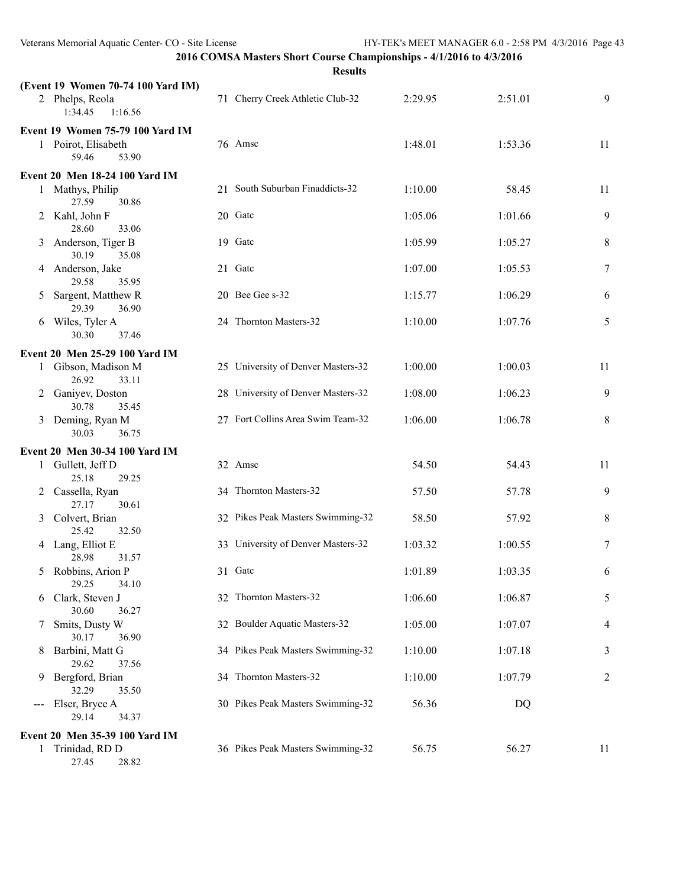|   |                                                                             | <b>Results</b>                     |         |         |                |
|---|-----------------------------------------------------------------------------|------------------------------------|---------|---------|----------------|
|   | (Event 19 Women 70-74 100 Yard IM)<br>2 Phelps, Reola<br>1:34.45<br>1:16.56 | 71 Cherry Creek Athletic Club-32   | 2:29.95 | 2:51.01 | 9              |
|   | Event 19 Women 75-79 100 Yard IM<br>1 Poirot, Elisabeth<br>59.46<br>53.90   | 76 Amsc                            | 1:48.01 | 1:53.36 | 11             |
|   | <b>Event 20 Men 18-24 100 Yard IM</b>                                       |                                    |         |         |                |
|   | 1 Mathys, Philip<br>27.59<br>30.86                                          | 21 South Suburban Finaddicts-32    | 1:10.00 | 58.45   | 11             |
| 2 | Kahl, John F<br>28.60<br>33.06                                              | 20 Gatc                            | 1:05.06 | 1:01.66 | 9              |
|   | 3 Anderson, Tiger B<br>30.19<br>35.08                                       | 19 Gate                            | 1:05.99 | 1:05.27 | 8              |
|   | 4 Anderson, Jake<br>29.58<br>35.95                                          | 21 Gate                            | 1:07.00 | 1:05.53 | $\overline{7}$ |
| 5 | Sargent, Matthew R<br>29.39<br>36.90                                        | 20 Bee Gee s-32                    | 1:15.77 | 1:06.29 | 6              |
|   | 6 Wiles, Tyler A<br>30.30<br>37.46                                          | 24 Thornton Masters-32             | 1:10.00 | 1:07.76 | 5              |
|   | Event 20 Men 25-29 100 Yard IM                                              |                                    |         |         |                |
|   | 1 Gibson, Madison M<br>26.92<br>33.11                                       | 25 University of Denver Masters-32 | 1:00.00 | 1:00.03 | 11             |
| 2 | Ganiyev, Doston<br>30.78<br>35.45                                           | 28 University of Denver Masters-32 | 1:08.00 | 1:06.23 | 9              |
|   | 3 Deming, Ryan M<br>30.03<br>36.75                                          | 27 Fort Collins Area Swim Team-32  | 1:06.00 | 1:06.78 | 8              |
|   | Event 20 Men 30-34 100 Yard IM                                              |                                    |         |         |                |
|   | 1 Gullett, Jeff D<br>29.25<br>25.18                                         | 32 Amsc                            | 54.50   | 54.43   | 11             |
|   | 2 Cassella, Ryan<br>27.17<br>30.61                                          | 34 Thornton Masters-32             | 57.50   | 57.78   | 9              |
|   | 3 Colvert, Brian<br>25.42<br>32.50                                          | 32 Pikes Peak Masters Swimming-32  | 58.50   | 57.92   | 8              |
|   | 4 Lang, Elliot E                                                            | 33 University of Denver Masters-32 | 1:03.32 | 1:00.55 | $\overline{7}$ |
| 5 | 28.98<br>31.57<br>Robbins, Arion P                                          | 31 Gate                            | 1:01.89 | 1:03.35 | 6              |
| 6 | 29.25<br>34.10<br>Clark, Steven J                                           | 32 Thornton Masters-32             | 1:06.60 | 1:06.87 | 5              |
| 7 | 30.60<br>36.27<br>Smits, Dusty W                                            | 32 Boulder Aquatic Masters-32      | 1:05.00 | 1:07.07 | 4              |
| 8 | 30.17<br>36.90<br>Barbini, Matt G                                           | 34 Pikes Peak Masters Swimming-32  | 1:10.00 | 1:07.18 | 3              |
| 9 | 29.62<br>37.56<br>Bergford, Brian                                           | 34 Thornton Masters-32             | 1:10.00 | 1:07.79 | $\overline{c}$ |
|   | 32.29<br>35.50<br>Elser, Bryce A                                            | 30 Pikes Peak Masters Swimming-32  | 56.36   | DQ      |                |
|   | 29.14<br>34.37                                                              |                                    |         |         |                |
|   | Event 20 Men 35-39 100 Yard IM                                              |                                    |         |         |                |
|   | 1 Trinidad, RD D                                                            | 36 Pikes Peak Masters Swimming-32  | 56.75   | 56.27   | 11             |

27.45 28.82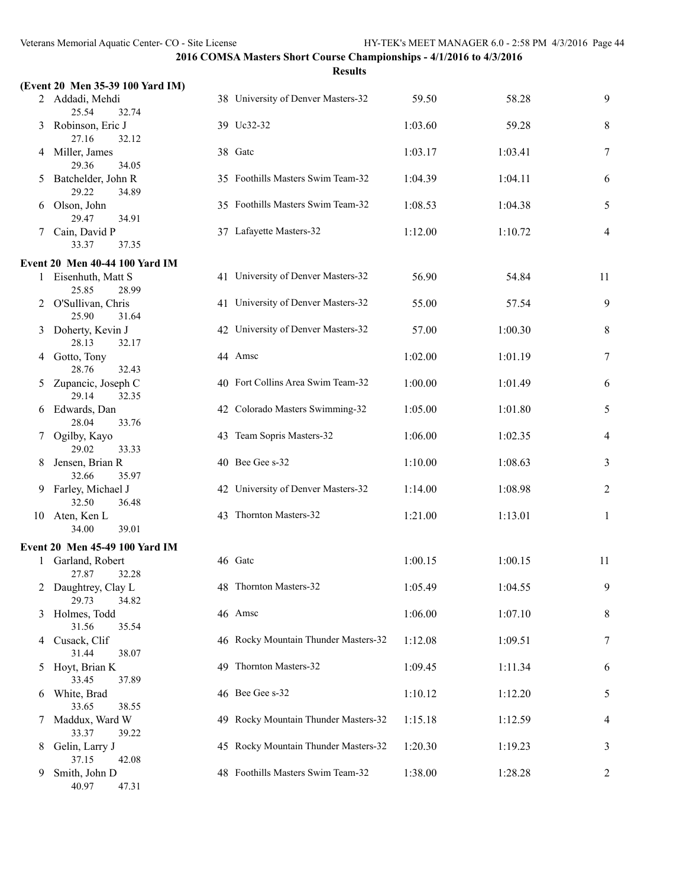|    |                                                   |     | <b>Results</b>                       |         |         |                |
|----|---------------------------------------------------|-----|--------------------------------------|---------|---------|----------------|
|    | (Event 20 Men 35-39 100 Yard IM)                  |     |                                      |         |         |                |
|    | 2 Addadi, Mehdi<br>25.54<br>32.74                 |     | 38 University of Denver Masters-32   | 59.50   | 58.28   | 9              |
| 3  | Robinson, Eric J<br>27.16<br>32.12                |     | 39 Uc32-32                           | 1:03.60 | 59.28   | 8              |
| 4  | Miller, James<br>29.36<br>34.05                   |     | 38 Gatc                              | 1:03.17 | 1:03.41 | 7              |
| 5  | Batchelder, John R<br>29.22<br>34.89              |     | 35 Foothills Masters Swim Team-32    | 1:04.39 | 1:04.11 | 6              |
| 6  | Olson, John<br>29.47<br>34.91                     |     | 35 Foothills Masters Swim Team-32    | 1:08.53 | 1:04.38 | 5              |
| 7  | Cain, David P<br>33.37<br>37.35                   |     | 37 Lafayette Masters-32              | 1:12.00 | 1:10.72 | $\overline{4}$ |
|    | <b>Event 20 Men 40-44 100 Yard IM</b>             |     |                                      |         |         |                |
|    | 1 Eisenhuth, Matt S<br>25.85<br>28.99             |     | 41 University of Denver Masters-32   | 56.90   | 54.84   | 11             |
|    | 2 O'Sullivan, Chris<br>25.90<br>31.64             |     | 41 University of Denver Masters-32   | 55.00   | 57.54   | 9              |
|    | 3 Doherty, Kevin J<br>28.13<br>32.17              |     | 42 University of Denver Masters-32   | 57.00   | 1:00.30 | 8              |
|    | 4 Gotto, Tony<br>28.76<br>32.43                   |     | 44 Amsc                              | 1:02.00 | 1:01.19 | 7              |
| 5. | Zupancic, Joseph C<br>29.14<br>32.35              |     | 40 Fort Collins Area Swim Team-32    | 1:00.00 | 1:01.49 | 6              |
| 6  | Edwards, Dan<br>33.76<br>28.04                    |     | 42 Colorado Masters Swimming-32      | 1:05.00 | 1:01.80 | 5              |
| 7  | Ogilby, Kayo<br>29.02<br>33.33                    |     | 43 Team Sopris Masters-32            | 1:06.00 | 1:02.35 | 4              |
| 8  | Jensen, Brian R<br>32.66<br>35.97                 |     | 40 Bee Gee s-32                      | 1:10.00 | 1:08.63 | 3              |
|    | 9 Farley, Michael J<br>32.50<br>36.48             |     | 42 University of Denver Masters-32   | 1:14.00 | 1:08.98 | $\overline{2}$ |
|    | 10 Aten, Ken L<br>34.00<br>39.01                  |     | 43 Thornton Masters-32               | 1:21.00 | 1:13.01 | 1              |
|    | Event 20 Men 45-49 100 Yard IM                    |     |                                      |         |         |                |
|    | Garland, Robert<br>27.87<br>32.28                 |     | 46 Gatc                              | 1:00.15 | 1:00.15 | 11             |
| 2  | Daughtrey, Clay L<br>29.73<br>34.82               |     | 48 Thornton Masters-32               | 1:05.49 | 1:04.55 | 9              |
| 3  | Holmes, Todd<br>31.56                             |     | 46 Amsc                              | 1:06.00 | 1:07.10 | 8              |
| 4  | 35.54<br>Cusack, Clif                             |     | 46 Rocky Mountain Thunder Masters-32 | 1:12.08 | 1:09.51 | 7              |
| 5  | 31.44<br>38.07<br>Hoyt, Brian K                   |     | 49 Thornton Masters-32               | 1:09.45 | 1:11.34 | 6              |
| 6  | 33.45<br>37.89<br>White, Brad                     |     | 46 Bee Gee s-32                      | 1:10.12 | 1:12.20 | 5              |
| 7  | 33.65<br>38.55<br>Maddux, Ward W                  | 49. | Rocky Mountain Thunder Masters-32    | 1:15.18 | 1:12.59 | 4              |
| 8  | 33.37<br>39.22<br>Gelin, Larry J                  |     | 45 Rocky Mountain Thunder Masters-32 | 1:20.30 | 1:19.23 | 3              |
| 9  | 37.15<br>42.08<br>Smith, John D<br>40.97<br>47.31 |     | 48 Foothills Masters Swim Team-32    | 1:38.00 | 1:28.28 | 2              |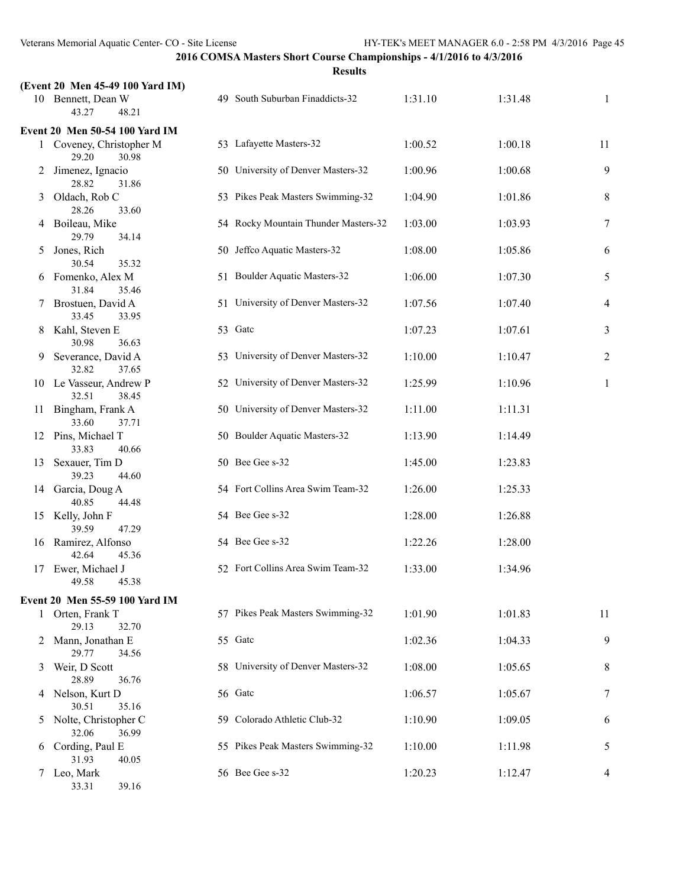|    | (Event 20 Men 45-49 100 Yard IM)           |                                      |         |         |                |
|----|--------------------------------------------|--------------------------------------|---------|---------|----------------|
|    | 10 Bennett, Dean W<br>43.27<br>48.21       | 49 South Suburban Finaddicts-32      | 1:31.10 | 1:31.48 | 1              |
|    | Event 20 Men 50-54 100 Yard IM             |                                      |         |         |                |
|    | 1 Coveney, Christopher M<br>29.20<br>30.98 | 53 Lafayette Masters-32              | 1:00.52 | 1:00.18 | 11             |
| 2  | Jimenez, Ignacio<br>28.82<br>31.86         | 50 University of Denver Masters-32   | 1:00.96 | 1:00.68 | 9              |
| 3  | Oldach, Rob C<br>28.26<br>33.60            | 53 Pikes Peak Masters Swimming-32    | 1:04.90 | 1:01.86 | 8              |
| 4  | Boileau, Mike<br>29.79<br>34.14            | 54 Rocky Mountain Thunder Masters-32 | 1:03.00 | 1:03.93 | 7              |
| 5  | Jones, Rich<br>30.54<br>35.32              | 50 Jeffco Aquatic Masters-32         | 1:08.00 | 1:05.86 | 6              |
| 6  | Fomenko, Alex M<br>31.84<br>35.46          | 51 Boulder Aquatic Masters-32        | 1:06.00 | 1:07.30 | 5              |
| 7  | Brostuen, David A<br>33.45<br>33.95        | 51 University of Denver Masters-32   | 1:07.56 | 1:07.40 | 4              |
| 8  | Kahl, Steven E<br>30.98<br>36.63           | 53 Gate                              | 1:07.23 | 1:07.61 | 3              |
| 9  | Severance, David A<br>32.82<br>37.65       | 53 University of Denver Masters-32   | 1:10.00 | 1:10.47 | $\overline{2}$ |
|    | 10 Le Vasseur, Andrew P<br>32.51<br>38.45  | 52 University of Denver Masters-32   | 1:25.99 | 1:10.96 | 1              |
| 11 | Bingham, Frank A<br>33.60<br>37.71         | 50 University of Denver Masters-32   | 1:11.00 | 1:11.31 |                |
| 12 | Pins, Michael T<br>33.83<br>40.66          | 50 Boulder Aquatic Masters-32        | 1:13.90 | 1:14.49 |                |
| 13 | Sexauer, Tim D<br>39.23<br>44.60           | 50 Bee Gee s-32                      | 1:45.00 | 1:23.83 |                |
| 14 | Garcia, Doug A<br>40.85<br>44.48           | 54 Fort Collins Area Swim Team-32    | 1:26.00 | 1:25.33 |                |
| 15 | Kelly, John F<br>39.59<br>47.29            | 54 Bee Gee s-32                      | 1:28.00 | 1:26.88 |                |
| 16 | Ramirez, Alfonso<br>42.64<br>45.36         | 54 Bee Gee s-32                      | 1:22.26 | 1:28.00 |                |
| 17 | Ewer, Michael J<br>49.58<br>45.38          | 52 Fort Collins Area Swim Team-32    | 1:33.00 | 1:34.96 |                |
|    | Event 20 Men 55-59 100 Yard IM             |                                      |         |         |                |
|    | 1 Orten, Frank T<br>29.13<br>32.70         | 57 Pikes Peak Masters Swimming-32    | 1:01.90 | 1:01.83 | 11             |
| 2  | Mann, Jonathan E<br>29.77<br>34.56         | 55 Gate                              | 1:02.36 | 1:04.33 | 9              |
| 3  | Weir, D Scott<br>36.76<br>28.89            | 58 University of Denver Masters-32   | 1:08.00 | 1:05.65 | 8              |
| 4  | Nelson, Kurt D<br>30.51<br>35.16           | 56 Gatc                              | 1:06.57 | 1:05.67 | 7              |
| 5  | Nolte, Christopher C<br>36.99<br>32.06     | 59 Colorado Athletic Club-32         | 1:10.90 | 1:09.05 | 6              |
| 6  | Cording, Paul E<br>31.93<br>40.05          | 55 Pikes Peak Masters Swimming-32    | 1:10.00 | 1:11.98 | 5              |
| 7  | Leo, Mark<br>33.31<br>39.16                | 56 Bee Gee s-32                      | 1:20.23 | 1:12.47 | 4              |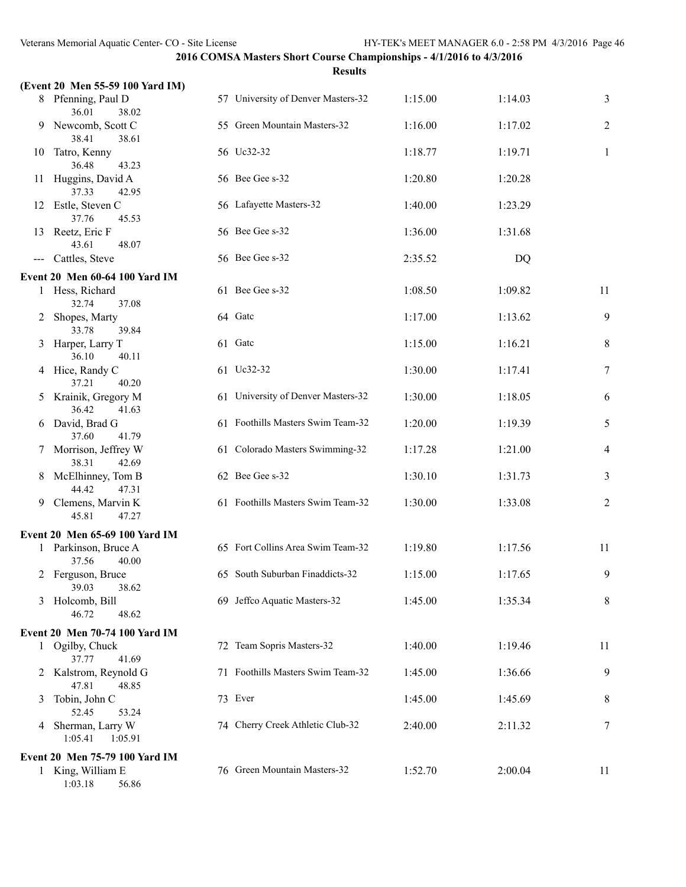| <b>Results</b> |  |
|----------------|--|

|    | (Event 20 Men 55-59 100 Yard IM)       |                                    |         |         |                |
|----|----------------------------------------|------------------------------------|---------|---------|----------------|
|    | 8 Pfenning, Paul D<br>36.01<br>38.02   | 57 University of Denver Masters-32 | 1:15.00 | 1:14.03 | 3              |
|    | 9 Newcomb, Scott C<br>38.41<br>38.61   | 55 Green Mountain Masters-32       | 1:16.00 | 1:17.02 | 2              |
| 10 | Tatro, Kenny<br>36.48<br>43.23         | 56 Uc32-32                         | 1:18.77 | 1:19.71 | 1              |
| 11 | Huggins, David A<br>37.33<br>42.95     | 56 Bee Gee s-32                    | 1:20.80 | 1:20.28 |                |
| 12 | Estle, Steven C<br>37.76<br>45.53      | 56 Lafayette Masters-32            | 1:40.00 | 1:23.29 |                |
|    | 13 Reetz, Eric F<br>43.61<br>48.07     | 56 Bee Gee s-32                    | 1:36.00 | 1:31.68 |                |
|    | --- Cattles, Steve                     | 56 Bee Gee s-32                    | 2:35.52 | DQ      |                |
|    | Event 20 Men 60-64 100 Yard IM         |                                    |         |         |                |
|    | 1 Hess, Richard<br>32.74<br>37.08      | 61 Bee Gee s-32                    | 1:08.50 | 1:09.82 | 11             |
|    | Shopes, Marty<br>33.78<br>39.84        | 64 Gatc                            | 1:17.00 | 1:13.62 | 9              |
| 3  | Harper, Larry T<br>36.10<br>40.11      | 61 Gatc                            | 1:15.00 | 1:16.21 | $8\,$          |
|    | 4 Hice, Randy C<br>37.21<br>40.20      | 61 Uc32-32                         | 1:30.00 | 1:17.41 | 7              |
| 5  | Krainik, Gregory M<br>36.42<br>41.63   | 61 University of Denver Masters-32 | 1:30.00 | 1:18.05 | 6              |
| 6  | David, Brad G<br>37.60<br>41.79        | 61 Foothills Masters Swim Team-32  | 1:20.00 | 1:19.39 | 5              |
| 7  | Morrison, Jeffrey W<br>38.31<br>42.69  | 61 Colorado Masters Swimming-32    | 1:17.28 | 1:21.00 | $\overline{4}$ |
| 8  | McElhinney, Tom B<br>44.42<br>47.31    | 62 Bee Gee s-32                    | 1:30.10 | 1:31.73 | 3              |
| 9. | Clemens, Marvin K<br>45.81<br>47.27    | 61 Foothills Masters Swim Team-32  | 1:30.00 | 1:33.08 | $\overline{2}$ |
|    | Event 20 Men 65-69 100 Yard IM         |                                    |         |         |                |
|    | 1 Parkinson, Bruce A<br>37.56<br>40.00 | 65 Fort Collins Area Swim Team-32  | 1:19.80 | 1:17.56 | 11             |
|    | 2 Ferguson, Bruce<br>39.03<br>38.62    | 65 South Suburban Finaddicts-32    | 1:15.00 | 1:17.65 | 9              |
| 3  | Holcomb, Bill<br>46.72<br>48.62        | 69 Jeffco Aquatic Masters-32       | 1:45.00 | 1:35.34 | 8              |
|    | Event 20 Men 70-74 100 Yard IM         |                                    |         |         |                |
|    | 1 Ogilby, Chuck<br>37.77<br>41.69      | 72 Team Sopris Masters-32          | 1:40.00 | 1:19.46 | 11             |
|    | Kalstrom, Reynold G<br>47.81<br>48.85  | 71 Foothills Masters Swim Team-32  | 1:45.00 | 1:36.66 | 9              |
| 3  | Tobin, John C<br>52.45<br>53.24        | 73 Ever                            | 1:45.00 | 1:45.69 | 8              |
| 4  | Sherman, Larry W<br>1:05.41<br>1:05.91 | 74 Cherry Creek Athletic Club-32   | 2:40.00 | 2:11.32 | 7              |
|    | Event 20 Men 75-79 100 Yard IM         |                                    |         |         |                |
|    | 1 King, William E                      | 76 Green Mountain Masters-32       | 1:52.70 | 2:00.04 | 11             |

1:03.18 56.86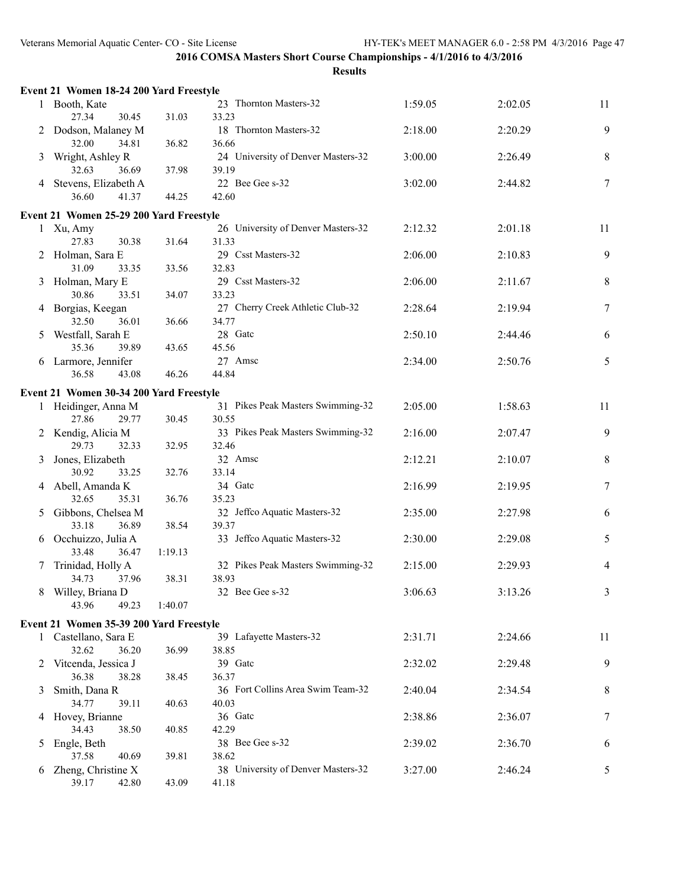|   | Event 21 Women 18-24 200 Yard Freestyle |         |                                             |         |         |                |
|---|-----------------------------------------|---------|---------------------------------------------|---------|---------|----------------|
|   | 1 Booth, Kate<br>27.34<br>30.45         | 31.03   | 23 Thornton Masters-32<br>33.23             | 1:59.05 | 2:02.05 | 11             |
|   | Dodson, Malaney M<br>32.00<br>34.81     | 36.82   | 18 Thornton Masters-32<br>36.66             | 2:18.00 | 2:20.29 | 9              |
| 3 | Wright, Ashley R<br>32.63<br>36.69      | 37.98   | 24 University of Denver Masters-32<br>39.19 | 3:00.00 | 2:26.49 | 8              |
| 4 | Stevens, Elizabeth A<br>36.60<br>41.37  | 44.25   | 22 Bee Gee s-32<br>42.60                    | 3:02.00 | 2:44.82 | 7              |
|   | Event 21 Women 25-29 200 Yard Freestyle |         |                                             |         |         |                |
|   | 1 Xu, Amy<br>27.83<br>30.38             | 31.64   | 26 University of Denver Masters-32<br>31.33 | 2:12.32 | 2:01.18 | 11             |
|   | 2 Holman, Sara E<br>31.09<br>33.35      | 33.56   | 29 Csst Masters-32<br>32.83                 | 2:06.00 | 2:10.83 | 9              |
| 3 | Holman, Mary E<br>30.86<br>33.51        | 34.07   | 29 Csst Masters-32<br>33.23                 | 2:06.00 | 2:11.67 | 8              |
| 4 | Borgias, Keegan<br>32.50<br>36.01       | 36.66   | 27 Cherry Creek Athletic Club-32<br>34.77   | 2:28.64 | 2:19.94 | $\tau$         |
| 5 | Westfall, Sarah E<br>35.36<br>39.89     | 43.65   | 28 Gate<br>45.56                            | 2:50.10 | 2:44.46 | 6              |
| 6 | Larmore, Jennifer<br>36.58<br>43.08     | 46.26   | 27 Amsc<br>44.84                            | 2:34.00 | 2:50.76 | 5              |
|   | Event 21 Women 30-34 200 Yard Freestyle |         |                                             |         |         |                |
|   | 1 Heidinger, Anna M<br>27.86<br>29.77   | 30.45   | 31 Pikes Peak Masters Swimming-32<br>30.55  | 2:05.00 | 1:58.63 | 11             |
|   | 2 Kendig, Alicia M<br>29.73<br>32.33    | 32.95   | 33 Pikes Peak Masters Swimming-32<br>32.46  | 2:16.00 | 2:07.47 | 9              |
| 3 | Jones, Elizabeth<br>30.92<br>33.25      | 32.76   | 32 Amsc<br>33.14                            | 2:12.21 | 2:10.07 | 8              |
|   | 4 Abell, Amanda K<br>32.65<br>35.31     | 36.76   | 34 Gate<br>35.23                            | 2:16.99 | 2:19.95 | $\tau$         |
| 5 | Gibbons, Chelsea M<br>33.18<br>36.89    | 38.54   | 32 Jeffco Aquatic Masters-32<br>39.37       | 2:35.00 | 2:27.98 | 6              |
| 6 | Occhuizzo, Julia A<br>33.48<br>36.47    | 1:19.13 | 33 Jeffco Aquatic Masters-32                | 2:30.00 | 2:29.08 | 5              |
| 7 | Trinidad, Holly A<br>37.96<br>34.73     | 38.31   | 32 Pikes Peak Masters Swimming-32<br>38.93  | 2:15.00 | 2:29.93 | 4              |
| 8 | Willey, Briana D<br>43.96<br>49.23      | 1:40.07 | 32 Bee Gee s-32                             | 3:06.63 | 3:13.26 | $\overline{3}$ |
|   | Event 21 Women 35-39 200 Yard Freestyle |         |                                             |         |         |                |
|   | 1 Castellano, Sara E<br>32.62<br>36.20  | 36.99   | 39 Lafayette Masters-32<br>38.85            | 2:31.71 | 2:24.66 | 11             |
|   | 2 Vitcenda, Jessica J<br>36.38<br>38.28 | 38.45   | 39 Gate<br>36.37                            | 2:32.02 | 2:29.48 | 9              |
| 3 | Smith, Dana R<br>34.77<br>39.11         | 40.63   | 36 Fort Collins Area Swim Team-32<br>40.03  | 2:40.04 | 2:34.54 | 8              |
|   | 4 Hovey, Brianne<br>34.43<br>38.50      | 40.85   | 36 Gatc<br>42.29                            | 2:38.86 | 2:36.07 | 7              |
| 5 | Engle, Beth<br>37.58<br>40.69           | 39.81   | 38 Bee Gee s-32<br>38.62                    | 2:39.02 | 2:36.70 | 6              |
| 6 | Zheng, Christine X<br>39.17<br>42.80    | 43.09   | 38 University of Denver Masters-32<br>41.18 | 3:27.00 | 2:46.24 | 5              |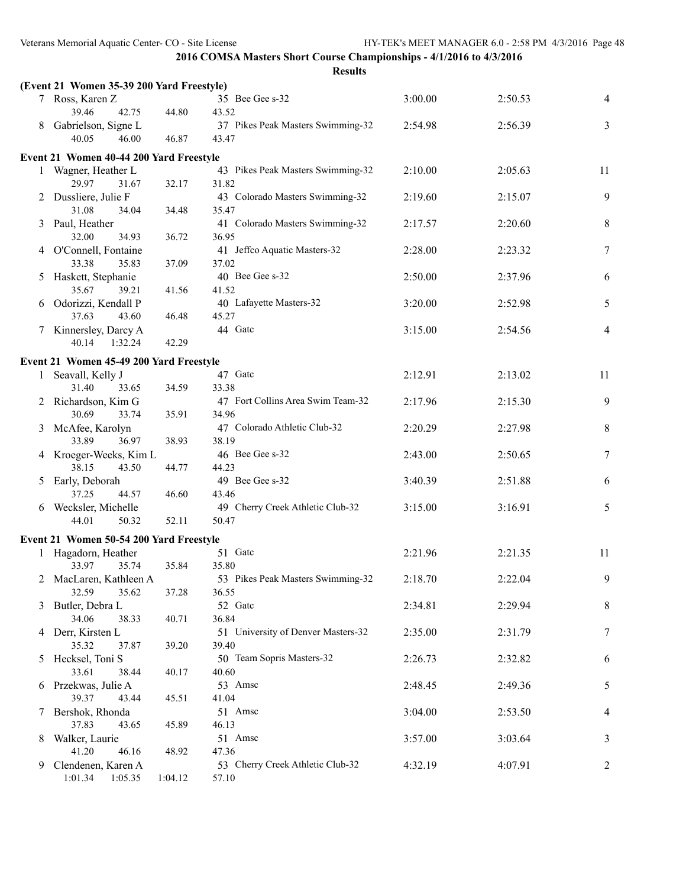|   | (Event 21 Women 35-39 200 Yard Freestyle)                   |         |                                             |         |         |                |
|---|-------------------------------------------------------------|---------|---------------------------------------------|---------|---------|----------------|
|   | 7 Ross, Karen Z<br>39.46<br>42.75                           | 44.80   | 35 Bee Gee s-32<br>43.52                    | 3:00.00 | 2:50.53 | $\overline{4}$ |
| 8 | Gabrielson, Signe L<br>40.05<br>46.00                       | 46.87   | 37 Pikes Peak Masters Swimming-32<br>43.47  | 2:54.98 | 2:56.39 | 3              |
|   | Event 21 Women 40-44 200 Yard Freestyle                     |         |                                             |         |         |                |
|   | 1 Wagner, Heather L<br>29.97<br>31.67                       | 32.17   | 43 Pikes Peak Masters Swimming-32<br>31.82  | 2:10.00 | 2:05.63 | 11             |
|   | 2 Dussliere, Julie F<br>31.08<br>34.04                      |         | 43 Colorado Masters Swimming-32<br>35.47    | 2:19.60 | 2:15.07 | 9              |
|   | 3 Paul, Heather                                             | 34.48   | 41 Colorado Masters Swimming-32             | 2:17.57 | 2:20.60 | 8              |
|   | 32.00<br>34.93<br>4 O'Connell, Fontaine                     | 36.72   | 36.95<br>41 Jeffco Aquatic Masters-32       | 2:28.00 | 2:23.32 | $\overline{7}$ |
| 5 | 33.38<br>35.83<br>Haskett, Stephanie                        | 37.09   | 37.02<br>40 Bee Gee s-32                    | 2:50.00 | 2:37.96 | 6              |
| 6 | 35.67<br>39.21<br>Odorizzi, Kendall P                       | 41.56   | 41.52<br>40 Lafayette Masters-32            | 3:20.00 | 2:52.98 | 5              |
|   | 37.63<br>43.60<br>7 Kinnersley, Darcy A                     | 46.48   | 45.27<br>44 Gate                            | 3:15.00 | 2:54.56 | 4              |
|   | 40.14<br>1:32.24<br>Event 21 Women 45-49 200 Yard Freestyle | 42.29   |                                             |         |         |                |
|   | 1 Seavall, Kelly J                                          |         | 47 Gate                                     | 2:12.91 | 2:13.02 | 11             |
|   | 31.40<br>33.65<br>2 Richardson, Kim G                       | 34.59   | 33.38<br>47 Fort Collins Area Swim Team-32  | 2:17.96 | 2:15.30 | 9              |
|   | 30.69<br>33.74<br>3 McAfee, Karolyn                         | 35.91   | 34.96<br>47 Colorado Athletic Club-32       | 2:20.29 | 2:27.98 | 8              |
|   | 33.89<br>36.97<br>4 Kroeger-Weeks, Kim L                    | 38.93   | 38.19<br>46 Bee Gee s-32                    | 2:43.00 | 2:50.65 | 7              |
| 5 | 38.15<br>43.50<br>Early, Deborah                            | 44.77   | 44.23<br>49 Bee Gee s-32                    | 3:40.39 | 2:51.88 | 6              |
| 6 | 37.25<br>44.57<br>Wecksler, Michelle                        | 46.60   | 43.46<br>49 Cherry Creek Athletic Club-32   | 3:15.00 | 3:16.91 | 5              |
|   | 44.01<br>50.32                                              | 52.11   | 50.47                                       |         |         |                |
|   | Event 21 Women 50-54 200 Yard Freestyle                     |         | 51 Gate                                     | 2:21.96 | 2:21.35 | 11             |
|   | 1 Hagadorn, Heather<br>35.74<br>33.97                       | 35.84   | 35.80                                       |         |         |                |
|   | 2 MacLaren, Kathleen A<br>32.59<br>35.62                    | 37.28   | 53 Pikes Peak Masters Swimming-32<br>36.55  | 2:18.70 | 2:22.04 | 9              |
|   | 3 Butler, Debra L<br>34.06<br>38.33                         | 40.71   | 52 Gate<br>36.84                            | 2:34.81 | 2:29.94 | 8              |
|   | 4 Derr, Kirsten L<br>35.32<br>37.87                         | 39.20   | 51 University of Denver Masters-32<br>39.40 | 2:35.00 | 2:31.79 | 7              |
|   | Hecksel, Toni S<br>33.61<br>38.44                           | 40.17   | 50 Team Sopris Masters-32<br>40.60          | 2:26.73 | 2:32.82 | 6              |
| 6 | Przekwas, Julie A<br>39.37<br>43.44                         | 45.51   | 53 Amsc<br>41.04                            | 2:48.45 | 2:49.36 | 5              |
|   | Bershok, Rhonda<br>37.83<br>43.65                           | 45.89   | 51 Amsc<br>46.13                            | 3:04.00 | 2:53.50 | 4              |
| 8 | Walker, Laurie                                              |         | 51 Amsc                                     | 3:57.00 | 3:03.64 | 3              |
| 9 | 41.20<br>46.16<br>Clendenen, Karen A<br>$1:01.34$ $1:05.35$ | 48.92   | 47.36<br>53 Cherry Creek Athletic Club-32   | 4:32.19 | 4:07.91 | 2              |
|   |                                                             | 1:04.12 | 57.10                                       |         |         |                |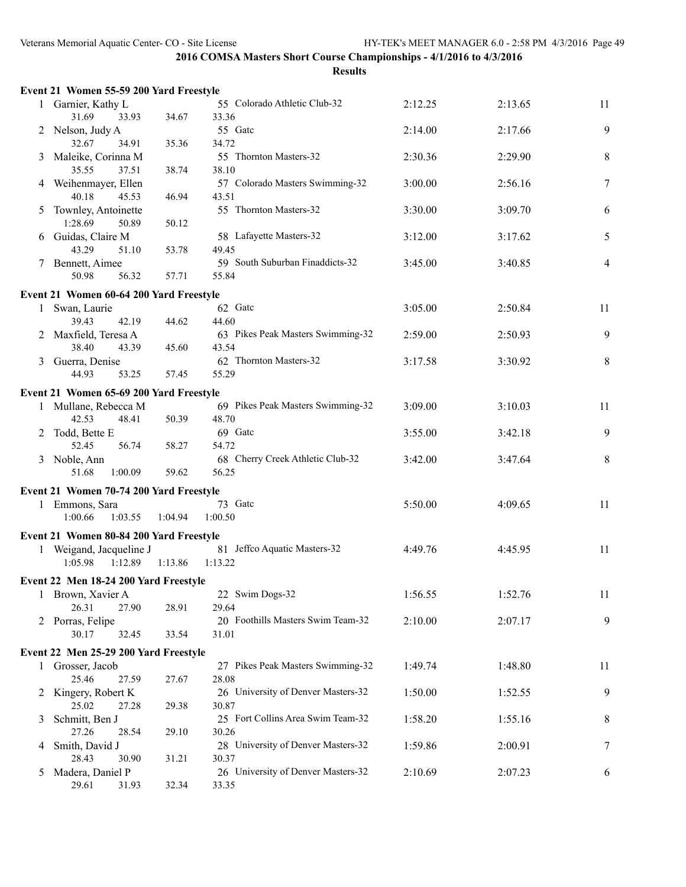|   | Event 21 Women 55-59 200 Yard Freestyle                   |         |                                            |         |         |    |
|---|-----------------------------------------------------------|---------|--------------------------------------------|---------|---------|----|
|   | 1 Garnier, Kathy L                                        |         | 55 Colorado Athletic Club-32               | 2:12.25 | 2:13.65 | 11 |
|   | 31.69<br>33.93                                            | 34.67   | 33.36                                      |         |         |    |
|   | 2 Nelson, Judy A                                          |         | 55 Gate                                    | 2:14.00 | 2:17.66 | 9  |
|   | 32.67<br>34.91                                            | 35.36   | 34.72                                      |         |         |    |
| 3 | Maleike, Corinna M                                        |         | 55 Thornton Masters-32                     | 2:30.36 | 2:29.90 | 8  |
|   | 35.55<br>37.51                                            | 38.74   | 38.10                                      |         |         |    |
|   | 4 Weihenmayer, Ellen                                      |         | 57 Colorado Masters Swimming-32            | 3:00.00 | 2:56.16 | 7  |
|   | 40.18<br>45.53<br>Townley, Antoinette                     | 46.94   | 43.51<br>55 Thornton Masters-32            |         |         | 6  |
| 5 | 1:28.69<br>50.89                                          | 50.12   |                                            | 3:30.00 | 3:09.70 |    |
|   | 6 Guidas, Claire M                                        |         | 58 Lafayette Masters-32                    | 3:12.00 | 3:17.62 | 5  |
|   | 43.29<br>51.10                                            | 53.78   | 49.45                                      |         |         |    |
|   | 7 Bennett, Aimee                                          |         | 59 South Suburban Finaddicts-32            | 3:45.00 | 3:40.85 | 4  |
|   | 50.98<br>56.32                                            | 57.71   | 55.84                                      |         |         |    |
|   |                                                           |         |                                            |         |         |    |
|   | Event 21 Women 60-64 200 Yard Freestyle<br>1 Swan, Laurie |         | 62 Gate                                    | 3:05.00 | 2:50.84 | 11 |
|   | 39.43<br>42.19                                            | 44.62   | 44.60                                      |         |         |    |
|   | 2 Maxfield, Teresa A                                      |         | 63 Pikes Peak Masters Swimming-32          | 2:59.00 | 2:50.93 | 9  |
|   | 38.40<br>43.39                                            | 45.60   | 43.54                                      |         |         |    |
| 3 | Guerra, Denise                                            |         | 62 Thornton Masters-32                     | 3:17.58 | 3:30.92 | 8  |
|   | 44.93<br>53.25                                            | 57.45   | 55.29                                      |         |         |    |
|   | Event 21 Women 65-69 200 Yard Freestyle                   |         |                                            |         |         |    |
|   | 1 Mullane, Rebecca M                                      |         | 69 Pikes Peak Masters Swimming-32          | 3:09.00 | 3:10.03 | 11 |
|   | 42.53<br>48.41                                            | 50.39   | 48.70                                      |         |         |    |
|   | 2 Todd, Bette E                                           |         | 69 Gatc                                    | 3:55.00 | 3:42.18 | 9  |
|   | 52.45<br>56.74                                            | 58.27   | 54.72                                      |         |         |    |
|   | 3 Noble, Ann                                              |         | 68 Cherry Creek Athletic Club-32           | 3:42.00 | 3:47.64 | 8  |
|   | 51.68<br>1:00.09                                          | 59.62   | 56.25                                      |         |         |    |
|   | Event 21 Women 70-74 200 Yard Freestyle                   |         |                                            |         |         |    |
|   | 1 Emmons, Sara                                            |         | 73 Gatc                                    | 5:50.00 | 4:09.65 | 11 |
|   | 1:00.66<br>1:03.55                                        | 1:04.94 | 1:00.50                                    |         |         |    |
|   | Event 21 Women 80-84 200 Yard Freestyle                   |         |                                            |         |         |    |
|   | 1 Weigand, Jacqueline J                                   |         | 81 Jeffco Aquatic Masters-32               | 4:49.76 | 4:45.95 | 11 |
|   | 1:05.98<br>1:12.89                                        | 1:13.86 | 1:13.22                                    |         |         |    |
|   |                                                           |         |                                            |         |         |    |
|   | Event 22 Men 18-24 200 Yard Freestyle<br>Brown, Xavier A  |         | 22 Swim Dogs-32                            | 1:56.55 | 1:52.76 | 11 |
|   | 26.31<br>27.90                                            | 28.91   | 29.64                                      |         |         |    |
|   | 2 Porras, Felipe                                          |         | 20 Foothills Masters Swim Team-32          | 2:10.00 | 2:07.17 | 9  |
|   | 30.17<br>32.45                                            | 33.54   | 31.01                                      |         |         |    |
|   |                                                           |         |                                            |         |         |    |
|   | Event 22 Men 25-29 200 Yard Freestyle                     |         |                                            |         |         |    |
|   | 1 Grosser, Jacob<br>25.46<br>27.59                        | 27.67   | 27 Pikes Peak Masters Swimming-32<br>28.08 | 1:49.74 | 1:48.80 | 11 |
|   | 2 Kingery, Robert K                                       |         | 26 University of Denver Masters-32         | 1:50.00 | 1:52.55 | 9  |
|   | 25.02<br>27.28                                            | 29.38   | 30.87                                      |         |         |    |
| 3 | Schmitt, Ben J                                            |         | 25 Fort Collins Area Swim Team-32          | 1:58.20 | 1:55.16 | 8  |
|   | 27.26<br>28.54                                            | 29.10   | 30.26                                      |         |         |    |
| 4 | Smith, David J                                            |         | 28 University of Denver Masters-32         | 1:59.86 | 2:00.91 | 7  |
|   | 28.43<br>30.90                                            | 31.21   | 30.37                                      |         |         |    |
| 5 | Madera, Daniel P                                          |         | 26 University of Denver Masters-32         | 2:10.69 | 2:07.23 | 6  |
|   | 29.61<br>31.93                                            | 32.34   | 33.35                                      |         |         |    |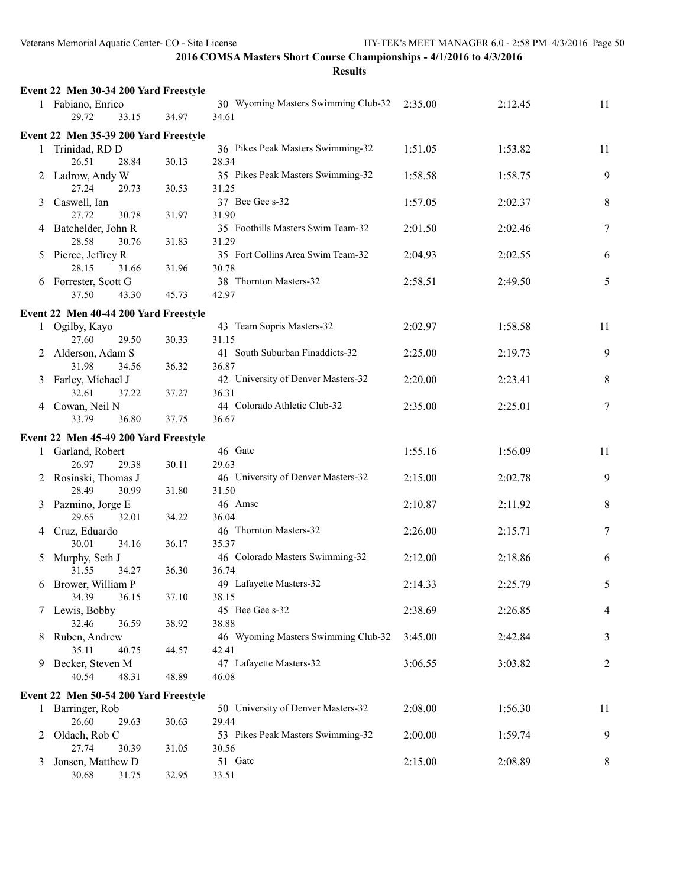|              | Event 22 Men 30-34 200 Yard Freestyle |       |                                             |         |         |                |
|--------------|---------------------------------------|-------|---------------------------------------------|---------|---------|----------------|
|              | 1 Fabiano, Enrico                     |       | 30 Wyoming Masters Swimming Club-32         | 2:35.00 | 2:12.45 | 11             |
|              | 29.72<br>33.15                        | 34.97 | 34.61                                       |         |         |                |
|              | Event 22 Men 35-39 200 Yard Freestyle |       |                                             |         |         |                |
|              | 1 Trinidad, RD D                      |       | 36 Pikes Peak Masters Swimming-32           | 1:51.05 | 1:53.82 | 11             |
|              | 26.51<br>28.84                        | 30.13 | 28.34                                       |         |         |                |
|              | 2 Ladrow, Andy W                      |       | 35 Pikes Peak Masters Swimming-32           | 1:58.58 | 1:58.75 | 9              |
|              | 27.24<br>29.73                        | 30.53 | 31.25                                       |         |         |                |
| 3            | Caswell, Ian<br>27.72<br>30.78        |       | 37 Bee Gee s-32<br>31.90                    | 1:57.05 | 2:02.37 | 8              |
|              | 4 Batchelder, John R                  | 31.97 | 35 Foothills Masters Swim Team-32           | 2:01.50 | 2:02.46 | 7              |
|              | 28.58<br>30.76                        | 31.83 | 31.29                                       |         |         |                |
|              | 5 Pierce, Jeffrey R                   |       | 35 Fort Collins Area Swim Team-32           | 2:04.93 | 2:02.55 | 6              |
|              | 28.15<br>31.66                        | 31.96 | 30.78                                       |         |         |                |
|              | 6 Forrester, Scott G                  |       | 38 Thornton Masters-32                      | 2:58.51 | 2:49.50 | 5              |
|              | 37.50<br>43.30                        | 45.73 | 42.97                                       |         |         |                |
|              | Event 22 Men 40-44 200 Yard Freestyle |       |                                             |         |         |                |
|              | 1 Ogilby, Kayo                        |       | 43 Team Sopris Masters-32                   | 2:02.97 | 1:58.58 | 11             |
|              | 27.60<br>29.50                        | 30.33 | 31.15                                       |         |         |                |
|              | 2 Alderson, Adam S                    |       | 41 South Suburban Finaddicts-32             | 2:25.00 | 2:19.73 | 9              |
|              | 31.98<br>34.56                        | 36.32 | 36.87                                       |         |         |                |
|              | 3 Farley, Michael J<br>32.61<br>37.22 |       | 42 University of Denver Masters-32<br>36.31 | 2:20.00 | 2:23.41 | 8              |
|              | 4 Cowan, Neil N                       | 37.27 | 44 Colorado Athletic Club-32                | 2:35.00 | 2:25.01 | 7              |
|              | 33.79<br>36.80                        | 37.75 | 36.67                                       |         |         |                |
|              |                                       |       |                                             |         |         |                |
|              | Event 22 Men 45-49 200 Yard Freestyle |       | 46 Gatc                                     |         |         |                |
|              | 1 Garland, Robert<br>26.97<br>29.38   | 30.11 | 29.63                                       | 1:55.16 | 1:56.09 | 11             |
|              | 2 Rosinski, Thomas J                  |       | 46 University of Denver Masters-32          | 2:15.00 | 2:02.78 | 9              |
|              | 28.49<br>30.99                        | 31.80 | 31.50                                       |         |         |                |
| 3            | Pazmino, Jorge E                      |       | 46 Amsc                                     | 2:10.87 | 2:11.92 | 8              |
|              | 29.65<br>32.01                        | 34.22 | 36.04                                       |         |         |                |
|              | 4 Cruz, Eduardo                       |       | 46 Thornton Masters-32                      | 2:26.00 | 2:15.71 | 7              |
|              | 30.01<br>34.16                        | 36.17 | 35.37                                       |         |         |                |
| 5            | Murphy, Seth J                        |       | 46 Colorado Masters Swimming-32             | 2:12.00 | 2:18.86 | 6              |
|              | 31.55<br>34.27                        | 36.30 | 36.74<br>49 Lafayette Masters-32            |         |         |                |
|              | 6 Brower, William P<br>34.39<br>36.15 | 37.10 | 38.15                                       | 2:14.33 | 2:25.79 | 5              |
|              | 7 Lewis, Bobby                        |       | 45 Bee Gee s-32                             | 2:38.69 | 2:26.85 | 4              |
|              | 32.46<br>36.59                        | 38.92 | 38.88                                       |         |         |                |
|              | 8 Ruben, Andrew                       |       | 46 Wyoming Masters Swimming Club-32         | 3:45.00 | 2:42.84 | 3              |
|              | 35.11<br>40.75                        | 44.57 | 42.41                                       |         |         |                |
|              | 9 Becker, Steven M                    |       | 47 Lafayette Masters-32                     | 3:06.55 | 3:03.82 | $\overline{c}$ |
|              | 40.54<br>48.31                        | 48.89 | 46.08                                       |         |         |                |
|              | Event 22 Men 50-54 200 Yard Freestyle |       |                                             |         |         |                |
| $\mathbf{1}$ | Barringer, Rob                        |       | 50 University of Denver Masters-32          | 2:08.00 | 1:56.30 | 11             |
|              | 26.60<br>29.63                        | 30.63 | 29.44                                       |         |         |                |
| 2            | Oldach, Rob C                         |       | 53 Pikes Peak Masters Swimming-32           | 2:00.00 | 1:59.74 | 9              |
| 3            | 27.74<br>30.39<br>Jonsen, Matthew D   | 31.05 | 30.56<br>51 Gate                            | 2:15.00 | 2:08.89 | 8              |
|              | 30.68<br>31.75                        | 32.95 | 33.51                                       |         |         |                |
|              |                                       |       |                                             |         |         |                |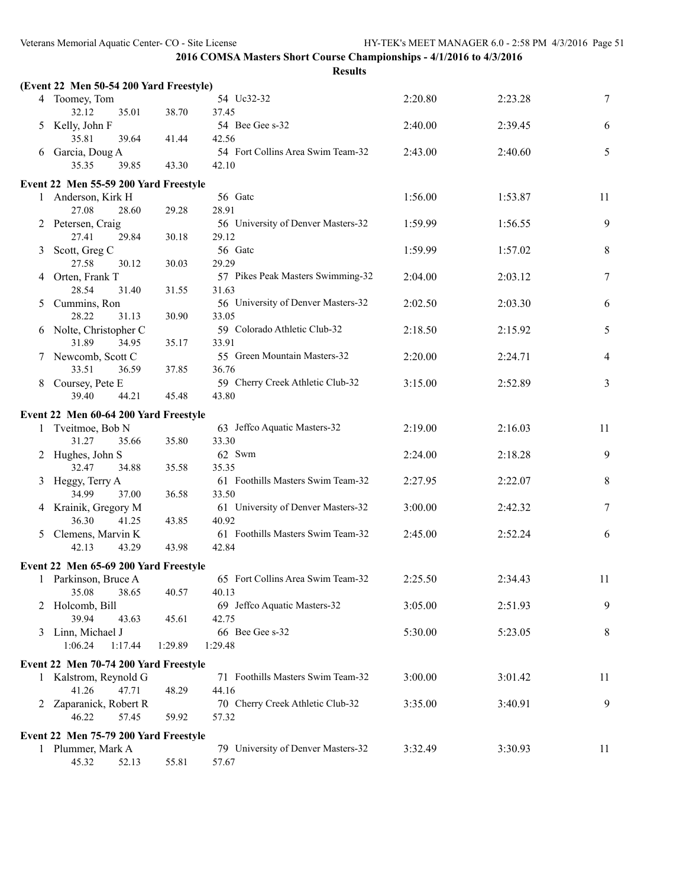|   | (Event 22 Men 50-54 200 Yard Freestyle) |         |                                            |         |         |        |
|---|-----------------------------------------|---------|--------------------------------------------|---------|---------|--------|
|   | 4 Toomey, Tom                           |         | 54 Uc32-32                                 | 2:20.80 | 2:23.28 | $\tau$ |
|   | 32.12<br>35.01                          | 38.70   | 37.45                                      |         |         |        |
| 5 | Kelly, John F                           |         | 54 Bee Gee s-32                            | 2:40.00 | 2:39.45 | 6      |
|   | 35.81<br>39.64                          | 41.44   | 42.56                                      |         |         |        |
| 6 | Garcia, Doug A                          |         | 54 Fort Collins Area Swim Team-32          | 2:43.00 | 2:40.60 | 5      |
|   | 35.35<br>39.85                          | 43.30   | 42.10                                      |         |         |        |
|   | Event 22 Men 55-59 200 Yard Freestyle   |         |                                            |         |         |        |
|   | 1 Anderson, Kirk H                      |         | 56 Gate                                    | 1:56.00 | 1:53.87 | 11     |
|   | 27.08<br>28.60                          | 29.28   | 28.91                                      |         |         |        |
|   | 2 Petersen, Craig                       |         | 56 University of Denver Masters-32         | 1:59.99 | 1:56.55 | 9      |
|   | 27.41<br>29.84                          | 30.18   | 29.12                                      |         |         |        |
|   | 3 Scott, Greg C                         |         | 56 Gate                                    | 1:59.99 | 1:57.02 | 8      |
|   | 27.58<br>30.12                          | 30.03   | 29.29                                      |         |         |        |
|   | 4 Orten, Frank T                        |         | 57 Pikes Peak Masters Swimming-32          | 2:04.00 | 2:03.12 | 7      |
|   | 28.54<br>31.40                          | 31.55   | 31.63                                      |         |         |        |
| 5 | Cummins, Ron                            |         | 56 University of Denver Masters-32         | 2:02.50 | 2:03.30 | 6      |
|   | 28.22<br>31.13                          | 30.90   | 33.05                                      |         |         |        |
|   | 6 Nolte, Christopher C                  |         | 59 Colorado Athletic Club-32               | 2:18.50 | 2:15.92 | 5      |
|   | 31.89<br>34.95                          | 35.17   | 33.91                                      |         |         |        |
|   | 7 Newcomb, Scott C                      |         | 55 Green Mountain Masters-32               | 2:20.00 | 2:24.71 | 4      |
|   | 33.51<br>36.59                          | 37.85   | 36.76                                      |         |         |        |
| 8 | Coursey, Pete E<br>39.40<br>44.21       | 45.48   | 59 Cherry Creek Athletic Club-32<br>43.80  | 3:15.00 | 2:52.89 | 3      |
|   |                                         |         |                                            |         |         |        |
|   | Event 22 Men 60-64 200 Yard Freestyle   |         |                                            |         |         |        |
|   | 1 Tveitmoe, Bob N                       |         | 63 Jeffco Aquatic Masters-32               | 2:19.00 | 2:16.03 | 11     |
|   | 31.27<br>35.66                          | 35.80   | 33.30                                      |         |         |        |
|   | 2 Hughes, John S                        |         | 62 Swm                                     | 2:24.00 | 2:18.28 | 9      |
|   | 32.47<br>34.88                          | 35.58   | 35.35                                      |         |         |        |
| 3 | Heggy, Terry A                          |         | 61 Foothills Masters Swim Team-32          | 2:27.95 | 2:22.07 | 8      |
|   | 34.99<br>37.00                          | 36.58   | 33.50                                      |         |         |        |
|   | 4 Krainik, Gregory M                    |         | 61 University of Denver Masters-32         | 3:00.00 | 2:42.32 | 7      |
|   | 36.30<br>41.25                          | 43.85   | 40.92<br>61 Foothills Masters Swim Team-32 |         |         |        |
| 5 | Clemens, Marvin K<br>42.13<br>43.29     | 43.98   | 42.84                                      | 2:45.00 | 2:52.24 | 6      |
|   |                                         |         |                                            |         |         |        |
|   | Event 22 Men 65-69 200 Yard Freestyle   |         |                                            |         |         |        |
|   | 1 Parkinson, Bruce A                    |         | 65 Fort Collins Area Swim Team-32          | 2:25.50 | 2:34.43 | 11     |
|   | 35.08<br>38.65                          | 40.57   | 40.13                                      |         |         |        |
|   | 2 Holcomb, Bill                         |         | 69 Jeffco Aquatic Masters-32               | 3:05.00 | 2:51.93 | 9      |
|   | 39.94<br>43.63                          | 45.61   | 42.75                                      |         |         |        |
|   | 3 Linn, Michael J                       |         | 66 Bee Gee s-32                            | 5:30.00 | 5:23.05 | 8      |
|   | 1:06.24<br>1:17.44                      | 1:29.89 | 1:29.48                                    |         |         |        |
|   | Event 22 Men 70-74 200 Yard Freestyle   |         |                                            |         |         |        |
|   | 1 Kalstrom, Reynold G                   |         | 71 Foothills Masters Swim Team-32          | 3:00.00 | 3:01.42 | 11     |
|   | 41.26<br>47.71                          | 48.29   | 44.16                                      |         |         |        |
|   | 2 Zaparanick, Robert R                  |         | 70 Cherry Creek Athletic Club-32           | 3:35.00 | 3:40.91 | 9      |
|   | 46.22<br>57.45                          | 59.92   | 57.32                                      |         |         |        |
|   | Event 22 Men 75-79 200 Yard Freestyle   |         |                                            |         |         |        |
|   | 1 Plummer, Mark A                       |         | 79 University of Denver Masters-32         | 3:32.49 | 3:30.93 | 11     |
|   | 45.32<br>52.13                          | 55.81   | 57.67                                      |         |         |        |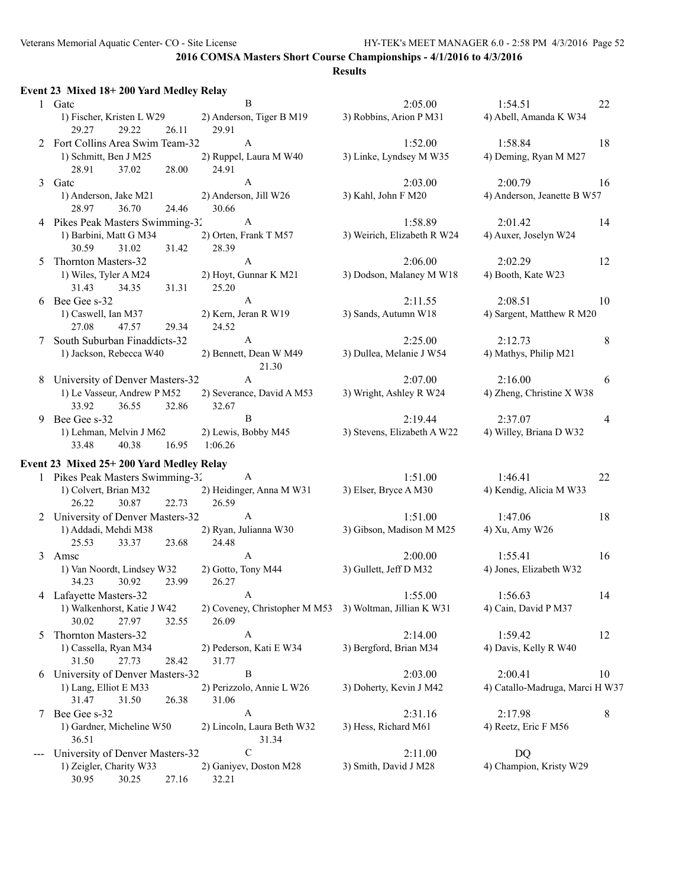|   | Event 23 Mixed 18+200 Yard Medley Relay                |                                                                  |                             |                                 |    |
|---|--------------------------------------------------------|------------------------------------------------------------------|-----------------------------|---------------------------------|----|
|   | 1 Gate                                                 | B                                                                | 2:05.00                     | 1:54.51                         | 22 |
|   | 1) Fischer, Kristen L W29<br>29.27<br>29.22<br>26.11   | 2) Anderson, Tiger B M19<br>29.91                                | 3) Robbins, Arion P M31     | 4) Abell, Amanda K W34          |    |
|   | 2 Fort Collins Area Swim Team-32                       | A                                                                | 1:52.00                     | 1:58.84                         | 18 |
|   | 1) Schmitt, Ben J M25<br>28.91<br>37.02<br>28.00       | 2) Ruppel, Laura M W40<br>24.91                                  | 3) Linke, Lyndsey M W35     | 4) Deming, Ryan M M27           |    |
| 3 | Gatc                                                   | $\mathbf{A}$                                                     | 2:03.00                     | 2:00.79                         | 16 |
|   | 1) Anderson, Jake M21<br>28.97<br>36.70<br>24.46       | 2) Anderson, Jill W26<br>30.66                                   | 3) Kahl, John F M20         | 4) Anderson, Jeanette B W57     |    |
|   | 4 Pikes Peak Masters Swimming-32                       | A                                                                | 1:58.89                     | 2:01.42                         | 14 |
|   | 1) Barbini, Matt G M34<br>30.59<br>31.02<br>31.42      | 2) Orten, Frank T M57<br>28.39                                   | 3) Weirich, Elizabeth R W24 | 4) Auxer, Joselyn W24           |    |
| 5 | Thornton Masters-32                                    | $\mathbf{A}$                                                     | 2:06.00                     | 2:02.29                         | 12 |
|   | 1) Wiles, Tyler A M24<br>31.31<br>31.43<br>34.35       | 2) Hoyt, Gunnar K M21<br>25.20                                   | 3) Dodson, Malaney M W18    | 4) Booth, Kate W23              |    |
| 6 | Bee Gee s-32                                           | $\boldsymbol{A}$                                                 | 2:11.55                     | 2:08.51                         | 10 |
|   | 1) Caswell, Ian M37<br>27.08<br>47.57<br>29.34         | 2) Kern, Jeran R W19<br>24.52                                    | 3) Sands, Autumn W18        | 4) Sargent, Matthew R M20       |    |
| 7 | South Suburban Finaddicts-32                           | $\mathbf{A}$                                                     | 2:25.00                     | 2:12.73                         | 8  |
|   | 1) Jackson, Rebecca W40                                | 2) Bennett, Dean W M49<br>21.30                                  | 3) Dullea, Melanie J W54    | 4) Mathys, Philip M21           |    |
|   | 8 University of Denver Masters-32                      | $\mathbf{A}$                                                     | 2:07.00                     | 2:16.00                         | 6  |
|   | 1) Le Vasseur, Andrew P M52<br>33.92<br>36.55<br>32.86 | 2) Severance, David A M53<br>32.67                               | 3) Wright, Ashley R W24     | 4) Zheng, Christine X W38       |    |
| 9 | Bee Gee s-32                                           | B                                                                | 2:19.44                     | 2:37.07                         | 4  |
|   | 1) Lehman, Melvin J M62<br>33.48<br>16.95<br>40.38     | 2) Lewis, Bobby M45<br>1:06.26                                   | 3) Stevens, Elizabeth A W22 | 4) Willey, Briana D W32         |    |
|   | Event 23 Mixed 25+200 Yard Medley Relay                |                                                                  |                             |                                 |    |
|   | 1 Pikes Peak Masters Swimming-32                       | A                                                                | 1:51.00                     | 1:46.41                         | 22 |
|   | 1) Colvert, Brian M32<br>26.22<br>22.73<br>30.87       | 2) Heidinger, Anna M W31<br>26.59                                | 3) Elser, Bryce A M30       | 4) Kendig, Alicia M W33         |    |
|   | 2 University of Denver Masters-32                      | $\mathbf{A}$                                                     | 1:51.00                     | 1:47.06                         | 18 |
|   | 1) Addadi, Mehdi M38<br>25.53<br>33.37<br>23.68        | 2) Ryan, Julianna W30<br>24.48                                   | 3) Gibson, Madison M M25    | 4) Xu, Amy W26                  |    |
| 3 | Amsc                                                   | $\mathbf{A}$                                                     | 2:00.00                     | 1:55.41                         | 16 |
|   | 1) Van Noordt, Lindsey W32<br>34.23 30.92 23.99        | 2) Gotto, Tony M44<br>26.27                                      | 3) Gullett, Jeff D M32      | 4) Jones, Elizabeth W32         |    |
|   | 4 Lafayette Masters-32                                 | A                                                                | 1:55.00                     | 1:56.63                         | 14 |
|   | 1) Walkenhorst, Katie J W42<br>30.02<br>27.97<br>32.55 | 2) Coveney, Christopher M M53 3) Woltman, Jillian K W31<br>26.09 |                             | 4) Cain, David P M37            |    |
| 5 | Thornton Masters-32                                    | A                                                                | 2:14.00                     | 1:59.42                         | 12 |
|   | 1) Cassella, Ryan M34<br>31.50<br>27.73<br>28.42       | 2) Pederson, Kati E W34<br>31.77                                 | 3) Bergford, Brian M34      | 4) Davis, Kelly R W40           |    |
| 6 | University of Denver Masters-32                        | B                                                                | 2:03.00                     | 2:00.41                         | 10 |
|   | 1) Lang, Elliot E M33<br>31.47<br>31.50<br>26.38       | 2) Perizzolo, Annie L W26<br>31.06                               | 3) Doherty, Kevin J M42     | 4) Catallo-Madruga, Marci H W37 |    |
| 7 | Bee Gee s-32                                           | A                                                                | 2:31.16                     | 2:17.98                         | 8  |
|   | 1) Gardner, Micheline W50<br>36.51                     | 2) Lincoln, Laura Beth W32<br>31.34                              | 3) Hess, Richard M61        | 4) Reetz, Eric F M56            |    |
|   | University of Denver Masters-32                        | $\mathcal{C}$                                                    | 2:11.00                     | DQ                              |    |
|   | 1) Zeigler, Charity W33<br>30.95<br>27.16<br>30.25     | 2) Ganiyev, Doston M28<br>32.21                                  | 3) Smith, David J M28       | 4) Champion, Kristy W29         |    |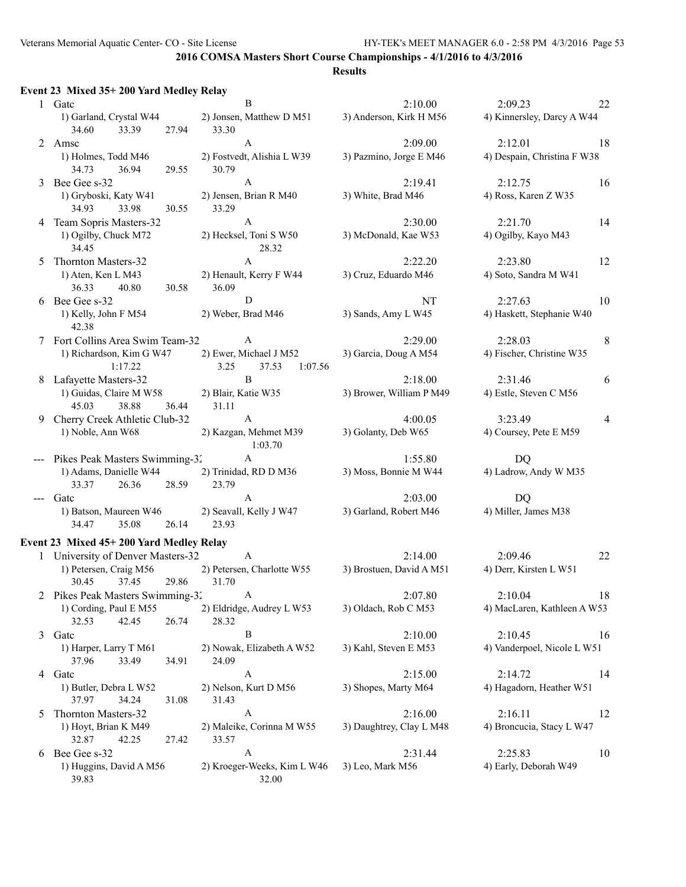#### **Results**

#### **Event 23 Mixed 35+ 200 Yard Medley Relay**

|   | 1 Gate                                             | B                                                  | 2:10.00                  | 2:09.23                     | 22 |
|---|----------------------------------------------------|----------------------------------------------------|--------------------------|-----------------------------|----|
|   | 1) Garland, Crystal W44<br>33.39<br>34.60<br>27.94 | 2) Jonsen, Matthew D M51<br>33.30                  | 3) Anderson, Kirk H M56  | 4) Kinnersley, Darcy A W44  |    |
|   | 2 Amsc                                             | A                                                  | 2:09.00                  | 2:12.01                     | 18 |
|   | 1) Holmes, Todd M46<br>34.73<br>36.94<br>29.55     | 2) Fostvedt, Alishia L W39<br>30.79                | 3) Pazmino, Jorge E M46  | 4) Despain, Christina F W38 |    |
| 3 | Bee Gee s-32                                       | A                                                  | 2:19.41                  | 2:12.75                     | 16 |
|   | 1) Gryboski, Katy W41<br>34.93<br>33.98<br>30.55   | 2) Jensen, Brian R M40<br>33.29                    | 3) White, Brad M46       | 4) Ross, Karen Z W35        |    |
| 4 | Team Sopris Masters-32                             | $\mathbf{A}$                                       | 2:30.00                  | 2:21.70                     | 14 |
|   | 1) Ogilby, Chuck M72<br>34.45                      | 2) Hecksel, Toni S W50<br>28.32                    | 3) McDonald, Kae W53     | 4) Ogilby, Kayo M43         |    |
| 5 | Thornton Masters-32                                | $\mathbf{A}$                                       | 2:22.20                  | 2:23.80                     | 12 |
|   | 1) Aten, Ken L M43<br>36.33<br>40.80<br>30.58      | 2) Henault, Kerry F W44<br>36.09                   | 3) Cruz, Eduardo M46     | 4) Soto, Sandra M W41       |    |
| 6 | Bee Gee s-32                                       | ${\bf D}$                                          | NT                       | 2:27.63                     | 10 |
|   | 1) Kelly, John F M54<br>42.38                      | 2) Weber, Brad M46                                 | 3) Sands, Amy L W45      | 4) Haskett, Stephanie W40   |    |
|   | 7 Fort Collins Area Swim Team-32                   | A                                                  | 2:29.00                  | 2:28.03                     | 8  |
|   | 1) Richardson, Kim G W47<br>1:17.22                | 2) Ewer, Michael J M52<br>3.25<br>37.53<br>1:07.56 | 3) Garcia, Doug A M54    | 4) Fischer, Christine W35   |    |
| 8 | Lafayette Masters-32                               | $\, {\bf B}$                                       | 2:18.00                  | 2:31.46                     | 6  |
|   | 1) Guidas, Claire M W58<br>38.88<br>45.03<br>36.44 | 2) Blair, Katie W35<br>31.11                       | 3) Brower, William P M49 | 4) Estle, Steven C M56      |    |
| 9 | Cherry Creek Athletic Club-32                      | $\mathbf{A}$                                       | 4:00.05                  | 3:23.49                     | 4  |
|   | 1) Noble, Ann W68                                  | 2) Kazgan, Mehmet M39<br>1:03.70                   | 3) Golanty, Deb W65      | 4) Coursey, Pete E M59      |    |
|   | --- Pikes Peak Masters Swimming-32                 | A                                                  | 1:55.80                  | DQ                          |    |
|   | 1) Adams, Danielle W44<br>33.37<br>26.36<br>28.59  | 2) Trinidad, RD D M36<br>23.79                     | 3) Moss, Bonnie M W44    | 4) Ladrow, Andy W M35       |    |
|   | --- Gatc                                           | $\mathbf{A}$                                       | 2:03.00                  | DQ                          |    |
|   | 1) Batson, Maureen W46<br>34.47<br>35.08<br>26.14  | 2) Seavall, Kelly J W47<br>23.93                   | 3) Garland, Robert M46   | 4) Miller, James M38        |    |
|   | Event 23 Mixed 45+200 Yard Medley Relay            |                                                    |                          |                             |    |
|   | 1 University of Denver Masters-32                  | $\overline{A}$                                     | 2:14.00                  | 2:09.46                     | 22 |
|   | 1) Petersen, Craig M56<br>37.45<br>29.86<br>30.45  | 2) Petersen, Charlotte W55<br>31.70                | 3) Brostuen, David A M51 | 4) Derr, Kirsten L W51      |    |
|   | 2 Pikes Peak Masters Swimming-32                   | $\mathbf{A}$                                       | 2:07.80                  | 2:10.04                     | 18 |
|   | 1) Cording, Paul E M55<br>32.53<br>42.45<br>26.74  | 2) Eldridge, Audrey L W53<br>28.32                 | 3) Oldach, Rob C M53     | 4) MacLaren, Kathleen A W53 |    |
| 3 | Gatc                                               | В                                                  | 2:10.00                  | 2:10.45                     | 16 |
|   | 1) Harper, Larry T M61<br>37.96<br>33.49<br>34.91  | 2) Nowak, Elizabeth A W52<br>24.09                 | 3) Kahl, Steven E M53    | 4) Vanderpoel, Nicole L W51 |    |
|   | 4 Gatc                                             | A                                                  | 2:15.00                  | 2:14.72                     | 14 |
|   | 1) Butler, Debra L W52<br>37.97<br>34.24<br>31.08  | 2) Nelson, Kurt D M56<br>31.43                     | 3) Shopes, Marty M64     | 4) Hagadorn, Heather W51    |    |
| 5 | Thornton Masters-32                                | A                                                  | 2:16.00                  | 2:16.11                     | 12 |
|   | 1) Hoyt, Brian K M49<br>32.87<br>42.25<br>27.42    | 2) Maleike, Corinna M W55<br>33.57                 | 3) Daughtrey, Clay L M48 | 4) Broncucia, Stacy L W47   |    |
| 6 | Bee Gee s-32                                       | A                                                  | 2:31.44                  | 2:25.83                     | 10 |
|   | 1) Huggins, David A M56<br>39.83                   | 2) Kroeger-Weeks, Kim L W46<br>32.00               | 3) Leo, Mark M56         | 4) Early, Deborah W49       |    |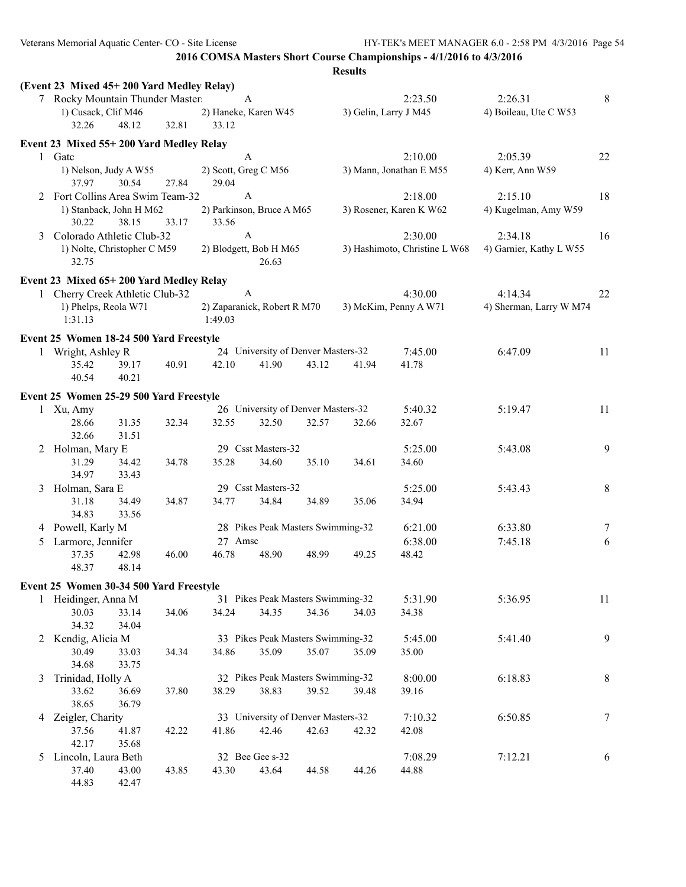|   |                                           |                |       |                             |                                    |       | <b>Results</b>        |                               |                         |    |
|---|-------------------------------------------|----------------|-------|-----------------------------|------------------------------------|-------|-----------------------|-------------------------------|-------------------------|----|
|   | (Event 23 Mixed 45+200 Yard Medley Relay) |                |       |                             |                                    |       |                       |                               |                         |    |
|   | 7 Rocky Mountain Thunder Master           |                |       | A                           |                                    |       |                       | 2:23.50                       | 2:26.31                 | 8  |
|   | 1) Cusack, Clif M46                       |                |       | 2) Haneke, Karen W45        |                                    |       | 3) Gelin, Larry J M45 |                               | 4) Boileau, Ute C W53   |    |
|   | 32.26                                     | 48.12          | 32.81 | 33.12                       |                                    |       |                       |                               |                         |    |
|   | Event 23 Mixed 55+200 Yard Medley Relay   |                |       |                             |                                    |       |                       |                               |                         |    |
|   | 1 Gate                                    |                |       | $\mathbf{A}$                |                                    |       |                       | 2:10.00                       | 2:05.39                 | 22 |
|   | 1) Nelson, Judy A W55                     |                |       | 2) Scott, Greg C M56        |                                    |       |                       | 3) Mann, Jonathan E M55       | 4) Kerr, Ann W59        |    |
|   | 37.97                                     | 30.54          | 27.84 | 29.04                       |                                    |       |                       |                               |                         |    |
|   | 2 Fort Collins Area Swim Team-32          |                |       | $\mathbf{A}$                |                                    |       |                       | 2:18.00                       | 2:15.10                 | 18 |
|   | 1) Stanback, John H M62                   |                |       | 2) Parkinson, Bruce A M65   |                                    |       |                       | 3) Rosener, Karen K W62       | 4) Kugelman, Amy W59    |    |
|   | 30.22                                     | 38.15          | 33.17 | 33.56                       |                                    |       |                       |                               |                         |    |
| 3 | Colorado Athletic Club-32                 |                |       | $\mathbf{A}$                |                                    |       |                       | 2:30.00                       | 2:34.18                 | 16 |
|   | 1) Nolte, Christopher C M59               |                |       | 2) Blodgett, Bob H M65      |                                    |       |                       | 3) Hashimoto, Christine L W68 | 4) Garnier, Kathy L W55 |    |
|   | 32.75                                     |                |       |                             | 26.63                              |       |                       |                               |                         |    |
|   | Event 23 Mixed 65+200 Yard Medley Relay   |                |       |                             |                                    |       |                       |                               |                         |    |
|   | 1 Cherry Creek Athletic Club-32           |                |       | A                           |                                    |       |                       | 4:30.00                       | 4:14.34                 | 22 |
|   | 1) Phelps, Reola W71                      |                |       | 2) Zaparanick, Robert R M70 |                                    |       |                       | 3) McKim, Penny A W71         | 4) Sherman, Larry W M74 |    |
|   | 1:31.13                                   |                |       | 1:49.03                     |                                    |       |                       |                               |                         |    |
|   | Event 25 Women 18-24 500 Yard Freestyle   |                |       |                             |                                    |       |                       |                               |                         |    |
|   | 1 Wright, Ashley R                        |                |       |                             | 24 University of Denver Masters-32 |       |                       | 7:45.00                       | 6:47.09                 | 11 |
|   | 35.42                                     | 39.17          | 40.91 | 42.10                       | 41.90                              | 43.12 | 41.94                 | 41.78                         |                         |    |
|   | 40.54                                     | 40.21          |       |                             |                                    |       |                       |                               |                         |    |
|   | Event 25 Women 25-29 500 Yard Freestyle   |                |       |                             |                                    |       |                       |                               |                         |    |
|   | 1 Xu, Amy                                 |                |       |                             | 26 University of Denver Masters-32 |       |                       | 5:40.32                       | 5:19.47                 | 11 |
|   | 28.66                                     | 31.35          | 32.34 | 32.55                       | 32.50                              | 32.57 | 32.66                 | 32.67                         |                         |    |
|   | 32.66                                     | 31.51          |       |                             |                                    |       |                       |                               |                         |    |
|   | 2 Holman, Mary E                          |                |       |                             | 29 Csst Masters-32                 |       |                       | 5:25.00                       | 5:43.08                 | 9  |
|   | 31.29                                     | 34.42          | 34.78 | 35.28                       | 34.60                              | 35.10 | 34.61                 | 34.60                         |                         |    |
|   | 34.97                                     | 33.43          |       |                             |                                    |       |                       |                               |                         |    |
| 3 | Holman, Sara E                            |                |       |                             | 29 Csst Masters-32                 |       |                       | 5:25.00                       | 5:43.43                 | 8  |
|   | 31.18                                     | 34.49          | 34.87 | 34.77                       | 34.84                              | 34.89 | 35.06                 | 34.94                         |                         |    |
|   | 34.83                                     | 33.56          |       |                             |                                    |       |                       |                               |                         |    |
| 4 | Powell, Karly M                           |                |       |                             | 28 Pikes Peak Masters Swimming-32  |       |                       | 6:21.00                       | 6:33.80                 | 7  |
| 5 | Larmore, Jennifer                         |                |       | 27 Amsc                     |                                    |       |                       | 6:38.00                       | 7:45.18                 | 6  |
|   | 37.35                                     | 42.98          | 46.00 | 46.78                       | 48.90                              | 48.99 | 49.25                 | 48.42                         |                         |    |
|   | 48.37                                     | 48.14          |       |                             |                                    |       |                       |                               |                         |    |
|   | Event 25 Women 30-34 500 Yard Freestyle   |                |       |                             |                                    |       |                       |                               |                         |    |
|   | 1 Heidinger, Anna M                       |                |       |                             | 31 Pikes Peak Masters Swimming-32  |       |                       | 5:31.90                       | 5:36.95                 | 11 |
|   | 30.03                                     | 33.14          | 34.06 | 34.24                       | 34.35                              | 34.36 | 34.03                 | 34.38                         |                         |    |
|   | 34.32                                     | 34.04          |       |                             |                                    |       |                       |                               |                         |    |
|   | 2 Kendig, Alicia M                        |                |       |                             | 33 Pikes Peak Masters Swimming-32  |       |                       | 5:45.00                       | 5:41.40                 | 9  |
|   | 30.49<br>34.68                            | 33.03<br>33.75 | 34.34 | 34.86                       | 35.09                              | 35.07 | 35.09                 | 35.00                         |                         |    |
| 3 | Trinidad, Holly A                         |                |       |                             | 32 Pikes Peak Masters Swimming-32  |       |                       | 8:00.00                       | 6:18.83                 | 8  |
|   | 33.62                                     | 36.69          | 37.80 | 38.29                       | 38.83                              | 39.52 | 39.48                 | 39.16                         |                         |    |
|   | 38.65                                     | 36.79          |       |                             |                                    |       |                       |                               |                         |    |
|   | 4 Zeigler, Charity                        |                |       |                             | 33 University of Denver Masters-32 |       |                       | 7:10.32                       | 6:50.85                 | 7  |
|   | 37.56                                     | 41.87          | 42.22 | 41.86                       | 42.46                              | 42.63 | 42.32                 | 42.08                         |                         |    |
|   | 42.17                                     | 35.68          |       |                             |                                    |       |                       |                               |                         |    |
| 5 | Lincoln, Laura Beth                       |                |       |                             | 32 Bee Gee s-32                    |       |                       | 7:08.29                       | 7:12.21                 | 6  |
|   | 37.40                                     | 43.00          | 43.85 | 43.30                       | 43.64                              | 44.58 | 44.26                 | 44.88                         |                         |    |
|   | 44.83                                     | 42.47          |       |                             |                                    |       |                       |                               |                         |    |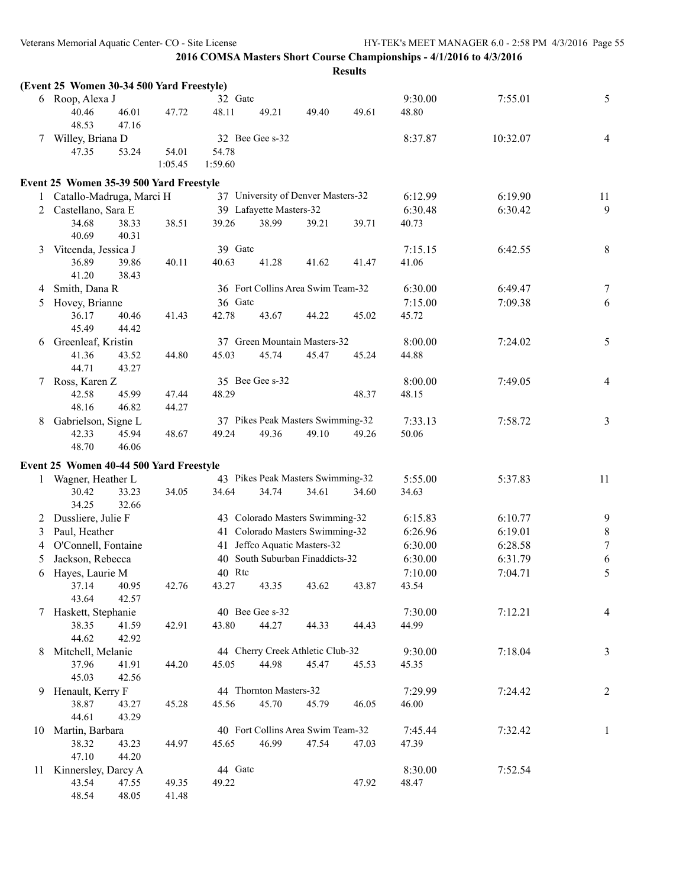|   | (Event 25 Women 30-34 500 Yard Freestyle) |                |         |                         |                                    |       |         |          |                |
|---|-------------------------------------------|----------------|---------|-------------------------|------------------------------------|-------|---------|----------|----------------|
|   | 6 Roop, Alexa J                           |                | 32 Gate |                         |                                    |       | 9:30.00 | 7:55.01  | 5              |
|   | 40.46<br>46.01                            | 47.72          | 48.11   | 49.21                   | 49.40                              | 49.61 | 48.80   |          |                |
|   | 48.53<br>47.16                            |                |         |                         |                                    |       |         |          |                |
|   | 7 Willey, Briana D                        |                |         | 32 Bee Gee s-32         |                                    |       | 8:37.87 | 10:32.07 | $\overline{4}$ |
|   | 47.35<br>53.24                            | 54.01          | 54.78   |                         |                                    |       |         |          |                |
|   |                                           | 1:05.45        | 1:59.60 |                         |                                    |       |         |          |                |
|   | Event 25 Women 35-39 500 Yard Freestyle   |                |         |                         |                                    |       |         |          |                |
|   | Catallo-Madruga, Marci H                  |                |         |                         | 37 University of Denver Masters-32 |       | 6:12.99 | 6:19.90  | 11             |
|   | Castellano, Sara E                        |                |         | 39 Lafayette Masters-32 |                                    |       | 6:30.48 | 6:30.42  | 9              |
|   | 34.68<br>38.33                            | 38.51          | 39.26   | 38.99                   | 39.21                              | 39.71 | 40.73   |          |                |
|   | 40.69<br>40.31                            |                |         |                         |                                    |       |         |          |                |
| 3 | Vitcenda, Jessica J                       |                | 39 Gate |                         |                                    |       | 7:15.15 | 6:42.55  | $\,8\,$        |
|   | 36.89<br>39.86<br>41.20<br>38.43          | 40.11          | 40.63   | 41.28                   | 41.62                              | 41.47 | 41.06   |          |                |
| 4 | Smith, Dana R                             |                |         |                         | 36 Fort Collins Area Swim Team-32  |       | 6:30.00 | 6:49.47  | $\tau$         |
| 5 | Hovey, Brianne                            |                | 36 Gate |                         |                                    |       | 7:15.00 | 7:09.38  | 6              |
|   | 36.17<br>40.46                            | 41.43          | 42.78   | 43.67                   | 44.22                              | 45.02 | 45.72   |          |                |
|   | 45.49<br>44.42                            |                |         |                         |                                    |       |         |          |                |
| 6 | Greenleaf, Kristin                        |                |         |                         | 37 Green Mountain Masters-32       |       | 8:00.00 | 7:24.02  | 5              |
|   | 41.36<br>43.52                            | 44.80          | 45.03   | 45.74                   | 45.47                              | 45.24 | 44.88   |          |                |
|   | 44.71<br>43.27                            |                |         |                         |                                    |       |         |          |                |
|   | 7 Ross, Karen Z                           |                |         | 35 Bee Gee s-32         |                                    |       | 8:00.00 | 7:49.05  | $\overline{4}$ |
|   | 42.58<br>45.99                            | 47.44          | 48.29   |                         |                                    | 48.37 | 48.15   |          |                |
|   | 48.16<br>46.82                            | 44.27          |         |                         |                                    |       |         |          |                |
| 8 | Gabrielson, Signe L                       |                |         |                         | 37 Pikes Peak Masters Swimming-32  |       | 7:33.13 | 7:58.72  | $\overline{3}$ |
|   | 45.94<br>42.33                            | 48.67          | 49.24   | 49.36                   | 49.10                              | 49.26 | 50.06   |          |                |
|   | 48.70<br>46.06                            |                |         |                         |                                    |       |         |          |                |
|   | Event 25 Women 40-44 500 Yard Freestyle   |                |         |                         |                                    |       |         |          |                |
| 1 | Wagner, Heather L                         |                |         |                         | 43 Pikes Peak Masters Swimming-32  |       | 5:55.00 | 5:37.83  | 11             |
|   | 30.42<br>33.23                            | 34.05          | 34.64   | 34.74                   | 34.61                              | 34.60 | 34.63   |          |                |
|   | 34.25<br>32.66                            |                |         |                         |                                    |       |         |          |                |
| 2 | Dussliere, Julie F                        |                |         |                         | 43 Colorado Masters Swimming-32    |       | 6:15.83 | 6:10.77  | 9              |
| 3 | Paul, Heather                             |                |         |                         | 41 Colorado Masters Swimming-32    |       | 6:26.96 | 6:19.01  | $\,$ $\,$      |
| 4 | O'Connell, Fontaine                       |                |         |                         | 41 Jeffco Aquatic Masters-32       |       | 6:30.00 | 6:28.58  | $\tau$         |
| 5 | Jackson, Rebecca                          |                |         |                         | 40 South Suburban Finaddicts-32    |       | 6:30.00 | 6:31.79  | 6              |
| 6 | Hayes, Laurie M                           |                | 40 Rtc  |                         |                                    |       | 7:10.00 | 7:04.71  | 5              |
|   | 37.14<br>40.95                            | 42.76          | 43.27   | 43.35                   | 43.62                              | 43.87 | 43.54   |          |                |
|   | 43.64<br>42.57                            |                |         |                         |                                    |       |         |          |                |
|   | 7 Haskett, Stephanie                      |                |         | 40 Bee Gee s-32         |                                    |       | 7:30.00 | 7:12.21  | $\overline{4}$ |
|   | 38.35<br>41.59                            | 42.91          | 43.80   | 44.27                   | 44.33                              | 44.43 | 44.99   |          |                |
|   | 44.62<br>42.92                            |                |         |                         |                                    |       |         |          |                |
| 8 | Mitchell, Melanie                         |                |         |                         | 44 Cherry Creek Athletic Club-32   |       | 9:30.00 | 7:18.04  | $\overline{3}$ |
|   | 37.96<br>41.91                            | 44.20          | 45.05   | 44.98                   | 45.47                              | 45.53 | 45.35   |          |                |
|   | 45.03<br>42.56                            |                |         |                         |                                    |       |         |          |                |
|   | 9 Henault, Kerry F                        |                |         | 44 Thornton Masters-32  |                                    |       | 7:29.99 | 7:24.42  | 2              |
|   | 38.87<br>43.27                            | 45.28          | 45.56   | 45.70                   | 45.79                              | 46.05 | 46.00   |          |                |
|   | 44.61<br>43.29                            |                |         |                         |                                    |       |         |          |                |
|   | 10 Martin, Barbara                        |                |         |                         | 40 Fort Collins Area Swim Team-32  |       | 7:45.44 | 7:32.42  | $\mathbf{1}$   |
|   | 38.32<br>43.23                            | 44.97          | 45.65   | 46.99                   | 47.54                              | 47.03 | 47.39   |          |                |
|   | 47.10<br>44.20                            |                |         |                         |                                    |       |         |          |                |
|   | 11 Kinnersley, Darcy A<br>43.54           |                | 44 Gatc |                         |                                    |       | 8:30.00 | 7:52.54  |                |
|   | 47.55<br>48.54<br>48.05                   | 49.35<br>41.48 | 49.22   |                         |                                    | 47.92 | 48.47   |          |                |
|   |                                           |                |         |                         |                                    |       |         |          |                |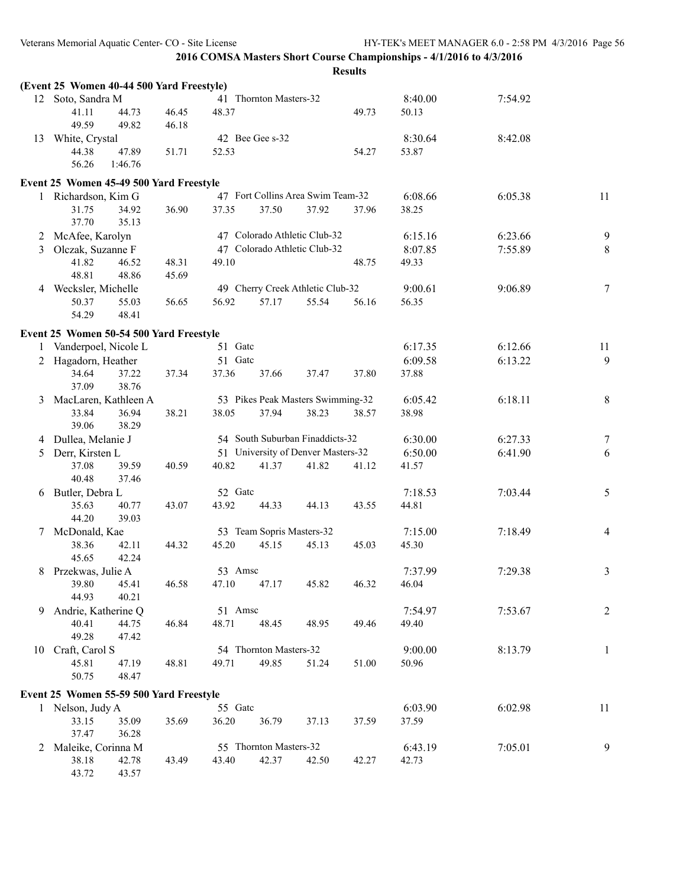|   | (Event 25 Women 40-44 500 Yard Freestyle) |       |         |                           |                                    |       |                  |         |                |
|---|-------------------------------------------|-------|---------|---------------------------|------------------------------------|-------|------------------|---------|----------------|
|   | 12 Soto, Sandra M                         |       |         | 41 Thornton Masters-32    |                                    |       | 8:40.00          | 7:54.92 |                |
|   | 41.11<br>44.73                            | 46.45 | 48.37   |                           |                                    | 49.73 | 50.13            |         |                |
|   | 49.59<br>49.82                            | 46.18 |         |                           |                                    |       |                  |         |                |
|   | 13 White, Crystal                         |       |         | 42 Bee Gee s-32           |                                    |       | 8:30.64          | 8:42.08 |                |
|   | 44.38<br>47.89                            | 51.71 | 52.53   |                           |                                    | 54.27 | 53.87            |         |                |
|   | 56.26<br>1:46.76                          |       |         |                           |                                    |       |                  |         |                |
|   |                                           |       |         |                           |                                    |       |                  |         |                |
|   | Event 25 Women 45-49 500 Yard Freestyle   |       |         |                           | 47 Fort Collins Area Swim Team-32  |       |                  |         |                |
|   | 1 Richardson, Kim G                       |       |         |                           |                                    |       | 6:08.66          | 6:05.38 | 11             |
|   | 31.75<br>34.92                            | 36.90 | 37.35   | 37.50                     | 37.92                              | 37.96 | 38.25            |         |                |
|   | 37.70<br>35.13                            |       |         |                           |                                    |       |                  |         |                |
| 2 | McAfee, Karolyn                           |       |         |                           | 47 Colorado Athletic Club-32       |       | 6:15.16          | 6:23.66 | 9              |
| 3 | Olczak, Suzanne F                         |       |         |                           | 47 Colorado Athletic Club-32       |       | 8:07.85          | 7:55.89 | $8\,$          |
|   | 41.82<br>46.52                            | 48.31 | 49.10   |                           |                                    | 48.75 | 49.33            |         |                |
|   | 48.81<br>48.86                            | 45.69 |         |                           |                                    |       |                  |         |                |
|   | 4 Wecksler, Michelle                      |       |         |                           | 49 Cherry Creek Athletic Club-32   |       | 9:00.61          | 9:06.89 | $\tau$         |
|   | 50.37<br>55.03                            | 56.65 | 56.92   | 57.17                     | 55.54                              | 56.16 | 56.35            |         |                |
|   | 54.29<br>48.41                            |       |         |                           |                                    |       |                  |         |                |
|   | Event 25 Women 50-54 500 Yard Freestyle   |       |         |                           |                                    |       |                  |         |                |
| 1 | Vanderpoel, Nicole L                      |       | 51 Gate |                           |                                    |       | 6:17.35          | 6:12.66 | 11             |
|   | 2 Hagadorn, Heather                       |       | 51 Gatc |                           |                                    |       | 6:09.58          | 6:13.22 | 9              |
|   | 34.64<br>37.22                            | 37.34 | 37.36   | 37.66                     | 37.47                              | 37.80 | 37.88            |         |                |
|   | 37.09<br>38.76                            |       |         |                           |                                    |       |                  |         |                |
| 3 | MacLaren, Kathleen A                      |       |         |                           | 53 Pikes Peak Masters Swimming-32  |       | 6:05.42          | 6:18.11 | 8              |
|   | 33.84<br>36.94                            | 38.21 | 38.05   | 37.94                     | 38.23                              | 38.57 | 38.98            |         |                |
|   | 39.06<br>38.29                            |       |         |                           |                                    |       |                  |         |                |
|   | 4 Dullea, Melanie J                       |       |         |                           | 54 South Suburban Finaddicts-32    |       | 6:30.00          | 6:27.33 | 7              |
| 5 | Derr, Kirsten L                           |       |         |                           | 51 University of Denver Masters-32 |       | 6:50.00          | 6:41.90 | 6              |
|   | 37.08<br>39.59                            | 40.59 | 40.82   | 41.37                     | 41.82                              | 41.12 | 41.57            |         |                |
|   | 40.48<br>37.46                            |       |         |                           |                                    |       |                  |         |                |
| 6 | Butler, Debra L                           |       | 52 Gate |                           |                                    |       | 7:18.53          | 7:03.44 | 5              |
|   | 35.63<br>40.77                            | 43.07 | 43.92   | 44.33                     | 44.13                              | 43.55 | 44.81            |         |                |
|   | 44.20<br>39.03                            |       |         |                           |                                    |       |                  |         |                |
| 7 | McDonald, Kae                             |       |         | 53 Team Sopris Masters-32 |                                    |       | 7:15.00          | 7:18.49 | $\overline{4}$ |
|   | 38.36<br>42.11                            | 44.32 | 45.20   | 45.15                     | 45.13                              | 45.03 | 45.30            |         |                |
|   | 45.65<br>42.24                            |       |         |                           |                                    |       |                  |         |                |
|   | 8 Przekwas, Julie A                       |       | 53 Amsc |                           |                                    |       | 7:37.99          | 7:29.38 | 3              |
|   | 39.80 45.41                               | 46.58 | 47.10   | 47.17                     | 45.82                              | 46.32 | 46.04            |         |                |
|   | 44.93<br>40.21                            |       |         |                           |                                    |       |                  |         |                |
|   | 9 Andrie, Katherine Q                     |       | 51 Amsc |                           |                                    |       | 7:54.97          | 7:53.67 | $\overline{2}$ |
|   | 40.41<br>44.75                            | 46.84 | 48.71   | 48.45                     | 48.95                              | 49.46 | 49.40            |         |                |
|   | 49.28<br>47.42                            |       |         |                           |                                    |       |                  |         |                |
|   | 10 Craft, Carol S                         |       |         | 54 Thornton Masters-32    |                                    |       | 9:00.00          | 8:13.79 | 1              |
|   | 45.81<br>47.19                            | 48.81 | 49.71   | 49.85                     | 51.24                              | 51.00 | 50.96            |         |                |
|   | 50.75<br>48.47                            |       |         |                           |                                    |       |                  |         |                |
|   | Event 25 Women 55-59 500 Yard Freestyle   |       |         |                           |                                    |       |                  |         |                |
|   |                                           |       |         |                           |                                    |       |                  |         |                |
|   | 1 Nelson, Judy A                          |       | 55 Gate |                           |                                    |       | 6:03.90          | 6:02.98 | 11             |
|   | 33.15<br>35.09                            | 35.69 | 36.20   | 36.79                     | 37.13                              | 37.59 | 37.59            |         |                |
|   | 37.47<br>36.28                            |       |         | 55 Thornton Masters-32    |                                    |       |                  |         |                |
| 2 | Maleike, Corinna M<br>38.18<br>42.78      |       | 43.40   | 42.37                     | 42.50                              | 42.27 | 6:43.19<br>42.73 | 7:05.01 | 9              |
|   | 43.72<br>43.57                            | 43.49 |         |                           |                                    |       |                  |         |                |
|   |                                           |       |         |                           |                                    |       |                  |         |                |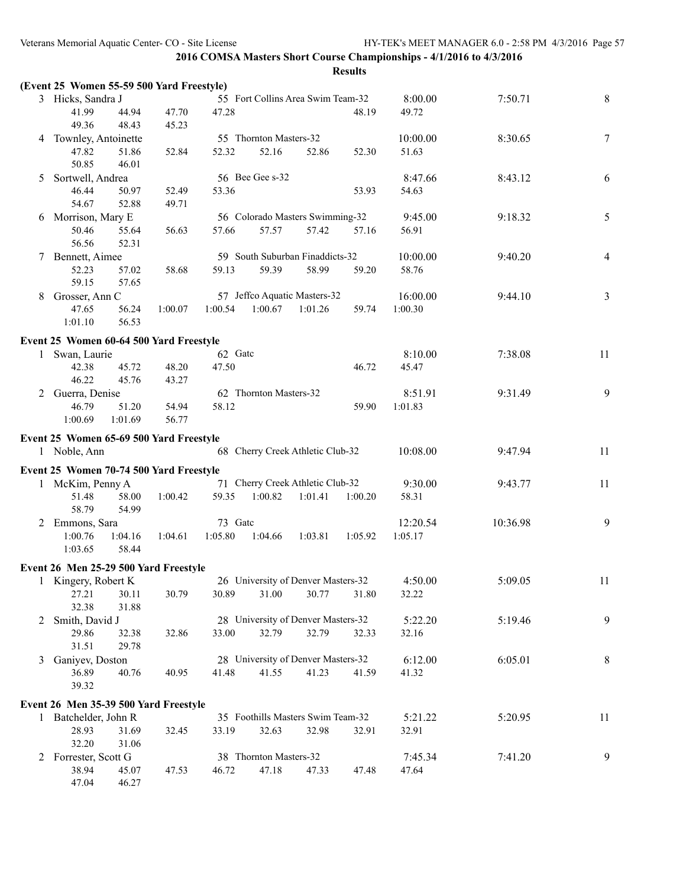|    | (Event 25 Women 55-59 500 Yard Freestyle) |         |         |                        |                                    |         |          |          |                |
|----|-------------------------------------------|---------|---------|------------------------|------------------------------------|---------|----------|----------|----------------|
|    | 3 Hicks, Sandra J                         |         |         |                        | 55 Fort Collins Area Swim Team-32  |         | 8:00.00  | 7:50.71  | 8              |
|    | 41.99<br>44.94                            | 47.70   | 47.28   |                        |                                    | 48.19   | 49.72    |          |                |
|    | 49.36<br>48.43                            | 45.23   |         |                        |                                    |         |          |          |                |
| 4  | Townley, Antoinette                       |         |         | 55 Thornton Masters-32 |                                    |         | 10:00.00 | 8:30.65  | $\tau$         |
|    | 47.82<br>51.86                            | 52.84   | 52.32   | 52.16                  | 52.86                              | 52.30   | 51.63    |          |                |
|    | 50.85<br>46.01                            |         |         |                        |                                    |         |          |          |                |
| 5. | Sortwell, Andrea                          |         |         | 56 Bee Gee s-32        |                                    |         | 8:47.66  | 8:43.12  | 6              |
|    | 46.44<br>50.97                            | 52.49   | 53.36   |                        |                                    | 53.93   | 54.63    |          |                |
|    | 54.67<br>52.88                            | 49.71   |         |                        |                                    |         |          |          |                |
| 6  | Morrison, Mary E                          |         |         |                        | 56 Colorado Masters Swimming-32    |         | 9:45.00  | 9:18.32  | 5              |
|    | 50.46<br>55.64                            | 56.63   | 57.66   | 57.57                  | 57.42                              | 57.16   | 56.91    |          |                |
|    | 56.56<br>52.31                            |         |         |                        |                                    |         |          |          |                |
|    | 7 Bennett, Aimee                          |         |         |                        | 59 South Suburban Finaddicts-32    |         | 10:00.00 | 9:40.20  | 4              |
|    | 52.23<br>57.02                            | 58.68   | 59.13   | 59.39                  | 58.99                              | 59.20   | 58.76    |          |                |
|    | 59.15<br>57.65                            |         |         |                        |                                    |         |          |          |                |
| 8  | Grosser, Ann C                            |         |         |                        | 57 Jeffco Aquatic Masters-32       |         | 16:00.00 | 9:44.10  | $\overline{3}$ |
|    | 47.65<br>56.24                            | 1:00.07 | 1:00.54 | 1:00.67                | 1:01.26                            | 59.74   | 1:00.30  |          |                |
|    | 1:01.10<br>56.53                          |         |         |                        |                                    |         |          |          |                |
|    | Event 25 Women 60-64 500 Yard Freestyle   |         |         |                        |                                    |         |          |          |                |
|    | 1 Swan, Laurie                            |         | 62 Gate |                        |                                    |         | 8:10.00  | 7:38.08  | 11             |
|    | 42.38<br>45.72                            | 48.20   | 47.50   |                        |                                    | 46.72   | 45.47    |          |                |
|    | 46.22<br>45.76                            | 43.27   |         |                        |                                    |         |          |          |                |
|    | 2 Guerra, Denise                          |         |         | 62 Thornton Masters-32 |                                    |         | 8:51.91  | 9:31.49  | 9              |
|    | 46.79<br>51.20                            | 54.94   | 58.12   |                        |                                    | 59.90   | 1:01.83  |          |                |
|    | 1:01.69<br>1:00.69                        | 56.77   |         |                        |                                    |         |          |          |                |
|    | Event 25 Women 65-69 500 Yard Freestyle   |         |         |                        |                                    |         |          |          |                |
|    | 1 Noble, Ann                              |         |         |                        | 68 Cherry Creek Athletic Club-32   |         | 10:08.00 | 9:47.94  | 11             |
|    |                                           |         |         |                        |                                    |         |          |          |                |
|    | Event 25 Women 70-74 500 Yard Freestyle   |         |         |                        |                                    |         |          |          |                |
|    | 1 McKim, Penny A                          |         |         |                        | 71 Cherry Creek Athletic Club-32   |         | 9:30.00  | 9:43.77  | 11             |
|    | 51.48<br>58.00                            | 1:00.42 | 59.35   | 1:00.82                | 1:01.41                            | 1:00.20 | 58.31    |          |                |
|    | 58.79<br>54.99                            |         |         |                        |                                    |         |          |          |                |
|    | 2 Emmons, Sara                            |         | 73 Gate |                        |                                    |         | 12:20.54 | 10:36.98 | 9              |
|    | 1:00.76<br>1:04.16                        | 1:04.61 | 1:05.80 | 1:04.66                | 1:03.81                            | 1:05.92 | 1:05.17  |          |                |
|    | 1:03.65<br>58.44                          |         |         |                        |                                    |         |          |          |                |
|    | Event 26 Men 25-29 500 Yard Freestyle     |         |         |                        |                                    |         |          |          |                |
|    | 1 Kingery, Robert K                       |         |         |                        | 26 University of Denver Masters-32 |         | 4:50.00  | 5:09.05  | 11             |
|    | 30.11<br>27.21                            | 30.79   | 30.89   | 31.00                  | 30.77                              | 31.80   | 32.22    |          |                |
|    | 32.38<br>31.88                            |         |         |                        |                                    |         |          |          |                |
|    | 2 Smith, David J                          |         |         |                        | 28 University of Denver Masters-32 |         | 5:22.20  | 5:19.46  | 9              |
|    | 29.86<br>32.38                            | 32.86   | 33.00   | 32.79                  | 32.79                              | 32.33   | 32.16    |          |                |
|    | 31.51<br>29.78                            |         |         |                        |                                    |         |          |          |                |
|    | 3 Ganiyev, Doston                         |         |         |                        | 28 University of Denver Masters-32 |         | 6:12.00  | 6:05.01  | 8              |
|    | 36.89<br>40.76                            | 40.95   | 41.48   | 41.55                  | 41.23                              | 41.59   | 41.32    |          |                |
|    | 39.32                                     |         |         |                        |                                    |         |          |          |                |
|    | Event 26 Men 35-39 500 Yard Freestyle     |         |         |                        |                                    |         |          |          |                |
|    | 1 Batchelder, John R                      |         |         |                        | 35 Foothills Masters Swim Team-32  |         | 5:21.22  | 5:20.95  | 11             |
|    | 28.93<br>31.69                            | 32.45   | 33.19   | 32.63                  | 32.98                              | 32.91   | 32.91    |          |                |
|    | 32.20<br>31.06                            |         |         |                        |                                    |         |          |          |                |
|    | 2 Forrester, Scott G                      |         |         | 38 Thornton Masters-32 |                                    |         | 7:45.34  | 7:41.20  | 9              |
|    | 38.94<br>45.07                            | 47.53   | 46.72   | 47.18                  | 47.33                              | 47.48   | 47.64    |          |                |
|    | 47.04<br>46.27                            |         |         |                        |                                    |         |          |          |                |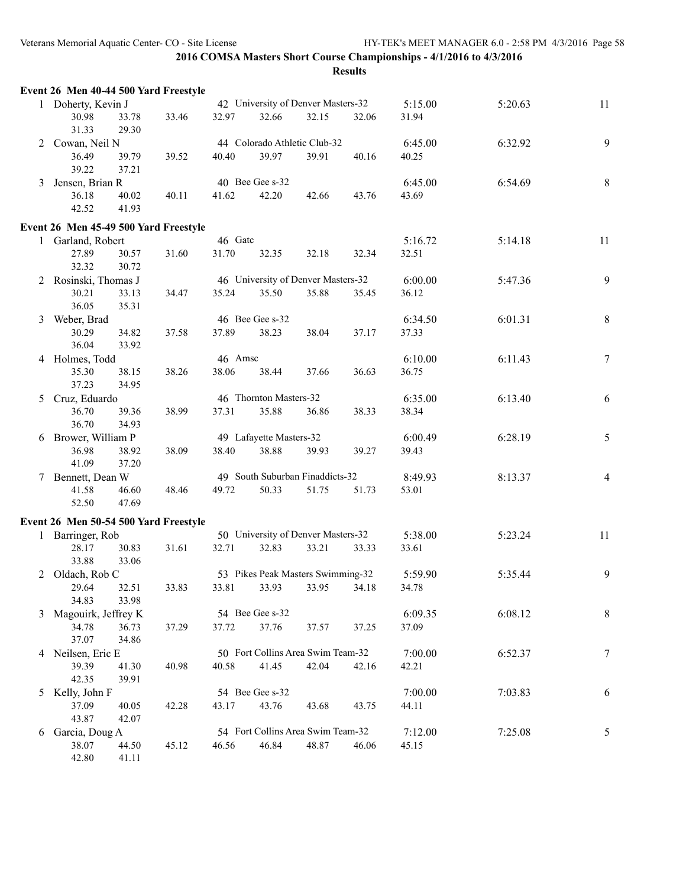|   | Event 26 Men 40-44 500 Yard Freestyle |       |         |                         |                                    |       |         |         |                |
|---|---------------------------------------|-------|---------|-------------------------|------------------------------------|-------|---------|---------|----------------|
|   | 1 Doherty, Kevin J                    |       |         |                         | 42 University of Denver Masters-32 |       | 5:15.00 | 5:20.63 | 11             |
|   | 30.98<br>33.78<br>31.33<br>29.30      | 33.46 | 32.97   | 32.66                   | 32.15                              | 32.06 | 31.94   |         |                |
|   | 2 Cowan, Neil N                       |       |         |                         | 44 Colorado Athletic Club-32       |       | 6:45.00 | 6:32.92 | 9              |
|   | 36.49<br>39.79<br>39.22<br>37.21      | 39.52 | 40.40   | 39.97                   | 39.91                              | 40.16 | 40.25   |         |                |
| 3 | Jensen, Brian R                       |       |         | 40 Bee Gee s-32         |                                    |       | 6:45.00 | 6:54.69 | 8              |
|   | 36.18<br>40.02<br>42.52<br>41.93      | 40.11 | 41.62   | 42.20                   | 42.66                              | 43.76 | 43.69   |         |                |
|   | Event 26 Men 45-49 500 Yard Freestyle |       |         |                         |                                    |       |         |         |                |
|   | 1 Garland, Robert                     |       | 46 Gatc |                         |                                    |       | 5:16.72 | 5:14.18 | 11             |
|   | 27.89<br>30.57<br>32.32<br>30.72      | 31.60 | 31.70   | 32.35                   | 32.18                              | 32.34 | 32.51   |         |                |
|   | 2 Rosinski, Thomas J                  |       |         |                         | 46 University of Denver Masters-32 |       | 6:00.00 | 5:47.36 | 9              |
|   | 30.21<br>33.13<br>36.05<br>35.31      | 34.47 | 35.24   | 35.50                   | 35.88                              | 35.45 | 36.12   |         |                |
|   | 3 Weber, Brad                         |       |         | 46 Bee Gee s-32         |                                    |       | 6:34.50 | 6:01.31 | 8              |
|   | 30.29<br>34.82<br>36.04<br>33.92      | 37.58 | 37.89   | 38.23                   | 38.04                              | 37.17 | 37.33   |         |                |
|   | 4 Holmes, Todd                        |       | 46 Amsc |                         |                                    |       | 6:10.00 | 6:11.43 | 7              |
|   | 35.30<br>38.15<br>37.23<br>34.95      | 38.26 | 38.06   | 38.44                   | 37.66                              | 36.63 | 36.75   |         |                |
|   | 5 Cruz, Eduardo                       |       |         | 46 Thornton Masters-32  |                                    |       | 6:35.00 | 6:13.40 | 6              |
|   | 36.70<br>39.36<br>36.70<br>34.93      | 38.99 | 37.31   | 35.88                   | 36.86                              | 38.33 | 38.34   |         |                |
|   | 6 Brower, William P                   |       |         | 49 Lafayette Masters-32 |                                    |       | 6:00.49 | 6:28.19 | 5              |
|   | 36.98<br>38.92<br>41.09<br>37.20      | 38.09 | 38.40   | 38.88                   | 39.93                              | 39.27 | 39.43   |         |                |
|   | 7 Bennett, Dean W                     |       |         |                         | 49 South Suburban Finaddicts-32    |       | 8:49.93 | 8:13.37 | $\overline{4}$ |
|   | 41.58<br>46.60<br>52.50<br>47.69      | 48.46 | 49.72   | 50.33                   | 51.75                              | 51.73 | 53.01   |         |                |
|   | Event 26 Men 50-54 500 Yard Freestyle |       |         |                         |                                    |       |         |         |                |
|   | 1 Barringer, Rob                      |       |         |                         | 50 University of Denver Masters-32 |       | 5:38.00 | 5:23.24 | 11             |
|   | 28.17<br>30.83<br>33.88<br>33.06      | 31.61 | 32.71   | 32.83                   | 33.21                              | 33.33 | 33.61   |         |                |
|   | 2 Oldach, Rob C                       |       |         |                         | 53 Pikes Peak Masters Swimming-32  |       | 5:59.90 | 5:35.44 | 9              |
|   | 29.64<br>32.51<br>34.83<br>33.98      | 33.83 |         |                         | 33.81 33.93 33.95 34.18            |       | 34.78   |         |                |
|   | 3 Magouirk, Jeffrey K                 |       |         | 54 Bee Gee s-32         |                                    |       | 6:09.35 | 6:08.12 | $\,8\,$        |
|   | 34.78<br>36.73<br>37.07<br>34.86      | 37.29 | 37.72   | 37.76                   | 37.57                              | 37.25 | 37.09   |         |                |
|   | 4 Neilsen, Eric E                     |       |         |                         | 50 Fort Collins Area Swim Team-32  |       | 7:00.00 | 6:52.37 | $\tau$         |
|   | 39.39<br>41.30<br>42.35<br>39.91      | 40.98 | 40.58   | 41.45                   | 42.04                              | 42.16 | 42.21   |         |                |
| 5 | Kelly, John F                         |       |         | 54 Bee Gee s-32         |                                    |       | 7:00.00 | 7:03.83 | 6              |
|   | 37.09<br>40.05<br>43.87<br>42.07      | 42.28 | 43.17   | 43.76                   | 43.68                              | 43.75 | 44.11   |         |                |
|   | 6 Garcia, Doug A                      |       |         |                         | 54 Fort Collins Area Swim Team-32  |       | 7:12.00 | 7:25.08 | 5              |
|   | 38.07<br>44.50<br>42.80<br>41.11      | 45.12 | 46.56   | 46.84                   | 48.87                              | 46.06 | 45.15   |         |                |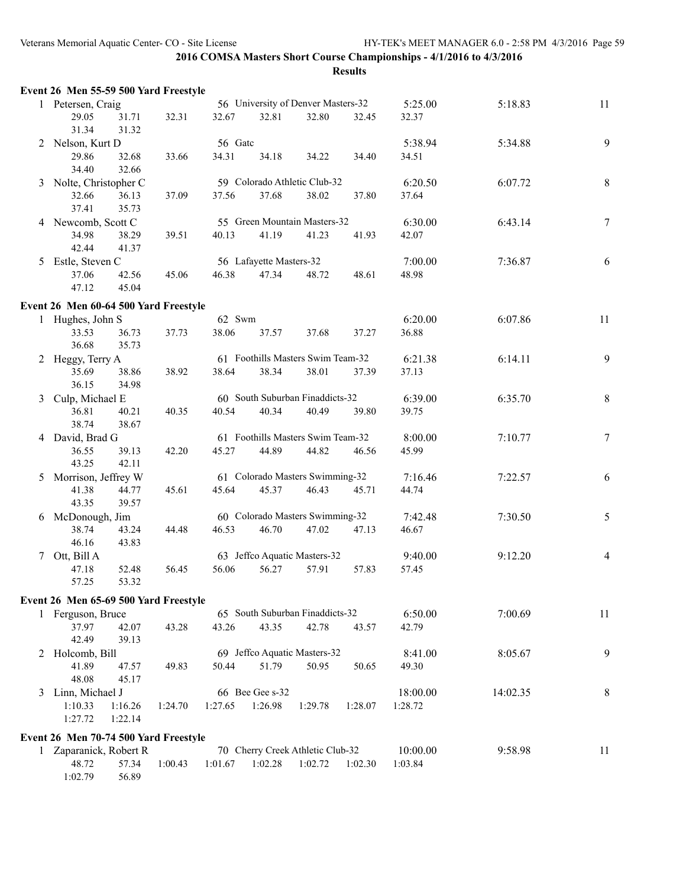|   | Event 26 Men 55-59 500 Yard Freestyle    |         |         |                                             |         |         |                  |          |                |
|---|------------------------------------------|---------|---------|---------------------------------------------|---------|---------|------------------|----------|----------------|
|   | 1 Petersen, Craig<br>29.05<br>31.71      | 32.31   | 32.67   | 56 University of Denver Masters-32<br>32.81 | 32.80   | 32.45   | 5:25.00<br>32.37 | 5:18.83  | 11             |
|   | 31.34<br>31.32                           |         |         |                                             |         |         |                  |          |                |
|   | 2 Nelson, Kurt D                         |         | 56 Gatc |                                             |         |         | 5:38.94          | 5:34.88  | 9              |
|   | 29.86<br>32.68<br>32.66<br>34.40         | 33.66   | 34.31   | 34.18                                       | 34.22   | 34.40   | 34.51            |          |                |
|   | 3 Nolte, Christopher C                   |         |         | 59 Colorado Athletic Club-32                |         |         | 6:20.50          | 6:07.72  | 8              |
|   | 32.66<br>36.13<br>37.41<br>35.73         | 37.09   | 37.56   | 37.68                                       | 38.02   | 37.80   | 37.64            |          |                |
|   | 4 Newcomb, Scott C                       |         |         | 55 Green Mountain Masters-32                |         |         | 6:30.00          | 6:43.14  | $\tau$         |
|   | 34.98<br>38.29<br>42.44<br>41.37         | 39.51   | 40.13   | 41.19                                       | 41.23   | 41.93   | 42.07            |          |                |
|   | 5 Estle, Steven C                        |         |         | 56 Lafayette Masters-32                     |         |         | 7:00.00          | 7:36.87  | 6              |
|   | 37.06<br>42.56<br>47.12<br>45.04         | 45.06   | 46.38   | 47.34                                       | 48.72   | 48.61   | 48.98            |          |                |
|   | Event 26 Men 60-64 500 Yard Freestyle    |         |         |                                             |         |         |                  |          |                |
|   | 1 Hughes, John S                         |         | 62 Swm  |                                             |         |         | 6:20.00          | 6:07.86  | 11             |
|   | 33.53<br>36.73<br>36.68<br>35.73         | 37.73   | 38.06   | 37.57                                       | 37.68   | 37.27   | 36.88            |          |                |
|   | 2 Heggy, Terry A                         |         |         | 61 Foothills Masters Swim Team-32           |         |         | 6:21.38          | 6:14.11  | 9              |
|   | 35.69<br>38.86<br>36.15<br>34.98         | 38.92   | 38.64   | 38.34                                       | 38.01   | 37.39   | 37.13            |          |                |
| 3 | Culp, Michael E                          |         |         | 60 South Suburban Finaddicts-32             |         |         | 6:39.00          | 6:35.70  | 8              |
|   | 36.81<br>40.21<br>38.74<br>38.67         | 40.35   | 40.54   | 40.34                                       | 40.49   | 39.80   | 39.75            |          |                |
|   | 4 David, Brad G                          |         |         | 61 Foothills Masters Swim Team-32           |         |         | 8:00.00          | 7:10.77  | $\tau$         |
|   | 36.55<br>39.13<br>43.25<br>42.11         | 42.20   | 45.27   | 44.89                                       | 44.82   | 46.56   | 45.99            |          |                |
| 5 | Morrison, Jeffrey W                      |         |         | 61 Colorado Masters Swimming-32             |         |         | 7:16.46          | 7:22.57  | 6              |
|   | 41.38<br>44.77<br>43.35<br>39.57         | 45.61   | 45.64   | 45.37                                       | 46.43   | 45.71   | 44.74            |          |                |
|   | 6 McDonough, Jim                         |         |         | 60 Colorado Masters Swimming-32             |         |         | 7:42.48          | 7:30.50  | 5              |
|   | 38.74<br>43.24<br>46.16<br>43.83         | 44.48   | 46.53   | 46.70                                       | 47.02   | 47.13   | 46.67            |          |                |
| 7 | Ott, Bill A                              |         |         | 63 Jeffco Aquatic Masters-32                |         |         | 9:40.00          | 9:12.20  | $\overline{4}$ |
|   | 47.18<br>52.48<br>57.25<br>53.32         | 56.45   | 56.06   | 56.27                                       | 57.91   | 57.83   | 57.45            |          |                |
|   | Event 26 Men 65-69 500 Yard Freestyle    |         |         |                                             |         |         |                  |          |                |
|   | 1 Ferguson, Bruce                        |         |         | 65 South Suburban Finaddicts-32             |         |         | 6:50.00          | 7:00.69  | 11             |
|   | 37.97<br>42.07<br>42.49<br>39.13         | 43.28   | 43.26   | 43.35                                       | 42.78   | 43.57   | 42.79            |          |                |
|   | 2 Holcomb, Bill                          |         |         | 69 Jeffco Aquatic Masters-32                |         |         | 8:41.00          | 8:05.67  | 9              |
|   | 41.89<br>47.57<br>48.08<br>45.17         | 49.83   | 50.44   | 51.79                                       | 50.95   | 50.65   | 49.30            |          |                |
| 3 | Linn, Michael J                          |         |         | 66 Bee Gee s-32                             |         |         | 18:00.00         | 14:02.35 | 8              |
|   | 1:10.33<br>1:16.26<br>1:27.72<br>1:22.14 | 1:24.70 | 1:27.65 | 1:26.98                                     | 1:29.78 | 1:28.07 | 1:28.72          |          |                |
|   | Event 26 Men 70-74 500 Yard Freestyle    |         |         |                                             |         |         |                  |          |                |
|   | 1 Zaparanick, Robert R                   |         |         | 70 Cherry Creek Athletic Club-32            |         |         | 10:00.00         | 9:58.98  | 11             |
|   | 48.72<br>57.34<br>1:02.79<br>56.89       | 1:00.43 | 1:01.67 | 1:02.28                                     | 1:02.72 | 1:02.30 | 1:03.84          |          |                |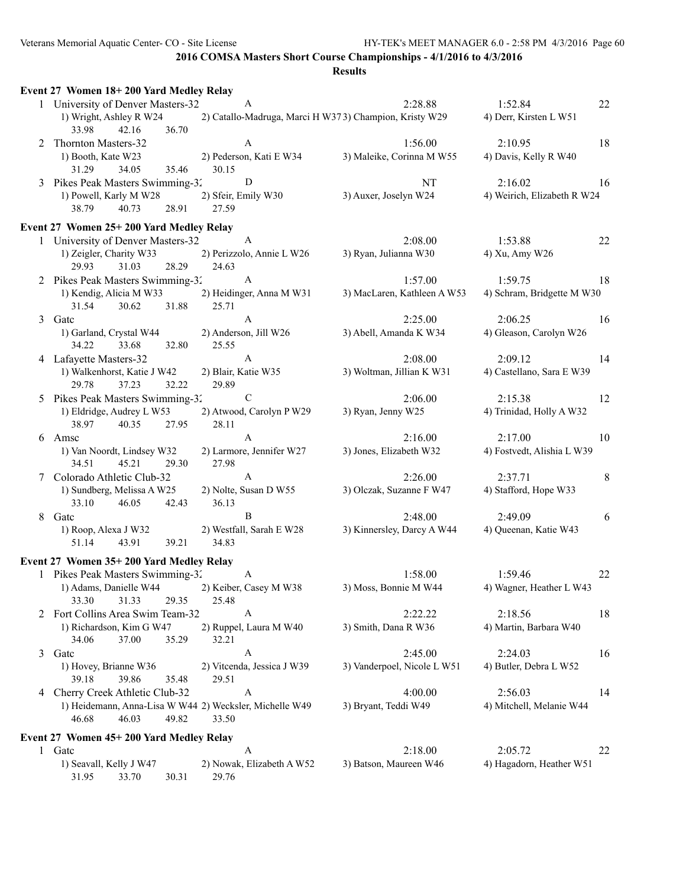|   | Event 27 Women 18+200 Yard Medley Relay                                            |                                                        |                             |                             |    |
|---|------------------------------------------------------------------------------------|--------------------------------------------------------|-----------------------------|-----------------------------|----|
|   | 1 University of Denver Masters-32                                                  | $\mathbf{A}$                                           | 2:28.88                     | 1:52.84                     | 22 |
|   | 1) Wright, Ashley R W24<br>33.98<br>42.16<br>36.70                                 | 2) Catallo-Madruga, Marci H W373) Champion, Kristy W29 |                             | 4) Derr, Kirsten L W51      |    |
| 2 | Thornton Masters-32                                                                | $\mathbf{A}$                                           | 1:56.00                     | 2:10.95                     | 18 |
|   | 1) Booth, Kate W23<br>31.29<br>35.46<br>34.05                                      | 2) Pederson, Kati E W34<br>30.15                       | 3) Maleike, Corinna M W55   | 4) Davis, Kelly R W40       |    |
|   | 3 Pikes Peak Masters Swimming-32                                                   | D                                                      | NT                          | 2:16.02                     | 16 |
|   | 1) Powell, Karly M W28<br>28.91<br>38.79<br>40.73                                  | 2) Sfeir, Emily W30<br>27.59                           | 3) Auxer, Joselyn W24       | 4) Weirich, Elizabeth R W24 |    |
|   | Event 27 Women 25+ 200 Yard Medley Relay                                           |                                                        |                             |                             |    |
|   | 1 University of Denver Masters-32                                                  | A                                                      | 2:08.00                     | 1:53.88                     | 22 |
|   | 1) Zeigler, Charity W33<br>29.93<br>31.03<br>28.29                                 | 2) Perizzolo, Annie L W26<br>24.63                     | 3) Ryan, Julianna W30       | 4) Xu, Amy W26              |    |
|   | 2 Pikes Peak Masters Swimming-32                                                   | A                                                      | 1:57.00                     | 1:59.75                     | 18 |
|   | 1) Kendig, Alicia M W33<br>31.54<br>30.62<br>31.88                                 | 2) Heidinger, Anna M W31<br>25.71                      | 3) MacLaren, Kathleen A W53 | 4) Schram, Bridgette M W30  |    |
| 3 | Gatc                                                                               | A                                                      | 2:25.00                     | 2:06.25                     | 16 |
|   | 1) Garland, Crystal W44<br>34.22<br>33.68<br>32.80                                 | 2) Anderson, Jill W26<br>25.55                         | 3) Abell, Amanda K W34      | 4) Gleason, Carolyn W26     |    |
|   | 4 Lafayette Masters-32                                                             | A                                                      | 2:08.00                     | 2:09.12                     | 14 |
|   | 1) Walkenhorst, Katie J W42<br>29.78<br>32.22<br>37.23                             | 2) Blair, Katie W35<br>29.89                           | 3) Woltman, Jillian K W31   | 4) Castellano, Sara E W39   |    |
|   | 5 Pikes Peak Masters Swimming-32                                                   | $\mathcal{C}$                                          | 2:06.00                     | 2:15.38                     | 12 |
|   | 1) Eldridge, Audrey L W53<br>38.97<br>40.35<br>27.95                               | 2) Atwood, Carolyn P W29<br>28.11                      | 3) Ryan, Jenny W25          | 4) Trinidad, Holly A W32    |    |
|   | 6 Amsc                                                                             | A                                                      | 2:16.00                     | 2:17.00                     | 10 |
|   | 1) Van Noordt, Lindsey W32<br>34.51<br>45.21<br>29.30                              | 2) Larmore, Jennifer W27<br>27.98                      | 3) Jones, Elizabeth W32     | 4) Fostvedt, Alishia L W39  |    |
|   | 7 Colorado Athletic Club-32                                                        | A                                                      | 2:26.00                     | 2:37.71                     | 8  |
|   | 1) Sundberg, Melissa A W25<br>33.10<br>46.05<br>42.43                              | 2) Nolte, Susan D W55<br>36.13                         | 3) Olczak, Suzanne F W47    | 4) Stafford, Hope W33       |    |
| 8 | Gatc                                                                               | B                                                      | 2:48.00                     | 2:49.09                     | 6  |
|   | 1) Roop, Alexa J W32<br>39.21<br>51.14<br>43.91                                    | 2) Westfall, Sarah E W28<br>34.83                      | 3) Kinnersley, Darcy A W44  | 4) Queenan, Katie W43       |    |
|   | Event 27 Women 35+200 Yard Medley Relay                                            |                                                        |                             |                             |    |
|   | 1 Pikes Peak Masters Swimming-32                                                   | A                                                      | 1:58.00                     | 1:59.46                     | 22 |
|   | 1) Adams, Danielle W44 2) Keiber, Casey M W38<br>33.30<br>31.33<br>29.35           | 25.48                                                  | 3) Moss, Bonnie M W44       | 4) Wagner, Heather L W43    |    |
| 2 | Fort Collins Area Swim Team-32                                                     | A                                                      | 2:22.22                     | 2:18.56                     | 18 |
|   | 1) Richardson, Kim G W47<br>34.06<br>35.29<br>37.00                                | 2) Ruppel, Laura M W40<br>32.21                        | 3) Smith, Dana R W36        | 4) Martin, Barbara W40      |    |
| 3 | Gatc                                                                               | A                                                      | 2:45.00                     | 2:24.03                     | 16 |
|   | 1) Hovey, Brianne W36<br>39.18<br>39.86<br>35.48                                   | 2) Vitcenda, Jessica J W39<br>29.51                    | 3) Vanderpoel, Nicole L W51 | 4) Butler, Debra L W52      |    |
| 4 | Cherry Creek Athletic Club-32                                                      | A                                                      | 4:00.00                     | 2:56.03                     | 14 |
|   | 1) Heidemann, Anna-Lisa W W44 2) Wecksler, Michelle W49<br>46.68<br>46.03<br>49.82 | 33.50                                                  | 3) Bryant, Teddi W49        | 4) Mitchell, Melanie W44    |    |
|   | Event 27 Women 45+200 Yard Medley Relay                                            |                                                        |                             |                             |    |
|   | 1 Gate                                                                             | A                                                      | 2:18.00                     | 2:05.72                     | 22 |
|   | 1) Seavall, Kelly J W47<br>31.95<br>33.70<br>30.31                                 | 2) Nowak, Elizabeth A W52<br>29.76                     | 3) Batson, Maureen W46      | 4) Hagadorn, Heather W51    |    |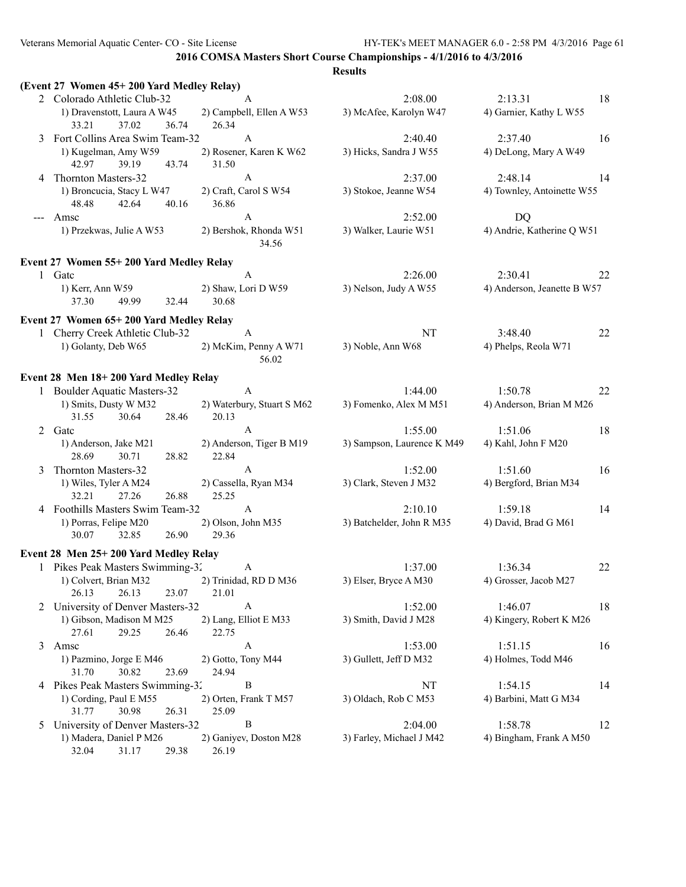|   | (Event 27 Women 45+ 200 Yard Medley Relay)                             |                                     |                            |                             |    |
|---|------------------------------------------------------------------------|-------------------------------------|----------------------------|-----------------------------|----|
|   | 2 Colorado Athletic Club-32                                            | A                                   | 2:08.00                    | 2:13.31                     | 18 |
|   | 1) Dravenstott, Laura A W45<br>33.21<br>37.02<br>36.74                 | 2) Campbell, Ellen A W53<br>26.34   | 3) McAfee, Karolyn W47     | 4) Garnier, Kathy L W55     |    |
|   | 3 Fort Collins Area Swim Team-32                                       | A                                   | 2:40.40                    | 2:37.40                     | 16 |
|   | 1) Kugelman, Amy W59<br>42.97<br>39.19<br>43.74                        | 2) Rosener, Karen K W62<br>31.50    | 3) Hicks, Sandra J W55     | 4) DeLong, Mary A W49       |    |
|   | 4 Thornton Masters-32                                                  | $\mathbf{A}$                        | 2:37.00                    | 2:48.14                     | 14 |
|   | 1) Broncucia, Stacy L W47<br>48.48<br>42.64<br>40.16                   | 2) Craft, Carol S W54<br>36.86      | 3) Stokoe, Jeanne W54      | 4) Townley, Antoinette W55  |    |
|   | --- Amsc                                                               | $\mathbf{A}$                        | 2:52.00                    | <b>DQ</b>                   |    |
|   | 1) Przekwas, Julie A W53                                               | 2) Bershok, Rhonda W51<br>34.56     | 3) Walker, Laurie W51      | 4) Andrie, Katherine Q W51  |    |
|   | Event 27 Women 55+200 Yard Medley Relay                                |                                     |                            |                             |    |
|   | 1 Gatc                                                                 | A                                   | 2:26.00                    | 2:30.41                     | 22 |
|   | 1) Kerr, Ann W59<br>37.30<br>49.99<br>32.44                            | 2) Shaw, Lori D W59<br>30.68        | 3) Nelson, Judy A W55      | 4) Anderson, Jeanette B W57 |    |
|   | Event 27 Women 65+200 Yard Medley Relay                                |                                     |                            |                             |    |
|   | 1 Cherry Creek Athletic Club-32                                        | $\mathbf{A}$                        | NT                         | 3:48.40                     | 22 |
|   | 1) Golanty, Deb W65                                                    | 2) McKim, Penny A W71<br>56.02      | 3) Noble, Ann W68          | 4) Phelps, Reola W71        |    |
|   | Event 28 Men 18+200 Yard Medley Relay                                  |                                     |                            |                             |    |
|   | 1 Boulder Aquatic Masters-32                                           | A                                   | 1:44.00                    | 1:50.78                     | 22 |
|   | 1) Smits, Dusty W M32<br>31.55<br>30.64<br>28.46                       | 2) Waterbury, Stuart S M62<br>20.13 | 3) Fomenko, Alex M M51     | 4) Anderson, Brian M M26    |    |
|   | 2 Gatc                                                                 | A                                   | 1:55.00                    | 1:51.06                     | 18 |
|   | 1) Anderson, Jake M21<br>28.69<br>30.71<br>28.82                       | 2) Anderson, Tiger B M19<br>22.84   | 3) Sampson, Laurence K M49 | 4) Kahl, John F M20         |    |
| 3 | Thornton Masters-32                                                    | A                                   | 1:52.00                    | 1:51.60                     | 16 |
|   | 1) Wiles, Tyler A M24<br>32.21<br>27.26<br>26.88                       | 2) Cassella, Ryan M34<br>25.25      | 3) Clark, Steven J M32     | 4) Bergford, Brian M34      |    |
|   | 4 Foothills Masters Swim Team-32                                       | $\mathbf{A}$                        | 2:10.10                    | 1:59.18                     | 14 |
|   | 1) Porras, Felipe M20<br>30.07<br>32.85<br>26.90                       | 2) Olson, John M35<br>29.36         | 3) Batchelder, John R M35  | 4) David, Brad G M61        |    |
|   | Event 28 Men 25+200 Yard Medley Relay                                  |                                     |                            |                             |    |
|   | 1 Pikes Peak Masters Swimming-32                                       | $\mathbf{A}$                        | 1:37.00                    | 1:36.34                     | 22 |
|   | 1) Colvert, Brian M32 2) Trinidad, RD D M36<br>26.13<br>26.13<br>23.07 | 21.01                               | 3) Elser, Bryce A M30      | 4) Grosser, Jacob M27       |    |
| 2 | University of Denver Masters-32                                        | $\boldsymbol{A}$                    | 1:52.00                    | 1:46.07                     | 18 |
|   | 1) Gibson, Madison M M25<br>27.61<br>29.25<br>26.46                    | 2) Lang, Elliot E M33<br>22.75      | 3) Smith, David J M28      | 4) Kingery, Robert K M26    |    |
| 3 | Amsc                                                                   | A                                   | 1:53.00                    | 1:51.15                     | 16 |
|   | 1) Pazmino, Jorge E M46<br>30.82<br>23.69<br>31.70                     | 2) Gotto, Tony M44<br>24.94         | 3) Gullett, Jeff D M32     | 4) Holmes, Todd M46         |    |
| 4 | Pikes Peak Masters Swimming-32                                         | B                                   | NT                         | 1:54.15                     | 14 |
|   | 1) Cording, Paul E M55<br>31.77<br>30.98<br>26.31                      | 2) Orten, Frank T M57<br>25.09      | 3) Oldach, Rob C M53       | 4) Barbini, Matt G M34      |    |
| 5 | University of Denver Masters-32                                        | B                                   | 2:04.00                    | 1:58.78                     | 12 |
|   | 1) Madera, Daniel P M26<br>32.04<br>31.17<br>29.38                     | 2) Ganiyev, Doston M28<br>26.19     | 3) Farley, Michael J M42   | 4) Bingham, Frank A M50     |    |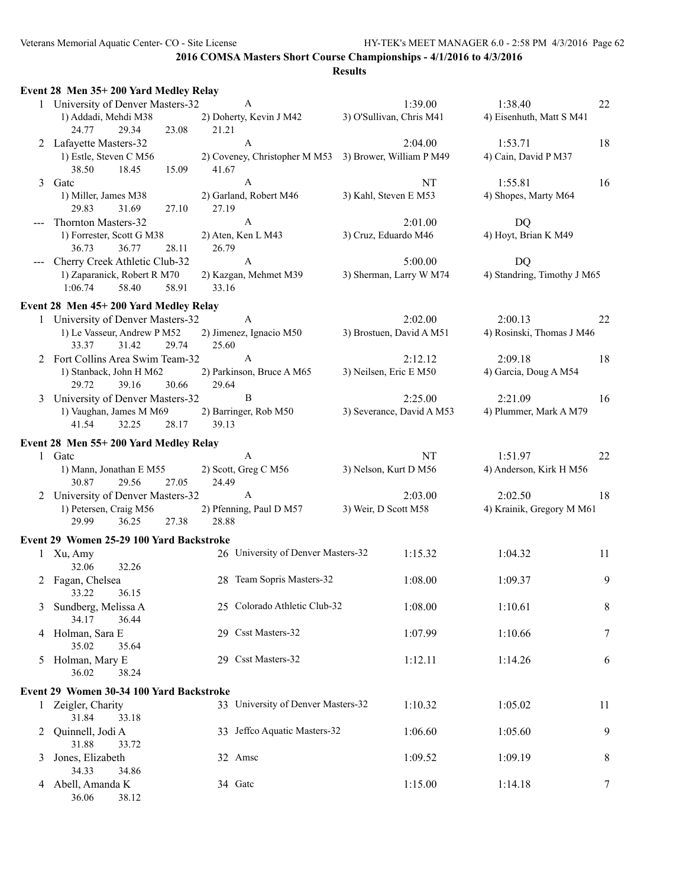|   | Event 28 Men 35+200 Yard Medley Relay                          |                                                                 |                           |                             |    |
|---|----------------------------------------------------------------|-----------------------------------------------------------------|---------------------------|-----------------------------|----|
|   | 1 University of Denver Masters-32                              | A                                                               | 1:39.00                   | 1:38.40                     | 22 |
|   | 1) Addadi, Mehdi M38<br>23.08<br>24.77<br>29.34                | 2) Doherty, Kevin J M42<br>21.21                                | 3) O'Sullivan, Chris M41  | 4) Eisenhuth, Matt S M41    |    |
|   | 2 Lafayette Masters-32                                         | A                                                               | 2:04.00                   | 1:53.71                     | 18 |
|   | 1) Estle, Steven C M56<br>38.50<br>18.45<br>15.09              | 2) Coveney, Christopher M M53 3) Brower, William P M49<br>41.67 |                           | 4) Cain, David P M37        |    |
| 3 | Gatc                                                           | A                                                               | NT                        | 1:55.81                     | 16 |
|   | 1) Miller, James M38<br>29.83<br>31.69<br>27.10                | 2) Garland, Robert M46<br>27.19                                 | 3) Kahl, Steven E M53     | 4) Shopes, Marty M64        |    |
|   | Thornton Masters-32                                            | A                                                               | 2:01.00                   | DQ                          |    |
|   | 1) Forrester, Scott G M38<br>36.73<br>36.77<br>28.11           | 2) Aten, Ken L M43<br>26.79                                     | 3) Cruz, Eduardo M46      | 4) Hoyt, Brian K M49        |    |
|   | --- Cherry Creek Athletic Club-32                              | $\mathbf{A}$                                                    | 5:00.00                   | DQ                          |    |
|   | 1) Zaparanick, Robert R M70<br>1:06.74<br>58.40<br>58.91       | 2) Kazgan, Mehmet M39<br>33.16                                  | 3) Sherman, Larry W M74   | 4) Standring, Timothy J M65 |    |
|   | Event 28 Men 45+200 Yard Medley Relay                          |                                                                 |                           |                             |    |
|   | 1 University of Denver Masters-32                              | $\mathbf{A}$                                                    | 2:02.00                   | 2:00.13                     | 22 |
|   | 1) Le Vasseur, Andrew P M52<br>31.42<br>29.74<br>33.37         | 2) Jimenez, Ignacio M50<br>25.60                                | 3) Brostuen, David A M51  | 4) Rosinski, Thomas J M46   |    |
|   | 2 Fort Collins Area Swim Team-32                               | $\boldsymbol{A}$                                                | 2:12.12                   | 2:09.18                     | 18 |
|   | 1) Stanback, John H M62<br>30.66<br>29.72<br>39.16             | 2) Parkinson, Bruce A M65<br>29.64                              | 3) Neilsen, Eric E M50    | 4) Garcia, Doug A M54       |    |
|   | 3 University of Denver Masters-32                              | B                                                               | 2:25.00                   | 2:21.09                     | 16 |
|   | 1) Vaughan, James M M69<br>41.54<br>32.25<br>28.17             | 2) Barringer, Rob M50<br>39.13                                  | 3) Severance, David A M53 | 4) Plummer, Mark A M79      |    |
|   | Event 28 Men 55+200 Yard Medley Relay                          |                                                                 |                           |                             |    |
|   | 1 Gate                                                         | A                                                               | NT                        | 1:51.97                     | 22 |
|   | 1) Mann, Jonathan E M55<br>29.56<br>30.87<br>27.05             | 2) Scott, Greg C M56<br>24.49                                   | 3) Nelson, Kurt D M56     | 4) Anderson, Kirk H M56     |    |
|   | 2 University of Denver Masters-32                              | $\mathbf{A}$                                                    | 2:03.00                   | 2:02.50                     | 18 |
|   | 1) Petersen, Craig M56<br>29.99<br>36.25<br>27.38              | 2) Pfenning, Paul D M57<br>28.88                                | 3) Weir, D Scott M58      | 4) Krainik, Gregory M M61   |    |
|   | Event 29 Women 25-29 100 Yard Backstroke                       |                                                                 |                           |                             |    |
|   | 1 Xu, Amy<br>32.06<br>32.26                                    | 26 University of Denver Masters-32                              | 1:15.32                   | 1:04.32                     | 11 |
|   | 2 Fagan, Chelsea<br>33.22<br>36.15                             | 28 Team Sopris Masters-32                                       | 1:08.00                   | 1:09.37                     | 9  |
| 3 | Sundberg, Melissa A<br>34.17<br>36.44                          | 25 Colorado Athletic Club-32                                    | 1:08.00                   | 1:10.61                     | 8  |
|   | 4 Holman, Sara E<br>35.02<br>35.64                             | 29 Csst Masters-32                                              | 1:07.99                   | 1:10.66                     | 7  |
|   | 5 Holman, Mary E<br>36.02<br>38.24                             | 29 Csst Masters-32                                              | 1:12.11                   | 1:14.26                     | 6  |
|   |                                                                |                                                                 |                           |                             |    |
|   | Event 29 Women 30-34 100 Yard Backstroke<br>1 Zeigler, Charity | 33 University of Denver Masters-32                              | 1:10.32                   | 1:05.02                     | 11 |
| 2 | 31.84<br>33.18<br>Quinnell, Jodi A                             | 33 Jeffco Aquatic Masters-32                                    | 1:06.60                   | 1:05.60                     | 9  |
| 3 | 31.88<br>33.72<br>Jones, Elizabeth                             | 32 Amsc                                                         | 1:09.52                   | 1:09.19                     | 8  |
|   | 34.33<br>34.86<br>4 Abell, Amanda K<br>36.06<br>38.12          | 34 Gate                                                         | 1:15.00                   | 1:14.18                     | 7  |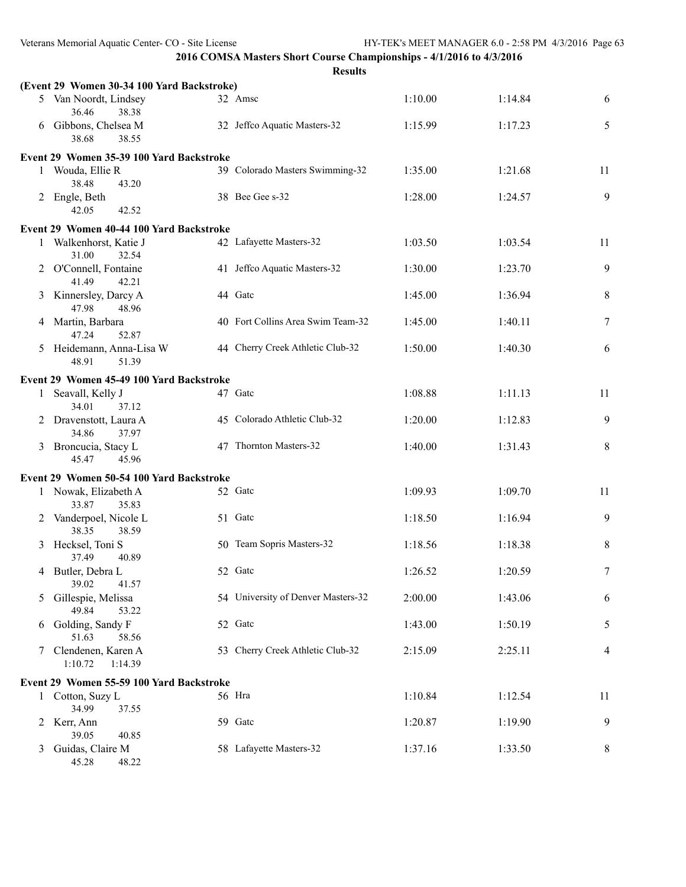| Results |  |
|---------|--|
|---------|--|

|   | (Event 29 Women 30-34 100 Yard Backstroke) |                                    |         |         |        |
|---|--------------------------------------------|------------------------------------|---------|---------|--------|
|   | 5 Van Noordt, Lindsey<br>36.46<br>38.38    | 32 Amsc                            | 1:10.00 | 1:14.84 | 6      |
|   | 6 Gibbons, Chelsea M<br>38.68<br>38.55     | 32 Jeffco Aquatic Masters-32       | 1:15.99 | 1:17.23 | 5      |
|   | Event 29 Women 35-39 100 Yard Backstroke   |                                    |         |         |        |
|   | 1 Wouda, Ellie R<br>38.48<br>43.20         | 39 Colorado Masters Swimming-32    | 1:35.00 | 1:21.68 | 11     |
|   | 2 Engle, Beth<br>42.05<br>42.52            | 38 Bee Gee s-32                    | 1:28.00 | 1:24.57 | 9      |
|   | Event 29 Women 40-44 100 Yard Backstroke   |                                    |         |         |        |
|   | 1 Walkenhorst, Katie J<br>31.00<br>32.54   | 42 Lafayette Masters-32            | 1:03.50 | 1:03.54 | 11     |
|   | 2 O'Connell, Fontaine<br>41.49<br>42.21    | 41 Jeffco Aquatic Masters-32       | 1:30.00 | 1:23.70 | 9      |
|   | 3 Kinnersley, Darcy A<br>47.98<br>48.96    | 44 Gatc                            | 1:45.00 | 1:36.94 | 8      |
|   | 4 Martin, Barbara<br>47.24<br>52.87        | 40 Fort Collins Area Swim Team-32  | 1:45.00 | 1:40.11 | 7      |
|   | 5 Heidemann, Anna-Lisa W<br>48.91<br>51.39 | 44 Cherry Creek Athletic Club-32   | 1:50.00 | 1:40.30 | 6      |
|   | Event 29 Women 45-49 100 Yard Backstroke   |                                    |         |         |        |
|   | 1 Seavall, Kelly J<br>34.01<br>37.12       | 47 Gatc                            | 1:08.88 | 1:11.13 | 11     |
|   | 2 Dravenstott, Laura A<br>34.86<br>37.97   | 45 Colorado Athletic Club-32       | 1:20.00 | 1:12.83 | 9      |
| 3 | Broncucia, Stacy L<br>45.47<br>45.96       | 47 Thornton Masters-32             | 1:40.00 | 1:31.43 | 8      |
|   | Event 29 Women 50-54 100 Yard Backstroke   |                                    |         |         |        |
|   | 1 Nowak, Elizabeth A<br>33.87<br>35.83     | 52 Gate                            | 1:09.93 | 1:09.70 | 11     |
|   | 2 Vanderpoel, Nicole L<br>38.59<br>38.35   | 51 Gate                            | 1:18.50 | 1:16.94 | 9      |
|   | 3 Hecksel, Toni S<br>37.49<br>40.89        | 50 Team Sopris Masters-32          | 1:18.56 | 1:18.38 | 8      |
|   | 4 Butler, Debra L<br>39.02<br>41.57        | 52 Gate                            | 1:26.52 | 1:20.59 | $\tau$ |
|   | 5 Gillespie, Melissa<br>49.84<br>53.22     | 54 University of Denver Masters-32 | 2:00.00 | 1:43.06 | 6      |
|   | 6 Golding, Sandy F<br>51.63<br>58.56       | 52 Gate                            | 1:43.00 | 1:50.19 | 5      |
|   | 7 Clendenen, Karen A<br>1:10.72<br>1:14.39 | 53 Cherry Creek Athletic Club-32   | 2:15.09 | 2:25.11 | 4      |
|   | Event 29 Women 55-59 100 Yard Backstroke   |                                    |         |         |        |
|   | 1 Cotton, Suzy L<br>34.99<br>37.55         | 56 Hra                             | 1:10.84 | 1:12.54 | 11     |
|   | 2 Kerr, Ann<br>39.05<br>40.85              | 59 Gate                            | 1:20.87 | 1:19.90 | 9      |
| 3 | Guidas, Claire M<br>45.28<br>48.22         | 58 Lafayette Masters-32            | 1:37.16 | 1:33.50 | 8      |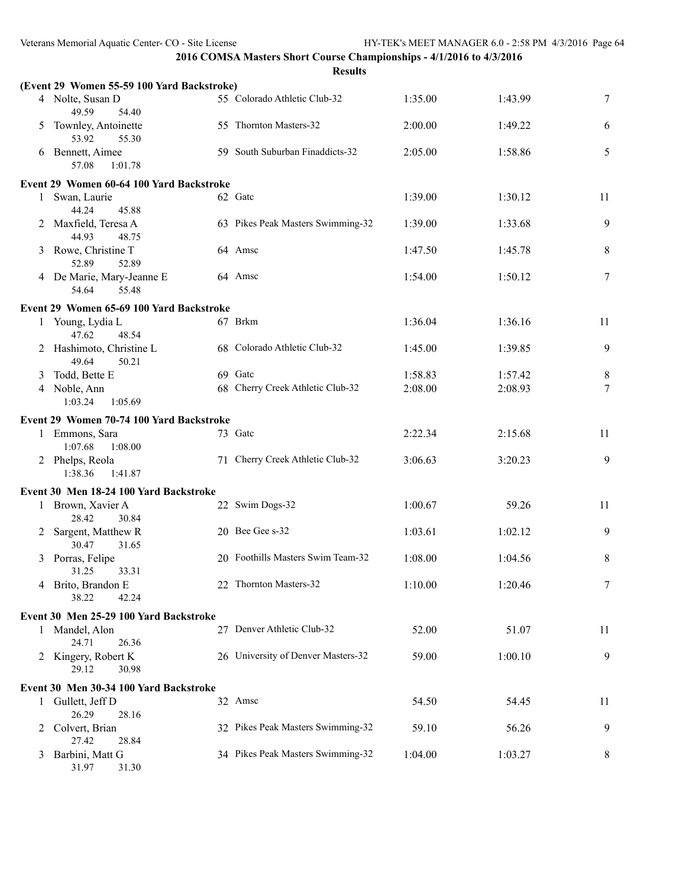|   |                                             | <b>Results</b>                     |         |         |                 |
|---|---------------------------------------------|------------------------------------|---------|---------|-----------------|
|   | (Event 29 Women 55-59 100 Yard Backstroke)  |                                    |         |         |                 |
|   | 4 Nolte, Susan D<br>49.59<br>54.40          | 55 Colorado Athletic Club-32       | 1:35.00 | 1:43.99 | 7               |
| 5 | Townley, Antoinette<br>53.92<br>55.30       | 55 Thornton Masters-32             | 2:00.00 | 1:49.22 | 6               |
| 6 | Bennett, Aimee<br>57.08<br>1:01.78          | 59 South Suburban Finaddicts-32    | 2:05.00 | 1:58.86 | 5               |
|   | Event 29 Women 60-64 100 Yard Backstroke    |                                    |         |         |                 |
|   | 1 Swan, Laurie<br>44.24<br>45.88            | 62 Gate                            | 1:39.00 | 1:30.12 | 11              |
|   | 2 Maxfield, Teresa A<br>44.93<br>48.75      | 63 Pikes Peak Masters Swimming-32  | 1:39.00 | 1:33.68 | 9               |
| 3 | Rowe, Christine T<br>52.89<br>52.89         | 64 Amsc                            | 1:47.50 | 1:45.78 | 8               |
|   | 4 De Marie, Mary-Jeanne E<br>54.64<br>55.48 | 64 Amsc                            | 1:54.00 | 1:50.12 | $7\phantom{.0}$ |
|   | Event 29 Women 65-69 100 Yard Backstroke    |                                    |         |         |                 |
|   | 1 Young, Lydia L<br>47.62<br>48.54          | 67 Brkm                            | 1:36.04 | 1:36.16 | 11              |
|   | 2 Hashimoto, Christine L<br>49.64<br>50.21  | 68 Colorado Athletic Club-32       | 1:45.00 | 1:39.85 | 9               |
|   | Todd, Bette E                               | 69 Gatc                            | 1:58.83 | 1:57.42 | 8               |
| 4 | Noble, Ann<br>1:03.24<br>1:05.69            | 68 Cherry Creek Athletic Club-32   | 2:08.00 | 2:08.93 | $\overline{7}$  |
|   | Event 29 Women 70-74 100 Yard Backstroke    |                                    |         |         |                 |
|   | 1 Emmons, Sara<br>1:07.68<br>1:08.00        | 73 Gate                            | 2:22.34 | 2:15.68 | 11              |
|   | 2 Phelps, Reola<br>1:38.36<br>1:41.87       | 71 Cherry Creek Athletic Club-32   | 3:06.63 | 3:20.23 | 9               |
|   | Event 30 Men 18-24 100 Yard Backstroke      |                                    |         |         |                 |
|   | 1 Brown, Xavier A<br>28.42<br>30.84         | 22 Swim Dogs-32                    | 1:00.67 | 59.26   | 11              |
|   | 2 Sargent, Matthew R<br>30.47<br>31.65      | 20 Bee Gee s-32                    | 1:03.61 | 1:02.12 | 9               |
|   | 3 Porras, Felipe<br>31.25<br>33.31          | 20 Foothills Masters Swim Team-32  | 1:08.00 | 1:04.56 | 8               |
|   | 4 Brito, Brandon E<br>38.22<br>42.24        | 22 Thornton Masters-32             | 1:10.00 | 1:20.46 | 7               |
|   | Event 30 Men 25-29 100 Yard Backstroke      |                                    |         |         |                 |
|   | 1 Mandel, Alon<br>24.71<br>26.36            | 27 Denver Athletic Club-32         | 52.00   | 51.07   | 11              |
|   | 2 Kingery, Robert K<br>29.12<br>30.98       | 26 University of Denver Masters-32 | 59.00   | 1:00.10 | 9               |
|   | Event 30 Men 30-34 100 Yard Backstroke      |                                    |         |         |                 |
|   | 1 Gullett, Jeff D<br>26.29<br>28.16         | 32 Amsc                            | 54.50   | 54.45   | 11              |
| 2 | Colvert, Brian<br>27.42<br>28.84            | 32 Pikes Peak Masters Swimming-32  | 59.10   | 56.26   | 9               |
| 3 | Barbini, Matt G<br>31.97<br>31.30           | 34 Pikes Peak Masters Swimming-32  | 1:04.00 | 1:03.27 | 8               |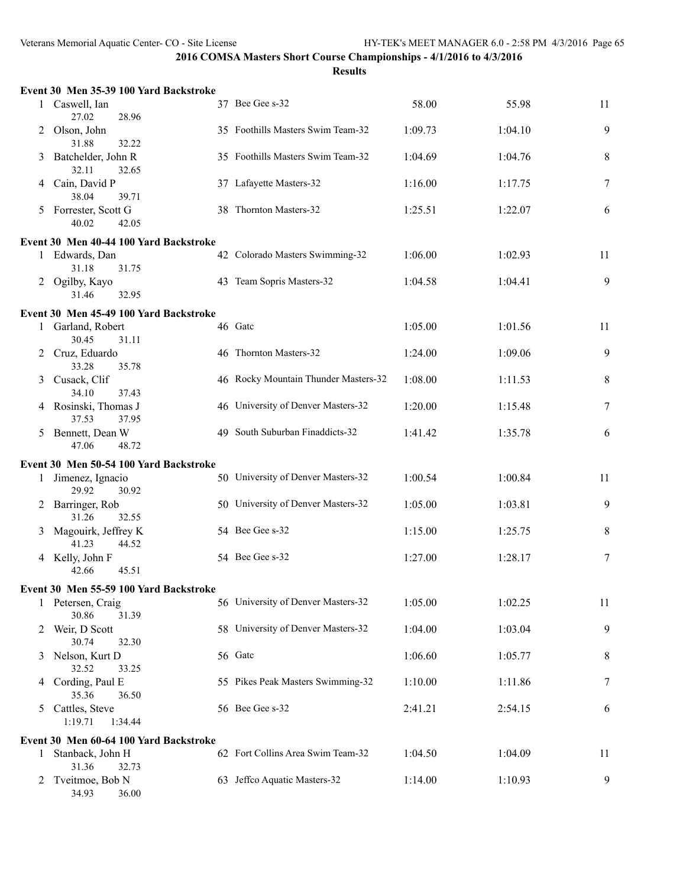|   | Event 30 Men 35-39 100 Yard Backstroke |    |                                      |         |         |       |  |  |  |  |
|---|----------------------------------------|----|--------------------------------------|---------|---------|-------|--|--|--|--|
|   | 1 Caswell, Ian<br>27.02<br>28.96       |    | 37 Bee Gee s-32                      | 58.00   | 55.98   | 11    |  |  |  |  |
| 2 | Olson, John<br>31.88<br>32.22          |    | 35 Foothills Masters Swim Team-32    | 1:09.73 | 1:04.10 | 9     |  |  |  |  |
| 3 | Batchelder, John R<br>32.11<br>32.65   |    | 35 Foothills Masters Swim Team-32    | 1:04.69 | 1:04.76 | 8     |  |  |  |  |
|   | 4 Cain, David P<br>38.04<br>39.71      |    | 37 Lafayette Masters-32              | 1:16.00 | 1:17.75 | 7     |  |  |  |  |
| 5 | Forrester, Scott G<br>40.02<br>42.05   |    | 38 Thornton Masters-32               | 1:25.51 | 1:22.07 | 6     |  |  |  |  |
|   | Event 30 Men 40-44 100 Yard Backstroke |    |                                      |         |         |       |  |  |  |  |
|   | 1 Edwards, Dan<br>31.18<br>31.75       |    | 42 Colorado Masters Swimming-32      | 1:06.00 | 1:02.93 | 11    |  |  |  |  |
|   | 2 Ogilby, Kayo<br>31.46<br>32.95       | 43 | Team Sopris Masters-32               | 1:04.58 | 1:04.41 | 9     |  |  |  |  |
|   | Event 30 Men 45-49 100 Yard Backstroke |    |                                      |         |         |       |  |  |  |  |
|   | 1 Garland, Robert<br>30.45<br>31.11    |    | 46 Gatc                              | 1:05.00 | 1:01.56 | 11    |  |  |  |  |
|   | 2 Cruz, Eduardo<br>33.28<br>35.78      |    | 46 Thornton Masters-32               | 1:24.00 | 1:09.06 | 9     |  |  |  |  |
|   | Cusack, Clif<br>34.10<br>37.43         |    | 46 Rocky Mountain Thunder Masters-32 | 1:08.00 | 1:11.53 | $8\,$ |  |  |  |  |
|   | 4 Rosinski, Thomas J                   |    | 46 University of Denver Masters-32   | 1:20.00 | 1:15.48 | 7     |  |  |  |  |
| 5 | 37.53<br>37.95<br>Bennett, Dean W      | 49 | South Suburban Finaddicts-32         | 1:41.42 | 1:35.78 | 6     |  |  |  |  |
|   | 47.06<br>48.72                         |    |                                      |         |         |       |  |  |  |  |
|   | Event 30 Men 50-54 100 Yard Backstroke |    |                                      |         |         |       |  |  |  |  |
|   | Jimenez, Ignacio<br>29.92<br>30.92     |    | 50 University of Denver Masters-32   | 1:00.54 | 1:00.84 | 11    |  |  |  |  |
|   | 2 Barringer, Rob<br>31.26<br>32.55     |    | 50 University of Denver Masters-32   | 1:05.00 | 1:03.81 | 9     |  |  |  |  |
| 3 | Magouirk, Jeffrey K<br>41.23<br>44.52  |    | 54 Bee Gee s-32                      | 1:15.00 | 1:25.75 | 8     |  |  |  |  |
|   | 4 Kelly, John F<br>42.66<br>45.51      |    | 54 Bee Gee s-32                      | 1:27.00 | 1:28.17 | 7     |  |  |  |  |
|   | Event 30 Men 55-59 100 Yard Backstroke |    |                                      |         |         |       |  |  |  |  |
|   | 1 Petersen, Craig<br>30.86<br>31.39    |    | 56 University of Denver Masters-32   | 1:05.00 | 1:02.25 | 11    |  |  |  |  |
|   | 2 Weir, D Scott<br>30.74<br>32.30      |    | 58 University of Denver Masters-32   | 1:04.00 | 1:03.04 | 9     |  |  |  |  |
|   | 3 Nelson, Kurt D<br>32.52<br>33.25     |    | 56 Gatc                              | 1:06.60 | 1:05.77 | 8     |  |  |  |  |
|   | 4 Cording, Paul E<br>35.36<br>36.50    |    | 55 Pikes Peak Masters Swimming-32    | 1:10.00 | 1:11.86 | 7     |  |  |  |  |
|   | 5 Cattles, Steve                       |    | 56 Bee Gee s-32                      | 2:41.21 | 2:54.15 | 6     |  |  |  |  |
|   | 1:19.71<br>1:34.44                     |    |                                      |         |         |       |  |  |  |  |
|   | Event 30 Men 60-64 100 Yard Backstroke |    |                                      |         |         |       |  |  |  |  |
|   | Stanback, John H<br>31.36<br>32.73     |    | 62 Fort Collins Area Swim Team-32    | 1:04.50 | 1:04.09 | 11    |  |  |  |  |
|   | 2 Tveitmoe, Bob N<br>34.93<br>36.00    |    | 63 Jeffco Aquatic Masters-32         | 1:14.00 | 1:10.93 | 9     |  |  |  |  |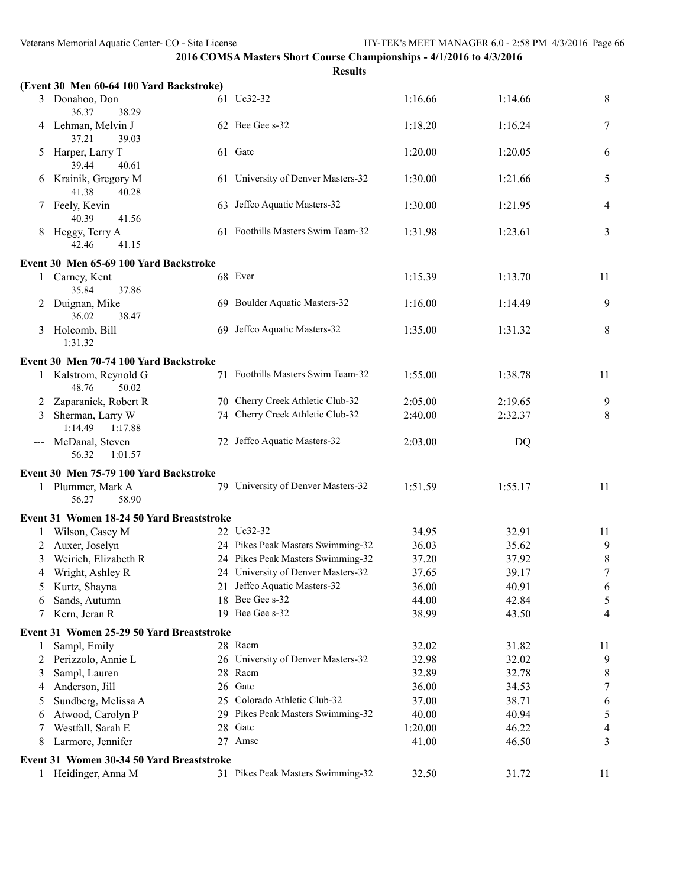|   | (Event 30 Men 60-64 100 Yard Backstroke)  |     |                                    |         |         |                          |
|---|-------------------------------------------|-----|------------------------------------|---------|---------|--------------------------|
|   | 3 Donahoo, Don<br>36.37<br>38.29          |     | 61 Uc32-32                         | 1:16.66 | 1:14.66 | $8\,$                    |
|   | 4 Lehman, Melvin J<br>37.21<br>39.03      |     | 62 Bee Gee s-32                    | 1:18.20 | 1:16.24 | 7                        |
| 5 | Harper, Larry T<br>39.44<br>40.61         |     | 61 Gate                            | 1:20.00 | 1:20.05 | 6                        |
| 6 | Krainik, Gregory M<br>41.38<br>40.28      |     | 61 University of Denver Masters-32 | 1:30.00 | 1:21.66 | 5                        |
|   | Feely, Kevin<br>40.39<br>41.56            |     | 63 Jeffco Aquatic Masters-32       | 1:30.00 | 1:21.95 | $\overline{4}$           |
| 8 | Heggy, Terry A<br>42.46<br>41.15          |     | 61 Foothills Masters Swim Team-32  | 1:31.98 | 1:23.61 | 3                        |
|   | Event 30 Men 65-69 100 Yard Backstroke    |     |                                    |         |         |                          |
|   | 1 Carney, Kent<br>37.86<br>35.84          |     | 68 Ever                            | 1:15.39 | 1:13.70 | 11                       |
|   | 2 Duignan, Mike<br>36.02<br>38.47         |     | 69 Boulder Aquatic Masters-32      | 1:16.00 | 1:14.49 | 9                        |
| 3 | Holcomb, Bill<br>1:31.32                  |     | 69 Jeffco Aquatic Masters-32       | 1:35.00 | 1:31.32 | 8                        |
|   | Event 30 Men 70-74 100 Yard Backstroke    |     |                                    |         |         |                          |
|   | 1 Kalstrom, Reynold G<br>48.76<br>50.02   |     | 71 Foothills Masters Swim Team-32  | 1:55.00 | 1:38.78 | 11                       |
|   | Zaparanick, Robert R                      |     | 70 Cherry Creek Athletic Club-32   | 2:05.00 | 2:19.65 | 9                        |
| 3 | Sherman, Larry W<br>1:14.49<br>1:17.88    |     | 74 Cherry Creek Athletic Club-32   | 2:40.00 | 2:32.37 | 8                        |
|   | --- McDanal, Steven<br>56.32<br>1:01.57   |     | 72 Jeffco Aquatic Masters-32       | 2:03.00 | DQ      |                          |
|   | Event 30 Men 75-79 100 Yard Backstroke    |     |                                    |         |         |                          |
|   | 1 Plummer, Mark A<br>56.27<br>58.90       |     | 79 University of Denver Masters-32 | 1:51.59 | 1:55.17 | 11                       |
|   | Event 31 Women 18-24 50 Yard Breaststroke |     |                                    |         |         |                          |
| 1 | Wilson, Casey M                           |     | 22 Uc32-32                         | 34.95   | 32.91   | 11                       |
| 2 | Auxer, Joselyn                            |     | 24 Pikes Peak Masters Swimming-32  | 36.03   | 35.62   | 9                        |
| 3 | Weirich, Elizabeth R                      |     | 24 Pikes Peak Masters Swimming-32  | 37.20   | 37.92   | 8                        |
| 4 | Wright, Ashley R                          |     | 24 University of Denver Masters-32 | 37.65   | 39.17   | $\tau$                   |
| 5 | Kurtz, Shayna                             |     | 21 Jeffco Aquatic Masters-32       | 36.00   | 40.91   | 6                        |
| 6 | Sands, Autumn                             | 18  | Bee Gee s-32                       | 44.00   | 42.84   | 5                        |
| 7 | Kern, Jeran R                             |     | 19 Bee Gee s-32                    | 38.99   | 43.50   | $\overline{\mathcal{A}}$ |
|   | Event 31 Women 25-29 50 Yard Breaststroke |     |                                    |         |         |                          |
| 1 | Sampl, Emily                              |     | 28 Racm                            | 32.02   | 31.82   | 11                       |
| 2 | Perizzolo, Annie L                        |     | 26 University of Denver Masters-32 | 32.98   | 32.02   | 9                        |
| 3 | Sampl, Lauren                             | 28  | Racm                               | 32.89   | 32.78   | 8                        |
| 4 | Anderson, Jill                            |     | 26 Gatc                            | 36.00   | 34.53   | 7                        |
| 5 | Sundberg, Melissa A                       | 25. | Colorado Athletic Club-32          | 37.00   | 38.71   | 6                        |
| 6 | Atwood, Carolyn P                         |     | 29 Pikes Peak Masters Swimming-32  | 40.00   | 40.94   | 5                        |
| 7 | Westfall, Sarah E                         | 28  | Gatc                               | 1:20.00 | 46.22   | $\overline{\mathcal{A}}$ |
| 8 | Larmore, Jennifer                         |     | 27 Amsc                            | 41.00   | 46.50   | 3                        |
|   | Event 31 Women 30-34 50 Yard Breaststroke |     |                                    |         |         |                          |
|   | Heidinger, Anna M                         |     | 31 Pikes Peak Masters Swimming-32  | 32.50   | 31.72   | 11                       |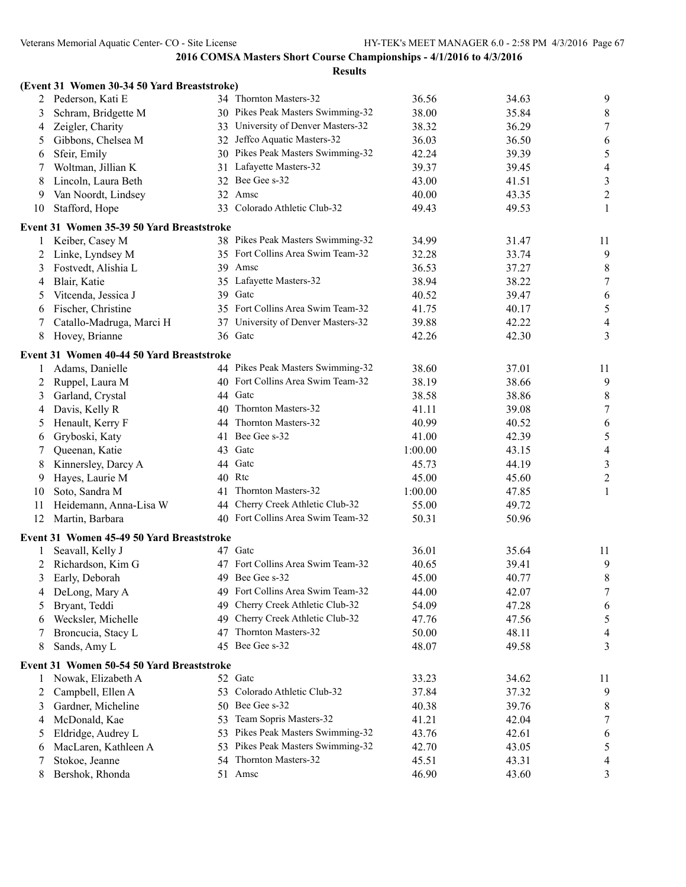|    | (Event 31 Women 30-34 50 Yard Breaststroke) |    |                                    |         |       |                  |
|----|---------------------------------------------|----|------------------------------------|---------|-------|------------------|
| 2  | Pederson, Kati E                            |    | 34 Thornton Masters-32             | 36.56   | 34.63 | 9                |
| 3  | Schram, Bridgette M                         |    | 30 Pikes Peak Masters Swimming-32  | 38.00   | 35.84 | $\,8\,$          |
| 4  | Zeigler, Charity                            |    | 33 University of Denver Masters-32 | 38.32   | 36.29 | $\boldsymbol{7}$ |
| 5  | Gibbons, Chelsea M                          |    | 32 Jeffco Aquatic Masters-32       | 36.03   | 36.50 | 6                |
| 6  | Sfeir, Emily                                |    | 30 Pikes Peak Masters Swimming-32  | 42.24   | 39.39 | $\sqrt{5}$       |
| 7  | Woltman, Jillian K                          |    | 31 Lafayette Masters-32            | 39.37   | 39.45 | $\overline{4}$   |
| 8  | Lincoln, Laura Beth                         |    | 32 Bee Gee s-32                    | 43.00   | 41.51 | $\mathfrak{Z}$   |
| 9  | Van Noordt, Lindsey                         |    | 32 Amsc                            | 40.00   | 43.35 | $\sqrt{2}$       |
| 10 | Stafford, Hope                              |    | 33 Colorado Athletic Club-32       | 49.43   | 49.53 | 1                |
|    | Event 31 Women 35-39 50 Yard Breaststroke   |    |                                    |         |       |                  |
| 1  | Keiber, Casey M                             |    | 38 Pikes Peak Masters Swimming-32  | 34.99   | 31.47 | 11               |
| 2  | Linke, Lyndsey M                            |    | 35 Fort Collins Area Swim Team-32  | 32.28   | 33.74 | 9                |
| 3  | Fostvedt, Alishia L                         |    | 39 Amsc                            | 36.53   | 37.27 | $8\,$            |
| 4  | Blair, Katie                                |    | 35 Lafayette Masters-32            | 38.94   | 38.22 | $\boldsymbol{7}$ |
| 5  | Vitcenda, Jessica J                         |    | 39 Gatc                            | 40.52   | 39.47 | 6                |
| 6  | Fischer, Christine                          |    | 35 Fort Collins Area Swim Team-32  | 41.75   | 40.17 | $\sqrt{5}$       |
| 7  | Catallo-Madruga, Marci H                    |    | 37 University of Denver Masters-32 | 39.88   | 42.22 | $\overline{4}$   |
| 8  | Hovey, Brianne                              |    | 36 Gatc                            | 42.26   | 42.30 | 3                |
|    | Event 31 Women 40-44 50 Yard Breaststroke   |    |                                    |         |       |                  |
|    | Adams, Danielle                             |    | 44 Pikes Peak Masters Swimming-32  | 38.60   | 37.01 | 11               |
| 2  | Ruppel, Laura M                             | 40 | Fort Collins Area Swim Team-32     | 38.19   | 38.66 | 9                |
| 3  | Garland, Crystal                            | 44 | Gatc                               | 38.58   | 38.86 | $\,8\,$          |
| 4  | Davis, Kelly R                              | 40 | Thornton Masters-32                | 41.11   | 39.08 | $\boldsymbol{7}$ |
| 5  | Henault, Kerry F                            | 44 | Thornton Masters-32                | 40.99   | 40.52 | $\sqrt{6}$       |
| 6  | Gryboski, Katy                              |    | 41 Bee Gee s-32                    | 41.00   | 42.39 | $\sqrt{5}$       |
| 7  | Queenan, Katie                              | 43 | Gatc                               | 1:00.00 | 43.15 | $\overline{4}$   |
| 8  | Kinnersley, Darcy A                         |    | 44 Gatc                            | 45.73   | 44.19 | $\mathfrak{Z}$   |
| 9  | Hayes, Laurie M                             |    | 40 Rtc                             | 45.00   | 45.60 | $\boldsymbol{2}$ |
| 10 | Soto, Sandra M                              | 41 | Thornton Masters-32                | 1:00.00 | 47.85 | 1                |
| 11 | Heidemann, Anna-Lisa W                      | 44 | Cherry Creek Athletic Club-32      | 55.00   | 49.72 |                  |
| 12 | Martin, Barbara                             |    | 40 Fort Collins Area Swim Team-32  | 50.31   | 50.96 |                  |
|    | Event 31 Women 45-49 50 Yard Breaststroke   |    |                                    |         |       |                  |
| 1  | Seavall, Kelly J                            |    | 47 Gatc                            | 36.01   | 35.64 | 11               |
|    | Richardson, Kim G                           |    | 47 Fort Collins Area Swim Team-32  | 40.65   | 39.41 | 9                |
| 3  | Early, Deborah                              |    | 49 Bee Gee s-32                    | 45.00   | 40.77 | 8                |
| 4  | DeLong, Mary A                              |    | 49 Fort Collins Area Swim Team-32  | 44.00   | 42.07 | $\tau$           |
| 5  | Bryant, Teddi                               | 49 | Cherry Creek Athletic Club-32      | 54.09   | 47.28 | 6                |
| 6  | Wecksler, Michelle                          | 49 | Cherry Creek Athletic Club-32      | 47.76   | 47.56 | 5                |
| 7  | Broncucia, Stacy L                          | 47 | Thornton Masters-32                | 50.00   | 48.11 | 4                |
| 8  | Sands, Amy L                                | 45 | Bee Gee s-32                       | 48.07   | 49.58 | 3                |
|    | Event 31 Women 50-54 50 Yard Breaststroke   |    |                                    |         |       |                  |
| 1  | Nowak, Elizabeth A                          |    | 52 Gatc                            | 33.23   | 34.62 | 11               |
| 2  | Campbell, Ellen A                           | 53 | Colorado Athletic Club-32          | 37.84   | 37.32 | 9                |
| 3  | Gardner, Micheline                          | 50 | Bee Gee s-32                       | 40.38   | 39.76 | 8                |
| 4  | McDonald, Kae                               | 53 | Team Sopris Masters-32             | 41.21   | 42.04 | 7                |
| 5  | Eldridge, Audrey L                          | 53 | Pikes Peak Masters Swimming-32     | 43.76   | 42.61 | 6                |
| 6  | MacLaren, Kathleen A                        | 53 | Pikes Peak Masters Swimming-32     | 42.70   | 43.05 | 5                |
| 7  | Stokoe, Jeanne                              | 54 | Thornton Masters-32                | 45.51   | 43.31 | 4                |
| 8  | Bershok, Rhonda                             |    | 51 Amsc                            | 46.90   | 43.60 | 3                |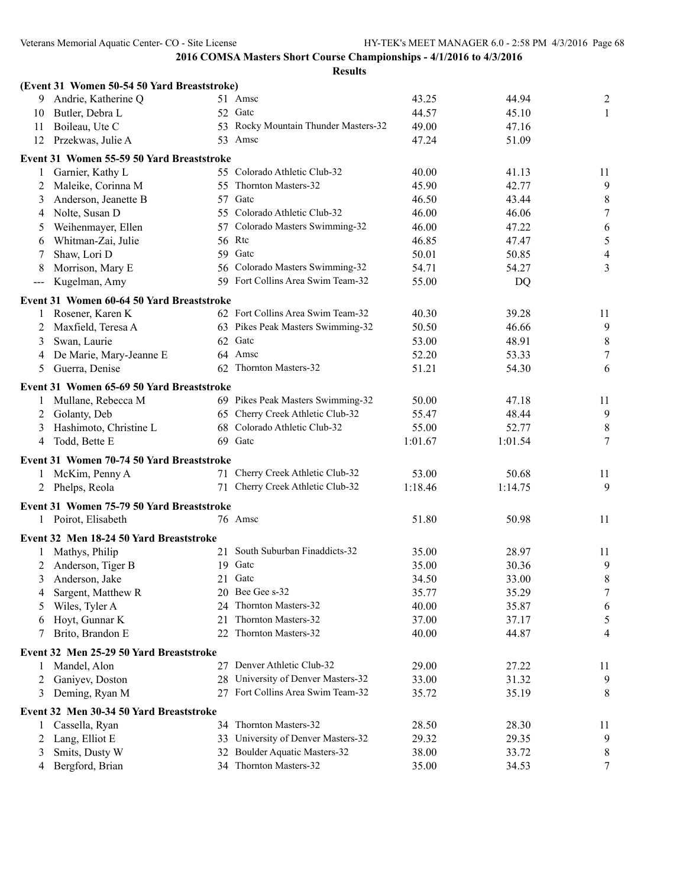|                   | (Event 31 Women 50-54 50 Yard Breaststroke)               |    |                                      |         |         |                         |
|-------------------|-----------------------------------------------------------|----|--------------------------------------|---------|---------|-------------------------|
|                   | 9 Andrie, Katherine Q                                     |    | 51 Amsc                              | 43.25   | 44.94   | $\overline{2}$          |
| 10                | Butler, Debra L                                           |    | 52 Gate                              | 44.57   | 45.10   | $\mathbf{1}$            |
| 11                | Boileau, Ute C                                            |    | 53 Rocky Mountain Thunder Masters-32 | 49.00   | 47.16   |                         |
| 12                | Przekwas, Julie A                                         |    | 53 Amsc                              | 47.24   | 51.09   |                         |
|                   | Event 31 Women 55-59 50 Yard Breaststroke                 |    |                                      |         |         |                         |
| $\mathbf{1}$      | Garnier, Kathy L                                          |    | 55 Colorado Athletic Club-32         | 40.00   | 41.13   | 11                      |
| 2                 | Maleike, Corinna M                                        |    | 55 Thornton Masters-32               | 45.90   | 42.77   | $\overline{9}$          |
| 3                 | Anderson, Jeanette B                                      |    | 57 Gatc                              | 46.50   | 43.44   | 8                       |
| 4                 | Nolte, Susan D                                            |    | 55 Colorado Athletic Club-32         | 46.00   | 46.06   | $\tau$                  |
| 5                 | Weihenmayer, Ellen                                        |    | 57 Colorado Masters Swimming-32      | 46.00   | 47.22   | 6                       |
| 6                 | Whitman-Zai, Julie                                        |    | 56 Rtc                               | 46.85   | 47.47   | 5                       |
| 7                 | Shaw, Lori D                                              |    | 59 Gatc                              | 50.01   | 50.85   | $\overline{\mathbf{4}}$ |
| 8                 | Morrison, Mary E                                          |    | 56 Colorado Masters Swimming-32      | 54.71   | 54.27   | 3                       |
| $\qquad \qquad -$ | Kugelman, Amy                                             |    | 59 Fort Collins Area Swim Team-32    | 55.00   | DQ      |                         |
|                   | Event 31 Women 60-64 50 Yard Breaststroke                 |    |                                      |         |         |                         |
| 1                 | Rosener, Karen K                                          |    | 62 Fort Collins Area Swim Team-32    | 40.30   | 39.28   | 11                      |
| 2                 | Maxfield, Teresa A                                        |    | 63 Pikes Peak Masters Swimming-32    | 50.50   | 46.66   | 9                       |
| 3                 | Swan, Laurie                                              |    | 62 Gatc                              | 53.00   | 48.91   | $\,8\,$                 |
| 4                 | De Marie, Mary-Jeanne E                                   |    | 64 Amsc                              | 52.20   | 53.33   | $\tau$                  |
| 5                 | Guerra, Denise                                            |    | 62 Thornton Masters-32               | 51.21   | 54.30   | 6                       |
|                   |                                                           |    |                                      |         |         |                         |
|                   | Event 31 Women 65-69 50 Yard Breaststroke                 |    |                                      |         |         |                         |
| 1                 | Mullane, Rebecca M                                        |    | 69 Pikes Peak Masters Swimming-32    | 50.00   | 47.18   | 11                      |
| 2                 | Golanty, Deb                                              |    | 65 Cherry Creek Athletic Club-32     | 55.47   | 48.44   | $\overline{9}$          |
| 3                 | Hashimoto, Christine L                                    |    | 68 Colorado Athletic Club-32         | 55.00   | 52.77   | $\,8\,$                 |
| 4                 | Todd, Bette E                                             |    | 69 Gatc                              | 1:01.67 | 1:01.54 | 7                       |
|                   | Event 31 Women 70-74 50 Yard Breaststroke                 |    |                                      |         |         |                         |
| 1                 | McKim, Penny A                                            |    | 71 Cherry Creek Athletic Club-32     | 53.00   | 50.68   | 11                      |
| 2                 | Phelps, Reola                                             |    | 71 Cherry Creek Athletic Club-32     | 1:18.46 | 1:14.75 | 9                       |
|                   | Event 31 Women 75-79 50 Yard Breaststroke                 |    |                                      |         |         |                         |
|                   | 1 Poirot, Elisabeth                                       |    | 76 Amsc                              | 51.80   | 50.98   | 11                      |
|                   | Event 32 Men 18-24 50 Yard Breaststroke                   |    |                                      |         |         |                         |
| 1                 | Mathys, Philip                                            | 21 | South Suburban Finaddicts-32         | 35.00   | 28.97   | 11                      |
| 2                 | Anderson, Tiger B                                         | 19 | Gatc                                 | 35.00   | 30.36   | 9                       |
| 3                 | Anderson, Jake                                            |    | 21 Gate                              | 34.50   | 33.00   | 8                       |
| 4                 | Sargent, Matthew R                                        |    | 20 Bee Gee s-32                      | 35.77   | 35.29   | 7                       |
| 5                 | Wiles, Tyler A                                            | 24 | Thornton Masters-32                  | 40.00   | 35.87   | 6                       |
| 6                 | Hoyt, Gunnar K                                            | 21 | Thornton Masters-32                  | 37.00   | 37.17   | 5                       |
|                   | Brito, Brandon E                                          | 22 | Thornton Masters-32                  | 40.00   | 44.87   | 4                       |
|                   | Event 32 Men 25-29 50 Yard Breaststroke                   |    |                                      |         |         |                         |
| 1                 | Mandel, Alon                                              |    | 27 Denver Athletic Club-32           | 29.00   | 27.22   | 11                      |
| 2                 | Ganiyev, Doston                                           |    | 28 University of Denver Masters-32   | 33.00   | 31.32   | 9                       |
| 3                 | Deming, Ryan M                                            |    | 27 Fort Collins Area Swim Team-32    | 35.72   | 35.19   | 8                       |
|                   |                                                           |    |                                      |         |         |                         |
| 1                 | Event 32 Men 30-34 50 Yard Breaststroke<br>Cassella, Ryan |    | 34 Thornton Masters-32               | 28.50   | 28.30   | 11                      |
| 2                 | Lang, Elliot E                                            |    | 33 University of Denver Masters-32   | 29.32   | 29.35   | 9                       |
| 3                 | Smits, Dusty W                                            |    | 32 Boulder Aquatic Masters-32        | 38.00   | 33.72   | 8                       |
| 4                 | Bergford, Brian                                           |    | 34 Thornton Masters-32               | 35.00   | 34.53   | 7                       |
|                   |                                                           |    |                                      |         |         |                         |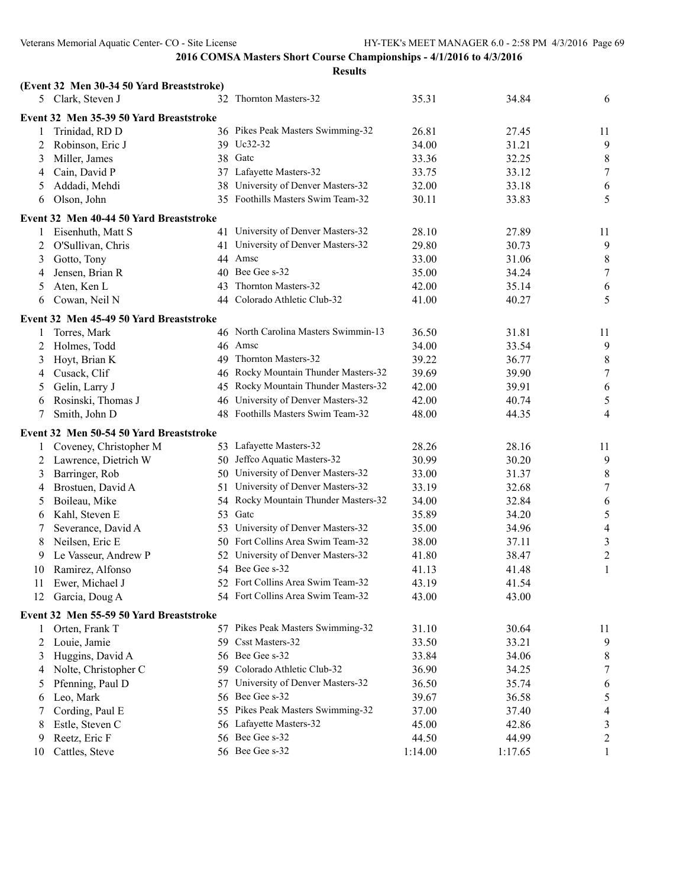|    | (Event 32 Men 30-34 50 Yard Breaststroke) |    |                                      |         |         |                          |
|----|-------------------------------------------|----|--------------------------------------|---------|---------|--------------------------|
|    | 5 Clark, Steven J                         |    | 32 Thornton Masters-32               | 35.31   | 34.84   | 6                        |
|    | Event 32 Men 35-39 50 Yard Breaststroke   |    |                                      |         |         |                          |
| 1  | Trinidad, RD D                            |    | 36 Pikes Peak Masters Swimming-32    | 26.81   | 27.45   | 11                       |
| 2  | Robinson, Eric J                          |    | 39 Uc32-32                           | 34.00   | 31.21   | 9                        |
| 3  | Miller, James                             | 38 | Gatc                                 | 33.36   | 32.25   | $\,8\,$                  |
| 4  | Cain, David P                             |    | 37 Lafayette Masters-32              | 33.75   | 33.12   | $\tau$                   |
| 5  | Addadi, Mehdi                             | 38 | University of Denver Masters-32      | 32.00   | 33.18   | 6                        |
| 6  | Olson, John                               | 35 | Foothills Masters Swim Team-32       | 30.11   | 33.83   | 5                        |
|    | Event 32 Men 40-44 50 Yard Breaststroke   |    |                                      |         |         |                          |
|    | Eisenhuth, Matt S                         |    | 41 University of Denver Masters-32   | 28.10   | 27.89   | 11                       |
| 2  | O'Sullivan, Chris                         |    | 41 University of Denver Masters-32   | 29.80   | 30.73   | 9                        |
| 3  | Gotto, Tony                               |    | 44 Amsc                              | 33.00   | 31.06   | 8                        |
| 4  | Jensen, Brian R                           | 40 | Bee Gee s-32                         | 35.00   | 34.24   | $\boldsymbol{7}$         |
| 5  | Aten, Ken L                               | 43 | Thornton Masters-32                  | 42.00   | 35.14   | 6                        |
| 6  | Cowan, Neil N                             | 44 | Colorado Athletic Club-32            | 41.00   | 40.27   | 5                        |
|    | Event 32 Men 45-49 50 Yard Breaststroke   |    |                                      |         |         |                          |
|    | Torres, Mark                              |    | 46 North Carolina Masters Swimmin-13 | 36.50   | 31.81   | 11                       |
| 2  | Holmes, Todd                              |    | 46 Amsc                              | 34.00   | 33.54   | 9                        |
| 3  | Hoyt, Brian K                             | 49 | Thornton Masters-32                  | 39.22   | 36.77   | 8                        |
| 4  | Cusack, Clif                              |    | 46 Rocky Mountain Thunder Masters-32 | 39.69   | 39.90   | $\tau$                   |
| 5  | Gelin, Larry J                            | 45 | Rocky Mountain Thunder Masters-32    | 42.00   | 39.91   | 6                        |
| 6  | Rosinski, Thomas J                        | 46 | University of Denver Masters-32      | 42.00   | 40.74   | $\mathfrak s$            |
| 7  | Smith, John D                             | 48 | Foothills Masters Swim Team-32       | 48.00   | 44.35   | $\overline{\mathcal{A}}$ |
|    | Event 32 Men 50-54 50 Yard Breaststroke   |    |                                      |         |         |                          |
| 1  | Coveney, Christopher M                    |    | 53 Lafayette Masters-32              | 28.26   | 28.16   | 11                       |
| 2  | Lawrence, Dietrich W                      |    | 50 Jeffco Aquatic Masters-32         | 30.99   | 30.20   | 9                        |
| 3  | Barringer, Rob                            | 50 | University of Denver Masters-32      | 33.00   | 31.37   | 8                        |
| 4  | Brostuen, David A                         | 51 | University of Denver Masters-32      | 33.19   | 32.68   | $\tau$                   |
| 5  | Boileau, Mike                             |    | 54 Rocky Mountain Thunder Masters-32 | 34.00   | 32.84   | 6                        |
| 6  | Kahl, Steven E                            |    | 53 Gate                              | 35.89   | 34.20   | 5                        |
| 7  | Severance, David A                        | 53 | University of Denver Masters-32      | 35.00   | 34.96   | $\overline{4}$           |
| 8  | Neilsen, Eric E                           |    | 50 Fort Collins Area Swim Team-32    | 38.00   | 37.11   | $\mathfrak{Z}$           |
| 9  | Le Vasseur, Andrew P                      |    | 52 University of Denver Masters-32   | 41.80   | 38.47   | $\boldsymbol{2}$         |
| 10 | Ramirez, Alfonso                          |    | 54 Bee Gee s-32                      | 41.13   | 41.48   | 1                        |
| 11 | Ewer, Michael J                           |    | 52 Fort Collins Area Swim Team-32    | 43.19   | 41.54   |                          |
|    | 12 Garcia, Doug A                         |    | 54 Fort Collins Area Swim Team-32    | 43.00   | 43.00   |                          |
|    | Event 32 Men 55-59 50 Yard Breaststroke   |    |                                      |         |         |                          |
| 1  | Orten, Frank T                            |    | 57 Pikes Peak Masters Swimming-32    | 31.10   | 30.64   | 11                       |
| 2  | Louie, Jamie                              |    | 59 Csst Masters-32                   | 33.50   | 33.21   | 9                        |
| 3  | Huggins, David A                          |    | 56 Bee Gee s-32                      | 33.84   | 34.06   | 8                        |
| 4  | Nolte, Christopher C                      |    | 59 Colorado Athletic Club-32         | 36.90   | 34.25   | 7                        |
| 5  | Pfenning, Paul D                          | 57 | University of Denver Masters-32      | 36.50   | 35.74   | 6                        |
| 6  | Leo, Mark                                 |    | 56 Bee Gee s-32                      | 39.67   | 36.58   | 5                        |
|    | Cording, Paul E                           |    | 55 Pikes Peak Masters Swimming-32    | 37.00   | 37.40   | 4                        |
| 8  | Estle, Steven C                           |    | 56 Lafayette Masters-32              | 45.00   | 42.86   | 3                        |
| 9  | Reetz, Eric F                             |    | 56 Bee Gee s-32                      | 44.50   | 44.99   | 2                        |
| 10 | Cattles, Steve                            |    | 56 Bee Gee s-32                      | 1:14.00 | 1:17.65 | 1                        |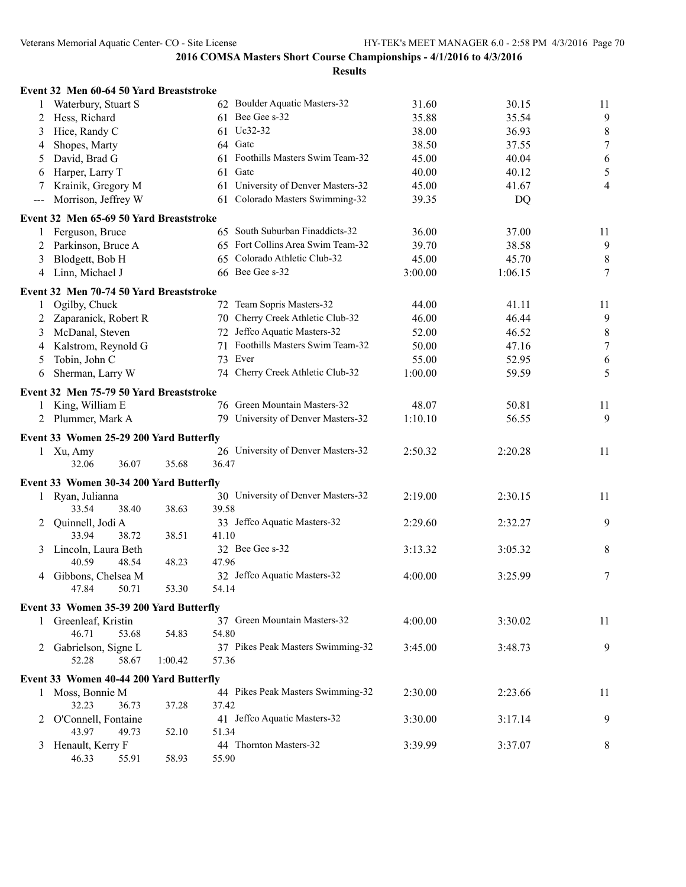|              | Event 32 Men 60-64 50 Yard Breaststroke                         |       |                                    |         |         |                  |
|--------------|-----------------------------------------------------------------|-------|------------------------------------|---------|---------|------------------|
|              | Waterbury, Stuart S                                             |       | 62 Boulder Aquatic Masters-32      | 31.60   | 30.15   | 11               |
| 2            | Hess, Richard                                                   |       | 61 Bee Gee s-32                    | 35.88   | 35.54   | $\overline{9}$   |
| 3            | Hice, Randy C                                                   |       | 61 Uc32-32                         | 38.00   | 36.93   | $\,8\,$          |
| 4            | Shopes, Marty                                                   |       | 64 Gatc                            | 38.50   | 37.55   | $\boldsymbol{7}$ |
| 5            | David, Brad G                                                   | 61    | Foothills Masters Swim Team-32     | 45.00   | 40.04   | $\sqrt{6}$       |
| 6            | Harper, Larry T                                                 |       | 61 Gate                            | 40.00   | 40.12   | $\mathfrak s$    |
|              | Krainik, Gregory M                                              | 61    | University of Denver Masters-32    | 45.00   | 41.67   | $\overline{4}$   |
| $---$        | Morrison, Jeffrey W                                             |       | 61 Colorado Masters Swimming-32    | 39.35   | DQ      |                  |
|              | Event 32 Men 65-69 50 Yard Breaststroke                         |       |                                    |         |         |                  |
|              | Ferguson, Bruce                                                 |       | 65 South Suburban Finaddicts-32    | 36.00   | 37.00   | 11               |
| 2            | Parkinson, Bruce A                                              |       | 65 Fort Collins Area Swim Team-32  | 39.70   | 38.58   | $\overline{9}$   |
| 3            | Blodgett, Bob H                                                 |       | 65 Colorado Athletic Club-32       | 45.00   | 45.70   | $\,8\,$          |
| 4            | Linn, Michael J                                                 |       | 66 Bee Gee s-32                    | 3:00.00 | 1:06.15 | $\overline{7}$   |
|              |                                                                 |       |                                    |         |         |                  |
|              | Event 32 Men 70-74 50 Yard Breaststroke                         |       |                                    |         |         |                  |
| $\mathbf{1}$ | Ogilby, Chuck                                                   |       | 72 Team Sopris Masters-32          | 44.00   | 41.11   | 11               |
| 2            | Zaparanick, Robert R                                            |       | 70 Cherry Creek Athletic Club-32   | 46.00   | 46.44   | 9                |
| 3            | McDanal, Steven                                                 |       | 72 Jeffco Aquatic Masters-32       | 52.00   | 46.52   | $\,8\,$          |
| 4            | Kalstrom, Reynold G                                             | 71    | Foothills Masters Swim Team-32     | 50.00   | 47.16   | $\boldsymbol{7}$ |
| 5            | Tobin, John C                                                   |       | 73 Ever                            | 55.00   | 52.95   | $\sqrt{6}$       |
| 6            | Sherman, Larry W                                                |       | 74 Cherry Creek Athletic Club-32   | 1:00.00 | 59.59   | 5                |
|              | Event 32 Men 75-79 50 Yard Breaststroke                         |       |                                    |         |         |                  |
|              | 1 King, William E                                               |       | 76 Green Mountain Masters-32       | 48.07   | 50.81   | 11               |
| 2            | Plummer, Mark A                                                 |       | 79 University of Denver Masters-32 | 1:10.10 | 56.55   | 9                |
|              | Event 33 Women 25-29 200 Yard Butterfly                         |       |                                    |         |         |                  |
|              | 1 Xu, Amy                                                       |       | 26 University of Denver Masters-32 | 2:50.32 | 2:20.28 | 11               |
|              | 32.06<br>36.07<br>35.68                                         | 36.47 |                                    |         |         |                  |
|              | Event 33 Women 30-34 200 Yard Butterfly                         |       |                                    |         |         |                  |
|              | 1 Ryan, Julianna                                                |       | 30 University of Denver Masters-32 | 2:19.00 | 2:30.15 | 11               |
|              | 33.54<br>38.40<br>38.63                                         | 39.58 |                                    |         |         |                  |
| 2            | Quinnell, Jodi A                                                |       | 33 Jeffco Aquatic Masters-32       | 2:29.60 | 2:32.27 | 9                |
|              | 33.94<br>38.72<br>38.51                                         | 41.10 |                                    |         |         |                  |
| 3            | Lincoln, Laura Beth                                             |       | 32 Bee Gee s-32                    | 3:13.32 | 3:05.32 | 8                |
|              | 40.59<br>48.54<br>48.23                                         | 47.96 |                                    |         |         |                  |
|              | 4 Gibbons, Chelsea M                                            |       | 32 Jeffco Aquatic Masters-32       | 4:00.00 | 3:25.99 | 7                |
|              | 47.84<br>50.71<br>53.30                                         | 54.14 |                                    |         |         |                  |
|              |                                                                 |       |                                    |         |         |                  |
|              | Event 33 Women 35-39 200 Yard Butterfly<br>1 Greenleaf, Kristin |       | 37 Green Mountain Masters-32       | 4:00.00 | 3:30.02 | 11               |
|              | 46.71<br>54.83<br>53.68                                         | 54.80 |                                    |         |         |                  |
|              | Gabrielson, Signe L                                             |       | 37 Pikes Peak Masters Swimming-32  | 3:45.00 | 3:48.73 | 9                |
|              | 52.28<br>58.67<br>1:00.42                                       | 57.36 |                                    |         |         |                  |
|              |                                                                 |       |                                    |         |         |                  |
|              | Event 33 Women 40-44 200 Yard Butterfly                         |       |                                    |         |         |                  |
|              | 1 Moss, Bonnie M                                                |       | 44 Pikes Peak Masters Swimming-32  | 2:30.00 | 2:23.66 | 11               |
|              | 32.23<br>36.73<br>37.28                                         | 37.42 |                                    |         |         |                  |
|              | 2 O'Connell, Fontaine                                           |       | 41 Jeffco Aquatic Masters-32       | 3:30.00 | 3:17.14 | 9                |
|              | 43.97<br>49.73<br>52.10                                         | 51.34 | 44 Thornton Masters-32             | 3:39.99 | 3:37.07 |                  |
|              | 3 Henault, Kerry F<br>46.33<br>55.91<br>58.93                   | 55.90 |                                    |         |         | 8                |
|              |                                                                 |       |                                    |         |         |                  |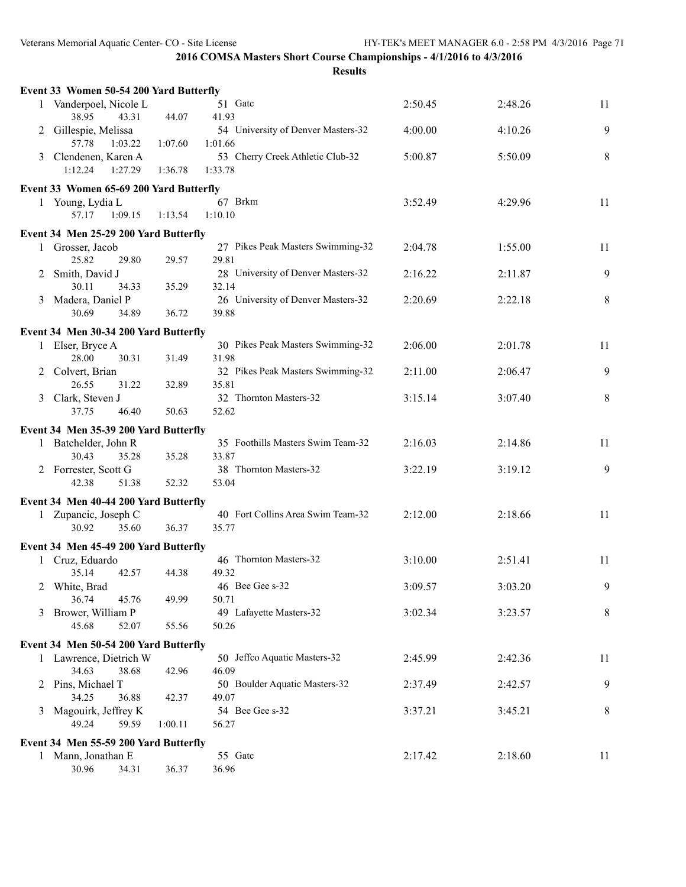| 1 Vanderpoel, Nicole L<br>51 Gate<br>2:50.45<br>2:48.26<br>11<br>38.95<br>43.31<br>41.93<br>44.07<br>54 University of Denver Masters-32<br>9<br>4:00.00<br>Gillespie, Melissa<br>4:10.26<br>2<br>1:01.66<br>57.78<br>1:03.22<br>1:07.60<br>8<br>3 Clendenen, Karen A<br>53 Cherry Creek Athletic Club-32<br>5:00.87<br>5:50.09<br>1:12.24<br>1:27.29<br>1:36.78<br>1:33.78<br>Event 33 Women 65-69 200 Yard Butterfly<br>67 Brkm<br>1 Young, Lydia L<br>3:52.49<br>4:29.96<br>11<br>1:10.10<br>57.17<br>1:09.15<br>1:13.54<br>Event 34 Men 25-29 200 Yard Butterfly<br>27 Pikes Peak Masters Swimming-32<br>2:04.78<br>1:55.00<br>11<br>1 Grosser, Jacob<br>25.82<br>29.80<br>29.57<br>29.81<br>28 University of Denver Masters-32<br>9<br>Smith, David J<br>2:16.22<br>2:11.87<br>2<br>30.11<br>34.33<br>35.29<br>32.14<br>26 University of Denver Masters-32<br>3 Madera, Daniel P<br>2:20.69<br>2:22.18<br>8<br>39.88<br>30.69<br>34.89<br>36.72<br>Event 34 Men 30-34 200 Yard Butterfly<br>1 Elser, Bryce A<br>30 Pikes Peak Masters Swimming-32<br>2:06.00<br>2:01.78<br>11<br>28.00<br>31.98<br>30.31<br>31.49<br>9<br>Colvert, Brian<br>32 Pikes Peak Masters Swimming-32<br>2:06.47<br>2:11.00<br>2<br>35.81<br>26.55<br>31.22<br>32.89<br>Clark, Steven J<br>32 Thornton Masters-32<br>8<br>3:15.14<br>3:07.40<br>3<br>37.75<br>46.40<br>50.63<br>52.62<br>Event 34 Men 35-39 200 Yard Butterfly<br>35 Foothills Masters Swim Team-32<br>1 Batchelder, John R<br>2:16.03<br>2:14.86<br>11<br>30.43<br>35.28<br>35.28<br>33.87<br>38 Thornton Masters-32<br>9<br>2 Forrester, Scott G<br>3:22.19<br>3:19.12<br>42.38<br>51.38<br>52.32<br>53.04<br>Event 34 Men 40-44 200 Yard Butterfly<br>40 Fort Collins Area Swim Team-32<br>2:12.00<br>2:18.66<br>11<br>1 Zupancic, Joseph C<br>30.92<br>35.60<br>36.37<br>35.77<br>Event 34 Men 45-49 200 Yard Butterfly<br>1 Cruz, Eduardo<br>46 Thornton Masters-32<br>3:10.00<br>2:51.41<br>11<br>42.57<br>49.32<br>35.14<br>44.38<br>46 Bee Gee s-32<br>2 White, Brad<br>3:09.57<br>9<br>3:03.20<br>36.74<br>45.76<br>49.99<br>50.71<br>49 Lafayette Masters-32<br>8<br>Brower, William P<br>3:02.34<br>3:23.57<br>3<br>45.68<br>52.07<br>55.56<br>50.26<br>Event 34 Men 50-54 200 Yard Butterfly<br>50 Jeffco Aquatic Masters-32<br>1 Lawrence, Dietrich W<br>2:45.99<br>2:42.36<br>11<br>38.68<br>46.09<br>34.63<br>42.96<br>50 Boulder Aquatic Masters-32<br>9<br>2 Pins, Michael T<br>2:37.49<br>2:42.57<br>34.25<br>49.07<br>36.88<br>42.37<br>54 Bee Gee s-32<br>Magouirk, Jeffrey K<br>3:37.21<br>3:45.21<br>8<br>3<br>49.24<br>59.59<br>1:00.11<br>56.27<br>Event 34 Men 55-59 200 Yard Butterfly<br>1 Mann, Jonathan E<br>55 Gate<br>2:17.42<br>2:18.60<br>11<br>30.96<br>34.31<br>36.96<br>36.37 |  | Event 33 Women 50-54 200 Yard Butterfly |  |  |  |  |  |  |  |
|---------------------------------------------------------------------------------------------------------------------------------------------------------------------------------------------------------------------------------------------------------------------------------------------------------------------------------------------------------------------------------------------------------------------------------------------------------------------------------------------------------------------------------------------------------------------------------------------------------------------------------------------------------------------------------------------------------------------------------------------------------------------------------------------------------------------------------------------------------------------------------------------------------------------------------------------------------------------------------------------------------------------------------------------------------------------------------------------------------------------------------------------------------------------------------------------------------------------------------------------------------------------------------------------------------------------------------------------------------------------------------------------------------------------------------------------------------------------------------------------------------------------------------------------------------------------------------------------------------------------------------------------------------------------------------------------------------------------------------------------------------------------------------------------------------------------------------------------------------------------------------------------------------------------------------------------------------------------------------------------------------------------------------------------------------------------------------------------------------------------------------------------------------------------------------------------------------------------------------------------------------------------------------------------------------------------------------------------------------------------------------------------------------------------------------------------------------------------------------------------------------------------------------------------------------------------------------------------------------------------------------------------------------------------------------------------------------------------------------------------------------------|--|-----------------------------------------|--|--|--|--|--|--|--|
|                                                                                                                                                                                                                                                                                                                                                                                                                                                                                                                                                                                                                                                                                                                                                                                                                                                                                                                                                                                                                                                                                                                                                                                                                                                                                                                                                                                                                                                                                                                                                                                                                                                                                                                                                                                                                                                                                                                                                                                                                                                                                                                                                                                                                                                                                                                                                                                                                                                                                                                                                                                                                                                                                                                                                               |  |                                         |  |  |  |  |  |  |  |
|                                                                                                                                                                                                                                                                                                                                                                                                                                                                                                                                                                                                                                                                                                                                                                                                                                                                                                                                                                                                                                                                                                                                                                                                                                                                                                                                                                                                                                                                                                                                                                                                                                                                                                                                                                                                                                                                                                                                                                                                                                                                                                                                                                                                                                                                                                                                                                                                                                                                                                                                                                                                                                                                                                                                                               |  |                                         |  |  |  |  |  |  |  |
|                                                                                                                                                                                                                                                                                                                                                                                                                                                                                                                                                                                                                                                                                                                                                                                                                                                                                                                                                                                                                                                                                                                                                                                                                                                                                                                                                                                                                                                                                                                                                                                                                                                                                                                                                                                                                                                                                                                                                                                                                                                                                                                                                                                                                                                                                                                                                                                                                                                                                                                                                                                                                                                                                                                                                               |  |                                         |  |  |  |  |  |  |  |
|                                                                                                                                                                                                                                                                                                                                                                                                                                                                                                                                                                                                                                                                                                                                                                                                                                                                                                                                                                                                                                                                                                                                                                                                                                                                                                                                                                                                                                                                                                                                                                                                                                                                                                                                                                                                                                                                                                                                                                                                                                                                                                                                                                                                                                                                                                                                                                                                                                                                                                                                                                                                                                                                                                                                                               |  |                                         |  |  |  |  |  |  |  |
|                                                                                                                                                                                                                                                                                                                                                                                                                                                                                                                                                                                                                                                                                                                                                                                                                                                                                                                                                                                                                                                                                                                                                                                                                                                                                                                                                                                                                                                                                                                                                                                                                                                                                                                                                                                                                                                                                                                                                                                                                                                                                                                                                                                                                                                                                                                                                                                                                                                                                                                                                                                                                                                                                                                                                               |  |                                         |  |  |  |  |  |  |  |
|                                                                                                                                                                                                                                                                                                                                                                                                                                                                                                                                                                                                                                                                                                                                                                                                                                                                                                                                                                                                                                                                                                                                                                                                                                                                                                                                                                                                                                                                                                                                                                                                                                                                                                                                                                                                                                                                                                                                                                                                                                                                                                                                                                                                                                                                                                                                                                                                                                                                                                                                                                                                                                                                                                                                                               |  |                                         |  |  |  |  |  |  |  |
|                                                                                                                                                                                                                                                                                                                                                                                                                                                                                                                                                                                                                                                                                                                                                                                                                                                                                                                                                                                                                                                                                                                                                                                                                                                                                                                                                                                                                                                                                                                                                                                                                                                                                                                                                                                                                                                                                                                                                                                                                                                                                                                                                                                                                                                                                                                                                                                                                                                                                                                                                                                                                                                                                                                                                               |  |                                         |  |  |  |  |  |  |  |
|                                                                                                                                                                                                                                                                                                                                                                                                                                                                                                                                                                                                                                                                                                                                                                                                                                                                                                                                                                                                                                                                                                                                                                                                                                                                                                                                                                                                                                                                                                                                                                                                                                                                                                                                                                                                                                                                                                                                                                                                                                                                                                                                                                                                                                                                                                                                                                                                                                                                                                                                                                                                                                                                                                                                                               |  |                                         |  |  |  |  |  |  |  |
|                                                                                                                                                                                                                                                                                                                                                                                                                                                                                                                                                                                                                                                                                                                                                                                                                                                                                                                                                                                                                                                                                                                                                                                                                                                                                                                                                                                                                                                                                                                                                                                                                                                                                                                                                                                                                                                                                                                                                                                                                                                                                                                                                                                                                                                                                                                                                                                                                                                                                                                                                                                                                                                                                                                                                               |  |                                         |  |  |  |  |  |  |  |
|                                                                                                                                                                                                                                                                                                                                                                                                                                                                                                                                                                                                                                                                                                                                                                                                                                                                                                                                                                                                                                                                                                                                                                                                                                                                                                                                                                                                                                                                                                                                                                                                                                                                                                                                                                                                                                                                                                                                                                                                                                                                                                                                                                                                                                                                                                                                                                                                                                                                                                                                                                                                                                                                                                                                                               |  |                                         |  |  |  |  |  |  |  |
|                                                                                                                                                                                                                                                                                                                                                                                                                                                                                                                                                                                                                                                                                                                                                                                                                                                                                                                                                                                                                                                                                                                                                                                                                                                                                                                                                                                                                                                                                                                                                                                                                                                                                                                                                                                                                                                                                                                                                                                                                                                                                                                                                                                                                                                                                                                                                                                                                                                                                                                                                                                                                                                                                                                                                               |  |                                         |  |  |  |  |  |  |  |
|                                                                                                                                                                                                                                                                                                                                                                                                                                                                                                                                                                                                                                                                                                                                                                                                                                                                                                                                                                                                                                                                                                                                                                                                                                                                                                                                                                                                                                                                                                                                                                                                                                                                                                                                                                                                                                                                                                                                                                                                                                                                                                                                                                                                                                                                                                                                                                                                                                                                                                                                                                                                                                                                                                                                                               |  |                                         |  |  |  |  |  |  |  |
|                                                                                                                                                                                                                                                                                                                                                                                                                                                                                                                                                                                                                                                                                                                                                                                                                                                                                                                                                                                                                                                                                                                                                                                                                                                                                                                                                                                                                                                                                                                                                                                                                                                                                                                                                                                                                                                                                                                                                                                                                                                                                                                                                                                                                                                                                                                                                                                                                                                                                                                                                                                                                                                                                                                                                               |  |                                         |  |  |  |  |  |  |  |
|                                                                                                                                                                                                                                                                                                                                                                                                                                                                                                                                                                                                                                                                                                                                                                                                                                                                                                                                                                                                                                                                                                                                                                                                                                                                                                                                                                                                                                                                                                                                                                                                                                                                                                                                                                                                                                                                                                                                                                                                                                                                                                                                                                                                                                                                                                                                                                                                                                                                                                                                                                                                                                                                                                                                                               |  |                                         |  |  |  |  |  |  |  |
|                                                                                                                                                                                                                                                                                                                                                                                                                                                                                                                                                                                                                                                                                                                                                                                                                                                                                                                                                                                                                                                                                                                                                                                                                                                                                                                                                                                                                                                                                                                                                                                                                                                                                                                                                                                                                                                                                                                                                                                                                                                                                                                                                                                                                                                                                                                                                                                                                                                                                                                                                                                                                                                                                                                                                               |  |                                         |  |  |  |  |  |  |  |
|                                                                                                                                                                                                                                                                                                                                                                                                                                                                                                                                                                                                                                                                                                                                                                                                                                                                                                                                                                                                                                                                                                                                                                                                                                                                                                                                                                                                                                                                                                                                                                                                                                                                                                                                                                                                                                                                                                                                                                                                                                                                                                                                                                                                                                                                                                                                                                                                                                                                                                                                                                                                                                                                                                                                                               |  |                                         |  |  |  |  |  |  |  |
|                                                                                                                                                                                                                                                                                                                                                                                                                                                                                                                                                                                                                                                                                                                                                                                                                                                                                                                                                                                                                                                                                                                                                                                                                                                                                                                                                                                                                                                                                                                                                                                                                                                                                                                                                                                                                                                                                                                                                                                                                                                                                                                                                                                                                                                                                                                                                                                                                                                                                                                                                                                                                                                                                                                                                               |  |                                         |  |  |  |  |  |  |  |
|                                                                                                                                                                                                                                                                                                                                                                                                                                                                                                                                                                                                                                                                                                                                                                                                                                                                                                                                                                                                                                                                                                                                                                                                                                                                                                                                                                                                                                                                                                                                                                                                                                                                                                                                                                                                                                                                                                                                                                                                                                                                                                                                                                                                                                                                                                                                                                                                                                                                                                                                                                                                                                                                                                                                                               |  |                                         |  |  |  |  |  |  |  |
|                                                                                                                                                                                                                                                                                                                                                                                                                                                                                                                                                                                                                                                                                                                                                                                                                                                                                                                                                                                                                                                                                                                                                                                                                                                                                                                                                                                                                                                                                                                                                                                                                                                                                                                                                                                                                                                                                                                                                                                                                                                                                                                                                                                                                                                                                                                                                                                                                                                                                                                                                                                                                                                                                                                                                               |  |                                         |  |  |  |  |  |  |  |
|                                                                                                                                                                                                                                                                                                                                                                                                                                                                                                                                                                                                                                                                                                                                                                                                                                                                                                                                                                                                                                                                                                                                                                                                                                                                                                                                                                                                                                                                                                                                                                                                                                                                                                                                                                                                                                                                                                                                                                                                                                                                                                                                                                                                                                                                                                                                                                                                                                                                                                                                                                                                                                                                                                                                                               |  |                                         |  |  |  |  |  |  |  |
|                                                                                                                                                                                                                                                                                                                                                                                                                                                                                                                                                                                                                                                                                                                                                                                                                                                                                                                                                                                                                                                                                                                                                                                                                                                                                                                                                                                                                                                                                                                                                                                                                                                                                                                                                                                                                                                                                                                                                                                                                                                                                                                                                                                                                                                                                                                                                                                                                                                                                                                                                                                                                                                                                                                                                               |  |                                         |  |  |  |  |  |  |  |
|                                                                                                                                                                                                                                                                                                                                                                                                                                                                                                                                                                                                                                                                                                                                                                                                                                                                                                                                                                                                                                                                                                                                                                                                                                                                                                                                                                                                                                                                                                                                                                                                                                                                                                                                                                                                                                                                                                                                                                                                                                                                                                                                                                                                                                                                                                                                                                                                                                                                                                                                                                                                                                                                                                                                                               |  |                                         |  |  |  |  |  |  |  |
|                                                                                                                                                                                                                                                                                                                                                                                                                                                                                                                                                                                                                                                                                                                                                                                                                                                                                                                                                                                                                                                                                                                                                                                                                                                                                                                                                                                                                                                                                                                                                                                                                                                                                                                                                                                                                                                                                                                                                                                                                                                                                                                                                                                                                                                                                                                                                                                                                                                                                                                                                                                                                                                                                                                                                               |  |                                         |  |  |  |  |  |  |  |
|                                                                                                                                                                                                                                                                                                                                                                                                                                                                                                                                                                                                                                                                                                                                                                                                                                                                                                                                                                                                                                                                                                                                                                                                                                                                                                                                                                                                                                                                                                                                                                                                                                                                                                                                                                                                                                                                                                                                                                                                                                                                                                                                                                                                                                                                                                                                                                                                                                                                                                                                                                                                                                                                                                                                                               |  |                                         |  |  |  |  |  |  |  |
|                                                                                                                                                                                                                                                                                                                                                                                                                                                                                                                                                                                                                                                                                                                                                                                                                                                                                                                                                                                                                                                                                                                                                                                                                                                                                                                                                                                                                                                                                                                                                                                                                                                                                                                                                                                                                                                                                                                                                                                                                                                                                                                                                                                                                                                                                                                                                                                                                                                                                                                                                                                                                                                                                                                                                               |  |                                         |  |  |  |  |  |  |  |
|                                                                                                                                                                                                                                                                                                                                                                                                                                                                                                                                                                                                                                                                                                                                                                                                                                                                                                                                                                                                                                                                                                                                                                                                                                                                                                                                                                                                                                                                                                                                                                                                                                                                                                                                                                                                                                                                                                                                                                                                                                                                                                                                                                                                                                                                                                                                                                                                                                                                                                                                                                                                                                                                                                                                                               |  |                                         |  |  |  |  |  |  |  |
|                                                                                                                                                                                                                                                                                                                                                                                                                                                                                                                                                                                                                                                                                                                                                                                                                                                                                                                                                                                                                                                                                                                                                                                                                                                                                                                                                                                                                                                                                                                                                                                                                                                                                                                                                                                                                                                                                                                                                                                                                                                                                                                                                                                                                                                                                                                                                                                                                                                                                                                                                                                                                                                                                                                                                               |  |                                         |  |  |  |  |  |  |  |
|                                                                                                                                                                                                                                                                                                                                                                                                                                                                                                                                                                                                                                                                                                                                                                                                                                                                                                                                                                                                                                                                                                                                                                                                                                                                                                                                                                                                                                                                                                                                                                                                                                                                                                                                                                                                                                                                                                                                                                                                                                                                                                                                                                                                                                                                                                                                                                                                                                                                                                                                                                                                                                                                                                                                                               |  |                                         |  |  |  |  |  |  |  |
|                                                                                                                                                                                                                                                                                                                                                                                                                                                                                                                                                                                                                                                                                                                                                                                                                                                                                                                                                                                                                                                                                                                                                                                                                                                                                                                                                                                                                                                                                                                                                                                                                                                                                                                                                                                                                                                                                                                                                                                                                                                                                                                                                                                                                                                                                                                                                                                                                                                                                                                                                                                                                                                                                                                                                               |  |                                         |  |  |  |  |  |  |  |
|                                                                                                                                                                                                                                                                                                                                                                                                                                                                                                                                                                                                                                                                                                                                                                                                                                                                                                                                                                                                                                                                                                                                                                                                                                                                                                                                                                                                                                                                                                                                                                                                                                                                                                                                                                                                                                                                                                                                                                                                                                                                                                                                                                                                                                                                                                                                                                                                                                                                                                                                                                                                                                                                                                                                                               |  |                                         |  |  |  |  |  |  |  |
|                                                                                                                                                                                                                                                                                                                                                                                                                                                                                                                                                                                                                                                                                                                                                                                                                                                                                                                                                                                                                                                                                                                                                                                                                                                                                                                                                                                                                                                                                                                                                                                                                                                                                                                                                                                                                                                                                                                                                                                                                                                                                                                                                                                                                                                                                                                                                                                                                                                                                                                                                                                                                                                                                                                                                               |  |                                         |  |  |  |  |  |  |  |
|                                                                                                                                                                                                                                                                                                                                                                                                                                                                                                                                                                                                                                                                                                                                                                                                                                                                                                                                                                                                                                                                                                                                                                                                                                                                                                                                                                                                                                                                                                                                                                                                                                                                                                                                                                                                                                                                                                                                                                                                                                                                                                                                                                                                                                                                                                                                                                                                                                                                                                                                                                                                                                                                                                                                                               |  |                                         |  |  |  |  |  |  |  |
|                                                                                                                                                                                                                                                                                                                                                                                                                                                                                                                                                                                                                                                                                                                                                                                                                                                                                                                                                                                                                                                                                                                                                                                                                                                                                                                                                                                                                                                                                                                                                                                                                                                                                                                                                                                                                                                                                                                                                                                                                                                                                                                                                                                                                                                                                                                                                                                                                                                                                                                                                                                                                                                                                                                                                               |  |                                         |  |  |  |  |  |  |  |
|                                                                                                                                                                                                                                                                                                                                                                                                                                                                                                                                                                                                                                                                                                                                                                                                                                                                                                                                                                                                                                                                                                                                                                                                                                                                                                                                                                                                                                                                                                                                                                                                                                                                                                                                                                                                                                                                                                                                                                                                                                                                                                                                                                                                                                                                                                                                                                                                                                                                                                                                                                                                                                                                                                                                                               |  |                                         |  |  |  |  |  |  |  |
|                                                                                                                                                                                                                                                                                                                                                                                                                                                                                                                                                                                                                                                                                                                                                                                                                                                                                                                                                                                                                                                                                                                                                                                                                                                                                                                                                                                                                                                                                                                                                                                                                                                                                                                                                                                                                                                                                                                                                                                                                                                                                                                                                                                                                                                                                                                                                                                                                                                                                                                                                                                                                                                                                                                                                               |  |                                         |  |  |  |  |  |  |  |
|                                                                                                                                                                                                                                                                                                                                                                                                                                                                                                                                                                                                                                                                                                                                                                                                                                                                                                                                                                                                                                                                                                                                                                                                                                                                                                                                                                                                                                                                                                                                                                                                                                                                                                                                                                                                                                                                                                                                                                                                                                                                                                                                                                                                                                                                                                                                                                                                                                                                                                                                                                                                                                                                                                                                                               |  |                                         |  |  |  |  |  |  |  |
|                                                                                                                                                                                                                                                                                                                                                                                                                                                                                                                                                                                                                                                                                                                                                                                                                                                                                                                                                                                                                                                                                                                                                                                                                                                                                                                                                                                                                                                                                                                                                                                                                                                                                                                                                                                                                                                                                                                                                                                                                                                                                                                                                                                                                                                                                                                                                                                                                                                                                                                                                                                                                                                                                                                                                               |  |                                         |  |  |  |  |  |  |  |
|                                                                                                                                                                                                                                                                                                                                                                                                                                                                                                                                                                                                                                                                                                                                                                                                                                                                                                                                                                                                                                                                                                                                                                                                                                                                                                                                                                                                                                                                                                                                                                                                                                                                                                                                                                                                                                                                                                                                                                                                                                                                                                                                                                                                                                                                                                                                                                                                                                                                                                                                                                                                                                                                                                                                                               |  |                                         |  |  |  |  |  |  |  |
|                                                                                                                                                                                                                                                                                                                                                                                                                                                                                                                                                                                                                                                                                                                                                                                                                                                                                                                                                                                                                                                                                                                                                                                                                                                                                                                                                                                                                                                                                                                                                                                                                                                                                                                                                                                                                                                                                                                                                                                                                                                                                                                                                                                                                                                                                                                                                                                                                                                                                                                                                                                                                                                                                                                                                               |  |                                         |  |  |  |  |  |  |  |
|                                                                                                                                                                                                                                                                                                                                                                                                                                                                                                                                                                                                                                                                                                                                                                                                                                                                                                                                                                                                                                                                                                                                                                                                                                                                                                                                                                                                                                                                                                                                                                                                                                                                                                                                                                                                                                                                                                                                                                                                                                                                                                                                                                                                                                                                                                                                                                                                                                                                                                                                                                                                                                                                                                                                                               |  |                                         |  |  |  |  |  |  |  |
|                                                                                                                                                                                                                                                                                                                                                                                                                                                                                                                                                                                                                                                                                                                                                                                                                                                                                                                                                                                                                                                                                                                                                                                                                                                                                                                                                                                                                                                                                                                                                                                                                                                                                                                                                                                                                                                                                                                                                                                                                                                                                                                                                                                                                                                                                                                                                                                                                                                                                                                                                                                                                                                                                                                                                               |  |                                         |  |  |  |  |  |  |  |
|                                                                                                                                                                                                                                                                                                                                                                                                                                                                                                                                                                                                                                                                                                                                                                                                                                                                                                                                                                                                                                                                                                                                                                                                                                                                                                                                                                                                                                                                                                                                                                                                                                                                                                                                                                                                                                                                                                                                                                                                                                                                                                                                                                                                                                                                                                                                                                                                                                                                                                                                                                                                                                                                                                                                                               |  |                                         |  |  |  |  |  |  |  |
|                                                                                                                                                                                                                                                                                                                                                                                                                                                                                                                                                                                                                                                                                                                                                                                                                                                                                                                                                                                                                                                                                                                                                                                                                                                                                                                                                                                                                                                                                                                                                                                                                                                                                                                                                                                                                                                                                                                                                                                                                                                                                                                                                                                                                                                                                                                                                                                                                                                                                                                                                                                                                                                                                                                                                               |  |                                         |  |  |  |  |  |  |  |
|                                                                                                                                                                                                                                                                                                                                                                                                                                                                                                                                                                                                                                                                                                                                                                                                                                                                                                                                                                                                                                                                                                                                                                                                                                                                                                                                                                                                                                                                                                                                                                                                                                                                                                                                                                                                                                                                                                                                                                                                                                                                                                                                                                                                                                                                                                                                                                                                                                                                                                                                                                                                                                                                                                                                                               |  |                                         |  |  |  |  |  |  |  |
|                                                                                                                                                                                                                                                                                                                                                                                                                                                                                                                                                                                                                                                                                                                                                                                                                                                                                                                                                                                                                                                                                                                                                                                                                                                                                                                                                                                                                                                                                                                                                                                                                                                                                                                                                                                                                                                                                                                                                                                                                                                                                                                                                                                                                                                                                                                                                                                                                                                                                                                                                                                                                                                                                                                                                               |  |                                         |  |  |  |  |  |  |  |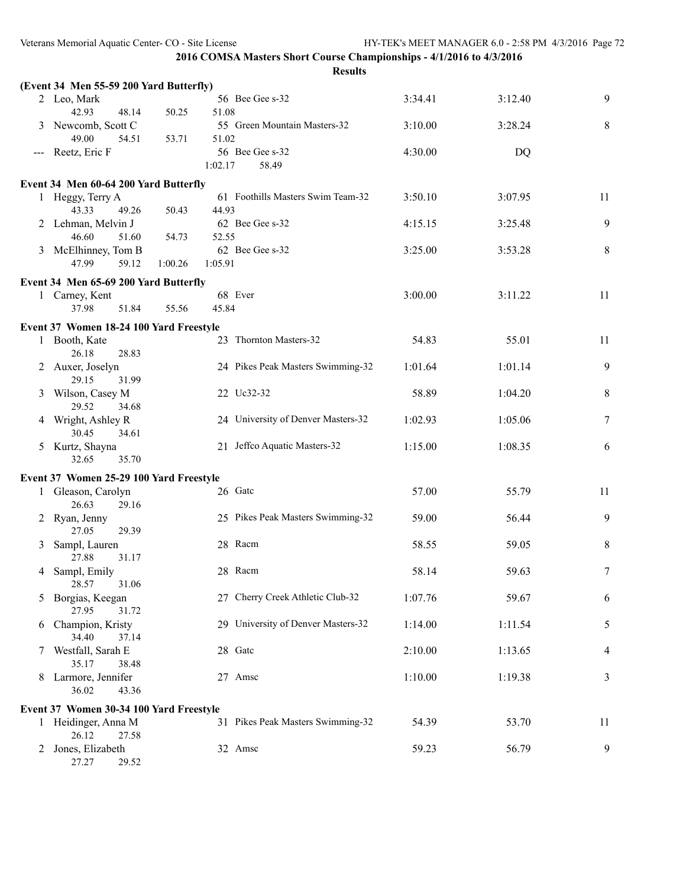|   | (Event 34 Men 55-59 200 Yard Butterfly) |                    |                                    |         |         |    |
|---|-----------------------------------------|--------------------|------------------------------------|---------|---------|----|
|   | 2 Leo, Mark<br>42.93<br>48.14           | 50.25<br>51.08     | 56 Bee Gee s-32                    | 3:34.41 | 3:12.40 | 9  |
|   | 3 Newcomb, Scott C<br>49.00<br>54.51    | 51.02<br>53.71     | 55 Green Mountain Masters-32       | 3:10.00 | 3:28.24 | 8  |
|   | --- Reetz, Eric F                       | 1:02.17            | 56 Bee Gee s-32<br>58.49           | 4:30.00 | DQ      |    |
|   | Event 34 Men 60-64 200 Yard Butterfly   |                    |                                    |         |         |    |
|   | 1 Heggy, Terry A<br>43.33<br>49.26      | 44.93<br>50.43     | 61 Foothills Masters Swim Team-32  | 3:50.10 | 3:07.95 | 11 |
|   | 2 Lehman, Melvin J<br>46.60<br>51.60    | 52.55<br>54.73     | 62 Bee Gee s-32                    | 4:15.15 | 3:25.48 | 9  |
|   | 3 McElhinney, Tom B<br>47.99<br>59.12   | 1:00.26<br>1:05.91 | 62 Bee Gee s-32                    | 3:25.00 | 3:53.28 | 8  |
|   | Event 34 Men 65-69 200 Yard Butterfly   |                    |                                    |         |         |    |
|   | 1 Carney, Kent<br>51.84<br>37.98        | 55.56<br>45.84     | 68 Ever                            | 3:00.00 | 3:11.22 | 11 |
|   | Event 37 Women 18-24 100 Yard Freestyle |                    |                                    |         |         |    |
|   | 1 Booth, Kate<br>26.18<br>28.83         |                    | 23 Thornton Masters-32             | 54.83   | 55.01   | 11 |
|   | 2 Auxer, Joselyn<br>29.15<br>31.99      |                    | 24 Pikes Peak Masters Swimming-32  | 1:01.64 | 1:01.14 | 9  |
|   | 3 Wilson, Casey M<br>29.52<br>34.68     |                    | 22 Uc32-32                         | 58.89   | 1:04.20 | 8  |
|   | 4 Wright, Ashley R<br>30.45<br>34.61    |                    | 24 University of Denver Masters-32 | 1:02.93 | 1:05.06 | 7  |
|   | 5 Kurtz, Shayna<br>32.65<br>35.70       |                    | 21 Jeffco Aquatic Masters-32       | 1:15.00 | 1:08.35 | 6  |
|   | Event 37 Women 25-29 100 Yard Freestyle |                    |                                    |         |         |    |
|   | 1 Gleason, Carolyn<br>26.63<br>29.16    |                    | 26 Gate                            | 57.00   | 55.79   | 11 |
| 2 | Ryan, Jenny<br>27.05<br>29.39           |                    | 25 Pikes Peak Masters Swimming-32  | 59.00   | 56.44   | 9  |
| 3 | Sampl, Lauren<br>27.88<br>31.17         |                    | 28 Racm                            | 58.55   | 59.05   | 8  |
|   | 4 Sampl, Emily<br>31.06<br>28.57        |                    | 28 Racm                            | 58.14   | 59.63   | 7  |
| 5 | Borgias, Keegan<br>27.95<br>31.72       |                    | 27 Cherry Creek Athletic Club-32   | 1:07.76 | 59.67   | 6  |
| 6 | Champion, Kristy<br>34.40<br>37.14      |                    | 29 University of Denver Masters-32 | 1:14.00 | 1:11.54 | 5  |
|   | 7 Westfall, Sarah E<br>35.17<br>38.48   |                    | 28 Gatc                            | 2:10.00 | 1:13.65 | 4  |
|   | 8 Larmore, Jennifer<br>36.02<br>43.36   |                    | 27 Amsc                            | 1:10.00 | 1:19.38 | 3  |
|   | Event 37 Women 30-34 100 Yard Freestyle |                    |                                    |         |         |    |
|   | 1 Heidinger, Anna M<br>26.12<br>27.58   |                    | 31 Pikes Peak Masters Swimming-32  | 54.39   | 53.70   | 11 |
| 2 | Jones, Elizabeth<br>27.27<br>29.52      |                    | 32 Amsc                            | 59.23   | 56.79   | 9  |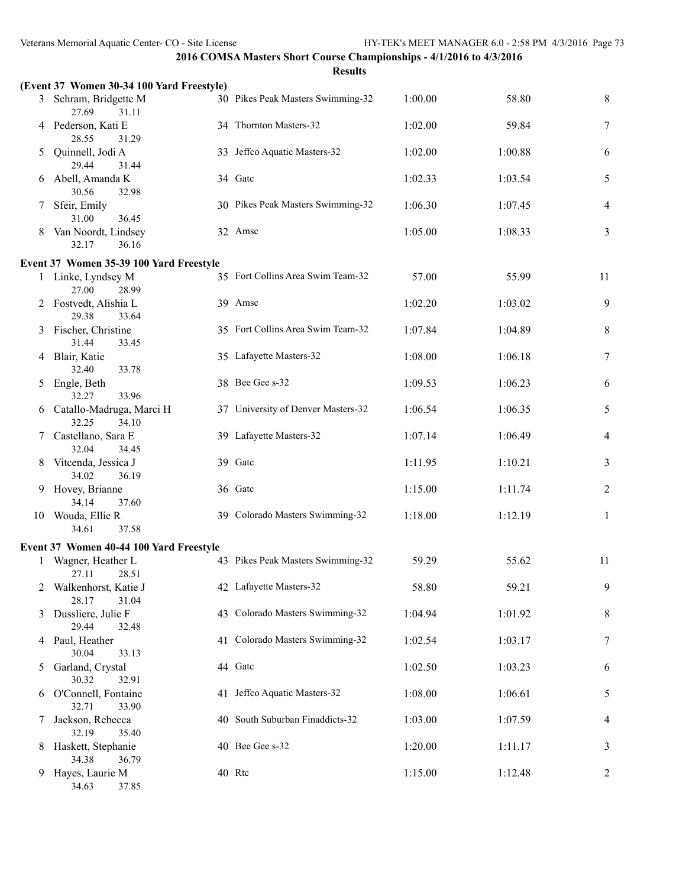|   | (Event 37 Women 30-34 100 Yard Freestyle)    |                                    |         |         |    |
|---|----------------------------------------------|------------------------------------|---------|---------|----|
|   | 3 Schram, Bridgette M<br>27.69<br>31.11      | 30 Pikes Peak Masters Swimming-32  | 1:00.00 | 58.80   | 8  |
|   | 4 Pederson, Kati E<br>28.55<br>31.29         | 34 Thornton Masters-32             | 1:02.00 | 59.84   | 7  |
| 5 | Quinnell, Jodi A<br>29.44<br>31.44           | 33 Jeffco Aquatic Masters-32       | 1:02.00 | 1:00.88 | 6  |
| 6 | Abell, Amanda K<br>30.56<br>32.98            | 34 Gate                            | 1:02.33 | 1:03.54 | 5  |
| 7 | Sfeir, Emily<br>31.00<br>36.45               | 30 Pikes Peak Masters Swimming-32  | 1:06.30 | 1:07.45 | 4  |
| 8 | Van Noordt, Lindsey<br>32.17<br>36.16        | 32 Amsc                            | 1:05.00 | 1:08.33 | 3  |
|   | Event 37 Women 35-39 100 Yard Freestyle      |                                    |         |         |    |
|   | 1 Linke, Lyndsey M<br>27.00<br>28.99         | 35 Fort Collins Area Swim Team-32  | 57.00   | 55.99   | 11 |
|   | 2 Fostvedt, Alishia L<br>29.38<br>33.64      | 39 Amsc                            | 1:02.20 | 1:03.02 | 9  |
|   | 3 Fischer, Christine<br>31.44<br>33.45       | 35 Fort Collins Area Swim Team-32  | 1:07.84 | 1:04.89 | 8  |
|   | 4 Blair, Katie<br>33.78<br>32.40             | 35 Lafayette Masters-32            | 1:08.00 | 1:06.18 | 7  |
| 5 | Engle, Beth<br>32.27<br>33.96                | 38 Bee Gee s-32                    | 1:09.53 | 1:06.23 | 6  |
|   | 6 Catallo-Madruga, Marci H<br>32.25<br>34.10 | 37 University of Denver Masters-32 | 1:06.54 | 1:06.35 | 5  |
| 7 | Castellano, Sara E<br>32.04<br>34.45         | 39 Lafayette Masters-32            | 1:07.14 | 1:06.49 | 4  |
| 8 | Vitcenda, Jessica J<br>34.02<br>36.19        | 39 Gatc                            | 1:11.95 | 1:10.21 | 3  |
|   | 9 Hovey, Brianne<br>34.14<br>37.60           | 36 Gatc                            | 1:15.00 | 1:11.74 | 2  |
|   | 10 Wouda, Ellie R<br>34.61<br>37.58          | 39 Colorado Masters Swimming-32    | 1:18.00 | 1:12.19 | 1  |
|   | Event 37 Women 40-44 100 Yard Freestyle      |                                    |         |         |    |
|   | Wagner, Heather L<br>27.11<br>28.51          | 43 Pikes Peak Masters Swimming-32  | 59.29   | 55.62   | 11 |
| 2 | Walkenhorst, Katie J<br>28.17<br>31.04       | 42 Lafayette Masters-32            | 58.80   | 59.21   | 9  |
| 3 | Dussliere, Julie F<br>29.44<br>32.48         | 43 Colorado Masters Swimming-32    | 1:04.94 | 1:01.92 | 8  |
| 4 | Paul, Heather<br>30.04<br>33.13              | 41 Colorado Masters Swimming-32    | 1:02.54 | 1:03.17 | 7  |
| 5 | Garland, Crystal<br>30.32<br>32.91           | 44 Gatc                            | 1:02.50 | 1:03.23 | 6  |
| 6 | O'Connell, Fontaine<br>32.71<br>33.90        | 41 Jeffco Aquatic Masters-32       | 1:08.00 | 1:06.61 | 5  |
| 7 | Jackson, Rebecca<br>32.19<br>35.40           | 40 South Suburban Finaddicts-32    | 1:03.00 | 1:07.59 | 4  |
| 8 | Haskett, Stephanie<br>34.38<br>36.79         | 40 Bee Gee s-32                    | 1:20.00 | 1:11.17 | 3  |
| 9 | Hayes, Laurie M<br>34.63<br>37.85            | 40 Rtc                             | 1:15.00 | 1:12.48 | 2  |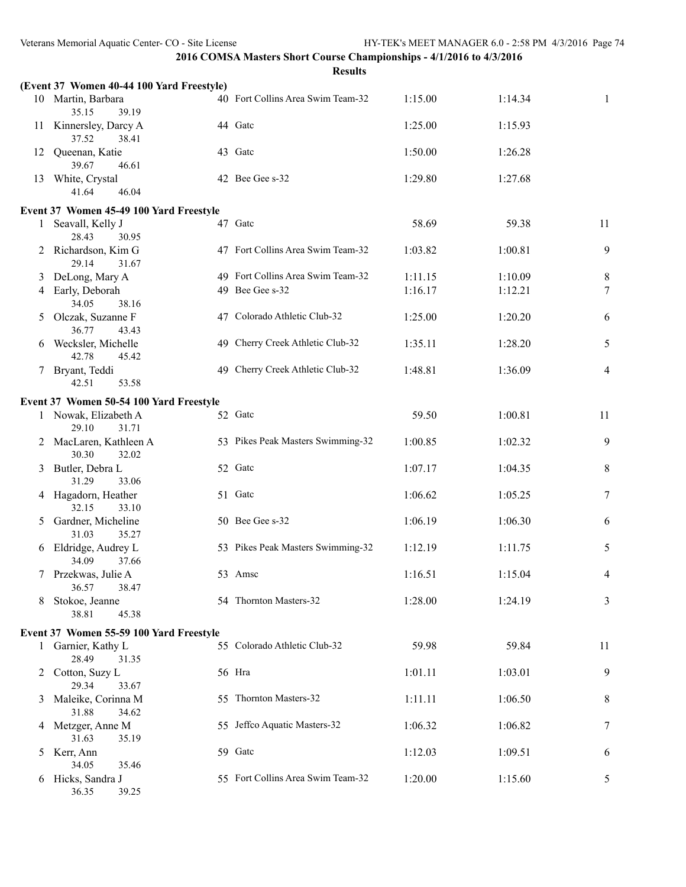| <b>Results</b> |  |
|----------------|--|

|    | (Event 37 Women 40-44 100 Yard Freestyle)<br>10 Martin, Barbara | 40 Fort Collins Area Swim Team-32 | 1:15.00 | 1:14.34 | 1                        |
|----|-----------------------------------------------------------------|-----------------------------------|---------|---------|--------------------------|
|    | 35.15<br>39.19                                                  |                                   |         |         |                          |
|    | 11 Kinnersley, Darcy A<br>37.52<br>38.41                        | 44 Gatc                           | 1:25.00 | 1:15.93 |                          |
|    | 12 Queenan, Katie<br>39.67<br>46.61                             | 43 Gate                           | 1:50.00 | 1:26.28 |                          |
|    | 13 White, Crystal<br>41.64<br>46.04                             | 42 Bee Gee s-32                   | 1:29.80 | 1:27.68 |                          |
|    | Event 37 Women 45-49 100 Yard Freestyle                         |                                   |         |         |                          |
| 1  | Seavall, Kelly J<br>28.43<br>30.95                              | 47 Gatc                           | 58.69   | 59.38   | 11                       |
|    | 2 Richardson, Kim G<br>29.14<br>31.67                           | 47 Fort Collins Area Swim Team-32 | 1:03.82 | 1:00.81 | 9                        |
| 3  | DeLong, Mary A                                                  | 49 Fort Collins Area Swim Team-32 | 1:11.15 | 1:10.09 | 8                        |
|    | 4 Early, Deborah<br>34.05<br>38.16                              | 49 Bee Gee s-32                   | 1:16.17 | 1:12.21 | $\tau$                   |
|    | 5 Olczak, Suzanne F<br>36.77<br>43.43                           | 47 Colorado Athletic Club-32      | 1:25.00 | 1:20.20 | 6                        |
|    | 6 Wecksler, Michelle<br>42.78<br>45.42                          | 49 Cherry Creek Athletic Club-32  | 1:35.11 | 1:28.20 | 5                        |
|    | 7 Bryant, Teddi<br>42.51<br>53.58                               | 49 Cherry Creek Athletic Club-32  | 1:48.81 | 1:36.09 | $\overline{\mathcal{A}}$ |
|    | Event 37 Women 50-54 100 Yard Freestyle                         |                                   |         |         |                          |
|    | 1 Nowak, Elizabeth A<br>29.10<br>31.71                          | 52 Gate                           | 59.50   | 1:00.81 | 11                       |
|    | 2 MacLaren, Kathleen A<br>30.30<br>32.02                        | 53 Pikes Peak Masters Swimming-32 | 1:00.85 | 1:02.32 | 9                        |
|    | 3 Butler, Debra L<br>31.29<br>33.06                             | 52 Gate                           | 1:07.17 | 1:04.35 | 8                        |
|    | 4 Hagadorn, Heather<br>32.15<br>33.10                           | 51 Gate                           | 1:06.62 | 1:05.25 | 7                        |
|    | 5 Gardner, Micheline<br>31.03<br>35.27                          | 50 Bee Gee s-32                   | 1:06.19 | 1:06.30 | 6                        |
|    | 6 Eldridge, Audrey L<br>34.09<br>37.66                          | 53 Pikes Peak Masters Swimming-32 | 1:12.19 | 1:11.75 | 5                        |
|    | 7 Przekwas, Julie A<br>36.57<br>38.47                           | 53 Amsc                           | 1:16.51 | 1:15.04 | 4                        |
| 8. | Stokoe, Jeanne<br>38.81<br>45.38                                | 54 Thornton Masters-32            | 1:28.00 | 1:24.19 | 3                        |
|    | Event 37 Women 55-59 100 Yard Freestyle                         |                                   |         |         |                          |
|    | 1 Garnier, Kathy L<br>28.49<br>31.35                            | 55 Colorado Athletic Club-32      | 59.98   | 59.84   | 11                       |
|    | 2 Cotton, Suzy L<br>29.34<br>33.67                              | 56 Hra                            | 1:01.11 | 1:03.01 | 9                        |
|    | 3 Maleike, Corinna M<br>31.88<br>34.62                          | 55 Thornton Masters-32            | 1:11.11 | 1:06.50 | 8                        |
|    | 4 Metzger, Anne M<br>31.63<br>35.19                             | 55 Jeffco Aquatic Masters-32      | 1:06.32 | 1:06.82 | 7                        |
|    | 5 Kerr, Ann<br>34.05<br>35.46                                   | 59 Gatc                           | 1:12.03 | 1:09.51 | 6                        |
|    | 6 Hicks, Sandra J<br>36.35<br>39.25                             | 55 Fort Collins Area Swim Team-32 | 1:20.00 | 1:15.60 | 5                        |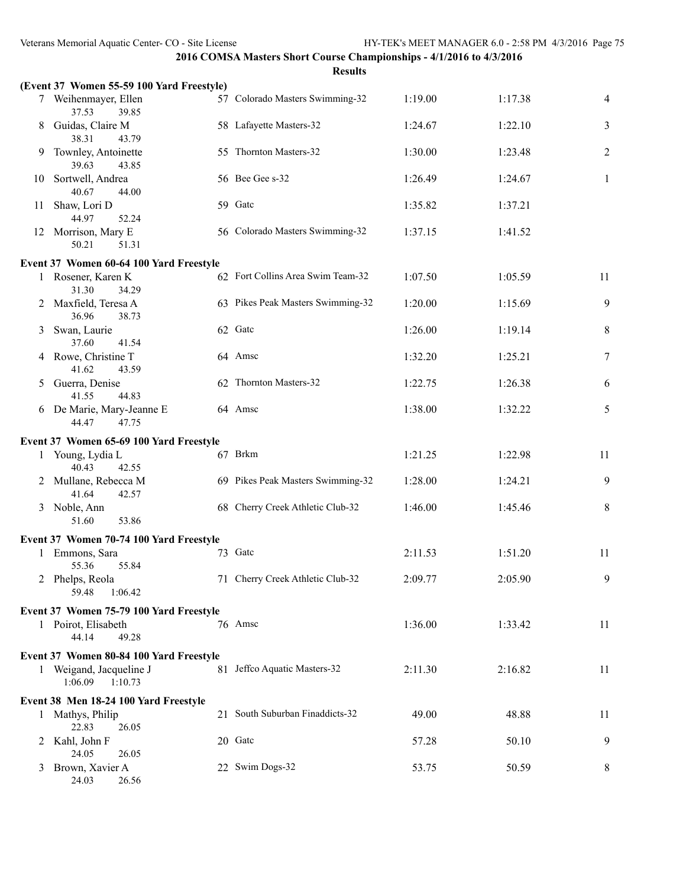|    |                                                                               | <b>Results</b>                    |         |         |    |
|----|-------------------------------------------------------------------------------|-----------------------------------|---------|---------|----|
|    | (Event 37 Women 55-59 100 Yard Freestyle)                                     |                                   |         |         |    |
|    | 7 Weihenmayer, Ellen<br>37.53<br>39.85                                        | 57 Colorado Masters Swimming-32   | 1:19.00 | 1:17.38 | 4  |
| 8  | Guidas, Claire M<br>38.31<br>43.79                                            | 58 Lafayette Masters-32           | 1:24.67 | 1:22.10 | 3  |
| 9  | Townley, Antoinette<br>39.63<br>43.85                                         | 55 Thornton Masters-32            | 1:30.00 | 1:23.48 | 2  |
| 10 | Sortwell, Andrea<br>40.67<br>44.00                                            | 56 Bee Gee s-32                   | 1:26.49 | 1:24.67 | 1  |
| 11 | Shaw, Lori D<br>44.97<br>52.24                                                | 59 Gatc                           | 1:35.82 | 1:37.21 |    |
|    | 12 Morrison, Mary E<br>50.21<br>51.31                                         | 56 Colorado Masters Swimming-32   | 1:37.15 | 1:41.52 |    |
|    | Event 37 Women 60-64 100 Yard Freestyle                                       |                                   |         |         |    |
|    | 1 Rosener, Karen K<br>31.30<br>34.29                                          | 62 Fort Collins Area Swim Team-32 | 1:07.50 | 1:05.59 | 11 |
|    | 2 Maxfield, Teresa A<br>36.96<br>38.73                                        | 63 Pikes Peak Masters Swimming-32 | 1:20.00 | 1:15.69 | 9  |
| 3  | Swan, Laurie<br>37.60<br>41.54                                                | 62 Gate                           | 1:26.00 | 1:19.14 | 8  |
|    | 4 Rowe, Christine T<br>41.62<br>43.59                                         | 64 Amsc                           | 1:32.20 | 1:25.21 | 7  |
| 5  | Guerra, Denise<br>41.55<br>44.83                                              | 62 Thornton Masters-32            | 1:22.75 | 1:26.38 | 6  |
|    | 6 De Marie, Mary-Jeanne E<br>47.75<br>44.47                                   | 64 Amsc                           | 1:38.00 | 1:32.22 | 5  |
|    |                                                                               |                                   |         |         |    |
|    | Event 37 Women 65-69 100 Yard Freestyle<br>1 Young, Lydia L<br>40.43<br>42.55 | 67 Brkm                           | 1:21.25 | 1:22.98 | 11 |
|    | 2 Mullane, Rebecca M<br>41.64<br>42.57                                        | 69 Pikes Peak Masters Swimming-32 | 1:28.00 | 1:24.21 | 9  |
|    | 3 Noble, Ann<br>53.86<br>51.60                                                | 68 Cherry Creek Athletic Club-32  | 1:46.00 | 1:45.46 | 8  |
|    | Event 37 Women 70-74 100 Yard Freestyle                                       |                                   |         |         |    |
|    | 1 Emmons, Sara<br>55.36 55.84                                                 | 73 Gate                           | 2:11.53 | 1:51.20 | 11 |
|    | 2 Phelps, Reola<br>59.48<br>1:06.42                                           | 71 Cherry Creek Athletic Club-32  | 2:09.77 | 2:05.90 | 9  |
|    |                                                                               |                                   |         |         |    |
|    | Event 37 Women 75-79 100 Yard Freestyle                                       |                                   |         |         |    |
|    | 1 Poirot, Elisabeth<br>44.14<br>49.28                                         | 76 Amsc                           | 1:36.00 | 1:33.42 | 11 |
|    | Event 37 Women 80-84 100 Yard Freestyle                                       |                                   |         |         |    |
|    | 1 Weigand, Jacqueline J<br>1:06.09<br>1:10.73                                 | 81 Jeffco Aquatic Masters-32      | 2:11.30 | 2:16.82 | 11 |
|    | Event 38 Men 18-24 100 Yard Freestyle                                         |                                   |         |         |    |
|    | 1 Mathys, Philip<br>22.83<br>26.05                                            | 21 South Suburban Finaddicts-32   | 49.00   | 48.88   | 11 |
|    | 2 Kahl, John F<br>24.05<br>26.05                                              | 20 Gate                           | 57.28   | 50.10   | 9  |
| 3  | Brown, Xavier A<br>24.03<br>26.56                                             | 22 Swim Dogs-32                   | 53.75   | 50.59   | 8  |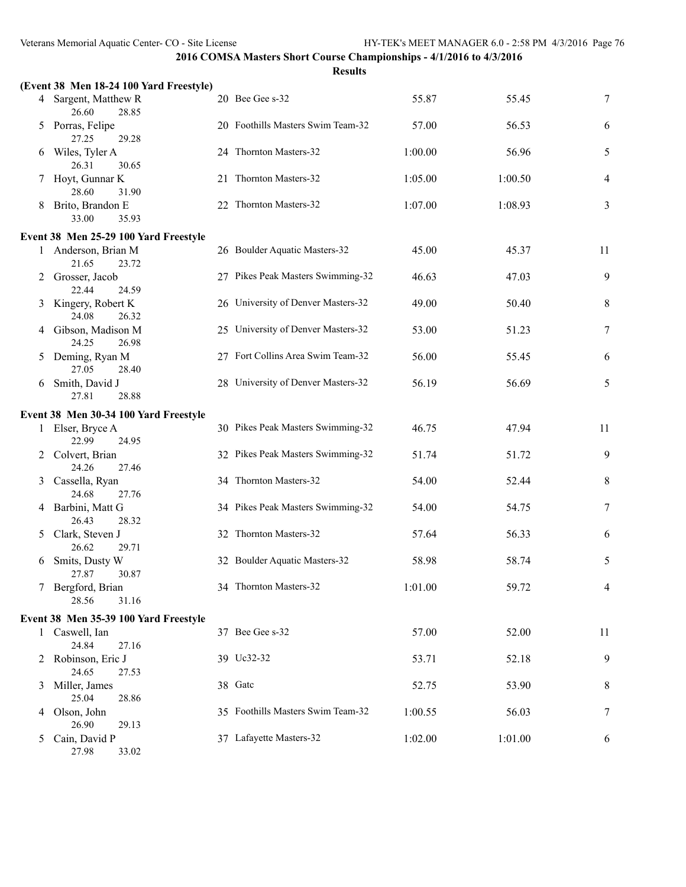|    | (Event 38 Men 18-24 100 Yard Freestyle) |                                    |         |         |                |
|----|-----------------------------------------|------------------------------------|---------|---------|----------------|
|    | 4 Sargent, Matthew R<br>26.60<br>28.85  | 20 Bee Gee s-32                    | 55.87   | 55.45   | 7              |
| 5  | Porras, Felipe<br>27.25<br>29.28        | 20 Foothills Masters Swim Team-32  | 57.00   | 56.53   | 6              |
| 6  | Wiles, Tyler A<br>26.31<br>30.65        | 24 Thornton Masters-32             | 1:00.00 | 56.96   | 5              |
|    | Hoyt, Gunnar K<br>28.60<br>31.90        | 21 Thornton Masters-32             | 1:05.00 | 1:00.50 | $\overline{4}$ |
|    | Brito, Brandon E<br>33.00<br>35.93      | 22 Thornton Masters-32             | 1:07.00 | 1:08.93 | 3              |
|    | Event 38 Men 25-29 100 Yard Freestyle   |                                    |         |         |                |
|    | 1 Anderson, Brian M<br>21.65<br>23.72   | 26 Boulder Aquatic Masters-32      | 45.00   | 45.37   | 11             |
|    | 2 Grosser, Jacob<br>22.44<br>24.59      | 27 Pikes Peak Masters Swimming-32  | 46.63   | 47.03   | 9              |
|    | Kingery, Robert K<br>24.08<br>26.32     | 26 University of Denver Masters-32 | 49.00   | 50.40   | 8              |
|    | 4 Gibson, Madison M<br>24.25<br>26.98   | 25 University of Denver Masters-32 | 53.00   | 51.23   | 7              |
| 5  | Deming, Ryan M<br>27.05<br>28.40        | 27 Fort Collins Area Swim Team-32  | 56.00   | 55.45   | 6              |
| 6  | Smith, David J<br>27.81<br>28.88        | 28 University of Denver Masters-32 | 56.19   | 56.69   | 5              |
|    | Event 38 Men 30-34 100 Yard Freestyle   |                                    |         |         |                |
|    | 1 Elser, Bryce A<br>22.99<br>24.95      | 30 Pikes Peak Masters Swimming-32  | 46.75   | 47.94   | 11             |
|    | 2 Colvert, Brian<br>24.26<br>27.46      | 32 Pikes Peak Masters Swimming-32  | 51.74   | 51.72   | 9              |
| 3  | Cassella, Ryan<br>24.68<br>27.76        | 34 Thornton Masters-32             | 54.00   | 52.44   | 8              |
|    | 4 Barbini, Matt G<br>26.43<br>28.32     | 34 Pikes Peak Masters Swimming-32  | 54.00   | 54.75   | 7              |
| 5  | Clark, Steven J<br>26.62<br>29.71       | 32 Thornton Masters-32             | 57.64   | 56.33   | 6              |
| 6  | Smits, Dusty W<br>27.87<br>30.87        | 32 Boulder Aquatic Masters-32      | 58.98   | 58.74   | 5              |
|    | Bergford, Brian<br>28.56<br>31.16       | 34 Thornton Masters-32             | 1:01.00 | 59.72   | 4              |
|    | Event 38 Men 35-39 100 Yard Freestyle   |                                    |         |         |                |
|    | 1 Caswell, Ian<br>24.84<br>27.16        | 37 Bee Gee s-32                    | 57.00   | 52.00   | 11             |
|    | Robinson, Eric J<br>24.65<br>27.53      | 39 Uc32-32                         | 53.71   | 52.18   | 9              |
|    | Miller, James<br>25.04<br>28.86         | 38 Gate                            | 52.75   | 53.90   | 8              |
| 4  | Olson, John<br>26.90<br>29.13           | 35 Foothills Masters Swim Team-32  | 1:00.55 | 56.03   | 7              |
| 5. | Cain, David P<br>27.98<br>33.02         | 37 Lafayette Masters-32            | 1:02.00 | 1:01.00 | 6              |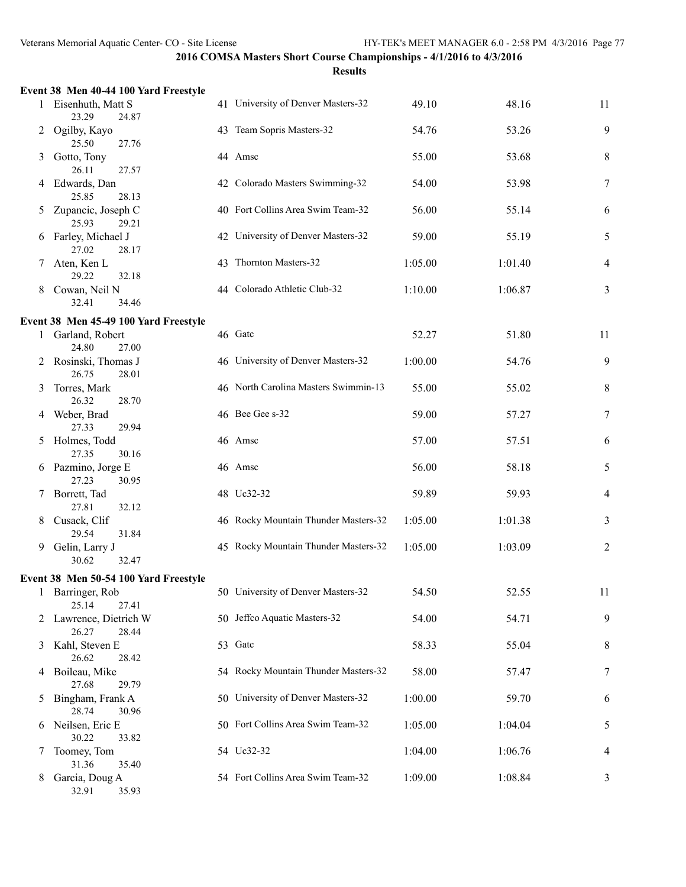|              | Event 38 Men 40-44 100 Yard Freestyle                   |    |                                      |         |         |    |
|--------------|---------------------------------------------------------|----|--------------------------------------|---------|---------|----|
|              | Eisenhuth, Matt S<br>23.29<br>24.87                     |    | 41 University of Denver Masters-32   | 49.10   | 48.16   | 11 |
| 2            | Ogilby, Kayo<br>25.50<br>27.76                          |    | 43 Team Sopris Masters-32            | 54.76   | 53.26   | 9  |
| 3            | Gotto, Tony<br>26.11<br>27.57                           |    | 44 Amsc                              | 55.00   | 53.68   | 8  |
| 4            | Edwards, Dan<br>25.85<br>28.13                          |    | 42 Colorado Masters Swimming-32      | 54.00   | 53.98   | 7  |
| 5            | Zupancic, Joseph C<br>25.93<br>29.21                    |    | 40 Fort Collins Area Swim Team-32    | 56.00   | 55.14   | 6  |
| 6            | Farley, Michael J<br>27.02<br>28.17                     |    | 42 University of Denver Masters-32   | 59.00   | 55.19   | 5  |
|              | Aten, Ken L<br>29.22<br>32.18                           | 43 | Thornton Masters-32                  | 1:05.00 | 1:01.40 | 4  |
| 8            | Cowan, Neil N<br>32.41<br>34.46                         |    | 44 Colorado Athletic Club-32         | 1:10.00 | 1:06.87 | 3  |
|              | Event 38 Men 45-49 100 Yard Freestyle                   |    |                                      |         |         |    |
| $\mathbf{1}$ | Garland, Robert<br>24.80<br>27.00                       |    | 46 Gatc                              | 52.27   | 51.80   | 11 |
|              | Rosinski, Thomas J<br>26.75<br>28.01                    |    | 46 University of Denver Masters-32   | 1:00.00 | 54.76   | 9  |
| 3            | Torres, Mark<br>26.32<br>28.70                          |    | 46 North Carolina Masters Swimmin-13 | 55.00   | 55.02   | 8  |
| 4            | Weber, Brad<br>27.33<br>29.94                           |    | 46 Bee Gee s-32                      | 59.00   | 57.27   | 7  |
| 5            | Holmes, Todd<br>27.35<br>30.16                          |    | 46 Amsc                              | 57.00   | 57.51   | 6  |
| 6            | Pazmino, Jorge E<br>27.23<br>30.95                      |    | 46 Amsc                              | 56.00   | 58.18   | 5  |
| 7            | Borrett, Tad<br>27.81<br>32.12                          |    | 48 Uc32-32                           | 59.89   | 59.93   | 4  |
| 8            | Cusack, Clif<br>29.54<br>31.84                          |    | 46 Rocky Mountain Thunder Masters-32 | 1:05.00 | 1:01.38 | 3  |
| 9            | Gelin, Larry J<br>30.62<br>32.47                        |    | 45 Rocky Mountain Thunder Masters-32 | 1:05.00 | 1:03.09 | 2  |
|              |                                                         |    |                                      |         |         |    |
| 1            | Event 38 Men 50-54 100 Yard Freestyle<br>Barringer, Rob |    | 50 University of Denver Masters-32   | 54.50   | 52.55   | 11 |
| 2            | 25.14<br>27.41<br>Lawrence, Dietrich W                  |    | 50 Jeffco Aquatic Masters-32         | 54.00   | 54.71   | 9  |
|              | 26.27<br>28.44<br>3 Kahl, Steven E                      |    | 53 Gate                              | 58.33   | 55.04   | 8  |
|              | 26.62<br>28.42<br>4 Boileau, Mike                       |    | 54 Rocky Mountain Thunder Masters-32 | 58.00   | 57.47   | 7  |
| 5            | 27.68<br>29.79<br>Bingham, Frank A                      |    | 50 University of Denver Masters-32   | 1:00.00 | 59.70   | 6  |
|              | 28.74<br>30.96<br>6 Neilsen, Eric E                     |    | 50 Fort Collins Area Swim Team-32    | 1:05.00 | 1:04.04 | 5  |
| 7            | 30.22<br>33.82<br>Toomey, Tom                           |    | 54 Uc32-32                           | 1:04.00 | 1:06.76 | 4  |
| 8            | 31.36<br>35.40<br>Garcia, Doug A<br>32.91<br>35.93      |    | 54 Fort Collins Area Swim Team-32    | 1:09.00 | 1:08.84 | 3  |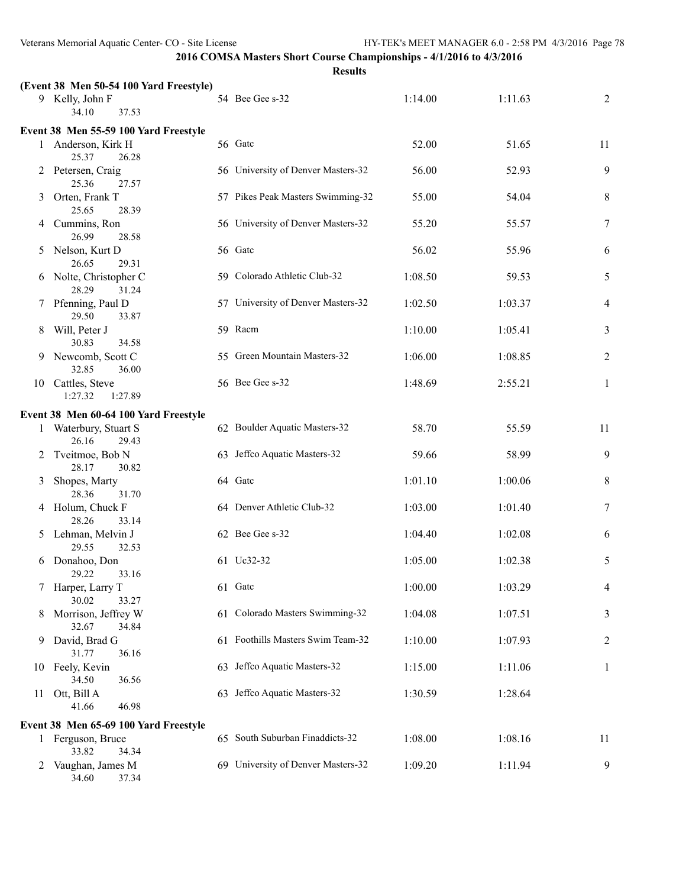**Results**

|    | (Event 38 Men 50-54 100 Yard Freestyle)                                      |                                    |         |         |    |
|----|------------------------------------------------------------------------------|------------------------------------|---------|---------|----|
|    | 9 Kelly, John F<br>34.10<br>37.53                                            | 54 Bee Gee s-32                    | 1:14.00 | 1:11.63 | 2  |
|    | Event 38 Men 55-59 100 Yard Freestyle                                        |                                    |         |         |    |
|    | 1 Anderson, Kirk H<br>25.37<br>26.28                                         | 56 Gate                            | 52.00   | 51.65   | 11 |
|    | 2 Petersen, Craig<br>25.36<br>27.57                                          | 56 University of Denver Masters-32 | 56.00   | 52.93   | 9  |
| 3  | Orten, Frank T<br>25.65<br>28.39                                             | 57 Pikes Peak Masters Swimming-32  | 55.00   | 54.04   | 8  |
|    | 4 Cummins, Ron<br>26.99<br>28.58                                             | 56 University of Denver Masters-32 | 55.20   | 55.57   | 7  |
| 5  | Nelson, Kurt D<br>26.65<br>29.31                                             | 56 Gate                            | 56.02   | 55.96   | 6  |
|    | 6 Nolte, Christopher C<br>28.29<br>31.24                                     | 59 Colorado Athletic Club-32       | 1:08.50 | 59.53   | 5  |
|    | 7 Pfenning, Paul D<br>29.50<br>33.87                                         | 57 University of Denver Masters-32 | 1:02.50 | 1:03.37 | 4  |
| 8  | Will, Peter J<br>30.83<br>34.58                                              | 59 Racm                            | 1:10.00 | 1:05.41 | 3  |
| 9. | Newcomb, Scott C<br>32.85<br>36.00                                           | 55 Green Mountain Masters-32       | 1:06.00 | 1:08.85 | 2  |
|    | 10 Cattles, Steve<br>1:27.32<br>1:27.89                                      | 56 Bee Gee s-32                    | 1:48.69 | 2:55.21 | 1  |
|    |                                                                              |                                    |         |         |    |
|    | Event 38 Men 60-64 100 Yard Freestyle<br>1 Waterbury, Stuart S               | 62 Boulder Aquatic Masters-32      | 58.70   | 55.59   | 11 |
| 2  | 26.16<br>29.43<br>Tveitmoe, Bob N                                            | 63 Jeffco Aquatic Masters-32       | 59.66   | 58.99   | 9  |
| 3  | 28.17<br>30.82<br>Shopes, Marty<br>28.36<br>31.70                            | 64 Gatc                            | 1:01.10 | 1:00.06 | 8  |
|    | 4 Holum, Chuck F<br>28.26<br>33.14                                           | 64 Denver Athletic Club-32         | 1:03.00 | 1:01.40 | 7  |
| 5  | Lehman, Melvin J<br>29.55<br>32.53                                           | 62 Bee Gee s-32                    | 1:04.40 | 1:02.08 | 6  |
| 6  | Donahoo, Don<br>29.22<br>33.16                                               | 61 Uc32-32                         | 1:05.00 | 1:02.38 | 5  |
| 7  | Harper, Larry T<br>30.02<br>33.27                                            | 61 Gate                            | 1:00.00 | 1:03.29 | 4  |
| 8  | Morrison, Jeffrey W<br>32.67<br>34.84                                        | 61 Colorado Masters Swimming-32    | 1:04.08 | 1:07.51 | 3  |
| 9. | David, Brad G<br>31.77<br>36.16                                              | 61 Foothills Masters Swim Team-32  | 1:10.00 | 1:07.93 | 2  |
|    | 10 Feely, Kevin<br>34.50<br>36.56                                            | 63 Jeffco Aquatic Masters-32       | 1:15.00 | 1:11.06 | 1  |
| 11 | Ott, Bill A<br>41.66<br>46.98                                                | 63 Jeffco Aquatic Masters-32       | 1:30.59 | 1:28.64 |    |
|    |                                                                              |                                    |         |         |    |
|    | Event 38 Men 65-69 100 Yard Freestyle<br>1 Ferguson, Bruce<br>33.82<br>34.34 | 65 South Suburban Finaddicts-32    | 1:08.00 | 1:08.16 | 11 |
| 2  | Vaughan, James M                                                             | 69 University of Denver Masters-32 | 1:09.20 | 1:11.94 | 9  |

34.60 37.34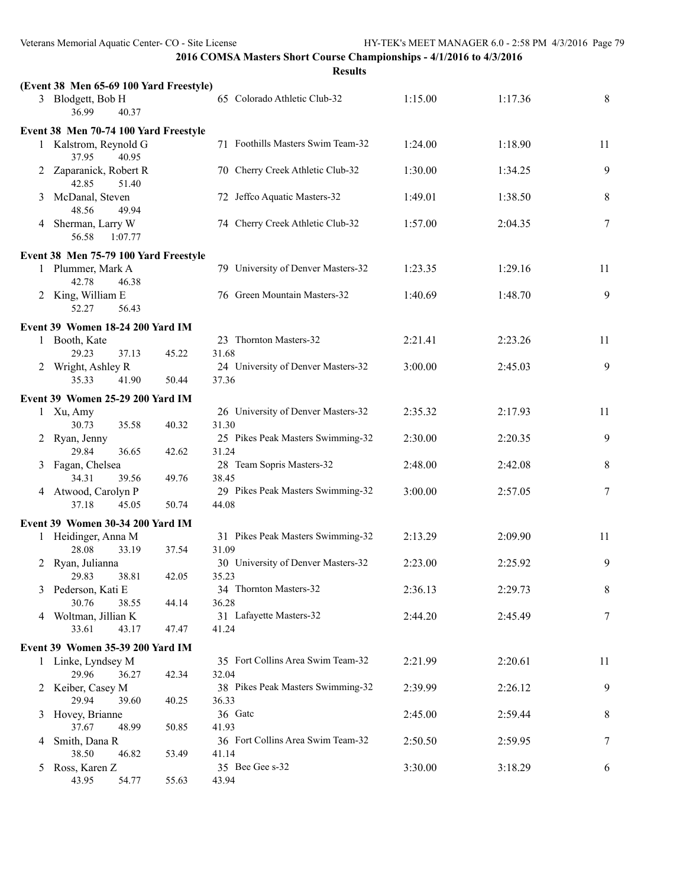|   | (Event 38 Men 65-69 100 Yard Freestyle)  |       |                                             |         |         |       |
|---|------------------------------------------|-------|---------------------------------------------|---------|---------|-------|
|   | 3 Blodgett, Bob H<br>36.99<br>40.37      |       | 65 Colorado Athletic Club-32                | 1:15.00 | 1:17.36 | $8\,$ |
|   | Event 38 Men 70-74 100 Yard Freestyle    |       |                                             |         |         |       |
|   | 1 Kalstrom, Reynold G<br>37.95<br>40.95  |       | 71 Foothills Masters Swim Team-32           | 1:24.00 | 1:18.90 | 11    |
|   | 2 Zaparanick, Robert R<br>42.85<br>51.40 |       | 70 Cherry Creek Athletic Club-32            | 1:30.00 | 1:34.25 | 9     |
|   | 3 McDanal, Steven<br>48.56<br>49.94      |       | 72 Jeffco Aquatic Masters-32                | 1:49.01 | 1:38.50 | 8     |
|   | 4 Sherman, Larry W<br>56.58<br>1:07.77   |       | 74 Cherry Creek Athletic Club-32            | 1:57.00 | 2:04.35 | 7     |
|   | Event 38 Men 75-79 100 Yard Freestyle    |       |                                             |         |         |       |
|   | 1 Plummer, Mark A<br>42.78<br>46.38      |       | 79 University of Denver Masters-32          | 1:23.35 | 1:29.16 | 11    |
|   | 2 King, William E<br>52.27<br>56.43      |       | 76 Green Mountain Masters-32                | 1:40.69 | 1:48.70 | 9     |
|   | Event 39 Women 18-24 200 Yard IM         |       |                                             |         |         |       |
|   | 1 Booth, Kate                            |       | 23 Thornton Masters-32                      | 2:21.41 | 2:23.26 | 11    |
|   | 29.23<br>37.13                           | 45.22 | 31.68                                       |         |         |       |
|   | 2 Wright, Ashley R                       |       | 24 University of Denver Masters-32          | 3:00.00 | 2:45.03 | 9     |
|   | 35.33<br>41.90                           | 50.44 | 37.36                                       |         |         |       |
|   |                                          |       |                                             |         |         |       |
|   | <b>Event 39 Women 25-29 200 Yard IM</b>  |       |                                             |         |         |       |
|   | 1 Xu, Amy<br>30.73<br>35.58              | 40.32 | 26 University of Denver Masters-32<br>31.30 | 2:35.32 | 2:17.93 | 11    |
|   | 2 Ryan, Jenny                            |       | 25 Pikes Peak Masters Swimming-32           | 2:30.00 | 2:20.35 | 9     |
|   | 29.84<br>36.65                           | 42.62 | 31.24                                       |         |         |       |
|   | 3 Fagan, Chelsea                         |       | 28 Team Sopris Masters-32                   | 2:48.00 | 2:42.08 | 8     |
|   | 34.31<br>39.56                           | 49.76 | 38.45                                       |         |         |       |
|   | 4 Atwood, Carolyn P                      |       | 29 Pikes Peak Masters Swimming-32           | 3:00.00 | 2:57.05 | 7     |
|   | 37.18<br>45.05                           | 50.74 | 44.08                                       |         |         |       |
|   | Event 39 Women 30-34 200 Yard IM         |       |                                             |         |         |       |
|   | 1 Heidinger, Anna M                      |       | 31 Pikes Peak Masters Swimming-32           | 2:13.29 | 2:09.90 | 11    |
|   | 28.08<br>33.19                           | 37.54 | 31.09                                       |         |         |       |
| 2 | Ryan, Julianna<br>29.83<br>38.81         | 42.05 | 30 University of Denver Masters-32<br>35.23 | 2:23.00 | 2:25.92 | 9     |
| 3 | Pederson, Kati E                         |       | 34 Thornton Masters-32                      | 2:36.13 | 2:29.73 | 8     |
|   | 30.76<br>38.55                           | 44.14 | 36.28                                       |         |         |       |
|   | 4 Woltman, Jillian K                     |       | 31 Lafayette Masters-32                     | 2:44.20 | 2:45.49 | 7     |
|   | 33.61<br>43.17                           | 47.47 | 41.24                                       |         |         |       |
|   | Event 39 Women 35-39 200 Yard IM         |       |                                             |         |         |       |
|   | 1 Linke, Lyndsey M                       |       | 35 Fort Collins Area Swim Team-32           | 2:21.99 | 2:20.61 | 11    |
|   | 29.96<br>36.27                           | 42.34 | 32.04                                       |         |         |       |
|   | 2 Keiber, Casey M                        |       | 38 Pikes Peak Masters Swimming-32           | 2:39.99 | 2:26.12 | 9     |
|   | 29.94<br>39.60                           | 40.25 | 36.33                                       |         |         |       |
|   | 3 Hovey, Brianne                         |       | 36 Gatc                                     | 2:45.00 | 2:59.44 | 8     |
|   | 37.67<br>48.99                           | 50.85 | 41.93                                       |         |         |       |
| 4 | Smith, Dana R                            |       | 36 Fort Collins Area Swim Team-32           | 2:50.50 | 2:59.95 | 7     |
|   | 38.50<br>46.82                           | 53.49 | 41.14                                       |         |         |       |
| 5 | Ross, Karen Z                            |       | 35 Bee Gee s-32                             | 3:30.00 | 3:18.29 | 6     |
|   | 43.95<br>54.77                           | 55.63 | 43.94                                       |         |         |       |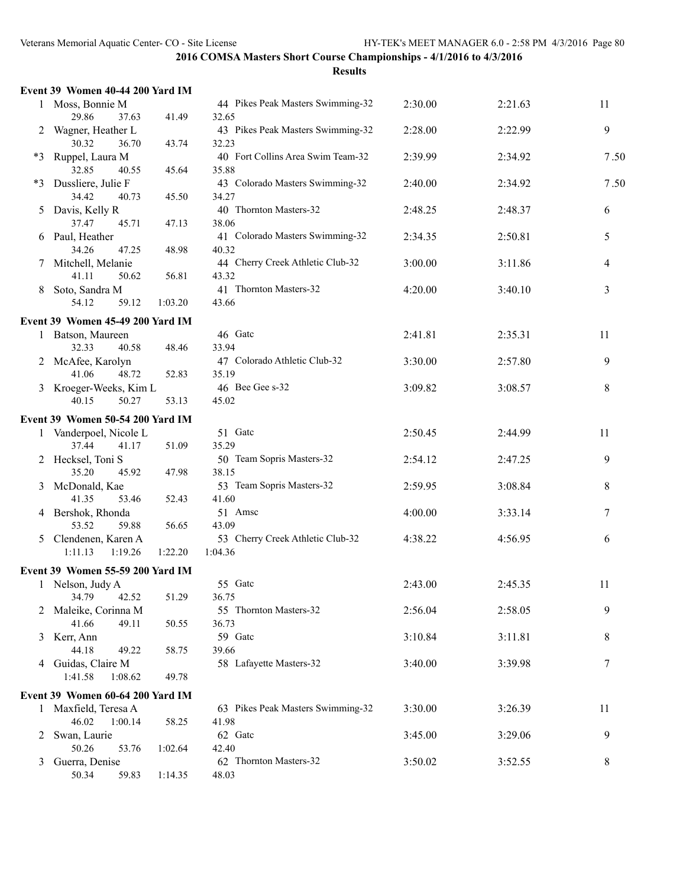|      | Event 39 Women 40-44 200 Yard IM                           |                |                                            |         |         |      |
|------|------------------------------------------------------------|----------------|--------------------------------------------|---------|---------|------|
|      | 1 Moss, Bonnie M                                           |                | 44 Pikes Peak Masters Swimming-32          | 2:30.00 | 2:21.63 | 11   |
|      | 29.86<br>37.63                                             | 41.49          | 32.65                                      |         |         |      |
| 2    | Wagner, Heather L<br>30.32<br>36.70                        | 43.74          | 43 Pikes Peak Masters Swimming-32<br>32.23 | 2:28.00 | 2:22.99 | 9    |
| $*3$ | Ruppel, Laura M<br>32.85<br>40.55                          | 45.64          | 40 Fort Collins Area Swim Team-32<br>35.88 | 2:39.99 | 2:34.92 | 7.50 |
| *3   | Dussliere, Julie F<br>34.42<br>40.73                       | 45.50          | 43 Colorado Masters Swimming-32<br>34.27   | 2:40.00 | 2:34.92 | 7.50 |
|      | 5 Davis, Kelly R                                           |                | 40 Thornton Masters-32                     | 2:48.25 | 2:48.37 | 6    |
| 6    | 37.47<br>45.71<br>Paul, Heather                            | 47.13          | 38.06<br>41 Colorado Masters Swimming-32   | 2:34.35 | 2:50.81 | 5    |
|      | 34.26<br>47.25<br>7 Mitchell, Melanie                      | 48.98          | 40.32<br>44 Cherry Creek Athletic Club-32  | 3:00.00 | 3:11.86 | 4    |
|      | 41.11<br>50.62<br>8 Soto, Sandra M                         | 56.81          | 43.32<br>41 Thornton Masters-32            | 4:20.00 | 3:40.10 | 3    |
|      | 54.12<br>59.12                                             | 1:03.20        | 43.66                                      |         |         |      |
|      | Event 39 Women 45-49 200 Yard IM                           |                |                                            |         |         |      |
|      | 1 Batson, Maureen<br>32.33<br>40.58                        | 48.46          | 46 Gatc<br>33.94                           | 2:41.81 | 2:35.31 | 11   |
|      | 2 McAfee, Karolyn<br>41.06<br>48.72                        | 52.83          | 47 Colorado Athletic Club-32<br>35.19      | 3:30.00 | 2:57.80 | 9    |
|      | 3 Kroeger-Weeks, Kim L<br>40.15                            |                | 46 Bee Gee s-32                            | 3:09.82 | 3:08.57 | 8    |
|      | 50.27                                                      | 53.13          | 45.02                                      |         |         |      |
|      | Event 39 Women 50-54 200 Yard IM                           |                |                                            |         |         |      |
|      | 1 Vanderpoel, Nicole L<br>37.44<br>41.17                   | 51.09          | 51 Gate<br>35.29                           | 2:50.45 | 2:44.99 | 11   |
|      | 2 Hecksel, Toni S<br>35.20<br>45.92                        | 47.98          | 50 Team Sopris Masters-32<br>38.15         | 2:54.12 | 2:47.25 | 9    |
|      | 3 McDonald, Kae<br>41.35<br>53.46                          | 52.43          | 53 Team Sopris Masters-32<br>41.60         | 2:59.95 | 3:08.84 | 8    |
|      | 4 Bershok, Rhonda                                          | 56.65          | 51 Amsc                                    | 4:00.00 | 3:33.14 | 7    |
|      | 53.52<br>59.88<br>5 Clendenen, Karen A                     |                | 43.09<br>53 Cherry Creek Athletic Club-32  | 4:38.22 | 4:56.95 | 6    |
|      | 1:11.13<br>1:19.26                                         | 1:22.20        | 1:04.36                                    |         |         |      |
|      | Event 39 Women 55-59 200 Yard IM                           |                |                                            |         |         |      |
|      | 1 Nelson, Judy A<br>34.79<br>42.52                         | 51.29          | 55 Gate<br>36.75                           | 2:43.00 | 2:45.35 | 11   |
|      | 2 Maleike, Corinna M<br>41.66<br>49.11                     | 50.55          | 55 Thornton Masters-32<br>36.73            | 2:56.04 | 2:58.05 | 9    |
|      | 3 Kerr, Ann                                                |                | 59 Gate                                    | 3:10.84 | 3:11.81 | 8    |
|      | 44.18<br>49.22<br>4 Guidas, Claire M<br>1:41.58<br>1:08.62 | 58.75<br>49.78 | 39.66<br>58 Lafayette Masters-32           | 3:40.00 | 3:39.98 | 7    |
|      | Event 39 Women 60-64 200 Yard IM                           |                |                                            |         |         |      |
|      | 1 Maxfield, Teresa A<br>46.02<br>1:00.14                   | 58.25          | 63 Pikes Peak Masters Swimming-32<br>41.98 | 3:30.00 | 3:26.39 | 11   |
|      | 2 Swan, Laurie                                             |                | 62 Gate                                    | 3:45.00 | 3:29.06 | 9    |
|      | 50.26<br>53.76<br>3 Guerra, Denise                         | 1:02.64        | 42.40<br>62 Thornton Masters-32            | 3:50.02 | 3:52.55 | 8    |
|      | 50.34<br>59.83                                             | 1:14.35        | 48.03                                      |         |         |      |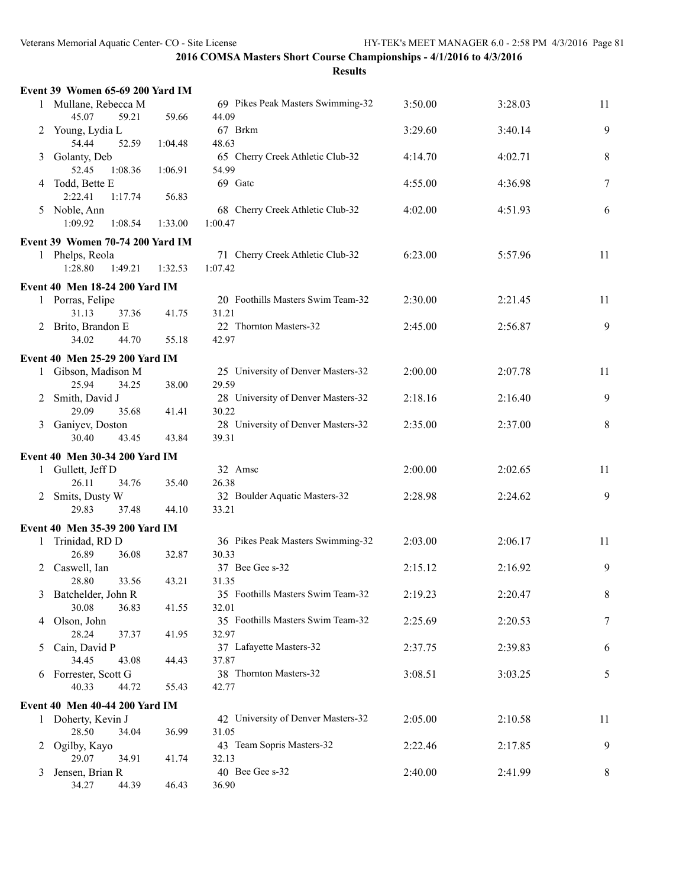|               | Event 39 Women 65-69 200 Yard IM      |         |                                             |         |         |    |
|---------------|---------------------------------------|---------|---------------------------------------------|---------|---------|----|
|               | 1 Mullane, Rebecca M                  |         | 69 Pikes Peak Masters Swimming-32           | 3:50.00 | 3:28.03 | 11 |
|               | 45.07<br>59.21                        | 59.66   | 44.09                                       |         |         |    |
| 2             | Young, Lydia L<br>54.44<br>52.59      | 1:04.48 | 67 Brkm<br>48.63                            | 3:29.60 | 3:40.14 | 9  |
| 3             | Golanty, Deb<br>52.45<br>1:08.36      | 1:06.91 | 65 Cherry Creek Athletic Club-32<br>54.99   | 4:14.70 | 4:02.71 | 8  |
|               | 4 Todd, Bette E<br>2:22.41<br>1:17.74 | 56.83   | 69 Gatc                                     | 4:55.00 | 4:36.98 | 7  |
|               | 5 Noble, Ann<br>1:09.92<br>1:08.54    | 1:33.00 | 68 Cherry Creek Athletic Club-32<br>1:00.47 | 4:02.00 | 4:51.93 | 6  |
|               |                                       |         |                                             |         |         |    |
|               | Event 39 Women 70-74 200 Yard IM      |         | 71 Cherry Creek Athletic Club-32            | 6:23.00 | 5:57.96 | 11 |
|               | 1 Phelps, Reola<br>1:28.80<br>1:49.21 | 1:32.53 | 1:07.42                                     |         |         |    |
|               |                                       |         |                                             |         |         |    |
|               | <b>Event 40 Men 18-24 200 Yard IM</b> |         |                                             |         |         |    |
|               | 1 Porras, Felipe                      |         | 20 Foothills Masters Swim Team-32           | 2:30.00 | 2:21.45 | 11 |
|               | 31.13<br>37.36<br>2 Brito, Brandon E  | 41.75   | 31.21<br>22 Thornton Masters-32             | 2:45.00 | 2:56.87 | 9  |
|               | 34.02<br>44.70                        | 55.18   | 42.97                                       |         |         |    |
|               | Event 40 Men 25-29 200 Yard IM        |         |                                             |         |         |    |
|               | 1 Gibson, Madison M                   |         | 25 University of Denver Masters-32          | 2:00.00 | 2:07.78 | 11 |
|               | 25.94<br>34.25                        | 38.00   | 29.59                                       |         |         |    |
| 2             | Smith, David J                        |         | 28 University of Denver Masters-32          | 2:18.16 | 2:16.40 | 9  |
|               | 29.09<br>35.68                        | 41.41   | 30.22                                       |         |         |    |
| 3             | Ganiyev, Doston                       |         | 28 University of Denver Masters-32          | 2:35.00 | 2:37.00 | 8  |
|               | 30.40<br>43.45                        | 43.84   | 39.31                                       |         |         |    |
|               | Event 40 Men 30-34 200 Yard IM        |         |                                             |         |         |    |
|               | 1 Gullett, Jeff D                     |         | 32 Amsc                                     | 2:00.00 | 2:02.65 | 11 |
|               | 26.11<br>34.76                        | 35.40   | 26.38                                       |         |         |    |
| 2             | Smits, Dusty W                        |         | 32 Boulder Aquatic Masters-32               | 2:28.98 | 2:24.62 | 9  |
|               | 29.83<br>37.48                        | 44.10   | 33.21                                       |         |         |    |
|               | Event 40 Men 35-39 200 Yard IM        |         |                                             |         |         |    |
| 1             | Trinidad, RD D                        |         | 36 Pikes Peak Masters Swimming-32           | 2:03.00 | 2:06.17 | 11 |
|               | 26.89<br>36.08                        | 32.87   | 30.33                                       |         |         |    |
|               | 2 Caswell, Ian                        |         | 37 Bee Gee s-32                             | 2:15.12 | 2:16.92 | 9  |
|               | 28.80<br>33.56                        | 43.21   | 31.35                                       |         |         |    |
| 3             | Batchelder, John R                    |         | 35 Foothills Masters Swim Team-32           | 2:19.23 | 2:20.47 | 8  |
|               | 30.08<br>36.83                        | 41.55   | 32.01<br>35 Foothills Masters Swim Team-32  |         |         |    |
| 4             | Olson, John<br>28.24<br>37.37         | 41.95   | 32.97                                       | 2:25.69 | 2:20.53 | 7  |
| $\mathcal{L}$ | Cain, David P                         |         | 37 Lafayette Masters-32                     | 2:37.75 | 2:39.83 | 6  |
|               | 34.45<br>43.08                        | 44.43   | 37.87                                       |         |         |    |
|               | 6 Forrester, Scott G                  |         | 38 Thornton Masters-32                      | 3:08.51 | 3:03.25 | 5  |
|               | 40.33<br>44.72                        | 55.43   | 42.77                                       |         |         |    |
|               | Event 40 Men 40-44 200 Yard IM        |         |                                             |         |         |    |
|               | 1 Doherty, Kevin J                    |         | 42 University of Denver Masters-32          | 2:05.00 | 2:10.58 | 11 |
|               | 28.50<br>34.04                        | 36.99   | 31.05                                       |         |         |    |
|               | 2 Ogilby, Kayo                        |         | 43 Team Sopris Masters-32                   | 2:22.46 | 2:17.85 | 9  |
|               | 29.07<br>34.91                        | 41.74   | 32.13                                       |         |         |    |
| 3             | Jensen, Brian R                       |         | 40 Bee Gee s-32                             | 2:40.00 | 2:41.99 | 8  |
|               | 34.27<br>44.39                        | 46.43   | 36.90                                       |         |         |    |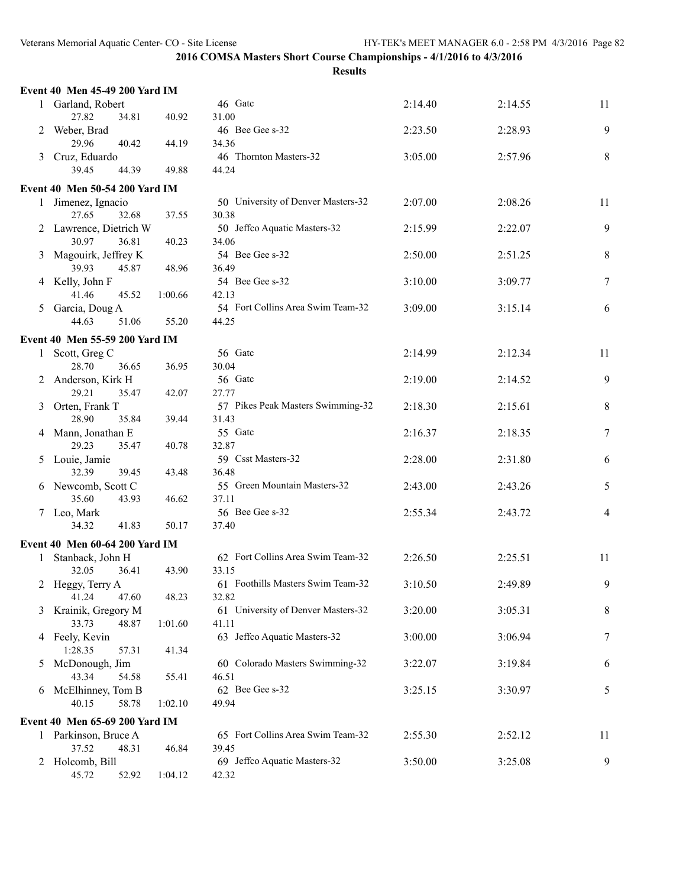|   | Event 40 Men 45-49 200 Yard IM       |         |                                            |         |         |                |
|---|--------------------------------------|---------|--------------------------------------------|---------|---------|----------------|
|   | 1 Garland, Robert                    |         | 46 Gatc                                    | 2:14.40 | 2:14.55 | 11             |
|   | 27.82<br>34.81                       | 40.92   | 31.00                                      |         |         |                |
| 2 | Weber, Brad                          |         | 46 Bee Gee s-32                            | 2:23.50 | 2:28.93 | 9              |
|   | 29.96<br>40.42                       | 44.19   | 34.36                                      |         |         |                |
| 3 | Cruz, Eduardo                        |         | 46 Thornton Masters-32                     | 3:05.00 | 2:57.96 | 8              |
|   | 39.45<br>44.39                       | 49.88   | 44.24                                      |         |         |                |
|   | Event 40 Men 50-54 200 Yard IM       |         |                                            |         |         |                |
|   | 1 Jimenez, Ignacio                   |         | 50 University of Denver Masters-32         | 2:07.00 | 2:08.26 | 11             |
|   | 27.65<br>32.68                       | 37.55   | 30.38                                      |         |         |                |
|   | 2 Lawrence, Dietrich W               |         | 50 Jeffco Aquatic Masters-32               | 2:15.99 | 2:22.07 | 9              |
|   | 30.97<br>36.81                       | 40.23   | 34.06                                      |         |         |                |
| 3 | Magouirk, Jeffrey K                  |         | 54 Bee Gee s-32                            | 2:50.00 | 2:51.25 | $8\,$          |
|   | 39.93<br>45.87                       | 48.96   | 36.49                                      |         |         |                |
|   | 4 Kelly, John F                      |         | 54 Bee Gee s-32                            | 3:10.00 | 3:09.77 | 7              |
|   | 41.46<br>45.52                       | 1:00.66 | 42.13                                      |         |         |                |
|   | 5 Garcia, Doug A                     |         | 54 Fort Collins Area Swim Team-32          | 3:09.00 | 3:15.14 | 6              |
|   | 44.63<br>51.06                       | 55.20   | 44.25                                      |         |         |                |
|   |                                      |         |                                            |         |         |                |
|   | Event 40 Men 55-59 200 Yard IM       |         |                                            |         |         |                |
|   | 1 Scott, Greg C                      |         | 56 Gate                                    | 2:14.99 | 2:12.34 | 11             |
|   | 28.70<br>36.65                       | 36.95   | 30.04                                      |         |         |                |
|   | 2 Anderson, Kirk H<br>29.21<br>35.47 | 42.07   | 56 Gate<br>27.77                           | 2:19.00 | 2:14.52 | 9              |
|   | Orten, Frank T                       |         | 57 Pikes Peak Masters Swimming-32          | 2:18.30 | 2:15.61 | $8\,$          |
| 3 | 28.90<br>35.84                       | 39.44   | 31.43                                      |         |         |                |
|   | 4 Mann, Jonathan E                   |         | 55 Gatc                                    | 2:16.37 | 2:18.35 | 7              |
|   | 29.23<br>35.47                       | 40.78   | 32.87                                      |         |         |                |
|   | 5 Louie, Jamie                       |         | 59 Csst Masters-32                         | 2:28.00 | 2:31.80 | 6              |
|   | 32.39<br>39.45                       | 43.48   | 36.48                                      |         |         |                |
|   | 6 Newcomb, Scott C                   |         | 55 Green Mountain Masters-32               | 2:43.00 | 2:43.26 | 5              |
|   | 35.60<br>43.93                       | 46.62   | 37.11                                      |         |         |                |
|   | 7 Leo, Mark                          |         | 56 Bee Gee s-32                            | 2:55.34 | 2:43.72 | $\overline{4}$ |
|   | 34.32<br>41.83                       | 50.17   | 37.40                                      |         |         |                |
|   |                                      |         |                                            |         |         |                |
|   | Event 40 Men 60-64 200 Yard IM       |         | 62 Fort Collins Area Swim Team-32          |         |         |                |
|   | 1 Stanback, John H<br>36.41          |         |                                            | 2:26.50 | 2:25.51 | 11             |
|   | 32.05                                | 43.90   | 33.15<br>61 Foothills Masters Swim Team-32 |         |         |                |
|   | 2 Heggy, Terry A<br>41.24<br>47.60   | 48.23   | 32.82                                      | 3:10.50 | 2:49.89 | 9              |
| 3 | Krainik, Gregory M                   |         | 61 University of Denver Masters-32         | 3:20.00 | 3:05.31 | 8              |
|   | 33.73<br>48.87                       | 1:01.60 | 41.11                                      |         |         |                |
|   | 4 Feely, Kevin                       |         | 63 Jeffco Aquatic Masters-32               | 3:00.00 | 3:06.94 | 7              |
|   | 1:28.35<br>57.31                     | 41.34   |                                            |         |         |                |
| 5 | McDonough, Jim                       |         | 60 Colorado Masters Swimming-32            | 3:22.07 | 3:19.84 | 6              |
|   | 43.34<br>54.58                       | 55.41   | 46.51                                      |         |         |                |
|   | 6 McElhinney, Tom B                  |         | 62 Bee Gee s-32                            | 3:25.15 | 3:30.97 | 5              |
|   | 40.15<br>58.78                       | 1:02.10 | 49.94                                      |         |         |                |
|   |                                      |         |                                            |         |         |                |
|   | Event 40 Men 65-69 200 Yard IM       |         |                                            |         |         |                |
|   | 1 Parkinson, Bruce A                 |         | 65 Fort Collins Area Swim Team-32          | 2:55.30 | 2:52.12 | 11             |
|   | 37.52<br>48.31                       | 46.84   | 39.45                                      |         |         |                |
|   | 2 Holcomb, Bill                      |         | 69 Jeffco Aquatic Masters-32               | 3:50.00 | 3:25.08 | 9              |
|   | 45.72<br>52.92                       | 1:04.12 | 42.32                                      |         |         |                |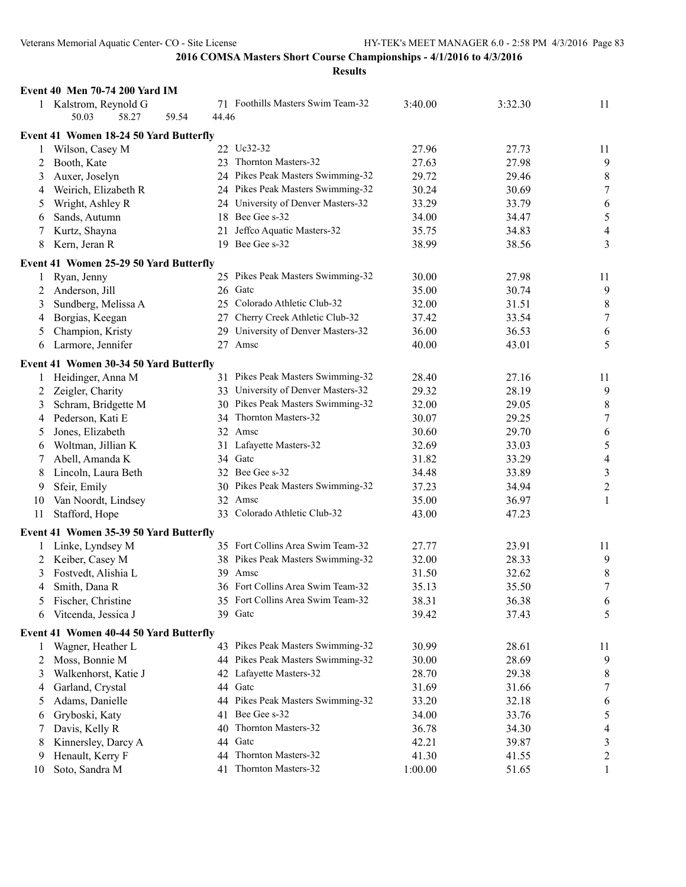|         | Event 40 Men 70-74 200 Yard IM         |                |                                    |         |         |                          |
|---------|----------------------------------------|----------------|------------------------------------|---------|---------|--------------------------|
|         | 1 Kalstrom, Reynold G                  |                | 71 Foothills Masters Swim Team-32  | 3:40.00 | 3:32.30 | 11                       |
|         | 50.03<br>58.27                         | 59.54<br>44.46 |                                    |         |         |                          |
|         | Event 41 Women 18-24 50 Yard Butterfly |                |                                    |         |         |                          |
|         | Wilson, Casey M                        |                | 22 Uc32-32                         | 27.96   | 27.73   | 11                       |
| 2       | Booth, Kate                            |                | 23 Thornton Masters-32             | 27.63   | 27.98   | 9                        |
| 3       | Auxer, Joselyn                         |                | 24 Pikes Peak Masters Swimming-32  | 29.72   | 29.46   | $\,$ $\,$                |
| 4       | Weirich, Elizabeth R                   |                | 24 Pikes Peak Masters Swimming-32  | 30.24   | 30.69   | $\tau$                   |
| 5       | Wright, Ashley R                       |                | 24 University of Denver Masters-32 | 33.29   | 33.79   | 6                        |
| 6       | Sands, Autumn                          |                | 18 Bee Gee s-32                    | 34.00   | 34.47   | $\mathfrak s$            |
| 7       | Kurtz, Shayna                          |                | 21 Jeffco Aquatic Masters-32       | 35.75   | 34.83   | $\overline{\mathcal{A}}$ |
| 8       | Kern, Jeran R                          |                | 19 Bee Gee s-32                    | 38.99   | 38.56   | 3                        |
|         | Event 41 Women 25-29 50 Yard Butterfly |                |                                    |         |         |                          |
| $\perp$ | Ryan, Jenny                            |                | 25 Pikes Peak Masters Swimming-32  | 30.00   | 27.98   | 11                       |
| 2       | Anderson, Jill                         |                | 26 Gatc                            | 35.00   | 30.74   | 9                        |
| 3       | Sundberg, Melissa A                    |                | 25 Colorado Athletic Club-32       | 32.00   | 31.51   | 8                        |
| 4       | Borgias, Keegan                        |                | 27 Cherry Creek Athletic Club-32   | 37.42   | 33.54   | $\tau$                   |
| 5       | Champion, Kristy                       |                | 29 University of Denver Masters-32 | 36.00   | 36.53   | 6                        |
| 6       | Larmore, Jennifer                      |                | 27 Amsc                            | 40.00   | 43.01   | 5                        |
|         | Event 41 Women 30-34 50 Yard Butterfly |                |                                    |         |         |                          |
|         | Heidinger, Anna M                      |                | 31 Pikes Peak Masters Swimming-32  | 28.40   | 27.16   | 11                       |
| 2       | Zeigler, Charity                       |                | 33 University of Denver Masters-32 | 29.32   | 28.19   | 9                        |
| 3       | Schram, Bridgette M                    |                | 30 Pikes Peak Masters Swimming-32  | 32.00   | 29.05   | 8                        |
| 4       | Pederson, Kati E                       |                | 34 Thornton Masters-32             | 30.07   | 29.25   | $\tau$                   |
| 5       | Jones, Elizabeth                       |                | 32 Amsc                            | 30.60   | 29.70   | 6                        |
| 6       | Woltman, Jillian K                     |                | 31 Lafayette Masters-32            | 32.69   | 33.03   | $\mathfrak s$            |
| 7       | Abell, Amanda K                        |                | 34 Gatc                            | 31.82   | 33.29   | $\overline{4}$           |
| 8       | Lincoln, Laura Beth                    |                | 32 Bee Gee s-32                    | 34.48   | 33.89   | $\mathfrak{Z}$           |
| 9       | Sfeir, Emily                           |                | 30 Pikes Peak Masters Swimming-32  | 37.23   | 34.94   | $\boldsymbol{2}$         |
| 10      | Van Noordt, Lindsey                    |                | 32 Amsc                            | 35.00   | 36.97   | $\mathbf{1}$             |
| 11      | Stafford, Hope                         |                | 33 Colorado Athletic Club-32       | 43.00   | 47.23   |                          |
|         | Event 41 Women 35-39 50 Yard Butterfly |                |                                    |         |         |                          |
|         | 1 Linke, Lyndsey M                     |                | 35 Fort Collins Area Swim Team-32  | 27.77   | 23.91   | 11                       |
| 2       | Keiber, Casey M                        |                | 38 Pikes Peak Masters Swimming-32  | 32.00   | 28.33   | 9                        |
| 3       | Fostvedt, Alishia L                    |                | 39 Amsc                            | 31.50   | 32.62   | 8                        |
| 4       | Smith, Dana R                          |                | 36 Fort Collins Area Swim Team-32  | 35.13   | 35.50   | 7                        |
| 5       | Fischer, Christine                     |                | 35 Fort Collins Area Swim Team-32  | 38.31   | 36.38   | 6                        |
| 6       | Vitcenda, Jessica J                    |                | 39 Gatc                            | 39.42   | 37.43   | 5                        |
|         | Event 41 Women 40-44 50 Yard Butterfly |                |                                    |         |         |                          |
| $\perp$ | Wagner, Heather L                      |                | 43 Pikes Peak Masters Swimming-32  | 30.99   | 28.61   | 11                       |
| 2       | Moss, Bonnie M                         |                | 44 Pikes Peak Masters Swimming-32  | 30.00   | 28.69   | 9                        |
| 3       | Walkenhorst, Katie J                   |                | 42 Lafayette Masters-32            | 28.70   | 29.38   | 8                        |
| 4       | Garland, Crystal                       |                | 44 Gate                            | 31.69   | 31.66   | 7                        |
| 5       | Adams, Danielle                        |                | 44 Pikes Peak Masters Swimming-32  | 33.20   | 32.18   | 6                        |
| 6       | Gryboski, Katy                         | 41             | Bee Gee s-32                       | 34.00   | 33.76   | 5                        |
| 7       | Davis, Kelly R                         | 40             | Thornton Masters-32                | 36.78   | 34.30   | 4                        |
| 8       | Kinnersley, Darcy A                    | 44             | Gatc                               | 42.21   | 39.87   | 3                        |
| 9       | Henault, Kerry F                       | 44             | Thornton Masters-32                | 41.30   | 41.55   | 2                        |
| 10      | Soto, Sandra M                         |                | 41 Thornton Masters-32             | 1:00.00 | 51.65   | 1                        |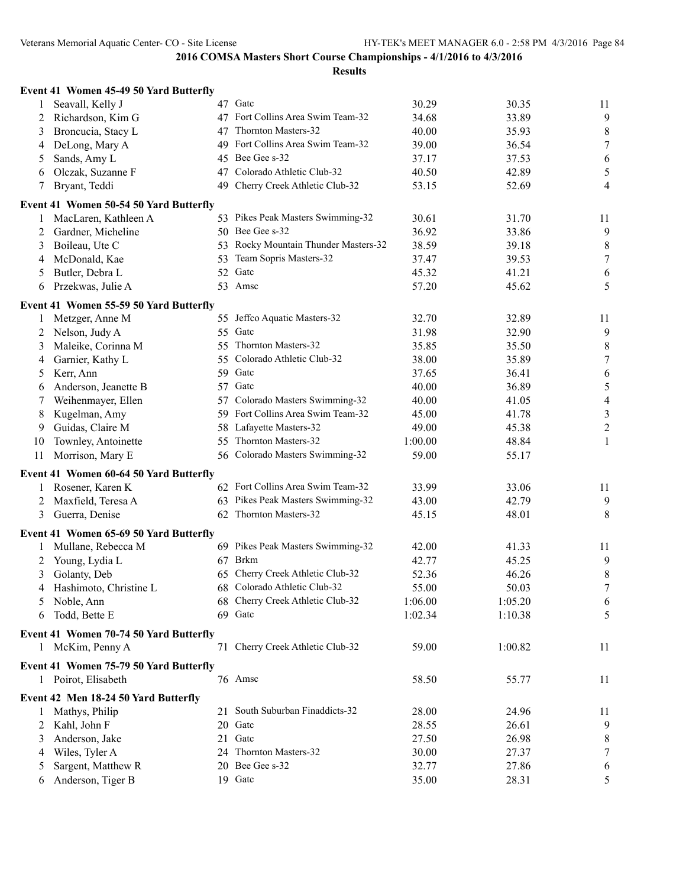|    | Event 41 Women 45-49 50 Yard Butterfly |    |                                   |         |         |                          |
|----|----------------------------------------|----|-----------------------------------|---------|---------|--------------------------|
| 1  | Seavall, Kelly J                       |    | 47 Gatc                           | 30.29   | 30.35   | 11                       |
| 2  | Richardson, Kim G                      |    | 47 Fort Collins Area Swim Team-32 | 34.68   | 33.89   | 9                        |
| 3  | Broncucia, Stacy L                     | 47 | Thornton Masters-32               | 40.00   | 35.93   | $\,8\,$                  |
| 4  | DeLong, Mary A                         |    | 49 Fort Collins Area Swim Team-32 | 39.00   | 36.54   | $\tau$                   |
| 5  | Sands, Amy L                           |    | 45 Bee Gee s-32                   | 37.17   | 37.53   | $\sqrt{6}$               |
| 6  | Olczak, Suzanne F                      |    | 47 Colorado Athletic Club-32      | 40.50   | 42.89   | 5                        |
| 7  | Bryant, Teddi                          | 49 | Cherry Creek Athletic Club-32     | 53.15   | 52.69   | $\overline{\mathcal{A}}$ |
|    | Event 41 Women 50-54 50 Yard Butterfly |    |                                   |         |         |                          |
| 1  | MacLaren, Kathleen A                   |    | 53 Pikes Peak Masters Swimming-32 | 30.61   | 31.70   | 11                       |
| 2  | Gardner, Micheline                     |    | 50 Bee Gee s-32                   | 36.92   | 33.86   | 9                        |
| 3  | Boileau, Ute C                         | 53 | Rocky Mountain Thunder Masters-32 | 38.59   | 39.18   | $\,8\,$                  |
| 4  | McDonald, Kae                          | 53 | Team Sopris Masters-32            | 37.47   | 39.53   | $\tau$                   |
| 5  | Butler, Debra L                        |    | 52 Gate                           | 45.32   | 41.21   | 6                        |
| 6  | Przekwas, Julie A                      |    | 53 Amsc                           | 57.20   | 45.62   | 5                        |
|    | Event 41 Women 55-59 50 Yard Butterfly |    |                                   |         |         |                          |
| 1  | Metzger, Anne M                        |    | 55 Jeffco Aquatic Masters-32      | 32.70   | 32.89   | 11                       |
| 2  | Nelson, Judy A                         | 55 | Gatc                              | 31.98   | 32.90   | 9                        |
| 3  | Maleike, Corinna M                     | 55 | Thornton Masters-32               | 35.85   | 35.50   | $\,8\,$                  |
| 4  | Garnier, Kathy L                       | 55 | Colorado Athletic Club-32         | 38.00   | 35.89   | $\boldsymbol{7}$         |
| 5  | Kerr, Ann                              |    | 59 Gate                           | 37.65   | 36.41   | $\sqrt{6}$               |
| 6  | Anderson, Jeanette B                   |    | 57 Gatc                           | 40.00   | 36.89   | $\sqrt{5}$               |
| 7  | Weihenmayer, Ellen                     |    | 57 Colorado Masters Swimming-32   | 40.00   | 41.05   | $\overline{4}$           |
| 8  | Kugelman, Amy                          |    | 59 Fort Collins Area Swim Team-32 | 45.00   | 41.78   | $\mathfrak{Z}$           |
| 9  | Guidas, Claire M                       |    | 58 Lafayette Masters-32           | 49.00   | 45.38   | $\boldsymbol{2}$         |
| 10 | Townley, Antoinette                    | 55 | Thornton Masters-32               | 1:00.00 | 48.84   | 1                        |
| 11 | Morrison, Mary E                       |    | 56 Colorado Masters Swimming-32   | 59.00   | 55.17   |                          |
|    | Event 41 Women 60-64 50 Yard Butterfly |    |                                   |         |         |                          |
| 1  | Rosener, Karen K                       |    | 62 Fort Collins Area Swim Team-32 | 33.99   | 33.06   | 11                       |
| 2  | Maxfield, Teresa A                     |    | 63 Pikes Peak Masters Swimming-32 | 43.00   | 42.79   | 9                        |
| 3  | Guerra, Denise                         |    | 62 Thornton Masters-32            | 45.15   | 48.01   | 8                        |
|    | Event 41 Women 65-69 50 Yard Butterfly |    |                                   |         |         |                          |
|    | Mullane, Rebecca M                     |    | 69 Pikes Peak Masters Swimming-32 | 42.00   | 41.33   | 11                       |
| 2  | Young, Lydia L                         |    | 67 Brkm                           | 42.77   | 45.25   | 9                        |
| 3  | Golanty, Deb                           |    | 65 Cherry Creek Athletic Club-32  | 52.36   | 46.26   | $\,8\,$                  |
| 4  | Hashimoto, Christine L                 |    | 68 Colorado Athletic Club-32      | 55.00   | 50.03   | 7                        |
| 5  | Noble, Ann                             |    | 68 Cherry Creek Athletic Club-32  | 1:06.00 | 1:05.20 | 6                        |
| 6  | Todd, Bette E                          |    | 69 Gatc                           | 1:02.34 | 1:10.38 | 5                        |
|    | Event 41 Women 70-74 50 Yard Butterfly |    |                                   |         |         |                          |
|    | 1 McKim, Penny A                       |    | 71 Cherry Creek Athletic Club-32  | 59.00   | 1:00.82 | 11                       |
|    | Event 41 Women 75-79 50 Yard Butterfly |    |                                   |         |         |                          |
|    | 1 Poirot, Elisabeth                    |    | 76 Amsc                           | 58.50   | 55.77   | 11                       |
|    | Event 42 Men 18-24 50 Yard Butterfly   |    |                                   |         |         |                          |
| 1  | Mathys, Philip                         |    | 21 South Suburban Finaddicts-32   | 28.00   | 24.96   | 11                       |
| 2  | Kahl, John F                           |    | 20 Gatc                           | 28.55   | 26.61   | 9                        |
| 3  | Anderson, Jake                         |    | 21 Gate                           | 27.50   | 26.98   | 8                        |
| 4  | Wiles, Tyler A                         |    | 24 Thornton Masters-32            | 30.00   | 27.37   | $\tau$                   |
| 5  | Sargent, Matthew R                     |    | 20 Bee Gee s-32                   | 32.77   | 27.86   | 6                        |
| 6  | Anderson, Tiger B                      |    | 19 Gatc                           | 35.00   | 28.31   | 5                        |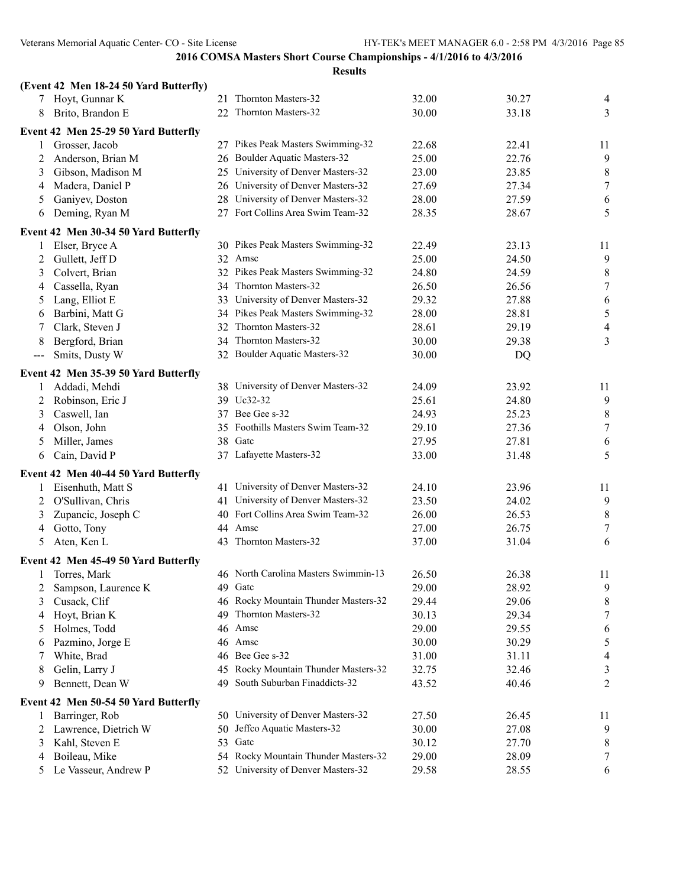|       | (Event 42 Men 18-24 50 Yard Butterfly) |    |                                      |       |       |                          |
|-------|----------------------------------------|----|--------------------------------------|-------|-------|--------------------------|
| 7     | Hoyt, Gunnar K                         |    | 21 Thornton Masters-32               | 32.00 | 30.27 | $\overline{4}$           |
| 8     | Brito, Brandon E                       |    | 22 Thornton Masters-32               | 30.00 | 33.18 | 3                        |
|       | Event 42 Men 25-29 50 Yard Butterfly   |    |                                      |       |       |                          |
| 1     | Grosser, Jacob                         |    | 27 Pikes Peak Masters Swimming-32    | 22.68 | 22.41 | 11                       |
| 2     | Anderson, Brian M                      |    | 26 Boulder Aquatic Masters-32        | 25.00 | 22.76 | 9                        |
| 3     | Gibson, Madison M                      |    | 25 University of Denver Masters-32   | 23.00 | 23.85 | 8                        |
| 4     | Madera, Daniel P                       |    | 26 University of Denver Masters-32   | 27.69 | 27.34 | $\boldsymbol{7}$         |
| 5     | Ganiyev, Doston                        | 28 | University of Denver Masters-32      | 28.00 | 27.59 | 6                        |
| 6     | Deming, Ryan M                         | 27 | Fort Collins Area Swim Team-32       | 28.35 | 28.67 | 5                        |
|       | Event 42 Men 30-34 50 Yard Butterfly   |    |                                      |       |       |                          |
| 1     | Elser, Bryce A                         |    | 30 Pikes Peak Masters Swimming-32    | 22.49 | 23.13 | 11                       |
| 2     | Gullett, Jeff D                        |    | 32 Amsc                              | 25.00 | 24.50 | 9                        |
| 3     | Colvert, Brian                         |    | 32 Pikes Peak Masters Swimming-32    | 24.80 | 24.59 | 8                        |
| 4     | Cassella, Ryan                         |    | 34 Thornton Masters-32               | 26.50 | 26.56 | $\tau$                   |
| 5     | Lang, Elliot E                         |    | 33 University of Denver Masters-32   | 29.32 | 27.88 | 6                        |
| 6     | Barbini, Matt G                        |    | 34 Pikes Peak Masters Swimming-32    | 28.00 | 28.81 | 5                        |
| 7     | Clark, Steven J                        | 32 | Thornton Masters-32                  | 28.61 | 29.19 | $\overline{\mathcal{A}}$ |
| 8     | Bergford, Brian                        | 34 | Thornton Masters-32                  | 30.00 | 29.38 | 3                        |
| $---$ | Smits, Dusty W                         |    | 32 Boulder Aquatic Masters-32        | 30.00 | DQ    |                          |
|       | Event 42 Men 35-39 50 Yard Butterfly   |    |                                      |       |       |                          |
| 1     | Addadi, Mehdi                          |    | 38 University of Denver Masters-32   | 24.09 | 23.92 | 11                       |
| 2     | Robinson, Eric J                       |    | 39 Uc32-32                           | 25.61 | 24.80 | 9                        |
| 3     | Caswell, Ian                           |    | 37 Bee Gee s-32                      | 24.93 | 25.23 | 8                        |
| 4     | Olson, John                            |    | 35 Foothills Masters Swim Team-32    | 29.10 | 27.36 | $\boldsymbol{7}$         |
| 5     | Miller, James                          | 38 | Gatc                                 | 27.95 | 27.81 | 6                        |
| 6     | Cain, David P                          |    | 37 Lafayette Masters-32              | 33.00 | 31.48 | 5                        |
|       | Event 42 Men 40-44 50 Yard Butterfly   |    |                                      |       |       |                          |
| 1     | Eisenhuth, Matt S                      | 41 | University of Denver Masters-32      | 24.10 | 23.96 | 11                       |
| 2     | O'Sullivan, Chris                      | 41 | University of Denver Masters-32      | 23.50 | 24.02 | 9                        |
| 3     | Zupancic, Joseph C                     |    | 40 Fort Collins Area Swim Team-32    | 26.00 | 26.53 | 8                        |
| 4     | Gotto, Tony                            |    | 44 Amsc                              | 27.00 | 26.75 | $\tau$                   |
| 5     | Aten, Ken L                            | 43 | Thornton Masters-32                  | 37.00 | 31.04 | 6                        |
|       | Event 42 Men 45-49 50 Yard Butterfly   |    |                                      |       |       |                          |
| 1     | Torres, Mark                           |    | 46 North Carolina Masters Swimmin-13 | 26.50 | 26.38 | 11                       |
| 2     | Sampson, Laurence K                    |    | 49 Gate                              | 29.00 | 28.92 | 9                        |
| 3     | Cusack, Clif                           |    | 46 Rocky Mountain Thunder Masters-32 | 29.44 | 29.06 | 8                        |
| 4     | Hoyt, Brian K                          | 49 | Thornton Masters-32                  | 30.13 | 29.34 | 7                        |
| 5     | Holmes, Todd                           |    | 46 Amsc                              | 29.00 | 29.55 | 6                        |
| 6     | Pazmino, Jorge E                       |    | 46 Amsc                              | 30.00 | 30.29 | 5                        |
| 7     | White, Brad                            |    | 46 Bee Gee s-32                      | 31.00 | 31.11 | $\overline{4}$           |
| 8     | Gelin, Larry J                         | 45 | Rocky Mountain Thunder Masters-32    | 32.75 | 32.46 | 3                        |
| 9     | Bennett, Dean W                        | 49 | South Suburban Finaddicts-32         | 43.52 | 40.46 | 2                        |
|       | Event 42 Men 50-54 50 Yard Butterfly   |    |                                      |       |       |                          |
| 1     | Barringer, Rob                         |    | 50 University of Denver Masters-32   | 27.50 | 26.45 | 11                       |
| 2     | Lawrence, Dietrich W                   |    | 50 Jeffco Aquatic Masters-32         | 30.00 | 27.08 | 9                        |
| 3     | Kahl, Steven E                         | 53 | Gatc                                 | 30.12 | 27.70 | 8                        |
| 4     | Boileau, Mike                          |    | 54 Rocky Mountain Thunder Masters-32 | 29.00 | 28.09 | 7                        |
| 5     | Le Vasseur, Andrew P                   |    | 52 University of Denver Masters-32   | 29.58 | 28.55 | 6                        |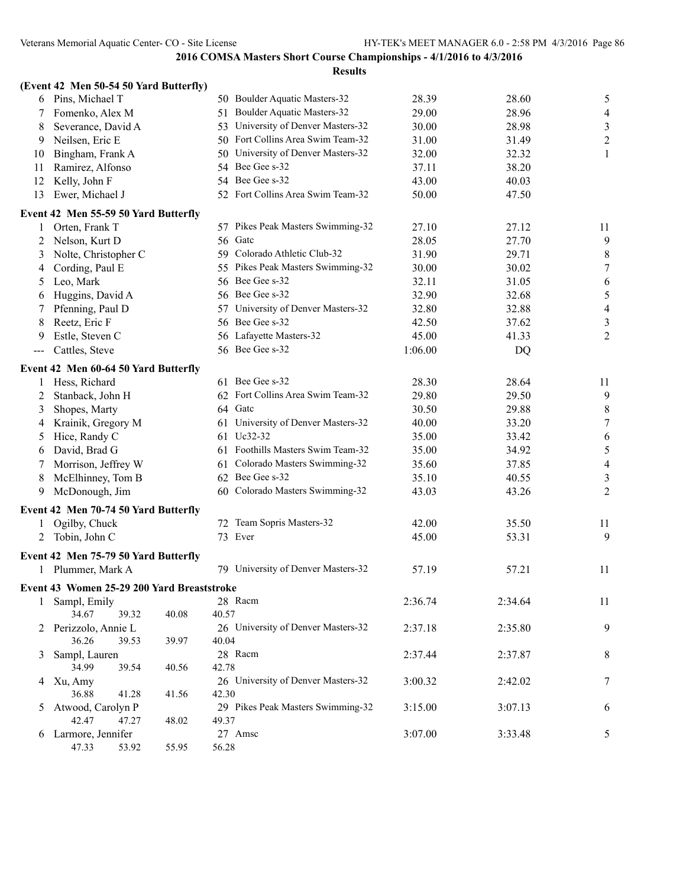|              | (Event 42 Men 50-54 50 Yard Butterfly)                     |       |       |                                    |         |         |                  |
|--------------|------------------------------------------------------------|-------|-------|------------------------------------|---------|---------|------------------|
|              | 6 Pins, Michael T                                          |       |       | 50 Boulder Aquatic Masters-32      | 28.39   | 28.60   | 5                |
| 7            | Fomenko, Alex M                                            |       |       | 51 Boulder Aquatic Masters-32      | 29.00   | 28.96   | $\overline{4}$   |
| 8            | Severance, David A                                         |       |       | 53 University of Denver Masters-32 | 30.00   | 28.98   | $\mathfrak{Z}$   |
| 9            | Neilsen, Eric E                                            |       |       | 50 Fort Collins Area Swim Team-32  | 31.00   | 31.49   | $\boldsymbol{2}$ |
| 10           | Bingham, Frank A                                           |       |       | 50 University of Denver Masters-32 | 32.00   | 32.32   | $\mathbf{1}$     |
| 11           | Ramirez, Alfonso                                           |       |       | 54 Bee Gee s-32                    | 37.11   | 38.20   |                  |
| 12           | Kelly, John F                                              |       |       | 54 Bee Gee s-32                    | 43.00   | 40.03   |                  |
| 13           | Ewer, Michael J                                            |       |       | 52 Fort Collins Area Swim Team-32  | 50.00   | 47.50   |                  |
|              | Event 42 Men 55-59 50 Yard Butterfly                       |       |       |                                    |         |         |                  |
| 1            | Orten, Frank T                                             |       |       | 57 Pikes Peak Masters Swimming-32  | 27.10   | 27.12   | 11               |
| 2            | Nelson, Kurt D                                             |       | 56    | Gatc                               | 28.05   | 27.70   | 9                |
| 3            | Nolte, Christopher C                                       |       |       | 59 Colorado Athletic Club-32       | 31.90   | 29.71   | 8                |
| 4            | Cording, Paul E                                            |       |       | 55 Pikes Peak Masters Swimming-32  | 30.00   | 30.02   | $\tau$           |
| 5            | Leo, Mark                                                  |       |       | 56 Bee Gee s-32                    | 32.11   | 31.05   | 6                |
| 6            | Huggins, David A                                           |       |       | 56 Bee Gee s-32                    | 32.90   | 32.68   | $\sqrt{5}$       |
| 7            | Pfenning, Paul D                                           |       |       | 57 University of Denver Masters-32 | 32.80   | 32.88   | $\overline{4}$   |
| 8            | Reetz, Eric F                                              |       |       | 56 Bee Gee s-32                    | 42.50   | 37.62   | $\mathfrak{Z}$   |
| 9            | Estle, Steven C                                            |       |       | 56 Lafayette Masters-32            | 45.00   | 41.33   | $\overline{2}$   |
| $---$        | Cattles, Steve                                             |       |       | 56 Bee Gee s-32                    | 1:06.00 | DQ      |                  |
|              | Event 42 Men 60-64 50 Yard Butterfly                       |       |       |                                    |         |         |                  |
| 1            | Hess, Richard                                              |       |       | 61 Bee Gee s-32                    | 28.30   | 28.64   | 11               |
| 2            | Stanback, John H                                           |       |       | 62 Fort Collins Area Swim Team-32  | 29.80   | 29.50   | 9                |
| 3            | Shopes, Marty                                              |       |       | 64 Gatc                            | 30.50   | 29.88   | $\,8\,$          |
| 4            | Krainik, Gregory M                                         |       |       | 61 University of Denver Masters-32 | 40.00   | 33.20   | $\tau$           |
| 5            | Hice, Randy C                                              |       |       | 61 Uc32-32                         | 35.00   | 33.42   | 6                |
| 6            | David, Brad G                                              |       |       | 61 Foothills Masters Swim Team-32  | 35.00   | 34.92   | $\sqrt{5}$       |
| 7            | Morrison, Jeffrey W                                        |       |       | 61 Colorado Masters Swimming-32    | 35.60   | 37.85   | $\overline{4}$   |
| 8            | McElhinney, Tom B                                          |       |       | 62 Bee Gee s-32                    | 35.10   | 40.55   | $\mathfrak{Z}$   |
| 9            | McDonough, Jim                                             |       |       | 60 Colorado Masters Swimming-32    | 43.03   | 43.26   | $\overline{2}$   |
|              | Event 42 Men 70-74 50 Yard Butterfly                       |       |       |                                    |         |         |                  |
|              | Ogilby, Chuck                                              |       |       | 72 Team Sopris Masters-32          | 42.00   | 35.50   | 11               |
| 2            | Tobin, John C                                              |       |       | 73 Ever                            | 45.00   | 53.31   | 9                |
|              | Event 42 Men 75-79 50 Yard Butterfly                       |       |       |                                    |         |         |                  |
|              | 1 Plummer, Mark A                                          |       |       | 79 University of Denver Masters-32 | 57.19   | 57.21   | 11               |
|              |                                                            |       |       |                                    |         |         |                  |
|              | Event 43 Women 25-29 200 Yard Breaststroke<br>Sampl, Emily |       |       | 28 Racm                            | 2:36.74 | 2:34.64 | 11               |
| $\mathbf{1}$ | 34.67<br>39.32                                             | 40.08 | 40.57 |                                    |         |         |                  |
|              | 2 Perizzolo, Annie L                                       |       |       | 26 University of Denver Masters-32 | 2:37.18 | 2:35.80 | 9                |
|              | 36.26<br>39.53                                             | 39.97 | 40.04 |                                    |         |         |                  |
| 3            | Sampl, Lauren                                              |       |       | 28 Racm                            | 2:37.44 | 2:37.87 | 8                |
|              | 34.99<br>39.54                                             | 40.56 | 42.78 |                                    |         |         |                  |
|              | 4 Xu, Amy                                                  |       |       | 26 University of Denver Masters-32 | 3:00.32 | 2:42.02 | 7                |
|              | 36.88<br>41.28                                             | 41.56 | 42.30 |                                    |         |         |                  |
| 5            | Atwood, Carolyn P                                          |       |       | 29 Pikes Peak Masters Swimming-32  | 3:15.00 | 3:07.13 | 6                |
|              | 42.47<br>47.27                                             | 48.02 | 49.37 |                                    |         |         |                  |
|              | 6 Larmore, Jennifer                                        |       |       | 27 Amsc                            | 3:07.00 | 3:33.48 | 5                |
|              | 47.33<br>53.92                                             | 55.95 | 56.28 |                                    |         |         |                  |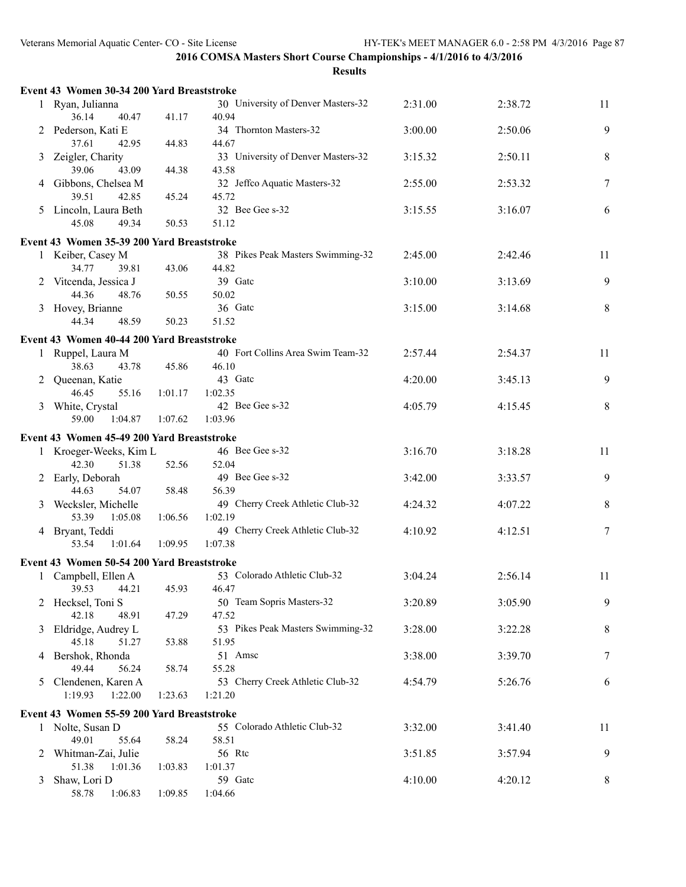|   | Event 43 Women 30-34 200 Yard Breaststroke |         |                                             |         |         |    |
|---|--------------------------------------------|---------|---------------------------------------------|---------|---------|----|
|   | 1 Ryan, Julianna<br>36.14<br>40.47         | 41.17   | 30 University of Denver Masters-32<br>40.94 | 2:31.00 | 2:38.72 | 11 |
|   | 2 Pederson, Kati E<br>37.61<br>42.95       | 44.83   | 34 Thornton Masters-32<br>44.67             | 3:00.00 | 2:50.06 | 9  |
|   | 3 Zeigler, Charity<br>39.06<br>43.09       | 44.38   | 33 University of Denver Masters-32<br>43.58 | 3:15.32 | 2:50.11 | 8  |
|   | 4 Gibbons, Chelsea M<br>39.51<br>42.85     | 45.24   | 32 Jeffco Aquatic Masters-32<br>45.72       | 2:55.00 | 2:53.32 | 7  |
|   | 5 Lincoln, Laura Beth<br>45.08<br>49.34    | 50.53   | 32 Bee Gee s-32<br>51.12                    | 3:15.55 | 3:16.07 | 6  |
|   | Event 43 Women 35-39 200 Yard Breaststroke |         |                                             |         |         |    |
|   | 1 Keiber, Casey M                          |         | 38 Pikes Peak Masters Swimming-32           | 2:45.00 | 2:42.46 | 11 |
|   | 34.77<br>39.81                             | 43.06   | 44.82                                       |         |         |    |
|   | 2 Vitcenda, Jessica J                      |         | 39 Gate                                     | 3:10.00 | 3:13.69 | 9  |
|   | 44.36<br>48.76                             | 50.55   | 50.02                                       |         |         |    |
|   | 3 Hovey, Brianne                           |         | 36 Gatc                                     | 3:15.00 | 3:14.68 | 8  |
|   | 44.34<br>48.59                             | 50.23   | 51.52                                       |         |         |    |
|   |                                            |         |                                             |         |         |    |
|   | Event 43 Women 40-44 200 Yard Breaststroke |         |                                             |         |         |    |
|   | 1 Ruppel, Laura M                          |         | 40 Fort Collins Area Swim Team-32           | 2:57.44 | 2:54.37 | 11 |
|   | 38.63<br>43.78                             | 45.86   | 46.10                                       |         |         |    |
|   | 2 Queenan, Katie                           |         | 43 Gatc                                     | 4:20.00 | 3:45.13 | 9  |
|   | 46.45<br>55.16                             | 1:01.17 | 1:02.35                                     |         |         |    |
| 3 | White, Crystal                             |         | 42 Bee Gee s-32                             | 4:05.79 | 4:15.45 | 8  |
|   | 59.00<br>1:04.87                           | 1:07.62 | 1:03.96                                     |         |         |    |
|   | Event 43 Women 45-49 200 Yard Breaststroke |         |                                             |         |         |    |
|   | 1 Kroeger-Weeks, Kim L                     |         | 46 Bee Gee s-32                             | 3:16.70 | 3:18.28 | 11 |
|   | 42.30<br>51.38                             | 52.56   | 52.04                                       |         |         |    |
| 2 | Early, Deborah                             |         | 49 Bee Gee s-32                             | 3:42.00 | 3:33.57 | 9  |
|   | 44.63<br>54.07                             | 58.48   | 56.39                                       |         |         |    |
| 3 | Wecksler, Michelle                         |         | 49 Cherry Creek Athletic Club-32            | 4:24.32 | 4:07.22 | 8  |
|   | 53.39<br>1:05.08                           | 1:06.56 | 1:02.19                                     |         |         |    |
|   | 4 Bryant, Teddi                            |         | 49 Cherry Creek Athletic Club-32            | 4:10.92 | 4:12.51 | 7  |
|   | 53.54<br>1:01.64                           | 1:09.95 | 1:07.38                                     |         |         |    |
|   |                                            |         |                                             |         |         |    |
|   | Event 43 Women 50-54 200 Yard Breaststroke |         |                                             |         |         |    |
|   | 1 Campbell, Ellen A                        |         | 53 Colorado Athletic Club-32                | 3:04.24 | 2:56.14 | 11 |
|   | 39.53<br>44.21                             | 45.93   | 46.47                                       |         |         |    |
|   | 2 Hecksel, Toni S                          |         | 50 Team Sopris Masters-32                   | 3:20.89 | 3:05.90 | 9  |
|   | 42.18<br>48.91                             | 47.29   | 47.52                                       |         |         |    |
|   | 3 Eldridge, Audrey L                       |         | 53 Pikes Peak Masters Swimming-32           | 3:28.00 | 3:22.28 | 8  |
|   | 45.18<br>51.27                             | 53.88   | 51.95                                       |         |         |    |
|   | 4 Bershok, Rhonda                          |         | 51 Amsc                                     | 3:38.00 | 3:39.70 | 7  |
|   | 49.44<br>56.24                             | 58.74   | 55.28                                       |         |         |    |
| 5 | Clendenen, Karen A                         |         | 53 Cherry Creek Athletic Club-32            | 4:54.79 | 5:26.76 | 6  |
|   | 1:19.93<br>1:22.00                         | 1:23.63 | 1:21.20                                     |         |         |    |
|   | Event 43 Women 55-59 200 Yard Breaststroke |         |                                             |         |         |    |
|   | 1 Nolte, Susan D                           |         | 55 Colorado Athletic Club-32                | 3:32.00 | 3:41.40 | 11 |
|   | 49.01<br>55.64                             | 58.24   | 58.51                                       |         |         |    |
| 2 | Whitman-Zai, Julie                         |         | 56 Rtc                                      | 3:51.85 | 3:57.94 | 9  |
|   | 51.38<br>1:01.36                           | 1:03.83 | 1:01.37                                     |         |         |    |
| 3 | Shaw, Lori D                               |         | 59 Gatc                                     | 4:10.00 | 4:20.12 | 8  |
|   | 58.78<br>1:06.83                           | 1:09.85 | 1:04.66                                     |         |         |    |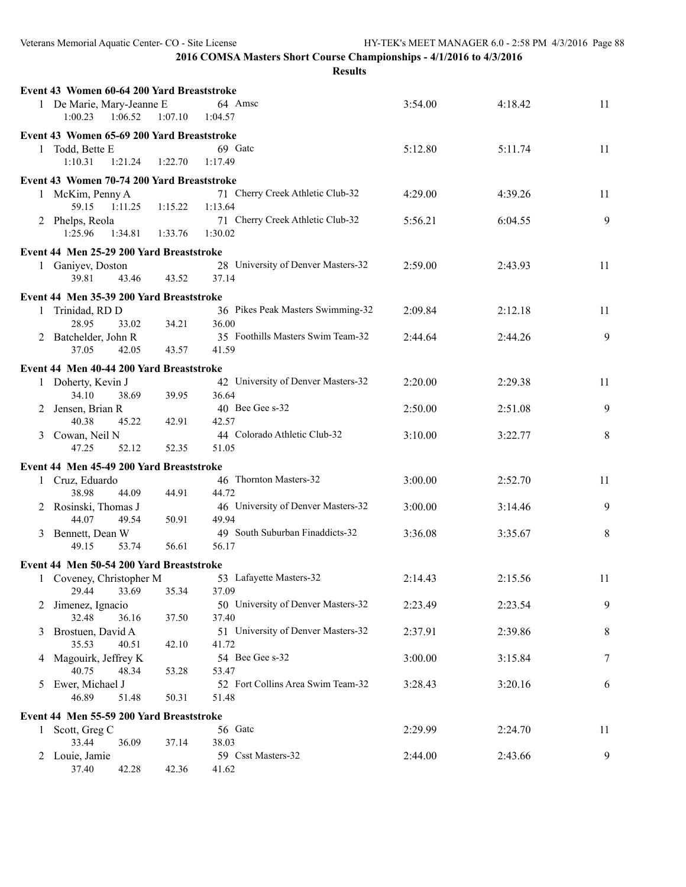|   | Event 43 Women 60-64 200 Yard Breaststroke |         |                                    |         |         |    |
|---|--------------------------------------------|---------|------------------------------------|---------|---------|----|
|   | 1 De Marie, Mary-Jeanne E                  |         | 64 Amsc                            | 3:54.00 | 4:18.42 | 11 |
|   | 1:00.23<br>1:06.52                         | 1:07.10 | 1:04.57                            |         |         |    |
|   | Event 43 Women 65-69 200 Yard Breaststroke |         |                                    |         |         |    |
|   | 1 Todd, Bette E                            |         | 69 Gatc                            | 5:12.80 | 5:11.74 | 11 |
|   | 1:10.31<br>1:21.24                         | 1:22.70 | 1:17.49                            |         |         |    |
|   |                                            |         |                                    |         |         |    |
|   | Event 43 Women 70-74 200 Yard Breaststroke |         |                                    |         |         |    |
|   | 1 McKim, Penny A                           |         | 71 Cherry Creek Athletic Club-32   | 4:29.00 | 4:39.26 | 11 |
|   | 59.15<br>1:11.25                           | 1:15.22 | 1:13.64                            |         |         |    |
|   | 2 Phelps, Reola                            |         | 71 Cherry Creek Athletic Club-32   | 5:56.21 | 6:04.55 | 9  |
|   | 1:25.96<br>1:34.81                         | 1:33.76 | 1:30.02                            |         |         |    |
|   | Event 44 Men 25-29 200 Yard Breaststroke   |         |                                    |         |         |    |
|   | 1 Ganiyev, Doston                          |         | 28 University of Denver Masters-32 | 2:59.00 | 2:43.93 | 11 |
|   | 39.81<br>43.46                             | 43.52   | 37.14                              |         |         |    |
|   | Event 44 Men 35-39 200 Yard Breaststroke   |         |                                    |         |         |    |
|   | 1 Trinidad, RD D                           |         | 36 Pikes Peak Masters Swimming-32  | 2:09.84 | 2:12.18 | 11 |
|   | 28.95<br>33.02                             | 34.21   | 36.00                              |         |         |    |
|   | 2 Batchelder, John R                       |         | 35 Foothills Masters Swim Team-32  | 2:44.64 | 2:44.26 | 9  |
|   | 37.05<br>42.05                             | 43.57   | 41.59                              |         |         |    |
|   |                                            |         |                                    |         |         |    |
|   | Event 44 Men 40-44 200 Yard Breaststroke   |         |                                    |         |         |    |
|   | 1 Doherty, Kevin J                         |         | 42 University of Denver Masters-32 | 2:20.00 | 2:29.38 | 11 |
|   | 34.10<br>38.69                             | 39.95   | 36.64                              |         |         |    |
| 2 | Jensen, Brian R                            |         | 40 Bee Gee s-32                    | 2:50.00 | 2:51.08 | 9  |
|   | 40.38<br>45.22                             | 42.91   | 42.57                              |         |         |    |
| 3 | Cowan, Neil N                              |         | 44 Colorado Athletic Club-32       | 3:10.00 | 3:22.77 | 8  |
|   | 47.25<br>52.12                             | 52.35   | 51.05                              |         |         |    |
|   | Event 44 Men 45-49 200 Yard Breaststroke   |         |                                    |         |         |    |
|   | 1 Cruz, Eduardo                            |         | 46 Thornton Masters-32             | 3:00.00 | 2:52.70 | 11 |
|   | 38.98<br>44.09                             | 44.91   | 44.72                              |         |         |    |
| 2 | Rosinski, Thomas J                         |         | 46 University of Denver Masters-32 | 3:00.00 | 3:14.46 | 9  |
|   | 44.07<br>49.54                             | 50.91   | 49.94                              |         |         |    |
| 3 | Bennett, Dean W                            |         | 49 South Suburban Finaddicts-32    | 3:36.08 | 3:35.67 | 8  |
|   | 49.15<br>53.74                             | 56.61   | 56.17                              |         |         |    |
|   | Event 44 Men 50-54 200 Yard Breaststroke   |         |                                    |         |         |    |
|   | 1 Coveney, Christopher M                   |         | 53 Lafayette Masters-32            | 2:14.43 | 2:15.56 | 11 |
|   | 29.44<br>33.69                             | 35.34   | 37.09                              |         |         |    |
| 2 | Jimenez, Ignacio                           |         | 50 University of Denver Masters-32 | 2:23.49 | 2:23.54 | 9  |
|   | 32.48<br>36.16                             | 37.50   | 37.40                              |         |         |    |
| 3 | Brostuen, David A                          |         | 51 University of Denver Masters-32 | 2:37.91 | 2:39.86 | 8  |
|   | 35.53<br>40.51                             | 42.10   | 41.72                              |         |         |    |
|   | 4 Magouirk, Jeffrey K                      |         | 54 Bee Gee s-32                    | 3:00.00 | 3:15.84 | 7  |
|   | 40.75<br>48.34                             | 53.28   | 53.47                              |         |         |    |
| 5 | Ewer, Michael J                            |         | 52 Fort Collins Area Swim Team-32  | 3:28.43 | 3:20.16 | 6  |
|   | 46.89<br>51.48                             | 50.31   | 51.48                              |         |         |    |
|   |                                            |         |                                    |         |         |    |
|   | Event 44 Men 55-59 200 Yard Breaststroke   |         | 56 Gatc                            |         |         |    |
|   | 1 Scott, Greg C<br>33.44<br>36.09          | 37.14   | 38.03                              | 2:29.99 | 2:24.70 | 11 |
|   | 2 Louie, Jamie                             |         | 59 Csst Masters-32                 | 2:44.00 | 2:43.66 | 9  |
|   | 37.40<br>42.28                             | 42.36   | 41.62                              |         |         |    |
|   |                                            |         |                                    |         |         |    |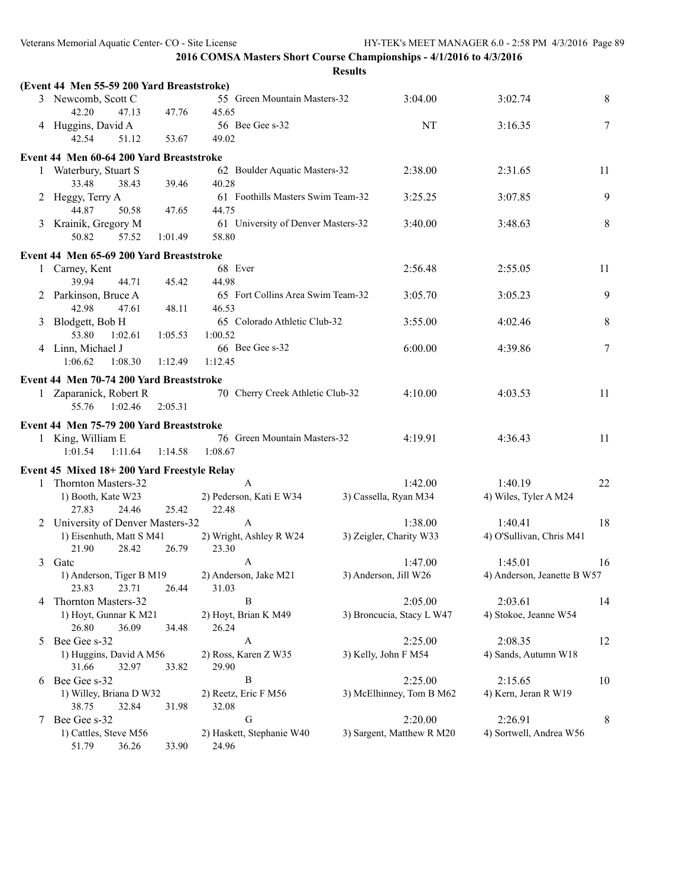|   | (Event 44 Men 55-59 200 Yard Breaststroke)                    |                                    |                           |                             |         |
|---|---------------------------------------------------------------|------------------------------------|---------------------------|-----------------------------|---------|
|   | 3 Newcomb, Scott C                                            | 55 Green Mountain Masters-32       | 3:04.00                   | 3:02.74                     | 8       |
|   | 42.20<br>47.13<br>47.76                                       | 45.65                              |                           |                             |         |
|   | 4 Huggins, David A                                            | 56 Bee Gee s-32                    | NT                        | 3:16.35                     | $\tau$  |
|   | 42.54<br>51.12<br>53.67                                       | 49.02                              |                           |                             |         |
|   | Event 44 Men 60-64 200 Yard Breaststroke                      |                                    |                           |                             |         |
|   | 1 Waterbury, Stuart S                                         | 62 Boulder Aquatic Masters-32      | 2:38.00                   | 2:31.65                     | 11      |
|   | 33.48<br>38.43<br>39.46                                       | 40.28                              |                           |                             |         |
|   | 2 Heggy, Terry A                                              | 61 Foothills Masters Swim Team-32  | 3:25.25                   | 3:07.85                     | 9       |
|   | 44.87<br>50.58<br>47.65                                       | 44.75                              |                           |                             |         |
|   | 3 Krainik, Gregory M                                          | 61 University of Denver Masters-32 | 3:40.00                   | 3:48.63                     | $\,8\,$ |
|   | 50.82<br>57.52<br>1:01.49                                     | 58.80                              |                           |                             |         |
|   | Event 44 Men 65-69 200 Yard Breaststroke                      |                                    |                           |                             |         |
|   | 1 Carney, Kent                                                | 68 Ever                            | 2:56.48                   | 2:55.05                     | 11      |
|   | 39.94<br>44.71<br>45.42                                       | 44.98                              |                           |                             |         |
|   | 2 Parkinson, Bruce A                                          | 65 Fort Collins Area Swim Team-32  | 3:05.70                   | 3:05.23                     | 9       |
|   | 42.98<br>47.61<br>48.11                                       | 46.53                              |                           |                             |         |
|   | 3 Blodgett, Bob H                                             | 65 Colorado Athletic Club-32       | 3:55.00                   | 4:02.46                     | 8       |
|   | 53.80<br>1:02.61<br>1:05.53                                   | 1:00.52                            |                           |                             |         |
|   | 4 Linn, Michael J                                             | 66 Bee Gee s-32                    | 6:00.00                   | 4:39.86                     | $\tau$  |
|   | 1:06.62<br>1:08.30<br>1:12.49                                 | 1:12.45                            |                           |                             |         |
|   | Event 44 Men 70-74 200 Yard Breaststroke                      |                                    |                           |                             |         |
|   | 1 Zaparanick, Robert R                                        | 70 Cherry Creek Athletic Club-32   | 4:10.00                   | 4:03.53                     | 11      |
|   | 55.76<br>1:02.46<br>2:05.31                                   |                                    |                           |                             |         |
|   | Event 44 Men 75-79 200 Yard Breaststroke                      |                                    |                           |                             |         |
|   | 1 King, William E                                             | 76 Green Mountain Masters-32       | 4:19.91                   | 4:36.43                     | 11      |
|   | 1:01.54<br>1:11.64<br>1:14.58                                 | 1:08.67                            |                           |                             |         |
|   |                                                               |                                    |                           |                             |         |
|   | Event 45 Mixed 18+200 Yard Freestyle Relay                    |                                    |                           |                             |         |
|   | Thornton Masters-32                                           | A                                  | 1:42.00                   | 1:40.19                     | 22      |
|   | 1) Booth, Kate W23                                            | 2) Pederson, Kati E W34            | 3) Cassella, Ryan M34     | 4) Wiles, Tyler A M24       |         |
|   | 27.83<br>24.46<br>25.42                                       | 22.48                              |                           |                             |         |
|   | 2 University of Denver Masters-32<br>1) Eisenhuth, Matt S M41 | A                                  | 1:38.00                   | 1:40.41                     | 18      |
|   | 21.90<br>28.42<br>26.79                                       | 2) Wright, Ashley R W24<br>23.30   | 3) Zeigler, Charity W33   | 4) O'Sullivan, Chris M41    |         |
| 3 | Gatc                                                          | A                                  | 1:47.00                   | 1:45.01                     | 16      |
|   | 1) Anderson, Tiger B M19                                      | 2) Anderson, Jake M21              | 3) Anderson, Jill W26     | 4) Anderson, Jeanette B W57 |         |
|   | 23.71<br>23.83<br>26.44                                       | 31.03                              |                           |                             |         |
| 4 | Thornton Masters-32                                           | $\boldsymbol{B}$                   | 2:05.00                   | 2:03.61                     | 14      |
|   | 1) Hoyt, Gunnar K M21                                         | 2) Hoyt, Brian K M49               | 3) Broncucia, Stacy L W47 | 4) Stokoe, Jeanne W54       |         |
|   | 26.80<br>36.09<br>34.48                                       | 26.24                              |                           |                             |         |
| 5 | Bee Gee s-32                                                  | A                                  | 2:25.00                   | 2:08.35                     | 12      |
|   | 1) Huggins, David A M56                                       | 2) Ross, Karen Z W35               | 3) Kelly, John F M54      | 4) Sands, Autumn W18        |         |
|   | 31.66<br>32.97<br>33.82                                       | 29.90                              |                           |                             |         |
| 6 | Bee Gee s-32                                                  | B                                  | 2:25.00                   | 2:15.65                     | 10      |
|   | 1) Willey, Briana D W32                                       | 2) Reetz, Eric F M56               | 3) McElhinney, Tom B M62  | 4) Kern, Jeran R W19        |         |
|   | 38.75<br>32.84<br>31.98                                       | 32.08                              |                           |                             |         |
| 7 | Bee Gee s-32                                                  | G                                  | 2:20.00                   | 2:26.91                     | 8       |
|   | 1) Cattles, Steve M56                                         | 2) Haskett, Stephanie W40          | 3) Sargent, Matthew R M20 | 4) Sortwell, Andrea W56     |         |
|   | 51.79<br>36.26<br>33.90                                       | 24.96                              |                           |                             |         |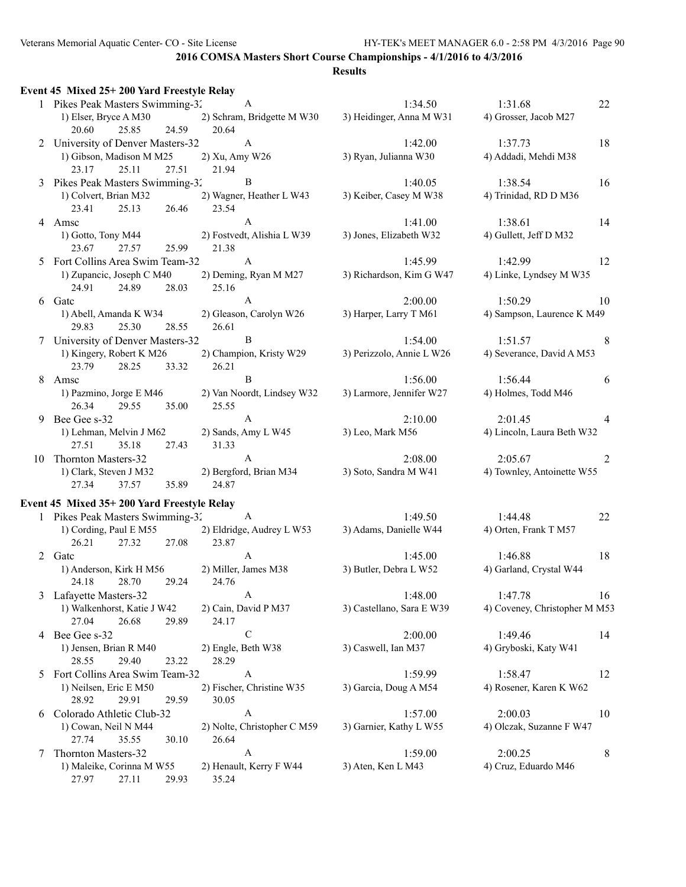|   | Event 45 Mixed 25+200 Yard Freestyle Relay             |                                      |                           |                               |    |
|---|--------------------------------------------------------|--------------------------------------|---------------------------|-------------------------------|----|
|   | 1 Pikes Peak Masters Swimming-32                       | A                                    | 1:34.50                   | 1:31.68                       | 22 |
|   | 1) Elser, Bryce A M30<br>20.60<br>25.85<br>24.59       | 2) Schram, Bridgette M W30<br>20.64  | 3) Heidinger, Anna M W31  | 4) Grosser, Jacob M27         |    |
| 2 | University of Denver Masters-32                        | $\mathbf{A}$                         | 1:42.00                   | 1:37.73                       | 18 |
|   | 1) Gibson, Madison M M25<br>23.17<br>25.11<br>27.51    | 2) Xu, Amy W26<br>21.94              | 3) Ryan, Julianna W30     | 4) Addadi, Mehdi M38          |    |
|   | 3 Pikes Peak Masters Swimming-32                       | $\mathbf B$                          | 1:40.05                   | 1:38.54                       | 16 |
|   | 1) Colvert, Brian M32<br>25.13<br>26.46<br>23.41       | 2) Wagner, Heather L W43<br>23.54    | 3) Keiber, Casey M W38    | 4) Trinidad, RD D M36         |    |
| 4 | Amsc                                                   | $\mathbf{A}$                         | 1:41.00                   | 1:38.61                       | 14 |
|   | 1) Gotto, Tony M44<br>23.67<br>27.57<br>25.99          | 2) Fostvedt, Alishia L W39<br>21.38  | 3) Jones, Elizabeth W32   | 4) Gullett, Jeff D M32        |    |
|   | 5 Fort Collins Area Swim Team-32                       | $\mathbf{A}$                         | 1:45.99                   | 1:42.99                       | 12 |
|   | 1) Zupancic, Joseph C M40<br>24.91<br>24.89<br>28.03   | 2) Deming, Ryan M M27<br>25.16       | 3) Richardson, Kim G W47  | 4) Linke, Lyndsey M W35       |    |
|   | 6 Gatc                                                 | A                                    | 2:00.00                   | 1:50.29                       | 10 |
|   | 1) Abell, Amanda K W34<br>25.30<br>29.83<br>28.55      | 2) Gleason, Carolyn W26<br>26.61     | 3) Harper, Larry T M61    | 4) Sampson, Laurence K M49    |    |
|   | 7 University of Denver Masters-32                      | B                                    | 1:54.00                   | 1:51.57                       | 8  |
|   | 1) Kingery, Robert K M26<br>23.79<br>28.25<br>33.32    | 2) Champion, Kristy W29<br>26.21     | 3) Perizzolo, Annie L W26 | 4) Severance, David A M53     |    |
| 8 | Amsc                                                   | B                                    | 1:56.00                   | 1:56.44                       | 6  |
|   | 1) Pazmino, Jorge E M46<br>35.00<br>26.34<br>29.55     | 2) Van Noordt, Lindsey W32<br>25.55  | 3) Larmore, Jennifer W27  | 4) Holmes, Todd M46           |    |
|   | 9 Bee Gee s-32                                         | $\mathbf{A}$                         | 2:10.00                   | 2:01.45                       | 4  |
|   | 1) Lehman, Melvin J M62<br>27.51<br>35.18<br>27.43     | 2) Sands, Amy L W45<br>31.33         | 3) Leo, Mark M56          | 4) Lincoln, Laura Beth W32    |    |
|   | 10 Thornton Masters-32                                 | $\mathbf{A}$                         | 2:08.00                   | 2:05.67                       | 2  |
|   | 1) Clark, Steven J M32<br>37.57<br>35.89<br>27.34      | 2) Bergford, Brian M34<br>24.87      | 3) Soto, Sandra M W41     | 4) Townley, Antoinette W55    |    |
|   | Event 45 Mixed 35+200 Yard Freestyle Relay             |                                      |                           |                               |    |
|   | 1 Pikes Peak Masters Swimming-32                       | $\overline{A}$                       | 1:49.50                   | 1:44.48                       | 22 |
|   | 1) Cording, Paul E M55<br>26.21<br>27.32<br>27.08      | 2) Eldridge, Audrey L W53<br>23.87   | 3) Adams, Danielle W44    | 4) Orten, Frank T M57         |    |
|   | 2 Gatc                                                 | A                                    | 1:45.00                   | 1:46.88                       | 18 |
|   | 1) Anderson, Kirk H M56<br>24.18<br>28.70<br>29.24     | 2) Miller, James M38<br>24.76        | 3) Butler, Debra L W52    | 4) Garland, Crystal W44       |    |
| 3 | Lafayette Masters-32                                   | $\mathbf{A}$                         | 1:48.00                   | 1:47.78                       | 16 |
|   | 1) Walkenhorst, Katie J W42<br>27.04<br>26.68<br>29.89 | 2) Cain, David P M37<br>24.17        | 3) Castellano, Sara E W39 | 4) Coveney, Christopher M M53 |    |
|   | 4 Bee Gee s-32                                         | $\mathbf C$                          | 2:00.00                   | 1:49.46                       | 14 |
|   | 1) Jensen, Brian R M40<br>28.55<br>29.40<br>23.22      | 2) Engle, Beth W38<br>28.29          | 3) Caswell, Ian M37       | 4) Gryboski, Katy W41         |    |
| 5 | Fort Collins Area Swim Team-32                         | $\boldsymbol{A}$                     | 1:59.99                   | 1:58.47                       | 12 |
|   | 1) Neilsen, Eric E M50<br>28.92<br>29.91<br>29.59      | 2) Fischer, Christine W35<br>30.05   | 3) Garcia, Doug A M54     | 4) Rosener, Karen K W62       |    |
| 6 | Colorado Athletic Club-32                              | A                                    | 1:57.00                   | 2:00.03                       | 10 |
|   | 1) Cowan, Neil N M44<br>30.10<br>27.74<br>35.55        | 2) Nolte, Christopher C M59<br>26.64 | 3) Garnier, Kathy L W55   | 4) Olczak, Suzanne F W47      |    |
| 7 | Thornton Masters-32                                    | $\boldsymbol{A}$                     | 1:59.00                   | 2:00.25                       | 8  |
|   | 1) Maleike, Corinna M W55<br>27.97<br>27.11<br>29.93   | 2) Henault, Kerry F W44<br>35.24     | 3) Aten, Ken L M43        | 4) Cruz, Eduardo M46          |    |
|   |                                                        |                                      |                           |                               |    |